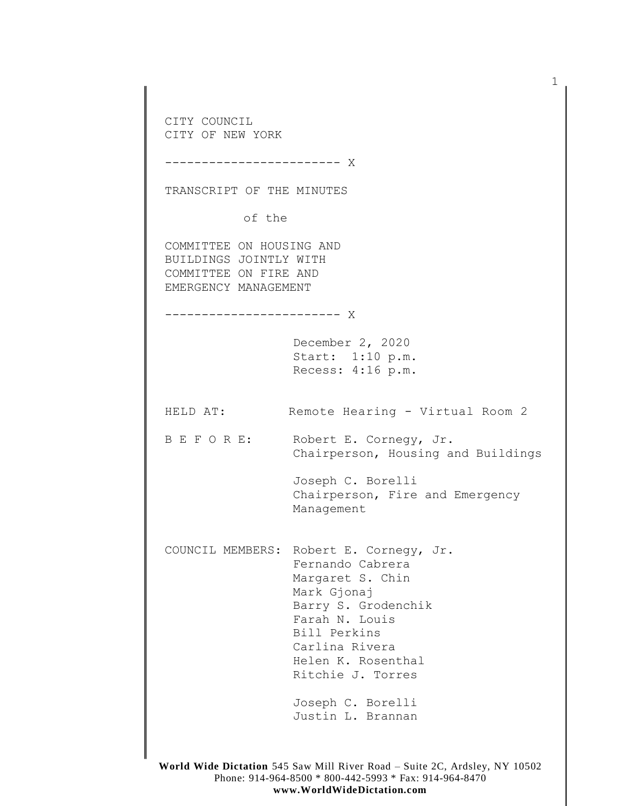CITY COUNCIL CITY OF NEW YORK ------------------------ X TRANSCRIPT OF THE MINUTES of the COMMITTEE ON HOUSING AND BUILDINGS JOINTLY WITH COMMITTEE ON FIRE AND EMERGENCY MANAGEMENT ------------------------ X December 2, 2020 Start: 1:10 p.m. Recess: 4:16 p.m. HELD AT: Remote Hearing - Virtual Room 2 B E F O R E: Robert E. Cornegy, Jr. Chairperson, Housing and Buildings Joseph C. Borelli Chairperson, Fire and Emergency Management COUNCIL MEMBERS: Robert E. Cornegy, Jr. Fernando Cabrera Margaret S. Chin Mark Gjonaj Barry S. Grodenchik Farah N. Louis Bill Perkins Carlina Rivera Helen K. Rosenthal Ritchie J. Torres Joseph C. Borelli Justin L. Brannan

1

**World Wide Dictation** 545 Saw Mill River Road – Suite 2C, Ardsley, NY 10502 Phone: 914-964-8500 \* 800-442-5993 \* Fax: 914-964-8470 **www.WorldWideDictation.com**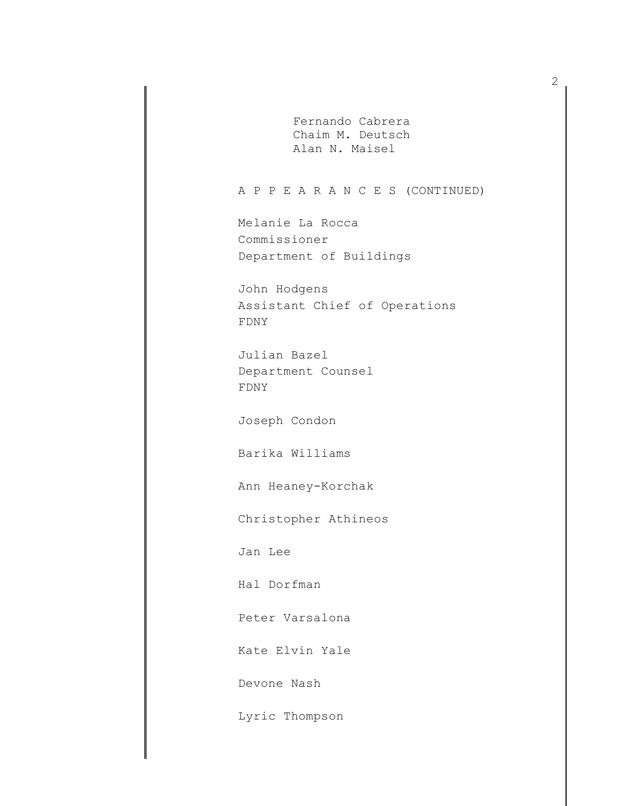Fernando Cabrera Chaim M. Deutsch Alan N. Maisel

## A P P E A R A N C E S (CONTINUED)

Melanie La Rocca Commissioner Department of Buildings

John Hodgens Assistant Chief of Operations FDNY

Julian Bazel Department Counsel FDNY

Joseph Condon

Barika Williams

Ann Heaney-Korchak

Christopher Athineos

Jan Lee

Hal Dorfman

Peter Varsalona

Kate Elvin Yale

Devone Nash

Lyric Thompson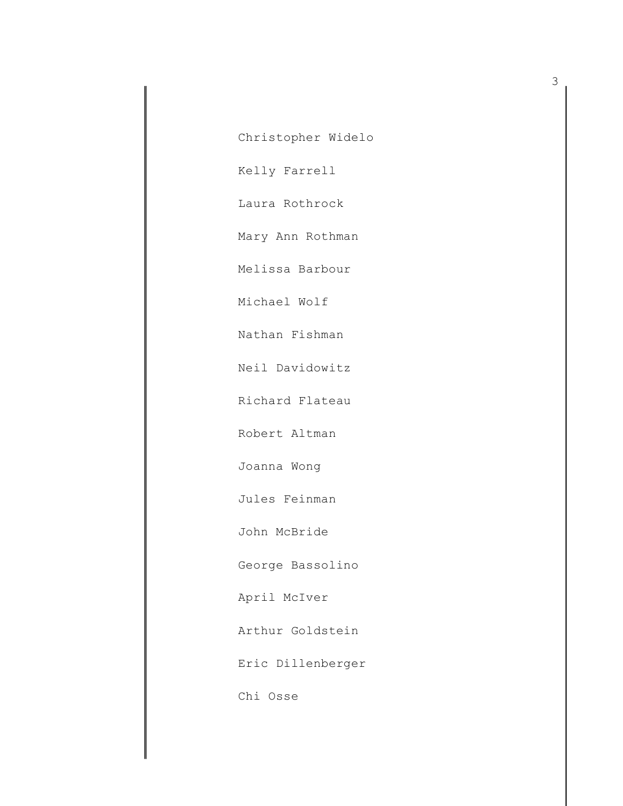Christopher Widelo

Kelly Farrell

Laura Rothrock

Mary Ann Rothman

Melissa Barbour

Michael Wolf

Nathan Fishman

Neil Davidowitz

Richard Flateau

Robert Altman

Joanna Wong

Jules Feinman

John McBride

George Bassolino

April McIver

Arthur Goldstein

Eric Dillenberger

Chi Osse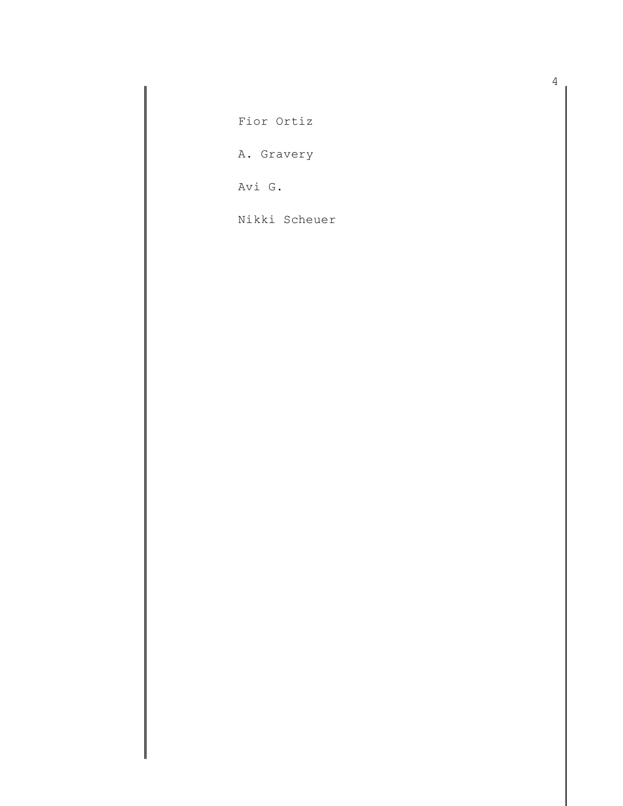Fior Ortiz

A. Gravery

Avi G.

Nikki Scheuer

4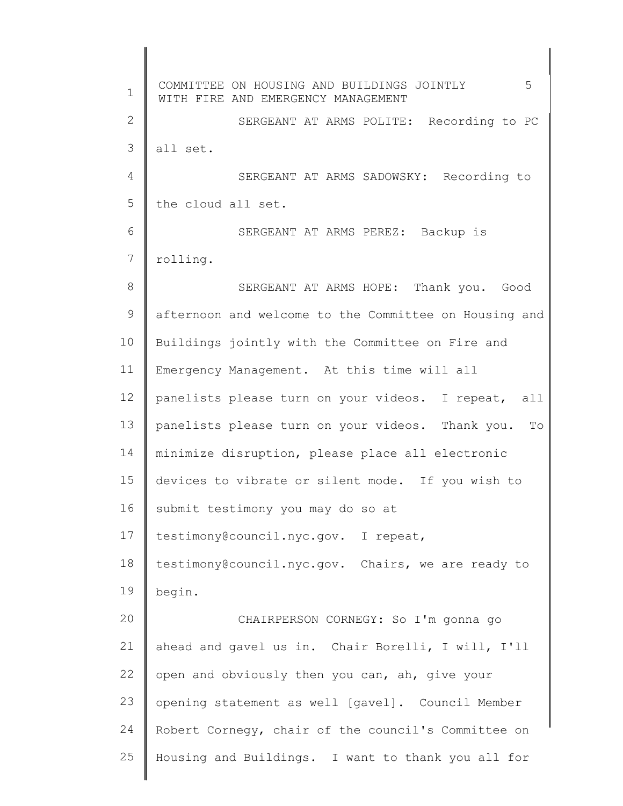1 2 3 4 5 6 7 8 9 10 11 12 13 14 15 16 17 18 19  $20$ 21 22 23 24 25 COMMITTEE ON HOUSING AND BUILDINGS JOINTLY 5 WITH FIRE AND EMERGENCY MANAGEMENT SERGEANT AT ARMS POLITE: Recording to PC all set. SERGEANT AT ARMS SADOWSKY: Recording to the cloud all set. SERGEANT AT ARMS PEREZ: Backup is rolling. SERGEANT AT ARMS HOPE: Thank you. Good afternoon and welcome to the Committee on Housing and Buildings jointly with the Committee on Fire and Emergency Management. At this time will all panelists please turn on your videos. I repeat, all panelists please turn on your videos. Thank you. To minimize disruption, please place all electronic devices to vibrate or silent mode. If you wish to submit testimony you may do so at testimony@council.nyc.gov. I repeat, testimony@council.nyc.gov. Chairs, we are ready to begin. CHAIRPERSON CORNEGY: So I'm gonna go ahead and gavel us in. Chair Borelli, I will, I'll open and obviously then you can, ah, give your opening statement as well [gavel]. Council Member Robert Cornegy, chair of the council's Committee on Housing and Buildings. I want to thank you all for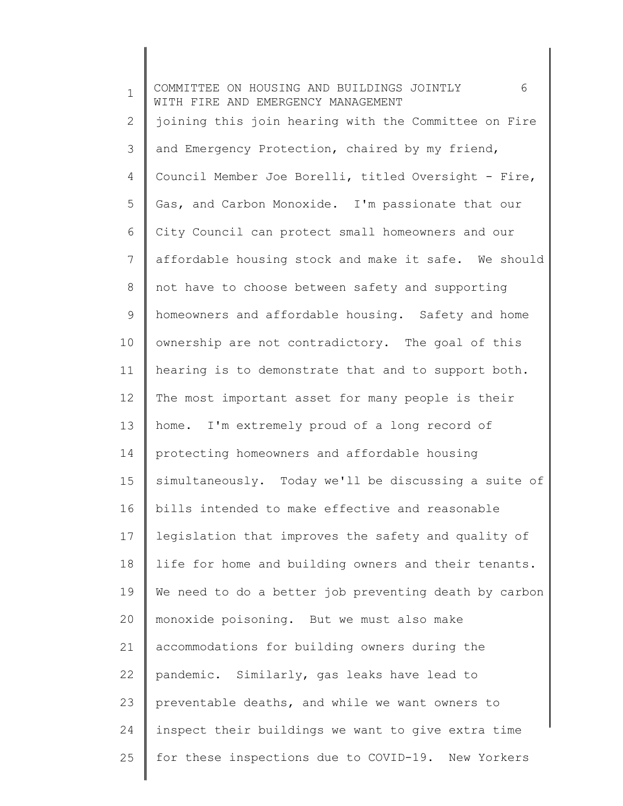1 2 3 4 5 6 7 8 9 10 11 12 13 14 15 16 17 18 19 20 21 22 23 24 25 COMMITTEE ON HOUSING AND BUILDINGS JOINTLY 6 WITH FIRE AND EMERGENCY MANAGEMENT joining this join hearing with the Committee on Fire and Emergency Protection, chaired by my friend, Council Member Joe Borelli, titled Oversight - Fire, Gas, and Carbon Monoxide. I'm passionate that our City Council can protect small homeowners and our affordable housing stock and make it safe. We should not have to choose between safety and supporting homeowners and affordable housing. Safety and home ownership are not contradictory. The goal of this hearing is to demonstrate that and to support both. The most important asset for many people is their home. I'm extremely proud of a long record of protecting homeowners and affordable housing simultaneously. Today we'll be discussing a suite of bills intended to make effective and reasonable legislation that improves the safety and quality of life for home and building owners and their tenants. We need to do a better job preventing death by carbon monoxide poisoning. But we must also make accommodations for building owners during the pandemic. Similarly, gas leaks have lead to preventable deaths, and while we want owners to inspect their buildings we want to give extra time for these inspections due to COVID-19. New Yorkers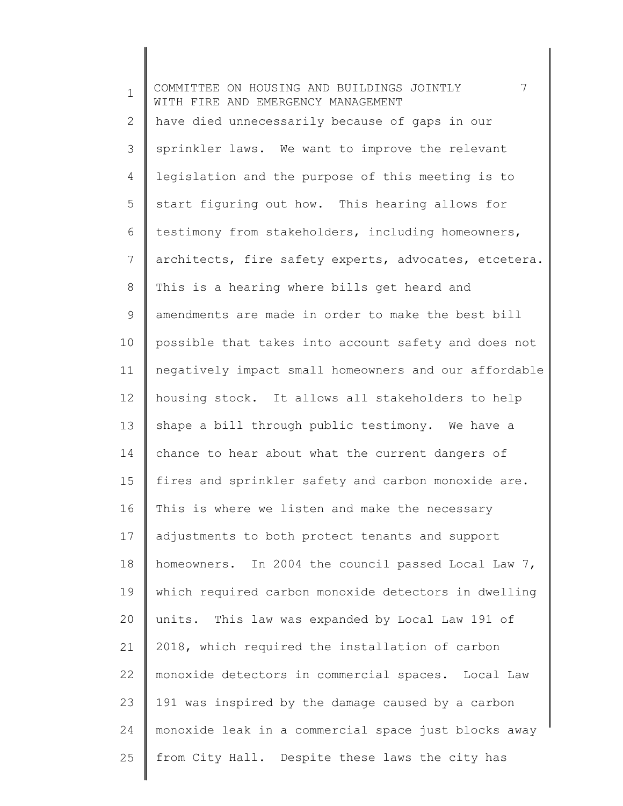1 2 3 4 5 6 7 8 9 10 11 12 13 14 15 16 17 18 19 20 21 22 23 24 25 COMMITTEE ON HOUSING AND BUILDINGS JOINTLY 7 WITH FIRE AND EMERGENCY MANAGEMENT have died unnecessarily because of gaps in our sprinkler laws. We want to improve the relevant legislation and the purpose of this meeting is to start figuring out how. This hearing allows for testimony from stakeholders, including homeowners, architects, fire safety experts, advocates, etcetera. This is a hearing where bills get heard and amendments are made in order to make the best bill possible that takes into account safety and does not negatively impact small homeowners and our affordable housing stock. It allows all stakeholders to help shape a bill through public testimony. We have a chance to hear about what the current dangers of fires and sprinkler safety and carbon monoxide are. This is where we listen and make the necessary adjustments to both protect tenants and support homeowners. In 2004 the council passed Local Law 7, which required carbon monoxide detectors in dwelling units. This law was expanded by Local Law 191 of 2018, which required the installation of carbon monoxide detectors in commercial spaces. Local Law 191 was inspired by the damage caused by a carbon monoxide leak in a commercial space just blocks away from City Hall. Despite these laws the city has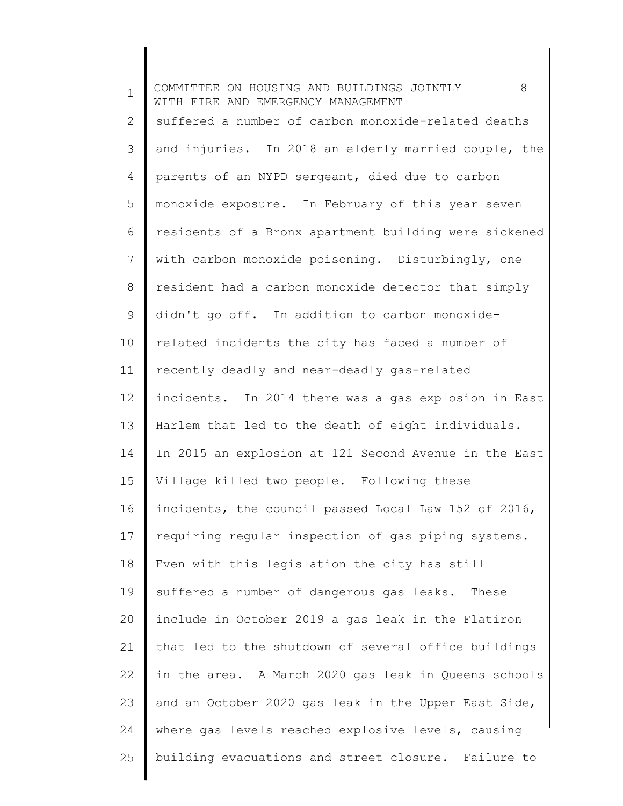| $\mathbf 1$ | 8<br>COMMITTEE ON HOUSING AND BUILDINGS JOINTLY<br>WITH FIRE AND EMERGENCY MANAGEMENT |
|-------------|---------------------------------------------------------------------------------------|
| 2           | suffered a number of carbon monoxide-related deaths                                   |
| 3           | and injuries. In 2018 an elderly married couple, the                                  |
| 4           | parents of an NYPD sergeant, died due to carbon                                       |
| 5           | monoxide exposure. In February of this year seven                                     |
| 6           | residents of a Bronx apartment building were sickened                                 |
| 7           | with carbon monoxide poisoning. Disturbingly, one                                     |
| 8           | resident had a carbon monoxide detector that simply                                   |
| $\mathsf 9$ | didn't go off. In addition to carbon monoxide-                                        |
| 10          | related incidents the city has faced a number of                                      |
| 11          | recently deadly and near-deadly gas-related                                           |
| 12          | incidents. In 2014 there was a gas explosion in East                                  |
| 13          | Harlem that led to the death of eight individuals.                                    |
| 14          | In 2015 an explosion at 121 Second Avenue in the East                                 |
| 15          | Village killed two people. Following these                                            |
| 16          | incidents, the council passed Local Law 152 of 2016,                                  |
| 17          | requiring regular inspection of gas piping systems.                                   |
| 18          | Even with this legislation the city has still                                         |
| 19          | suffered a number of dangerous gas leaks. These                                       |
| 20          | include in October 2019 a gas leak in the Flatiron                                    |
| 21          | that led to the shutdown of several office buildings                                  |
| 22          | in the area. A March 2020 gas leak in Queens schools                                  |
| 23          | and an October 2020 gas leak in the Upper East Side,                                  |
| 24          | where gas levels reached explosive levels, causing                                    |
| 25          | building evacuations and street closure. Failure to                                   |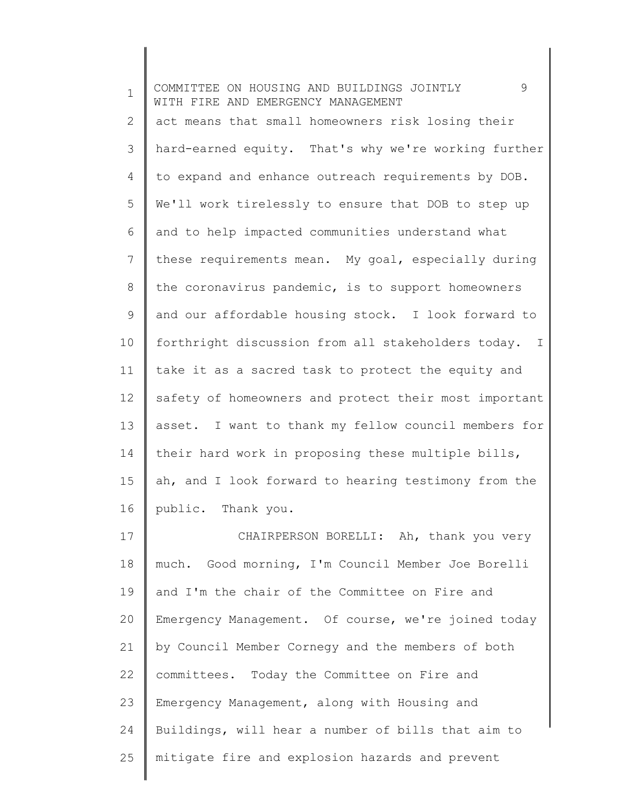| $\mathbf 1$ | 9<br>COMMITTEE ON HOUSING AND BUILDINGS JOINTLY<br>WITH FIRE AND EMERGENCY MANAGEMENT |
|-------------|---------------------------------------------------------------------------------------|
| 2           | act means that small homeowners risk losing their                                     |
| 3           | hard-earned equity. That's why we're working further                                  |
| 4           | to expand and enhance outreach requirements by DOB.                                   |
| 5           | We'll work tirelessly to ensure that DOB to step up                                   |
| 6           | and to help impacted communities understand what                                      |
| 7           | these requirements mean. My goal, especially during                                   |
| 8           | the coronavirus pandemic, is to support homeowners                                    |
| 9           | and our affordable housing stock. I look forward to                                   |
| 10          | forthright discussion from all stakeholders today.<br>$\mathbb{I}$                    |
| 11          | take it as a sacred task to protect the equity and                                    |
| 12          | safety of homeowners and protect their most important                                 |
| 13          | asset. I want to thank my fellow council members for                                  |
| 14          | their hard work in proposing these multiple bills,                                    |
| 15          | ah, and I look forward to hearing testimony from the                                  |
| 16          | public. Thank you.                                                                    |
| 17          | CHAIRPERSON BORELLI: Ah, thank you very                                               |
| 18          | much. Good morning, I'm Council Member Joe Borelli                                    |
| 19          | and I'm the chair of the Committee on Fire and                                        |
| 20          | Emergency Management. Of course, we're joined today                                   |
| 21          | by Council Member Cornegy and the members of both                                     |
| 22          | committees. Today the Committee on Fire and                                           |
| 23          | Emergency Management, along with Housing and                                          |
| 24          | Buildings, will hear a number of bills that aim to                                    |
| 25          | mitigate fire and explosion hazards and prevent                                       |

║

║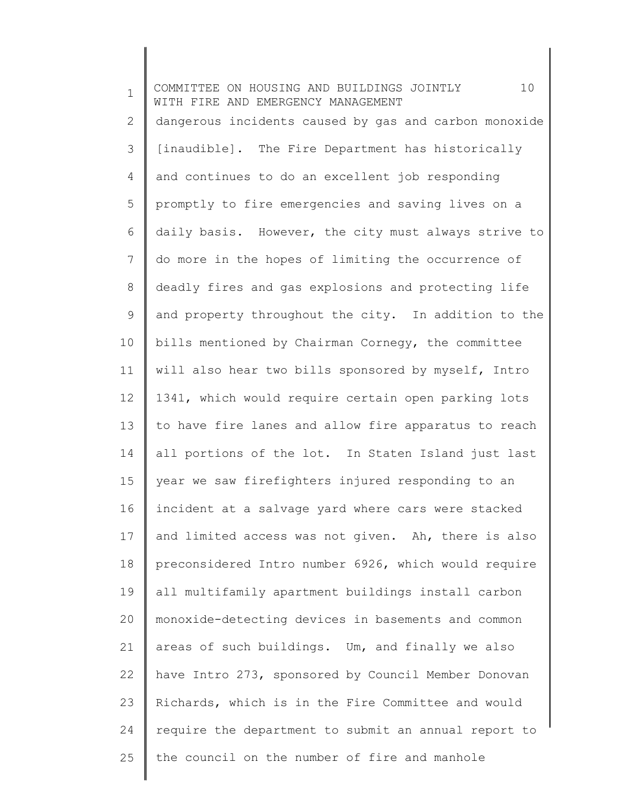1 2 3 4 5 6 7 8 9 10 11 12 13 14 15 16 17 18 19 20 21 22 23 24 25 COMMITTEE ON HOUSING AND BUILDINGS JOINTLY 10 WITH FIRE AND EMERGENCY MANAGEMENT dangerous incidents caused by gas and carbon monoxide [inaudible]. The Fire Department has historically and continues to do an excellent job responding promptly to fire emergencies and saving lives on a daily basis. However, the city must always strive to do more in the hopes of limiting the occurrence of deadly fires and gas explosions and protecting life and property throughout the city. In addition to the bills mentioned by Chairman Cornegy, the committee will also hear two bills sponsored by myself, Intro 1341, which would require certain open parking lots to have fire lanes and allow fire apparatus to reach all portions of the lot. In Staten Island just last year we saw firefighters injured responding to an incident at a salvage yard where cars were stacked and limited access was not given. Ah, there is also preconsidered Intro number 6926, which would require all multifamily apartment buildings install carbon monoxide-detecting devices in basements and common areas of such buildings. Um, and finally we also have Intro 273, sponsored by Council Member Donovan Richards, which is in the Fire Committee and would require the department to submit an annual report to the council on the number of fire and manhole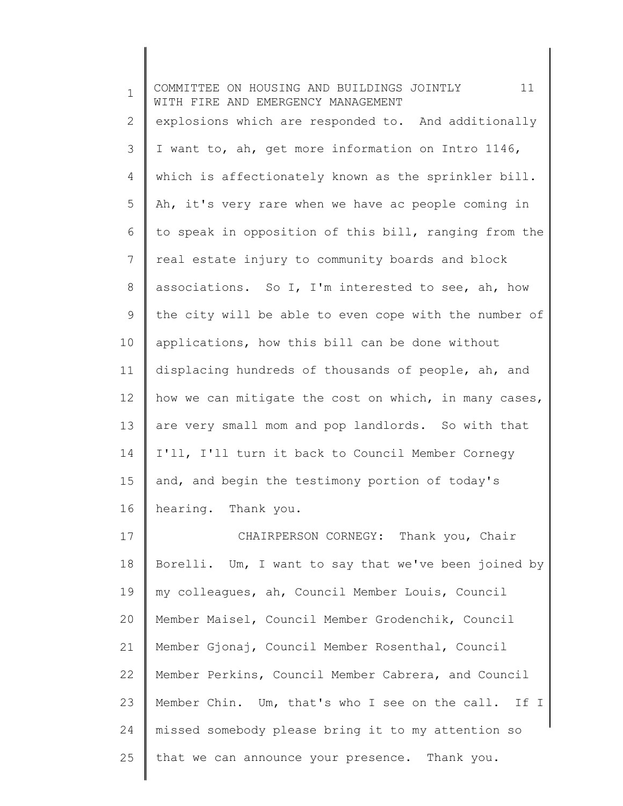| $\mathbf 1$    | 11<br>COMMITTEE ON HOUSING AND BUILDINGS JOINTLY<br>WITH FIRE AND EMERGENCY MANAGEMENT |
|----------------|----------------------------------------------------------------------------------------|
| $\overline{2}$ | explosions which are responded to. And additionally                                    |
| 3              | I want to, ah, get more information on Intro 1146,                                     |
| 4              | which is affectionately known as the sprinkler bill.                                   |
| 5              | Ah, it's very rare when we have ac people coming in                                    |
| 6              | to speak in opposition of this bill, ranging from the                                  |
| 7              | real estate injury to community boards and block                                       |
| 8              | associations. So I, I'm interested to see, ah, how                                     |
| 9              | the city will be able to even cope with the number of                                  |
| 10             | applications, how this bill can be done without                                        |
| 11             | displacing hundreds of thousands of people, ah, and                                    |
| 12             | how we can mitigate the cost on which, in many cases,                                  |
| 13             | are very small mom and pop landlords. So with that                                     |
| 14             | I'll, I'll turn it back to Council Member Cornegy                                      |
| 15             | and, and begin the testimony portion of today's                                        |
| 16             | hearing. Thank you.                                                                    |
| 17             | CHAIRPERSON CORNEGY: Thank you, Chair                                                  |
| 18             | Borelli. Um, I want to say that we've been joined by                                   |
| 19             | my colleagues, ah, Council Member Louis, Council                                       |
| 20             | Member Maisel, Council Member Grodenchik, Council                                      |
| 21             | Member Gjonaj, Council Member Rosenthal, Council                                       |
| 22             | Member Perkins, Council Member Cabrera, and Council                                    |
| 23             | Member Chin. Um, that's who I see on the call. If I                                    |
| 24             | missed somebody please bring it to my attention so                                     |
| 25             | that we can announce your presence. Thank you.                                         |
|                |                                                                                        |

 $\|$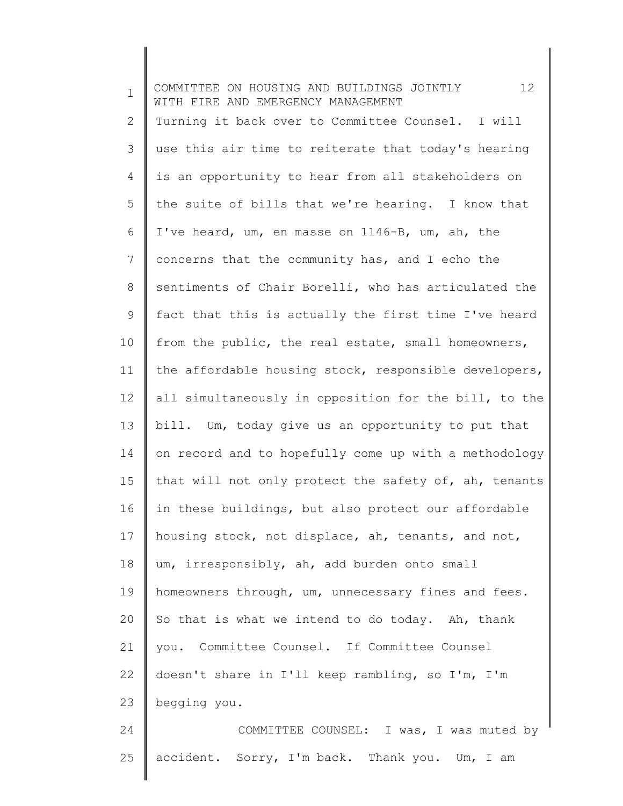1 2 3 4 5 6 7 8 9 10 11 12 13 14 15 16 17 18 19 20 21 22 23 24 25 COMMITTEE ON HOUSING AND BUILDINGS JOINTLY 12 WITH FIRE AND EMERGENCY MANAGEMENT Turning it back over to Committee Counsel. I will use this air time to reiterate that today's hearing is an opportunity to hear from all stakeholders on the suite of bills that we're hearing. I know that I've heard, um, en masse on 1146-B, um, ah, the concerns that the community has, and I echo the sentiments of Chair Borelli, who has articulated the fact that this is actually the first time I've heard from the public, the real estate, small homeowners, the affordable housing stock, responsible developers, all simultaneously in opposition for the bill, to the bill. Um, today give us an opportunity to put that on record and to hopefully come up with a methodology that will not only protect the safety of, ah, tenants in these buildings, but also protect our affordable housing stock, not displace, ah, tenants, and not, um, irresponsibly, ah, add burden onto small homeowners through, um, unnecessary fines and fees. So that is what we intend to do today. Ah, thank you. Committee Counsel. If Committee Counsel doesn't share in I'll keep rambling, so I'm, I'm begging you. COMMITTEE COUNSEL: I was, I was muted by accident. Sorry, I'm back. Thank you. Um, I am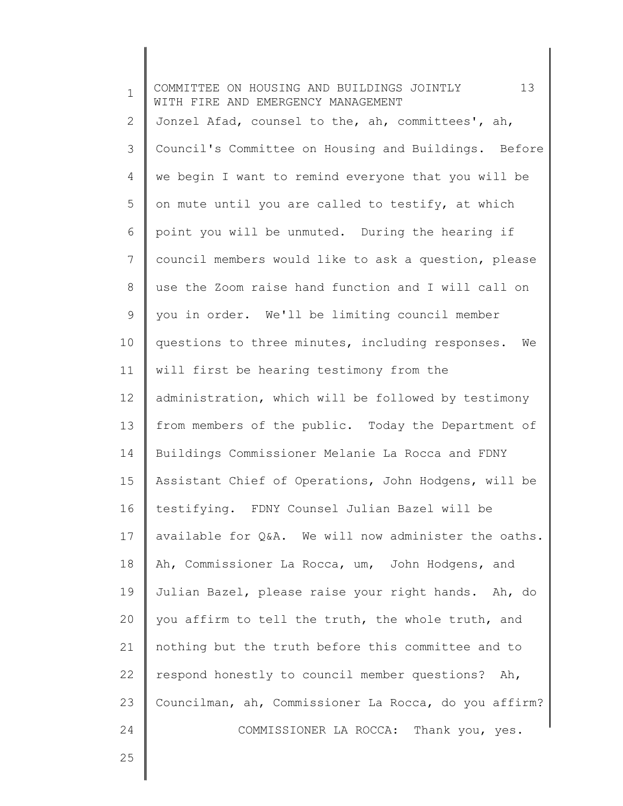| $\mathbf 1$ | 13<br>COMMITTEE ON HOUSING AND BUILDINGS JOINTLY<br>WITH FIRE AND EMERGENCY MANAGEMENT |
|-------------|----------------------------------------------------------------------------------------|
| 2           | Jonzel Afad, counsel to the, ah, committees', ah,                                      |
| 3           | Council's Committee on Housing and Buildings. Before                                   |
| 4           | we begin I want to remind everyone that you will be                                    |
| 5           | on mute until you are called to testify, at which                                      |
| 6           | point you will be unmuted. During the hearing if                                       |
| 7           | council members would like to ask a question, please                                   |
| 8           | use the Zoom raise hand function and I will call on                                    |
| 9           | you in order. We'll be limiting council member                                         |
| 10          | questions to three minutes, including responses.<br>We                                 |
| 11          | will first be hearing testimony from the                                               |
| 12          | administration, which will be followed by testimony                                    |
| 13          | from members of the public. Today the Department of                                    |
| 14          | Buildings Commissioner Melanie La Rocca and FDNY                                       |
| 15          | Assistant Chief of Operations, John Hodgens, will be                                   |
| 16          | testifying. FDNY Counsel Julian Bazel will be                                          |
| 17          | available for Q&A. We will now administer the oaths.                                   |
| 18          | Ah, Commissioner La Rocca, um, John Hodgens, and                                       |
| 19          | Julian Bazel, please raise your right hands. Ah, do                                    |
| 20          | you affirm to tell the truth, the whole truth, and                                     |
| 21          | nothing but the truth before this committee and to                                     |
| 22          | respond honestly to council member questions? Ah,                                      |
| 23          | Councilman, ah, Commissioner La Rocca, do you affirm?                                  |
| 24          | COMMISSIONER LA ROCCA: Thank you, yes.                                                 |

25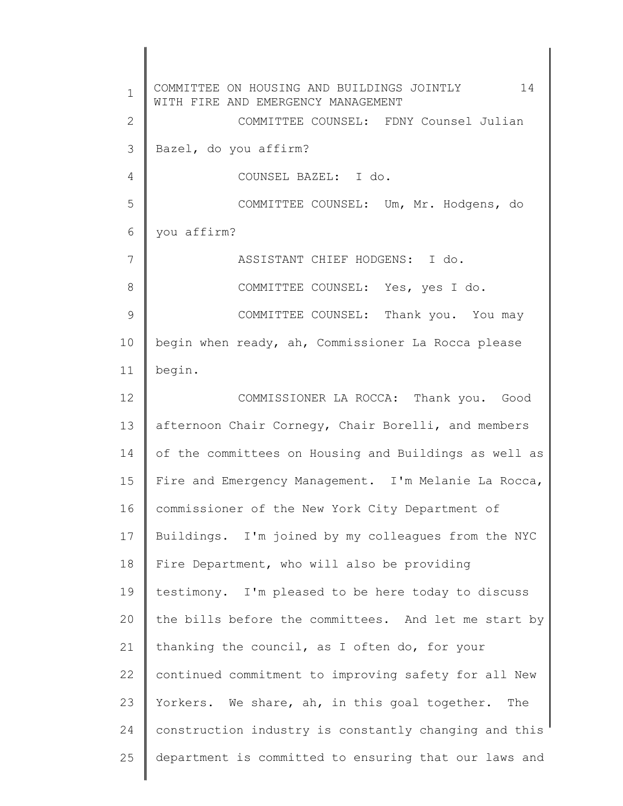1 2 3 4 5 6 7 8 9 10 11 12 13 14 15 16 17 18 19 20 21 22 23 24 25 COMMITTEE ON HOUSING AND BUILDINGS JOINTLY 14 WITH FIRE AND EMERGENCY MANAGEMENT COMMITTEE COUNSEL: FDNY Counsel Julian Bazel, do you affirm? COUNSEL BAZEL: I do. COMMITTEE COUNSEL: Um, Mr. Hodgens, do you affirm? ASSISTANT CHIEF HODGENS: I do. COMMITTEE COUNSEL: Yes, yes I do. COMMITTEE COUNSEL: Thank you. You may begin when ready, ah, Commissioner La Rocca please begin. COMMISSIONER LA ROCCA: Thank you. Good afternoon Chair Cornegy, Chair Borelli, and members of the committees on Housing and Buildings as well as Fire and Emergency Management. I'm Melanie La Rocca, commissioner of the New York City Department of Buildings. I'm joined by my colleagues from the NYC Fire Department, who will also be providing testimony. I'm pleased to be here today to discuss the bills before the committees. And let me start by thanking the council, as I often do, for your continued commitment to improving safety for all New Yorkers. We share, ah, in this goal together. The construction industry is constantly changing and this department is committed to ensuring that our laws and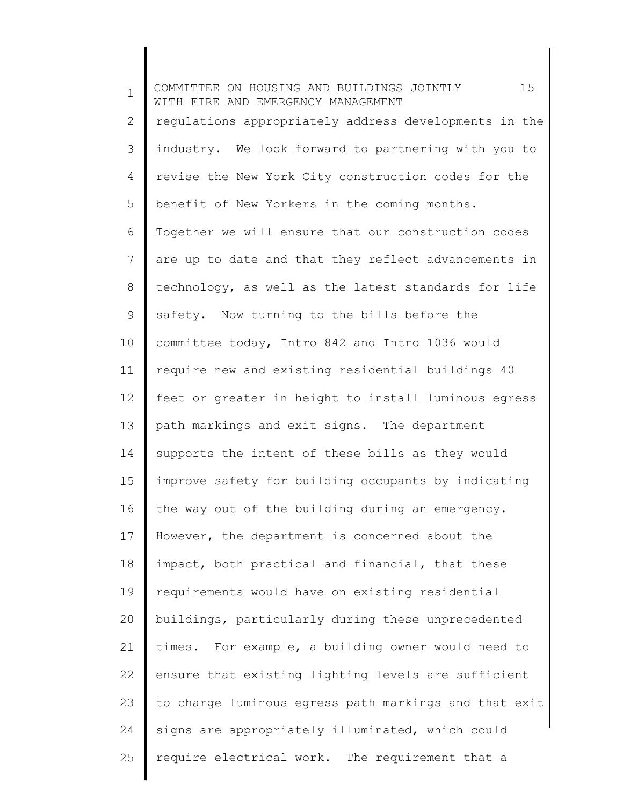1 2 3 4 5 6 7 8 9 10 11 12 13 14 15 16 17 18 19 20 21 22 23 24 25 COMMITTEE ON HOUSING AND BUILDINGS JOINTLY 15 WITH FIRE AND EMERGENCY MANAGEMENT regulations appropriately address developments in the industry. We look forward to partnering with you to revise the New York City construction codes for the benefit of New Yorkers in the coming months. Together we will ensure that our construction codes are up to date and that they reflect advancements in technology, as well as the latest standards for life safety. Now turning to the bills before the committee today, Intro 842 and Intro 1036 would require new and existing residential buildings 40 feet or greater in height to install luminous egress path markings and exit signs. The department supports the intent of these bills as they would improve safety for building occupants by indicating the way out of the building during an emergency. However, the department is concerned about the impact, both practical and financial, that these requirements would have on existing residential buildings, particularly during these unprecedented times. For example, a building owner would need to ensure that existing lighting levels are sufficient to charge luminous egress path markings and that exit signs are appropriately illuminated, which could require electrical work. The requirement that a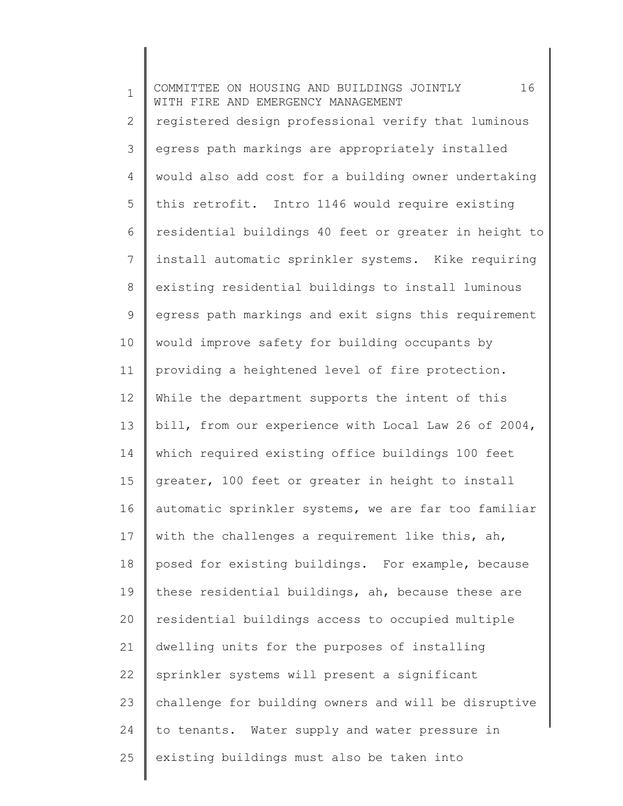1 2 3 4 5 6 7 8 9 10 11 12 13 14 15 16 17 18 19 20 21 22 23 24 25 COMMITTEE ON HOUSING AND BUILDINGS JOINTLY 16 WITH FIRE AND EMERGENCY MANAGEMENT registered design professional verify that luminous egress path markings are appropriately installed would also add cost for a building owner undertaking this retrofit. Intro 1146 would require existing residential buildings 40 feet or greater in height to install automatic sprinkler systems. Kike requiring existing residential buildings to install luminous egress path markings and exit signs this requirement would improve safety for building occupants by providing a heightened level of fire protection. While the department supports the intent of this bill, from our experience with Local Law 26 of 2004, which required existing office buildings 100 feet greater, 100 feet or greater in height to install automatic sprinkler systems, we are far too familiar with the challenges a requirement like this, ah, posed for existing buildings. For example, because these residential buildings, ah, because these are residential buildings access to occupied multiple dwelling units for the purposes of installing sprinkler systems will present a significant challenge for building owners and will be disruptive to tenants. Water supply and water pressure in existing buildings must also be taken into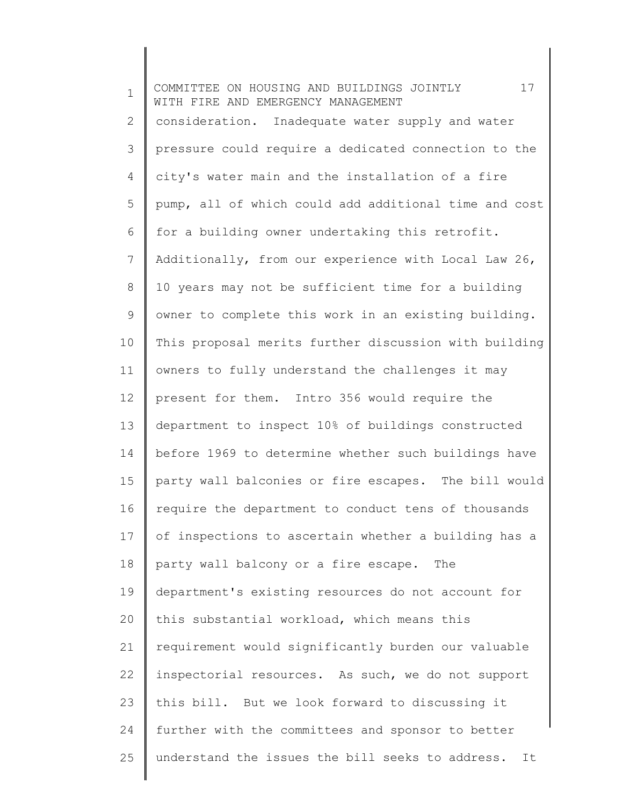1 2 3 4 5 6 7 8 9 10 11 12 13 14 15 16 17 18 19 20 21 22 23 24 25 COMMITTEE ON HOUSING AND BUILDINGS JOINTLY 17 WITH FIRE AND EMERGENCY MANAGEMENT consideration. Inadequate water supply and water pressure could require a dedicated connection to the city's water main and the installation of a fire pump, all of which could add additional time and cost for a building owner undertaking this retrofit. Additionally, from our experience with Local Law 26, 10 years may not be sufficient time for a building owner to complete this work in an existing building. This proposal merits further discussion with building owners to fully understand the challenges it may present for them. Intro 356 would require the department to inspect 10% of buildings constructed before 1969 to determine whether such buildings have party wall balconies or fire escapes. The bill would require the department to conduct tens of thousands of inspections to ascertain whether a building has a party wall balcony or a fire escape. The department's existing resources do not account for this substantial workload, which means this requirement would significantly burden our valuable inspectorial resources. As such, we do not support this bill. But we look forward to discussing it further with the committees and sponsor to better understand the issues the bill seeks to address. It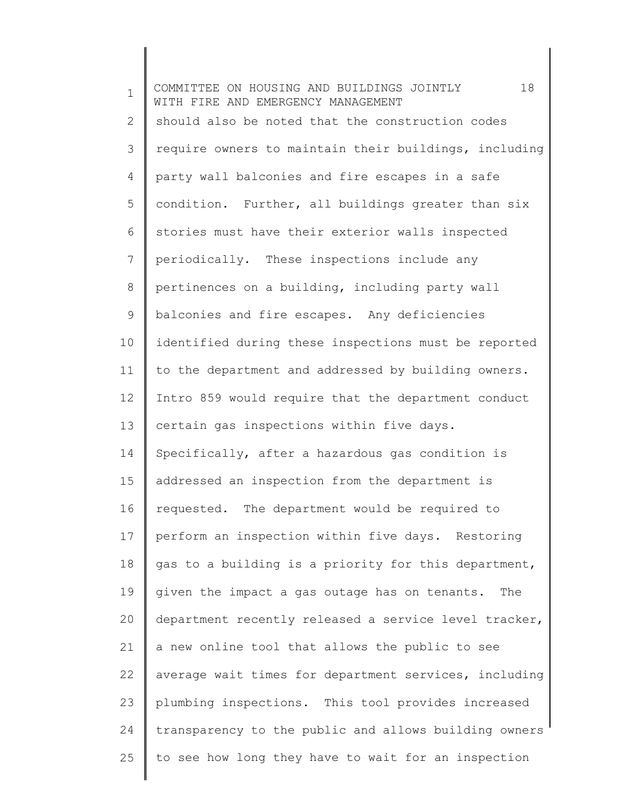1 2 3 4 5 6 7 8 9 10 11 12 13 14 15 16 17 18 19 20 21 22 23 24 25 COMMITTEE ON HOUSING AND BUILDINGS JOINTLY 18 WITH FIRE AND EMERGENCY MANAGEMENT should also be noted that the construction codes require owners to maintain their buildings, including party wall balconies and fire escapes in a safe condition. Further, all buildings greater than six stories must have their exterior walls inspected periodically. These inspections include any pertinences on a building, including party wall balconies and fire escapes. Any deficiencies identified during these inspections must be reported to the department and addressed by building owners. Intro 859 would require that the department conduct certain gas inspections within five days. Specifically, after a hazardous gas condition is addressed an inspection from the department is requested. The department would be required to perform an inspection within five days. Restoring gas to a building is a priority for this department, given the impact a gas outage has on tenants. The department recently released a service level tracker, a new online tool that allows the public to see average wait times for department services, including plumbing inspections. This tool provides increased transparency to the public and allows building owners to see how long they have to wait for an inspection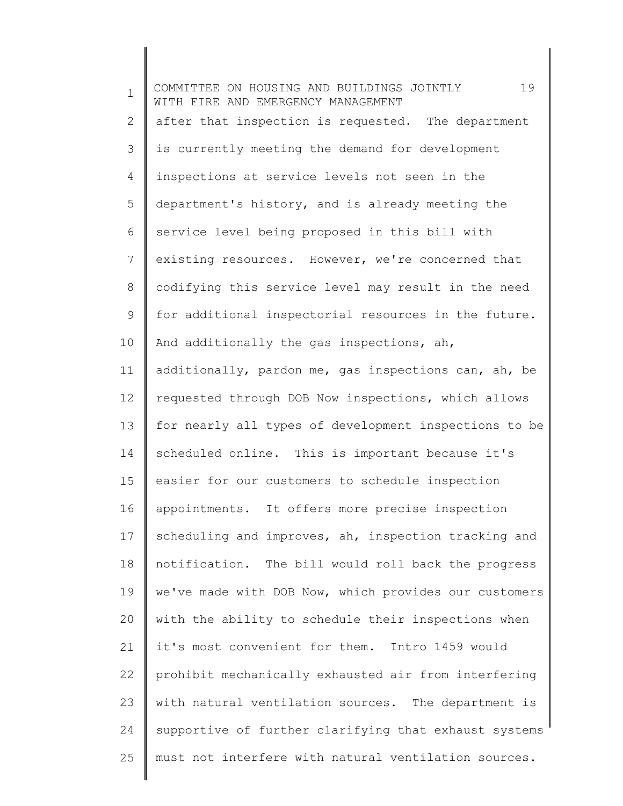1 2 3 4 5 6 7 8 9 10 11 12 13 14 15 16 17 18 19 20 21 22 23 24 25 COMMITTEE ON HOUSING AND BUILDINGS JOINTLY 19 WITH FIRE AND EMERGENCY MANAGEMENT after that inspection is requested. The department is currently meeting the demand for development inspections at service levels not seen in the department's history, and is already meeting the service level being proposed in this bill with existing resources. However, we're concerned that codifying this service level may result in the need for additional inspectorial resources in the future. And additionally the gas inspections, ah, additionally, pardon me, gas inspections can, ah, be requested through DOB Now inspections, which allows for nearly all types of development inspections to be scheduled online. This is important because it's easier for our customers to schedule inspection appointments. It offers more precise inspection scheduling and improves, ah, inspection tracking and notification. The bill would roll back the progress we've made with DOB Now, which provides our customers with the ability to schedule their inspections when it's most convenient for them. Intro 1459 would prohibit mechanically exhausted air from interfering with natural ventilation sources. The department is supportive of further clarifying that exhaust systems must not interfere with natural ventilation sources.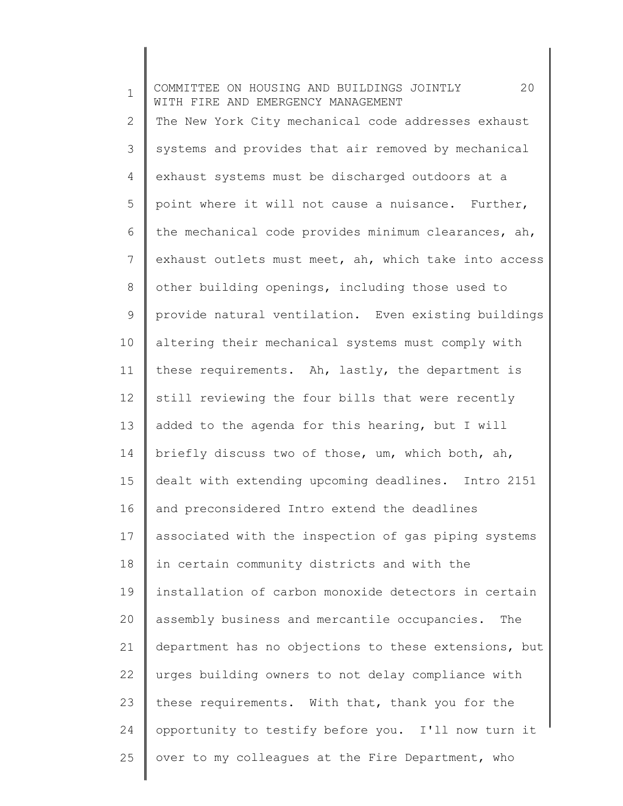1 2 3 4 5 6 7 8 9 10 11 12 13 14 15 16 17 18 19 20 21 22 23 24 25 COMMITTEE ON HOUSING AND BUILDINGS JOINTLY 20 WITH FIRE AND EMERGENCY MANAGEMENT The New York City mechanical code addresses exhaust systems and provides that air removed by mechanical exhaust systems must be discharged outdoors at a point where it will not cause a nuisance. Further, the mechanical code provides minimum clearances, ah, exhaust outlets must meet, ah, which take into access other building openings, including those used to provide natural ventilation. Even existing buildings altering their mechanical systems must comply with these requirements. Ah, lastly, the department is still reviewing the four bills that were recently added to the agenda for this hearing, but I will briefly discuss two of those, um, which both, ah, dealt with extending upcoming deadlines. Intro 2151 and preconsidered Intro extend the deadlines associated with the inspection of gas piping systems in certain community districts and with the installation of carbon monoxide detectors in certain assembly business and mercantile occupancies. The department has no objections to these extensions, but urges building owners to not delay compliance with these requirements. With that, thank you for the opportunity to testify before you. I'll now turn it over to my colleagues at the Fire Department, who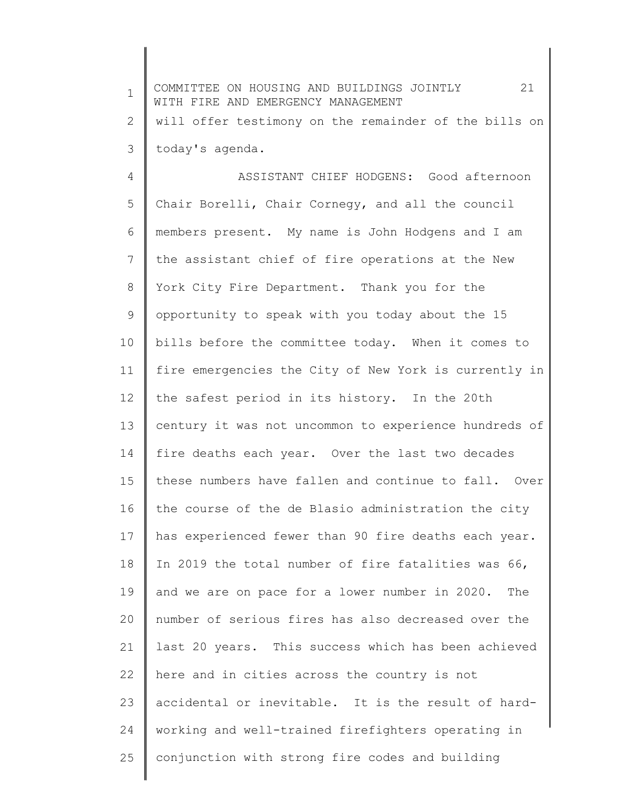1 2 3 4 5 6 7 8 9 10 11 12 13 14 15 16 17 18 19 20 21 22 23 24 25 COMMITTEE ON HOUSING AND BUILDINGS JOINTLY 21 WITH FIRE AND EMERGENCY MANAGEMENT will offer testimony on the remainder of the bills on today's agenda. ASSISTANT CHIEF HODGENS: Good afternoon Chair Borelli, Chair Cornegy, and all the council members present. My name is John Hodgens and I am the assistant chief of fire operations at the New York City Fire Department. Thank you for the opportunity to speak with you today about the 15 bills before the committee today. When it comes to fire emergencies the City of New York is currently in the safest period in its history. In the 20th century it was not uncommon to experience hundreds of fire deaths each year. Over the last two decades these numbers have fallen and continue to fall. Over the course of the de Blasio administration the city has experienced fewer than 90 fire deaths each year. In 2019 the total number of fire fatalities was 66, and we are on pace for a lower number in 2020. The number of serious fires has also decreased over the last 20 years. This success which has been achieved here and in cities across the country is not accidental or inevitable. It is the result of hardworking and well-trained firefighters operating in conjunction with strong fire codes and building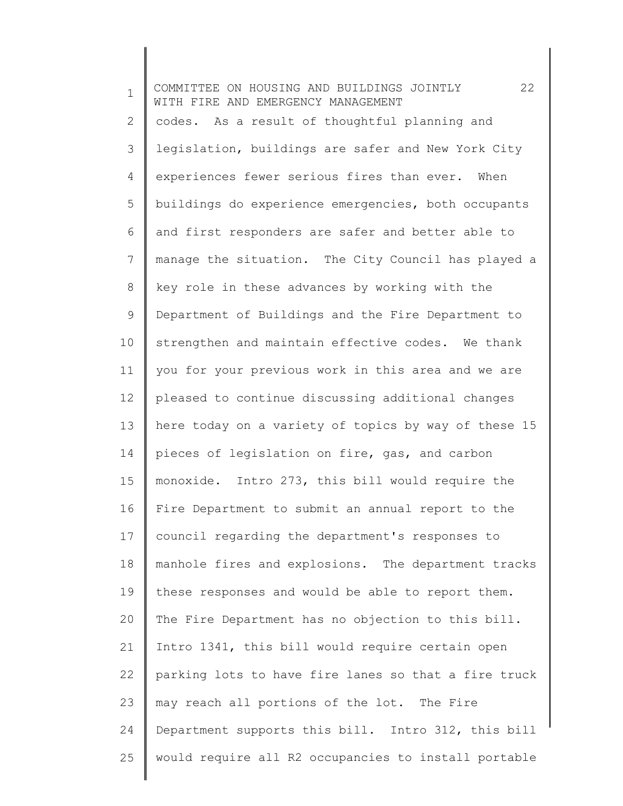1 2 3 4 5 6 7 8 9 10 11 12 13 14 15 16 17 18 19 20 21 22 23 24 25 COMMITTEE ON HOUSING AND BUILDINGS JOINTLY 22 WITH FIRE AND EMERGENCY MANAGEMENT codes. As a result of thoughtful planning and legislation, buildings are safer and New York City experiences fewer serious fires than ever. When buildings do experience emergencies, both occupants and first responders are safer and better able to manage the situation. The City Council has played a key role in these advances by working with the Department of Buildings and the Fire Department to strengthen and maintain effective codes. We thank you for your previous work in this area and we are pleased to continue discussing additional changes here today on a variety of topics by way of these 15 pieces of legislation on fire, gas, and carbon monoxide. Intro 273, this bill would require the Fire Department to submit an annual report to the council regarding the department's responses to manhole fires and explosions. The department tracks these responses and would be able to report them. The Fire Department has no objection to this bill. Intro 1341, this bill would require certain open parking lots to have fire lanes so that a fire truck may reach all portions of the lot. The Fire Department supports this bill. Intro 312, this bill would require all R2 occupancies to install portable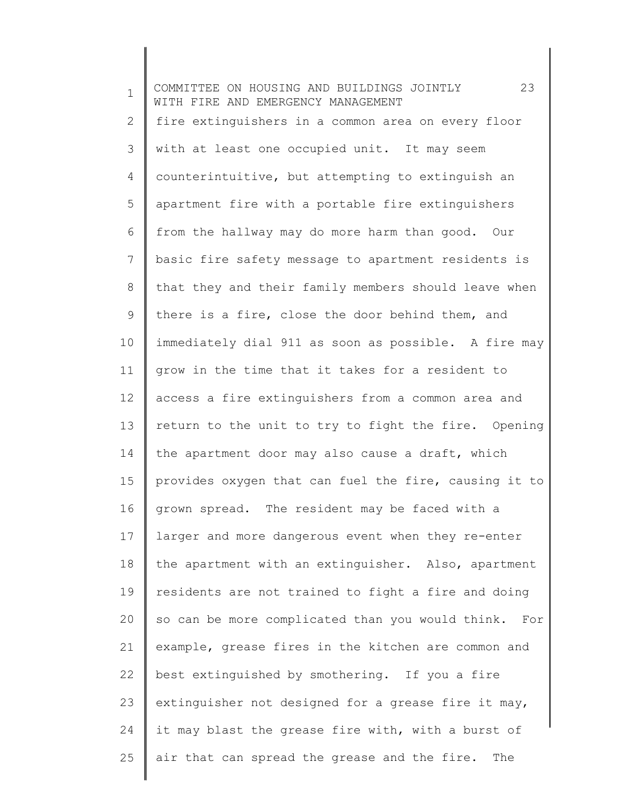1 2 3 4 5 6 7 8 9 10 11 12 13 14 15 16 17 18 19 20 21 22 23 24 25 COMMITTEE ON HOUSING AND BUILDINGS JOINTLY 23 WITH FIRE AND EMERGENCY MANAGEMENT fire extinguishers in a common area on every floor with at least one occupied unit. It may seem counterintuitive, but attempting to extinguish an apartment fire with a portable fire extinguishers from the hallway may do more harm than good. Our basic fire safety message to apartment residents is that they and their family members should leave when there is a fire, close the door behind them, and immediately dial 911 as soon as possible. A fire may grow in the time that it takes for a resident to access a fire extinguishers from a common area and return to the unit to try to fight the fire. Opening the apartment door may also cause a draft, which provides oxygen that can fuel the fire, causing it to grown spread. The resident may be faced with a larger and more dangerous event when they re-enter the apartment with an extinguisher. Also, apartment residents are not trained to fight a fire and doing so can be more complicated than you would think. For example, grease fires in the kitchen are common and best extinguished by smothering. If you a fire extinguisher not designed for a grease fire it may, it may blast the grease fire with, with a burst of air that can spread the grease and the fire. The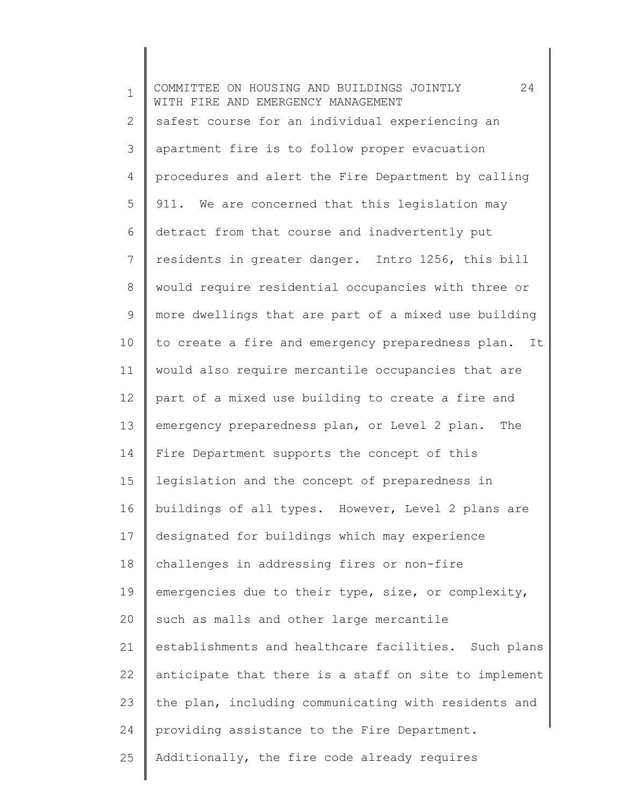| $\mathbf 1$ | 24<br>COMMITTEE ON HOUSING AND BUILDINGS JOINTLY<br>WITH FIRE AND EMERGENCY MANAGEMENT |
|-------------|----------------------------------------------------------------------------------------|
| 2           | safest course for an individual experiencing an                                        |
| 3           | apartment fire is to follow proper evacuation                                          |
| 4           | procedures and alert the Fire Department by calling                                    |
| 5           | 911. We are concerned that this legislation may                                        |
| 6           | detract from that course and inadvertently put                                         |
| 7           | residents in greater danger. Intro 1256, this bill                                     |
| 8           | would require residential occupancies with three or                                    |
| 9           | more dwellings that are part of a mixed use building                                   |
| 10          | to create a fire and emergency preparedness plan. It                                   |
| 11          | would also require mercantile occupancies that are                                     |
| 12          | part of a mixed use building to create a fire and                                      |
| 13          | emergency preparedness plan, or Level 2 plan.<br>The                                   |
| 14          | Fire Department supports the concept of this                                           |
| 15          | legislation and the concept of preparedness in                                         |
| 16          | buildings of all types. However, Level 2 plans are                                     |
| 17          | designated for buildings which may experience                                          |
| 18          | challenges in addressing fires or non-fire                                             |
| 19          | emergencies due to their type, size, or complexity,                                    |
| 20          | such as malls and other large mercantile                                               |
| 21          | establishments and healthcare facilities. Such plans                                   |
| 22          | anticipate that there is a staff on site to implement                                  |
| 23          | the plan, including communicating with residents and                                   |
| 24          | providing assistance to the Fire Department.                                           |
| 25          | Additionally, the fire code already requires                                           |
|             |                                                                                        |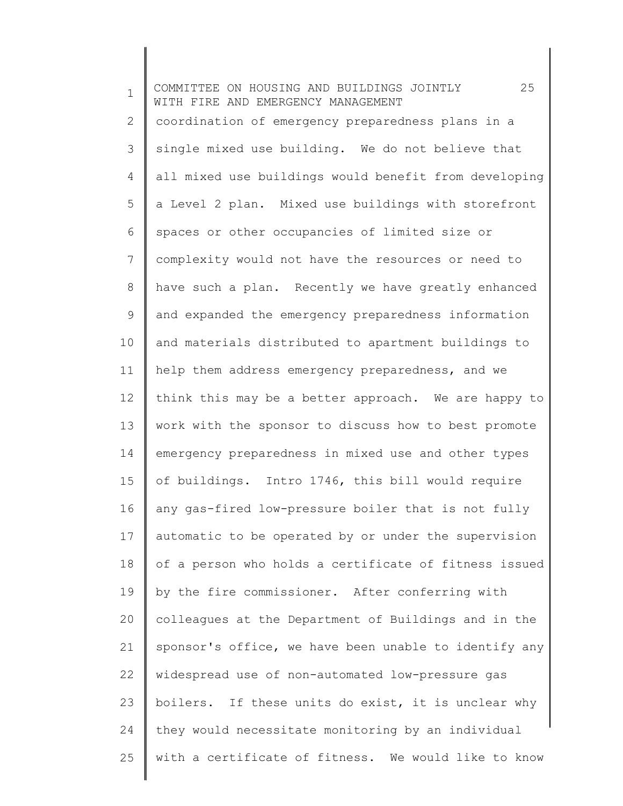1 2 3 4 5 6 7 8 9 10 11 12 13 14 15 16 17 18 19 20 21 22 23 24 25 COMMITTEE ON HOUSING AND BUILDINGS JOINTLY 25 WITH FIRE AND EMERGENCY MANAGEMENT coordination of emergency preparedness plans in a single mixed use building. We do not believe that all mixed use buildings would benefit from developing a Level 2 plan. Mixed use buildings with storefront spaces or other occupancies of limited size or complexity would not have the resources or need to have such a plan. Recently we have greatly enhanced and expanded the emergency preparedness information and materials distributed to apartment buildings to help them address emergency preparedness, and we think this may be a better approach. We are happy to work with the sponsor to discuss how to best promote emergency preparedness in mixed use and other types of buildings. Intro 1746, this bill would require any gas-fired low-pressure boiler that is not fully automatic to be operated by or under the supervision of a person who holds a certificate of fitness issued by the fire commissioner. After conferring with colleagues at the Department of Buildings and in the sponsor's office, we have been unable to identify any widespread use of non-automated low-pressure gas boilers. If these units do exist, it is unclear why they would necessitate monitoring by an individual with a certificate of fitness. We would like to know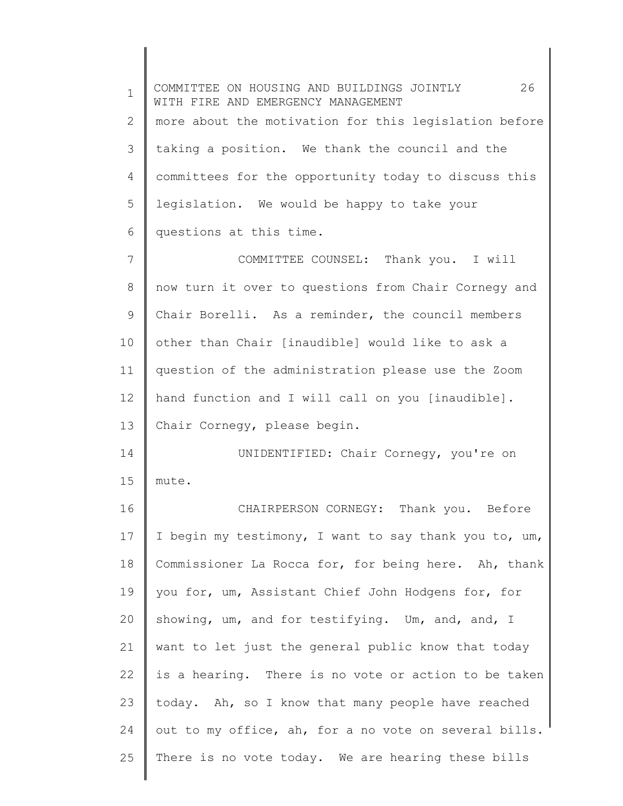| $\mathbf 1$    | 26<br>COMMITTEE ON HOUSING AND BUILDINGS JOINTLY<br>WITH FIRE AND EMERGENCY MANAGEMENT |
|----------------|----------------------------------------------------------------------------------------|
| $\overline{2}$ | more about the motivation for this legislation before                                  |
| 3              | taking a position. We thank the council and the                                        |
| 4              | committees for the opportunity today to discuss this                                   |
| 5              | legislation. We would be happy to take your                                            |
| 6              | questions at this time.                                                                |
| 7              | COMMITTEE COUNSEL: Thank you. I will                                                   |
| 8              | now turn it over to questions from Chair Cornegy and                                   |
| 9              | Chair Borelli. As a reminder, the council members                                      |
| 10             | other than Chair [inaudible] would like to ask a                                       |
| 11             | question of the administration please use the Zoom                                     |
| 12             | hand function and I will call on you [inaudible].                                      |
| 13             | Chair Cornegy, please begin.                                                           |
| 14             | UNIDENTIFIED: Chair Cornegy, you're on                                                 |
| 15             | mute.                                                                                  |
| 16             | CHAIRPERSON CORNEGY: Thank you. Before                                                 |
| 17             | I begin my testimony, I want to say thank you to, um,                                  |
| 18             | Commissioner La Rocca for, for being here. Ah, thank                                   |
| 19             | you for, um, Assistant Chief John Hodgens for, for                                     |
| 20             | showing, um, and for testifying. Um, and, and, I                                       |
| 21             | want to let just the general public know that today                                    |
| 22             | is a hearing. There is no vote or action to be taken                                   |
| 23             | today. Ah, so I know that many people have reached                                     |
| 24             | out to my office, ah, for a no vote on several bills.                                  |
| 25             | There is no vote today. We are hearing these bills                                     |
|                |                                                                                        |

 $\overline{\phantom{a}}$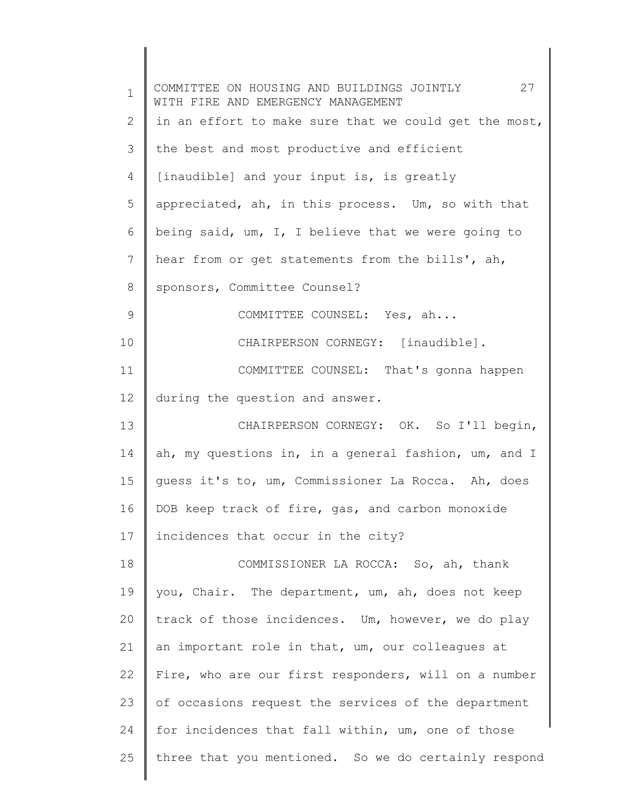| $\mathbf 1$ | COMMITTEE ON HOUSING AND BUILDINGS JOINTLY 27<br>WITH FIRE AND EMERGENCY MANAGEMENT |
|-------------|-------------------------------------------------------------------------------------|
| 2           | in an effort to make sure that we could get the most,                               |
| 3           | the best and most productive and efficient                                          |
| 4           | [inaudible] and your input is, is greatly                                           |
| 5           | appreciated, ah, in this process. Um, so with that                                  |
| 6           | being said, um, I, I believe that we were going to                                  |
| 7           | hear from or get statements from the bills', ah,                                    |
| 8           | sponsors, Committee Counsel?                                                        |
| 9           | COMMITTEE COUNSEL: Yes, ah                                                          |
| 10          | CHAIRPERSON CORNEGY: [inaudible].                                                   |
| 11          | COMMITTEE COUNSEL: That's gonna happen                                              |
| 12          | during the question and answer.                                                     |
| 13          | CHAIRPERSON CORNEGY: OK. So I'll begin,                                             |
| 14          | ah, my questions in, in a general fashion, um, and I                                |
| 15          | quess it's to, um, Commissioner La Rocca. Ah, does                                  |
| 16          | DOB keep track of fire, gas, and carbon monoxide                                    |
| 17          | incidences that occur in the city?                                                  |
| 18          | COMMISSIONER LA ROCCA: So, ah, thank                                                |
| 19          | you, Chair. The department, um, ah, does not keep                                   |
| 20          | track of those incidences. Um, however, we do play                                  |
| 21          | an important role in that, um, our colleagues at                                    |
| 22          | Fire, who are our first responders, will on a number                                |
| 23          | of occasions request the services of the department                                 |
| 24          | for incidences that fall within, um, one of those                                   |
| 25          | three that you mentioned. So we do certainly respond                                |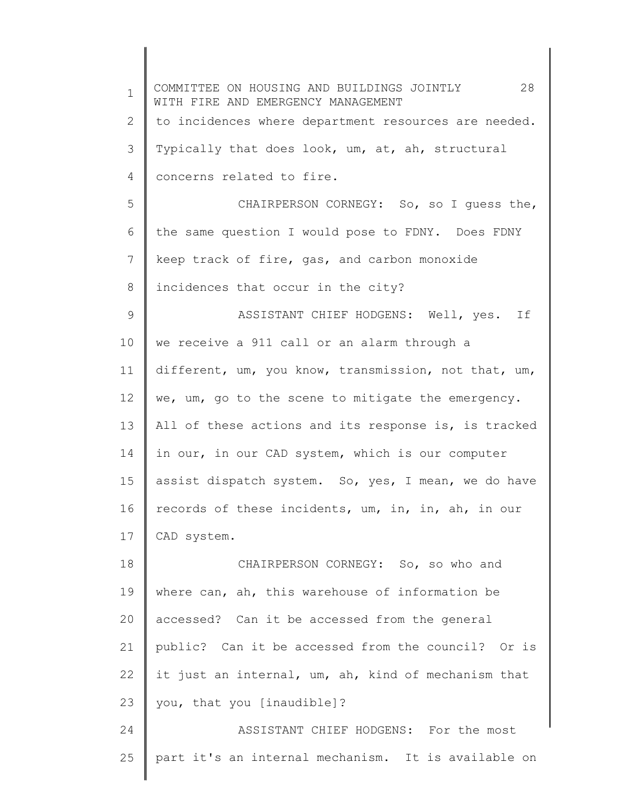1 2 3 4 5 6 7 8 9 10 11 12 13 14 15 16 17 18 19 20 21 22 23 24 25 COMMITTEE ON HOUSING AND BUILDINGS JOINTLY 28 WITH FIRE AND EMERGENCY MANAGEMENT to incidences where department resources are needed. Typically that does look, um, at, ah, structural concerns related to fire. CHAIRPERSON CORNEGY: So, so I guess the, the same question I would pose to FDNY. Does FDNY keep track of fire, gas, and carbon monoxide incidences that occur in the city? ASSISTANT CHIEF HODGENS: Well, yes. If we receive a 911 call or an alarm through a different, um, you know, transmission, not that, um, we, um, go to the scene to mitigate the emergency. All of these actions and its response is, is tracked in our, in our CAD system, which is our computer assist dispatch system. So, yes, I mean, we do have records of these incidents, um, in, in, ah, in our CAD system. CHAIRPERSON CORNEGY: So, so who and where can, ah, this warehouse of information be accessed? Can it be accessed from the general public? Can it be accessed from the council? Or is it just an internal, um, ah, kind of mechanism that you, that you [inaudible]? ASSISTANT CHIEF HODGENS: For the most part it's an internal mechanism. It is available on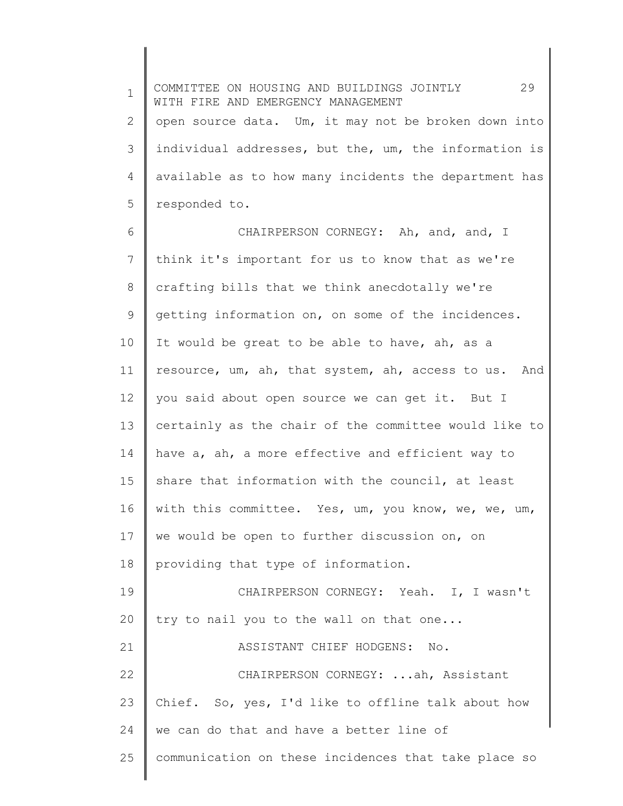1 2 3 4 5 COMMITTEE ON HOUSING AND BUILDINGS JOINTLY 29 WITH FIRE AND EMERGENCY MANAGEMENT open source data. Um, it may not be broken down into individual addresses, but the, um, the information is available as to how many incidents the department has responded to.

6 7 8 9 10 11 12 13 14 15 16 17 18 19 20 21 22 23 24 25 CHAIRPERSON CORNEGY: Ah, and, and, I think it's important for us to know that as we're crafting bills that we think anecdotally we're getting information on, on some of the incidences. It would be great to be able to have, ah, as a resource, um, ah, that system, ah, access to us. And you said about open source we can get it. But I certainly as the chair of the committee would like to have a, ah, a more effective and efficient way to share that information with the council, at least with this committee. Yes, um, you know, we, we, um, we would be open to further discussion on, on providing that type of information. CHAIRPERSON CORNEGY: Yeah. I, I wasn't try to nail you to the wall on that one... ASSISTANT CHIEF HODGENS: No. CHAIRPERSON CORNEGY: ...ah, Assistant Chief. So, yes, I'd like to offline talk about how we can do that and have a better line of communication on these incidences that take place so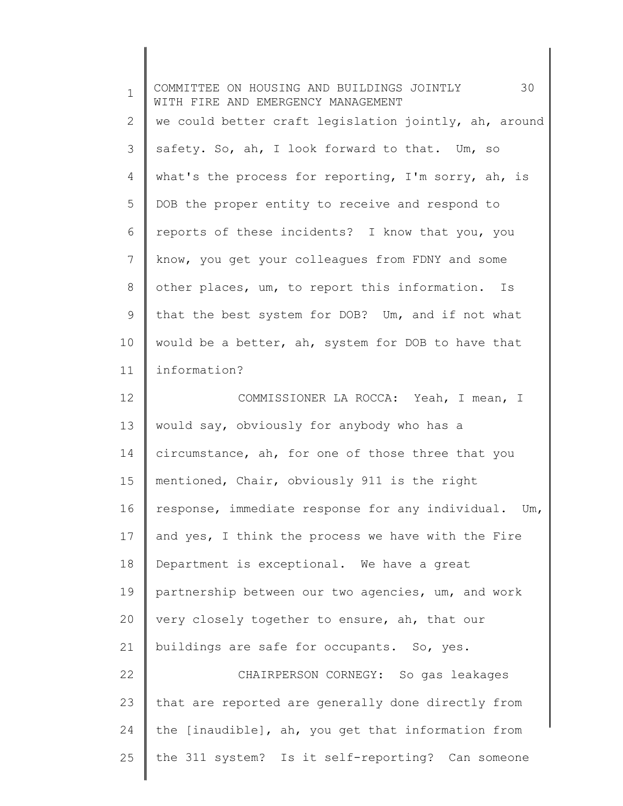| $\mathbf 1$ | 30<br>COMMITTEE ON HOUSING AND BUILDINGS JOINTLY<br>WITH FIRE AND EMERGENCY MANAGEMENT |
|-------------|----------------------------------------------------------------------------------------|
| 2           | we could better craft legislation jointly, ah, around                                  |
| 3           | safety. So, ah, I look forward to that. Um, so                                         |
| 4           | what's the process for reporting, I'm sorry, ah, is                                    |
| 5           | DOB the proper entity to receive and respond to                                        |
| 6           | reports of these incidents? I know that you, you                                       |
| 7           | know, you get your colleagues from FDNY and some                                       |
| 8           | other places, um, to report this information. Is                                       |
| 9           | that the best system for DOB? Um, and if not what                                      |
| 10          | would be a better, ah, system for DOB to have that                                     |
| 11          | information?                                                                           |
| 12          | COMMISSIONER LA ROCCA: Yeah, I mean, I                                                 |
| 13          | would say, obviously for anybody who has a                                             |
| 14          | circumstance, ah, for one of those three that you                                      |
| 15          | mentioned, Chair, obviously 911 is the right                                           |
| 16          | response, immediate response for any individual. Um,                                   |
| 17          | and yes, I think the process we have with the Fire                                     |
| 18          | Department is exceptional. We have a great                                             |
| 19          | partnership between our two agencies, um, and work                                     |
| 20          | very closely together to ensure, ah, that our                                          |
| 21          | buildings are safe for occupants. So, yes.                                             |
| 22          | CHAIRPERSON CORNEGY: So gas leakages                                                   |
| 23          | that are reported are generally done directly from                                     |
| 24          | the [inaudible], ah, you get that information from                                     |
| 25          | the 311 system? Is it self-reporting? Can someone                                      |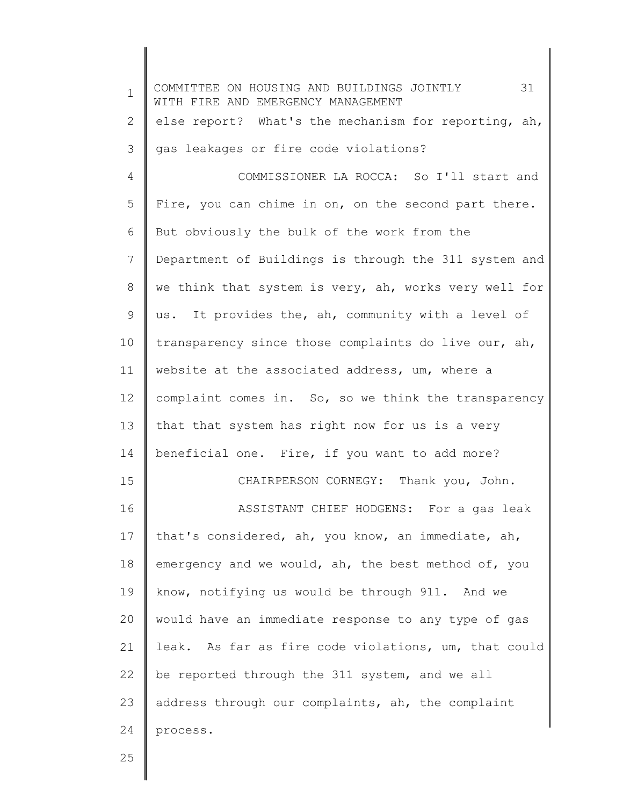| $\mathbf 1$     | 31<br>COMMITTEE ON HOUSING AND BUILDINGS JOINTLY<br>WITH FIRE AND EMERGENCY MANAGEMENT |
|-----------------|----------------------------------------------------------------------------------------|
| 2               | else report? What's the mechanism for reporting, ah,                                   |
| 3               | gas leakages or fire code violations?                                                  |
| 4               | COMMISSIONER LA ROCCA: So I'll start and                                               |
| 5               | Fire, you can chime in on, on the second part there.                                   |
| 6               | But obviously the bulk of the work from the                                            |
| $7\phantom{.0}$ | Department of Buildings is through the 311 system and                                  |
| 8               | we think that system is very, ah, works very well for                                  |
| 9               | us. It provides the, ah, community with a level of                                     |
| 10              | transparency since those complaints do live our, ah,                                   |
| 11              | website at the associated address, um, where a                                         |
| 12              | complaint comes in. So, so we think the transparency                                   |
| 13              | that that system has right now for us is a very                                        |
| 14              | beneficial one. Fire, if you want to add more?                                         |
| 15              | CHAIRPERSON CORNEGY: Thank you, John.                                                  |
| 16              | ASSISTANT CHIEF HODGENS: For a gas leak                                                |
| 17              | that's considered, ah, you know, an immediate, ah,                                     |
| 18              | emergency and we would, ah, the best method of, you                                    |
| 19              | know, notifying us would be through 911. And we                                        |
| 20              | would have an immediate response to any type of gas                                    |
| 21              | leak. As far as fire code violations, um, that could                                   |
| 22              | be reported through the 311 system, and we all                                         |
| 23              | address through our complaints, ah, the complaint                                      |
| 24              | process.                                                                               |
| 25              |                                                                                        |

25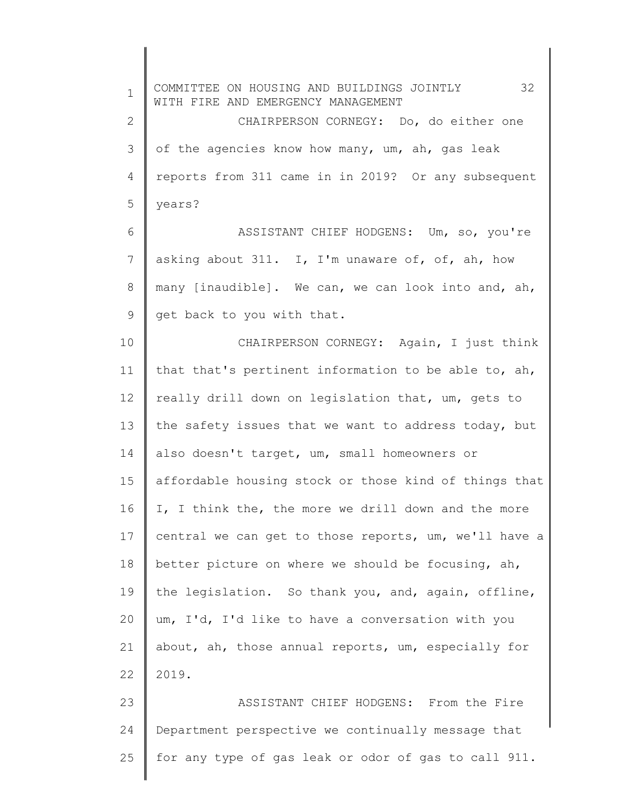1 2 3 4 5 6 7 8 9 10 11 12 13 14 15 16 17 18 19 20 21 22 23 24 25 COMMITTEE ON HOUSING AND BUILDINGS JOINTLY 32 WITH FIRE AND EMERGENCY MANAGEMENT CHAIRPERSON CORNEGY: Do, do either one of the agencies know how many, um, ah, gas leak reports from 311 came in in 2019? Or any subsequent years? ASSISTANT CHIEF HODGENS: Um, so, you're asking about 311. I, I'm unaware of, of, ah, how many [inaudible]. We can, we can look into and, ah, get back to you with that. CHAIRPERSON CORNEGY: Again, I just think that that's pertinent information to be able to, ah, really drill down on legislation that, um, gets to the safety issues that we want to address today, but also doesn't target, um, small homeowners or affordable housing stock or those kind of things that I, I think the, the more we drill down and the more central we can get to those reports, um, we'll have a better picture on where we should be focusing, ah, the legislation. So thank you, and, again, offline, um, I'd, I'd like to have a conversation with you about, ah, those annual reports, um, especially for 2019. ASSISTANT CHIEF HODGENS: From the Fire Department perspective we continually message that for any type of gas leak or odor of gas to call 911.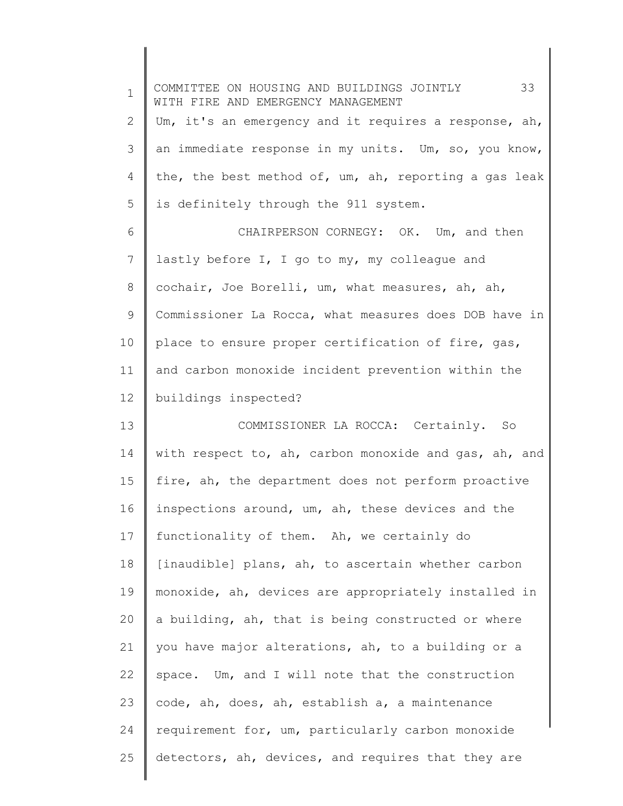| $\mathbf 1$ | 33<br>COMMITTEE ON HOUSING AND BUILDINGS JOINTLY<br>WITH FIRE AND EMERGENCY MANAGEMENT |
|-------------|----------------------------------------------------------------------------------------|
| 2           | Um, it's an emergency and it requires a response, ah,                                  |
| 3           | an immediate response in my units. Um, so, you know,                                   |
| 4           | the, the best method of, um, ah, reporting a gas leak                                  |
| 5           | is definitely through the 911 system.                                                  |
| 6           | CHAIRPERSON CORNEGY: OK. Um, and then                                                  |
| 7           | lastly before I, I go to my, my colleague and                                          |
| 8           | cochair, Joe Borelli, um, what measures, ah, ah,                                       |
| 9           | Commissioner La Rocca, what measures does DOB have in                                  |
| 10          | place to ensure proper certification of fire, gas,                                     |
| 11          | and carbon monoxide incident prevention within the                                     |
| 12          | buildings inspected?                                                                   |
| 13          | COMMISSIONER LA ROCCA: Certainly. So                                                   |
| 14          | with respect to, ah, carbon monoxide and gas, ah, and                                  |
| 15          | fire, ah, the department does not perform proactive                                    |
| 16          | inspections around, um, ah, these devices and the                                      |
| 17          | functionality of them. Ah, we certainly do                                             |
| 18          | [inaudible] plans, ah, to ascertain whether carbon                                     |
| 19          | monoxide, ah, devices are appropriately installed in                                   |
| 20          | a building, ah, that is being constructed or where                                     |
| 21          | you have major alterations, ah, to a building or a                                     |
| 22          | space. Um, and I will note that the construction                                       |
| 23          | code, ah, does, ah, establish a, a maintenance                                         |
| 24          | requirement for, um, particularly carbon monoxide                                      |
| 25          | detectors, ah, devices, and requires that they are                                     |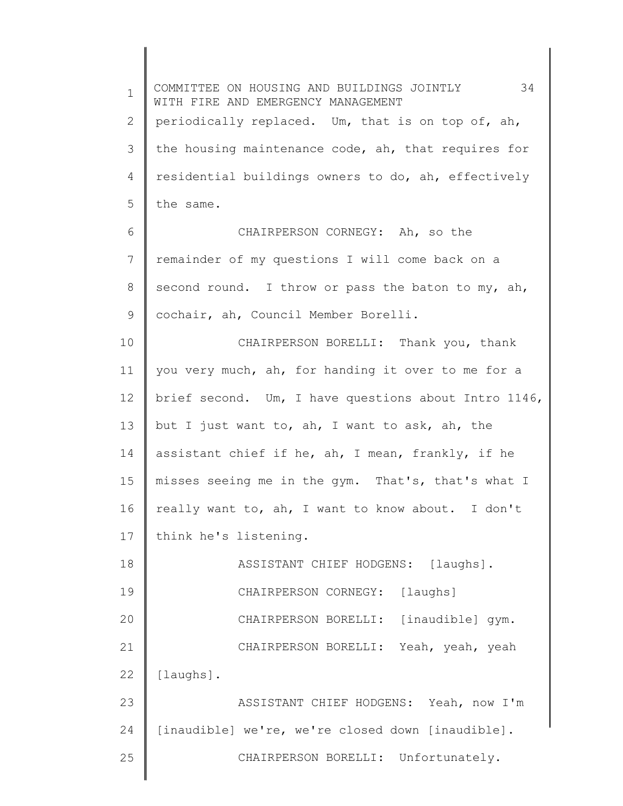1 2 3 4 5 6 7 8 9 10 11 12 13 14 15 16 17 18 19 20 21 22 23 24 25 COMMITTEE ON HOUSING AND BUILDINGS JOINTLY 34 WITH FIRE AND EMERGENCY MANAGEMENT periodically replaced. Um, that is on top of, ah, the housing maintenance code, ah, that requires for residential buildings owners to do, ah, effectively the same. CHAIRPERSON CORNEGY: Ah, so the remainder of my questions I will come back on a second round. I throw or pass the baton to my, ah, cochair, ah, Council Member Borelli. CHAIRPERSON BORELLI: Thank you, thank you very much, ah, for handing it over to me for a brief second. Um, I have questions about Intro 1146, but I just want to, ah, I want to ask, ah, the assistant chief if he, ah, I mean, frankly, if he misses seeing me in the gym. That's, that's what I really want to, ah, I want to know about. I don't think he's listening. ASSISTANT CHIEF HODGENS: [laughs]. CHAIRPERSON CORNEGY: [laughs] CHAIRPERSON BORELLI: [inaudible] gym. CHAIRPERSON BORELLI: Yeah, yeah, yeah [laughs]. ASSISTANT CHIEF HODGENS: Yeah, now I'm [inaudible] we're, we're closed down [inaudible]. CHAIRPERSON BORELLI: Unfortunately.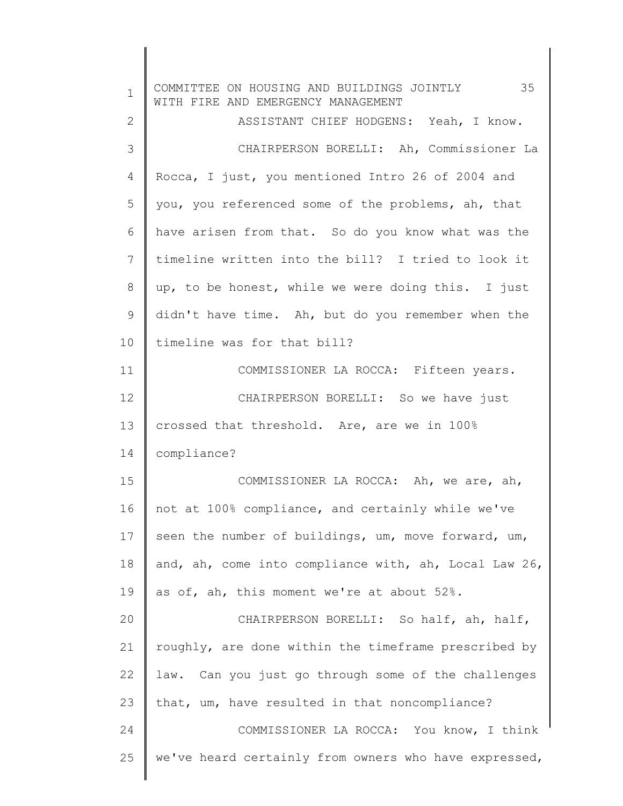| $\mathbf 1$ | COMMITTEE ON HOUSING AND BUILDINGS JOINTLY 35<br>WITH FIRE AND EMERGENCY MANAGEMENT |
|-------------|-------------------------------------------------------------------------------------|
| 2           | ASSISTANT CHIEF HODGENS: Yeah, I know.                                              |
| 3           | CHAIRPERSON BORELLI: Ah, Commissioner La                                            |
| 4           | Rocca, I just, you mentioned Intro 26 of 2004 and                                   |
| 5           | you, you referenced some of the problems, ah, that                                  |
| 6           | have arisen from that. So do you know what was the                                  |
| 7           | timeline written into the bill? I tried to look it                                  |
| 8           | up, to be honest, while we were doing this. I just                                  |
| 9           | didn't have time. Ah, but do you remember when the                                  |
| 10          | timeline was for that bill?                                                         |
| 11          | COMMISSIONER LA ROCCA: Fifteen years.                                               |
| 12          | CHAIRPERSON BORELLI: So we have just                                                |
| 13          | crossed that threshold. Are, are we in 100%                                         |
| 14          | compliance?                                                                         |
| 15          | COMMISSIONER LA ROCCA: Ah, we are, ah,                                              |
| 16          | not at 100% compliance, and certainly while we've                                   |
| 17          | seen the number of buildings, um, move forward, um,                                 |
| 18          | and, ah, come into compliance with, ah, Local Law 26,                               |
| 19          | as of, ah, this moment we're at about 52%.                                          |
| 20          | CHAIRPERSON BORELLI: So half, ah, half,                                             |
| 21          | roughly, are done within the timeframe prescribed by                                |
| 22          | law. Can you just go through some of the challenges                                 |
| 23          | that, um, have resulted in that noncompliance?                                      |
| 24          | COMMISSIONER LA ROCCA: You know, I think                                            |
| 25          | we've heard certainly from owners who have expressed,                               |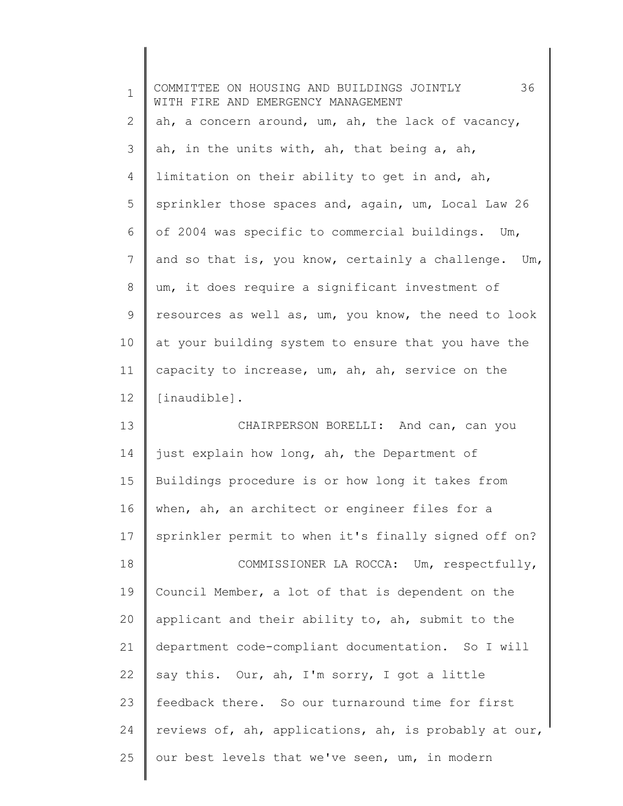| $\mathbf 1$ | 36<br>COMMITTEE ON HOUSING AND BUILDINGS JOINTLY<br>WITH FIRE AND EMERGENCY MANAGEMENT |
|-------------|----------------------------------------------------------------------------------------|
| 2           | ah, a concern around, um, ah, the lack of vacancy,                                     |
| 3           | ah, in the units with, ah, that being a, ah,                                           |
| 4           | limitation on their ability to get in and, ah,                                         |
| 5           | sprinkler those spaces and, again, um, Local Law 26                                    |
| 6           | of 2004 was specific to commercial buildings. Um,                                      |
| 7           | and so that is, you know, certainly a challenge. Um,                                   |
| 8           | um, it does require a significant investment of                                        |
| 9           | resources as well as, um, you know, the need to look                                   |
| 10          | at your building system to ensure that you have the                                    |
| 11          | capacity to increase, um, ah, ah, service on the                                       |
| 12          | [inaudible].                                                                           |
| 13          | CHAIRPERSON BORELLI: And can, can you                                                  |
| 14          | just explain how long, ah, the Department of                                           |
| 15          | Buildings procedure is or how long it takes from                                       |
| 16          | when, ah, an architect or engineer files for a                                         |
| 17          | sprinkler permit to when it's finally signed off on?                                   |
| 18          | COMMISSIONER LA ROCCA: Um, respectfully,                                               |
| 19          | Council Member, a lot of that is dependent on the                                      |
| 20          | applicant and their ability to, ah, submit to the                                      |
| 21          | department code-compliant documentation. So I will                                     |
| 22          | say this. Our, ah, I'm sorry, I got a little                                           |
| 23          | feedback there. So our turnaround time for first                                       |
| 24          | reviews of, ah, applications, ah, is probably at our,                                  |
| 25          | our best levels that we've seen, um, in modern                                         |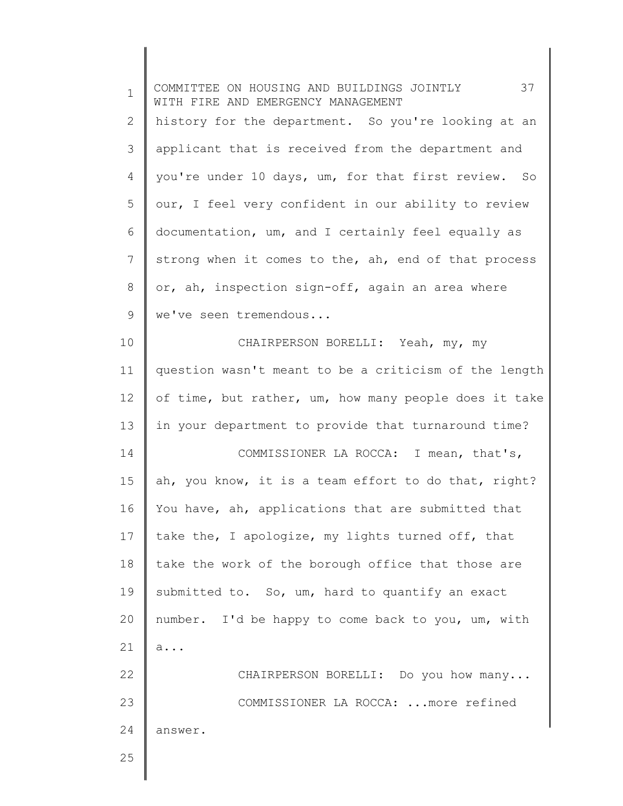| $\mathbf 1$ | 37<br>COMMITTEE ON HOUSING AND BUILDINGS JOINTLY<br>WITH FIRE AND EMERGENCY MANAGEMENT |
|-------------|----------------------------------------------------------------------------------------|
| 2           | history for the department. So you're looking at an                                    |
| 3           | applicant that is received from the department and                                     |
| 4           | you're under 10 days, um, for that first review. So                                    |
| 5           | our, I feel very confident in our ability to review                                    |
| 6           | documentation, um, and I certainly feel equally as                                     |
| 7           | strong when it comes to the, ah, end of that process                                   |
| 8           | or, ah, inspection sign-off, again an area where                                       |
| 9           | we've seen tremendous                                                                  |
| 10          | CHAIRPERSON BORELLI: Yeah, my, my                                                      |
| 11          | question wasn't meant to be a criticism of the length                                  |
| 12          | of time, but rather, um, how many people does it take                                  |
| 13          | in your department to provide that turnaround time?                                    |
| 14          | COMMISSIONER LA ROCCA: I mean, that's,                                                 |
| 15          | ah, you know, it is a team effort to do that, right?                                   |
| 16          | You have, ah, applications that are submitted that                                     |
| 17          | take the, I apologize, my lights turned off, that                                      |
| 18          | take the work of the borough office that those are                                     |
| 19          | submitted to. So, um, hard to quantify an exact                                        |
| 20          | number. I'd be happy to come back to you, um, with                                     |
| 21          | a                                                                                      |
| 22          | CHAIRPERSON BORELLI: Do you how many                                                   |
| 23          | COMMISSIONER LA ROCCA:  more refined                                                   |
| 24          | answer.                                                                                |
| 25          |                                                                                        |
|             |                                                                                        |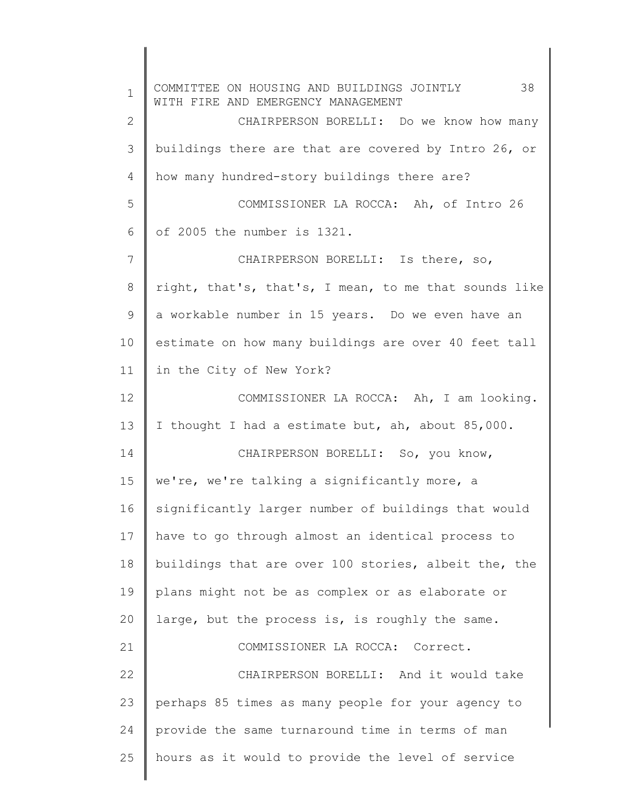1 2 3 4 5 6 7 8 9 10 11 12 13 14 15 16 17 18 19 20 21 22 23 24 25 COMMITTEE ON HOUSING AND BUILDINGS JOINTLY 38 WITH FIRE AND EMERGENCY MANAGEMENT CHAIRPERSON BORELLI: Do we know how many buildings there are that are covered by Intro 26, or how many hundred-story buildings there are? COMMISSIONER LA ROCCA: Ah, of Intro 26 of 2005 the number is 1321. CHAIRPERSON BORELLI: Is there, so, right, that's, that's, I mean, to me that sounds like a workable number in 15 years. Do we even have an estimate on how many buildings are over 40 feet tall in the City of New York? COMMISSIONER LA ROCCA: Ah, I am looking. I thought I had a estimate but, ah, about 85,000. CHAIRPERSON BORELLI: So, you know, we're, we're talking a significantly more, a significantly larger number of buildings that would have to go through almost an identical process to buildings that are over 100 stories, albeit the, the plans might not be as complex or as elaborate or large, but the process is, is roughly the same. COMMISSIONER LA ROCCA: Correct. CHAIRPERSON BORELLI: And it would take perhaps 85 times as many people for your agency to provide the same turnaround time in terms of man hours as it would to provide the level of service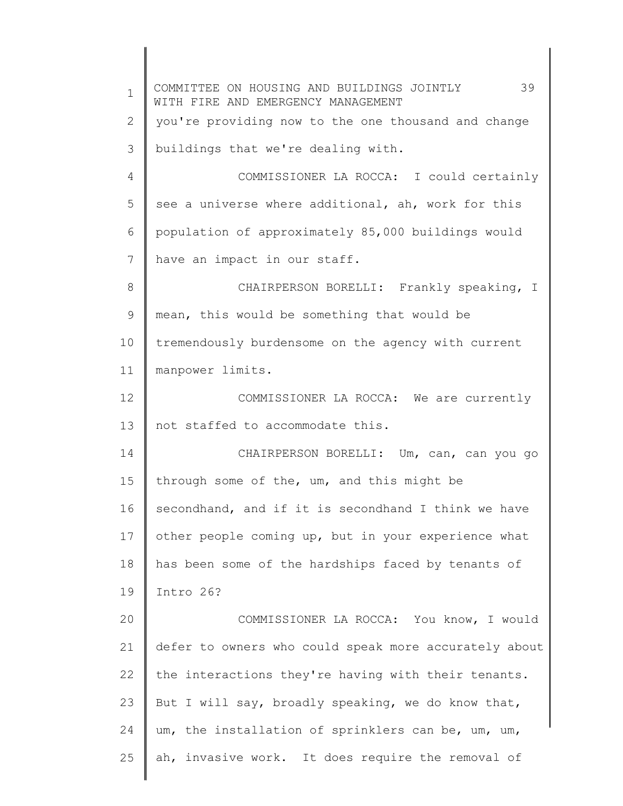1 2 3 4 5 6 7 8 9 10 11 12 13 14 15 16 17 18 19 20 21 22 23 24 25 COMMITTEE ON HOUSING AND BUILDINGS JOINTLY 39 WITH FIRE AND EMERGENCY MANAGEMENT you're providing now to the one thousand and change buildings that we're dealing with. COMMISSIONER LA ROCCA: I could certainly see a universe where additional, ah, work for this population of approximately 85,000 buildings would have an impact in our staff. CHAIRPERSON BORELLI: Frankly speaking, I mean, this would be something that would be tremendously burdensome on the agency with current manpower limits. COMMISSIONER LA ROCCA: We are currently not staffed to accommodate this. CHAIRPERSON BORELLI: Um, can, can you go through some of the, um, and this might be secondhand, and if it is secondhand I think we have other people coming up, but in your experience what has been some of the hardships faced by tenants of Intro 26? COMMISSIONER LA ROCCA: You know, I would defer to owners who could speak more accurately about the interactions they're having with their tenants. But I will say, broadly speaking, we do know that, um, the installation of sprinklers can be, um, um, ah, invasive work. It does require the removal of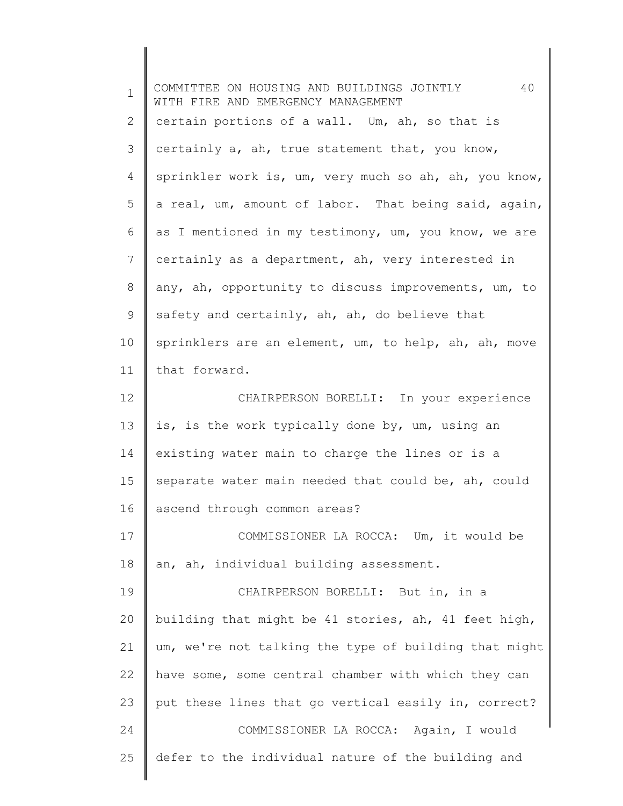| $\mathbf 1$ | 40<br>COMMITTEE ON HOUSING AND BUILDINGS JOINTLY<br>WITH FIRE AND EMERGENCY MANAGEMENT |
|-------------|----------------------------------------------------------------------------------------|
| 2           | certain portions of a wall. Um, ah, so that is                                         |
| 3           | certainly a, ah, true statement that, you know,                                        |
| 4           | sprinkler work is, um, very much so ah, ah, you know,                                  |
| 5           | a real, um, amount of labor. That being said, again,                                   |
| 6           | as I mentioned in my testimony, um, you know, we are                                   |
| 7           | certainly as a department, ah, very interested in                                      |
| 8           | any, ah, opportunity to discuss improvements, um, to                                   |
| 9           | safety and certainly, ah, ah, do believe that                                          |
| 10          | sprinklers are an element, um, to help, ah, ah, move                                   |
| 11          | that forward.                                                                          |
| 12          | CHAIRPERSON BORELLI: In your experience                                                |
| 13          | is, is the work typically done by, um, using an                                        |
| 14          | existing water main to charge the lines or is a                                        |
| 15          | separate water main needed that could be, ah, could                                    |
| 16          | ascend through common areas?                                                           |
| 17          | COMMISSIONER LA ROCCA: Um, it would be                                                 |
| 18          | an, ah, individual building assessment.                                                |
| 19          | CHAIRPERSON BORELLI: But in, in a                                                      |
| 20          | building that might be 41 stories, ah, 41 feet high,                                   |
| 21          | um, we're not talking the type of building that might                                  |
| 22          | have some, some central chamber with which they can                                    |
| 23          | put these lines that go vertical easily in, correct?                                   |
| 24          | COMMISSIONER LA ROCCA: Again, I would                                                  |
| 25          | defer to the individual nature of the building and                                     |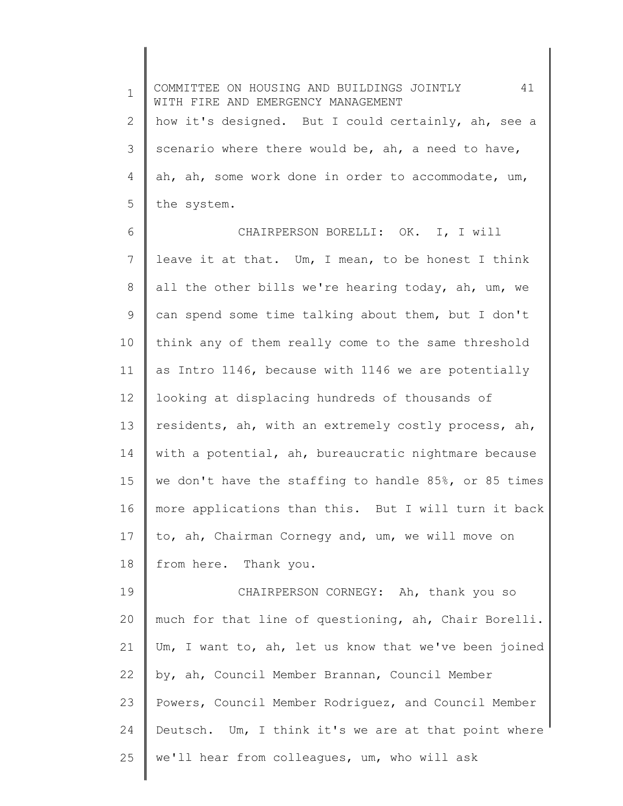1 2 3 4 5 6 7 8 9 10 11 12 13 14 15 16 17 18 19 20 21 22 23 24 25 COMMITTEE ON HOUSING AND BUILDINGS JOINTLY 41 WITH FIRE AND EMERGENCY MANAGEMENT how it's designed. But I could certainly, ah, see a scenario where there would be, ah, a need to have, ah, ah, some work done in order to accommodate, um, the system. CHAIRPERSON BORELLI: OK. I, I will leave it at that. Um, I mean, to be honest I think all the other bills we're hearing today, ah, um, we can spend some time talking about them, but I don't think any of them really come to the same threshold as Intro 1146, because with 1146 we are potentially looking at displacing hundreds of thousands of residents, ah, with an extremely costly process, ah, with a potential, ah, bureaucratic nightmare because we don't have the staffing to handle 85%, or 85 times more applications than this. But I will turn it back to, ah, Chairman Cornegy and, um, we will move on from here. Thank you. CHAIRPERSON CORNEGY: Ah, thank you so much for that line of questioning, ah, Chair Borelli. Um, I want to, ah, let us know that we've been joined by, ah, Council Member Brannan, Council Member Powers, Council Member Rodriguez, and Council Member Deutsch. Um, I think it's we are at that point where we'll hear from colleagues, um, who will ask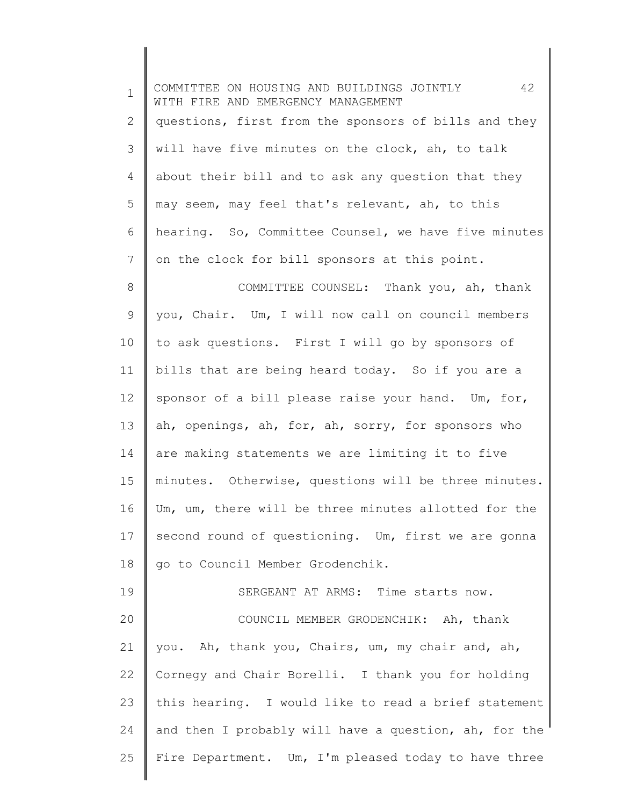1 2 3 4 5 6 7 8 9 10 11 12 13 14 15 16 17 18 19 20 21 22 23 24 25 COMMITTEE ON HOUSING AND BUILDINGS JOINTLY 42 WITH FIRE AND EMERGENCY MANAGEMENT questions, first from the sponsors of bills and they will have five minutes on the clock, ah, to talk about their bill and to ask any question that they may seem, may feel that's relevant, ah, to this hearing. So, Committee Counsel, we have five minutes on the clock for bill sponsors at this point. COMMITTEE COUNSEL: Thank you, ah, thank you, Chair. Um, I will now call on council members to ask questions. First I will go by sponsors of bills that are being heard today. So if you are a sponsor of a bill please raise your hand. Um, for, ah, openings, ah, for, ah, sorry, for sponsors who are making statements we are limiting it to five minutes. Otherwise, questions will be three minutes. Um, um, there will be three minutes allotted for the second round of questioning. Um, first we are gonna go to Council Member Grodenchik. SERGEANT AT ARMS: Time starts now. COUNCIL MEMBER GRODENCHIK: Ah, thank you. Ah, thank you, Chairs, um, my chair and, ah, Cornegy and Chair Borelli. I thank you for holding this hearing. I would like to read a brief statement and then I probably will have a question, ah, for the Fire Department. Um, I'm pleased today to have three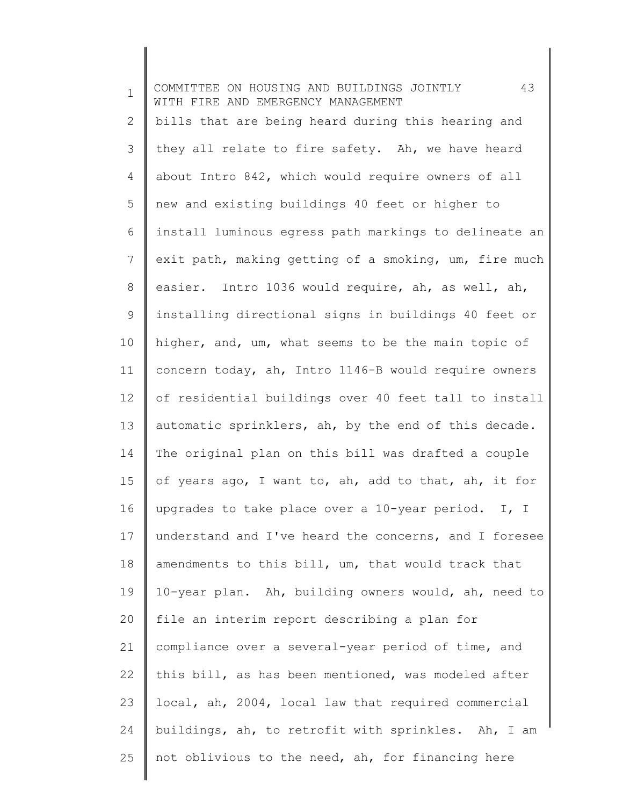1 2 3 4 5 6 7 8 9 10 11 12 13 14 15 16 17 18 19 20 21 22 23 24 25 COMMITTEE ON HOUSING AND BUILDINGS JOINTLY 43 WITH FIRE AND EMERGENCY MANAGEMENT bills that are being heard during this hearing and they all relate to fire safety. Ah, we have heard about Intro 842, which would require owners of all new and existing buildings 40 feet or higher to install luminous egress path markings to delineate an exit path, making getting of a smoking, um, fire much easier. Intro 1036 would require, ah, as well, ah, installing directional signs in buildings 40 feet or higher, and, um, what seems to be the main topic of concern today, ah, Intro 1146-B would require owners of residential buildings over 40 feet tall to install automatic sprinklers, ah, by the end of this decade. The original plan on this bill was drafted a couple of years ago, I want to, ah, add to that, ah, it for upgrades to take place over a 10-year period. I, I understand and I've heard the concerns, and I foresee amendments to this bill, um, that would track that 10-year plan. Ah, building owners would, ah, need to file an interim report describing a plan for compliance over a several-year period of time, and this bill, as has been mentioned, was modeled after local, ah, 2004, local law that required commercial buildings, ah, to retrofit with sprinkles. Ah, I am not oblivious to the need, ah, for financing here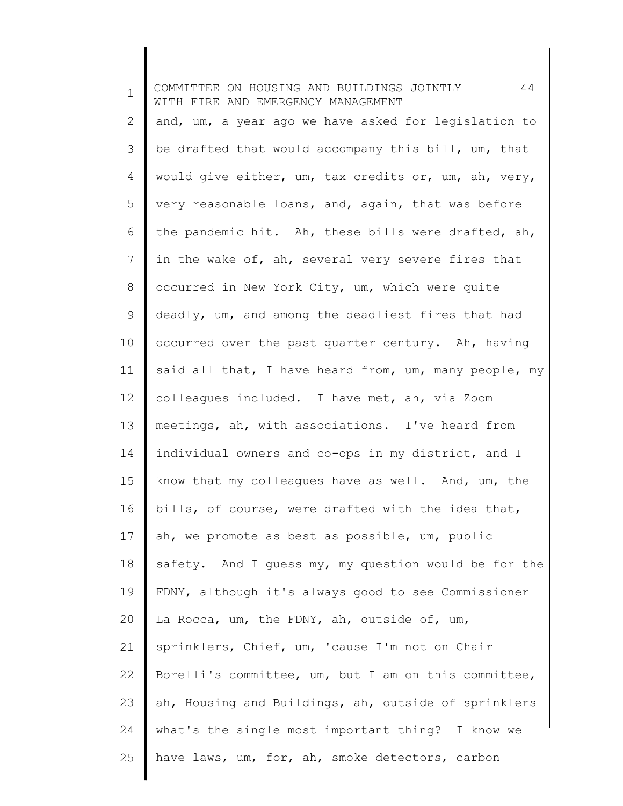1 2 3 4 5 6 7 8 9 10 11 12 13 14 15 16 17 18 19 20 21 22 23 24 25 COMMITTEE ON HOUSING AND BUILDINGS JOINTLY 44 WITH FIRE AND EMERGENCY MANAGEMENT and, um, a year ago we have asked for legislation to be drafted that would accompany this bill, um, that would give either, um, tax credits or, um, ah, very, very reasonable loans, and, again, that was before the pandemic hit. Ah, these bills were drafted, ah, in the wake of, ah, several very severe fires that occurred in New York City, um, which were quite deadly, um, and among the deadliest fires that had occurred over the past quarter century. Ah, having said all that, I have heard from, um, many people, my colleagues included. I have met, ah, via Zoom meetings, ah, with associations. I've heard from individual owners and co-ops in my district, and I know that my colleagues have as well. And, um, the bills, of course, were drafted with the idea that, ah, we promote as best as possible, um, public safety. And I guess my, my question would be for the FDNY, although it's always good to see Commissioner La Rocca, um, the FDNY, ah, outside of, um, sprinklers, Chief, um, 'cause I'm not on Chair Borelli's committee, um, but I am on this committee, ah, Housing and Buildings, ah, outside of sprinklers what's the single most important thing? I know we have laws, um, for, ah, smoke detectors, carbon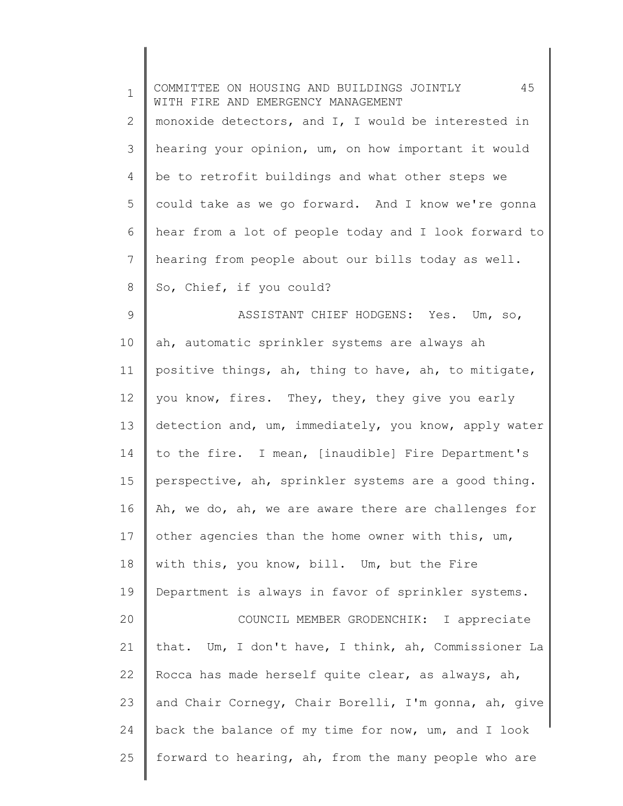| $\mathbf 1$ | 45<br>COMMITTEE ON HOUSING AND BUILDINGS JOINTLY<br>WITH FIRE AND EMERGENCY MANAGEMENT |
|-------------|----------------------------------------------------------------------------------------|
| 2           | monoxide detectors, and I, I would be interested in                                    |
| 3           | hearing your opinion, um, on how important it would                                    |
| 4           | be to retrofit buildings and what other steps we                                       |
| 5           | could take as we go forward. And I know we're gonna                                    |
| 6           | hear from a lot of people today and I look forward to                                  |
| 7           | hearing from people about our bills today as well.                                     |
| 8           | So, Chief, if you could?                                                               |
| 9           | ASSISTANT CHIEF HODGENS: Yes. Um, so,                                                  |
| 10          | ah, automatic sprinkler systems are always ah                                          |
| 11          | positive things, ah, thing to have, ah, to mitigate,                                   |
| 12          | you know, fires. They, they, they give you early                                       |
| 13          | detection and, um, immediately, you know, apply water                                  |
| 14          | to the fire. I mean, [inaudible] Fire Department's                                     |
| 15          | perspective, ah, sprinkler systems are a good thing.                                   |
| 16          | Ah, we do, ah, we are aware there are challenges for                                   |
| 17          | other agencies than the home owner with this, um,                                      |
| 18          | with this, you know, bill. Um, but the Fire                                            |
| 19          | Department is always in favor of sprinkler systems.                                    |
| 20          | COUNCIL MEMBER GRODENCHIK: I appreciate                                                |
| 21          | that. Um, I don't have, I think, ah, Commissioner La                                   |
| 22          | Rocca has made herself quite clear, as always, ah,                                     |
| 23          | and Chair Cornegy, Chair Borelli, I'm gonna, ah, give                                  |
| 24          | back the balance of my time for now, um, and I look                                    |
| 25          | forward to hearing, ah, from the many people who are                                   |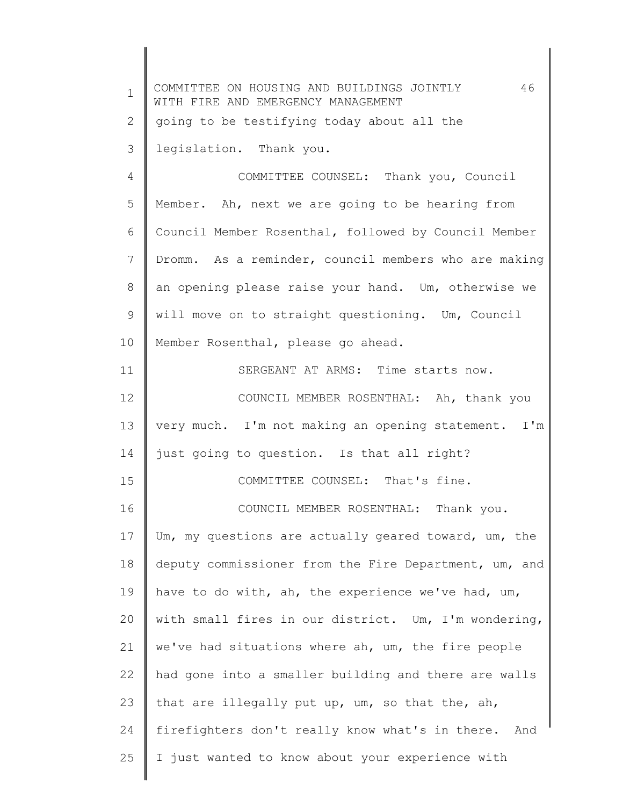| $\mathbf 1$    | 46<br>COMMITTEE ON HOUSING AND BUILDINGS JOINTLY<br>WITH FIRE AND EMERGENCY MANAGEMENT |
|----------------|----------------------------------------------------------------------------------------|
| $\overline{2}$ | going to be testifying today about all the                                             |
| 3              | legislation. Thank you.                                                                |
| 4              | COMMITTEE COUNSEL: Thank you, Council                                                  |
| 5              | Member. Ah, next we are going to be hearing from                                       |
| 6              | Council Member Rosenthal, followed by Council Member                                   |
| 7              | Dromm. As a reminder, council members who are making                                   |
| $\,8\,$        | an opening please raise your hand. Um, otherwise we                                    |
| $\mathsf 9$    | will move on to straight questioning. Um, Council                                      |
| 10             | Member Rosenthal, please go ahead.                                                     |
| 11             | SERGEANT AT ARMS: Time starts now.                                                     |
| 12             | COUNCIL MEMBER ROSENTHAL: Ah, thank you                                                |
| 13             | very much. I'm not making an opening statement. I'm                                    |
| 14             | just going to question. Is that all right?                                             |
| 15             | COMMITTEE COUNSEL: That's fine.                                                        |
| 16             | COUNCIL MEMBER ROSENTHAL: Thank you.                                                   |
| 17             | Um, my questions are actually geared toward, um, the                                   |
| 18             | deputy commissioner from the Fire Department, um, and                                  |
| 19             | have to do with, ah, the experience we've had, um,                                     |
| 20             | with small fires in our district. Um, I'm wondering,                                   |
| 21             | we've had situations where ah, um, the fire people                                     |
| 22             | had gone into a smaller building and there are walls                                   |
| 23             | that are illegally put up, um, so that the, ah,                                        |
| 24             | firefighters don't really know what's in there.<br>And                                 |
| 25             | I just wanted to know about your experience with                                       |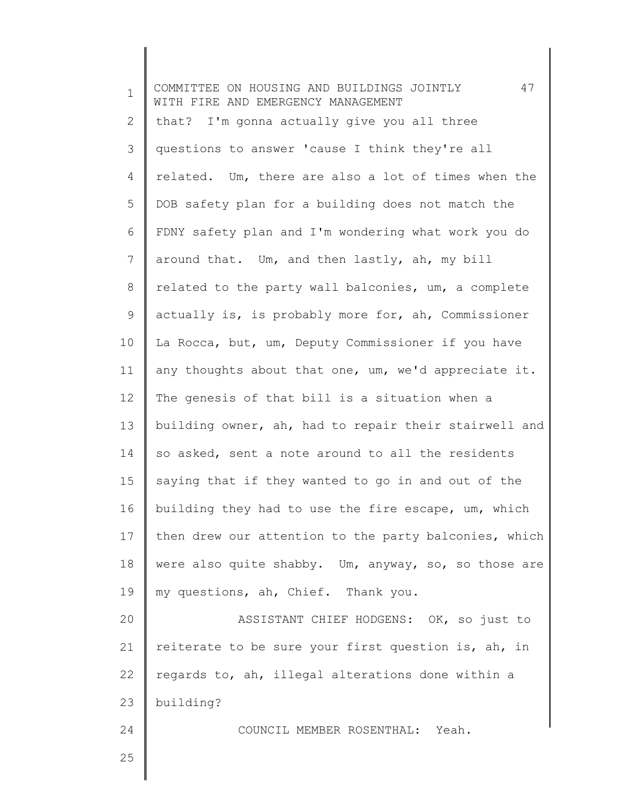1 2 3 4 5 6 7 8 9 10 11 12 13 14 15 16 17 18 19 20 21 22 23 24 25 COMMITTEE ON HOUSING AND BUILDINGS JOINTLY 47 WITH FIRE AND EMERGENCY MANAGEMENT that? I'm gonna actually give you all three questions to answer 'cause I think they're all related. Um, there are also a lot of times when the DOB safety plan for a building does not match the FDNY safety plan and I'm wondering what work you do around that. Um, and then lastly, ah, my bill related to the party wall balconies, um, a complete actually is, is probably more for, ah, Commissioner La Rocca, but, um, Deputy Commissioner if you have any thoughts about that one, um, we'd appreciate it. The genesis of that bill is a situation when a building owner, ah, had to repair their stairwell and so asked, sent a note around to all the residents saying that if they wanted to go in and out of the building they had to use the fire escape, um, which then drew our attention to the party balconies, which were also quite shabby. Um, anyway, so, so those are my questions, ah, Chief. Thank you. ASSISTANT CHIEF HODGENS: OK, so just to reiterate to be sure your first question is, ah, in regards to, ah, illegal alterations done within a building? COUNCIL MEMBER ROSENTHAL: Yeah.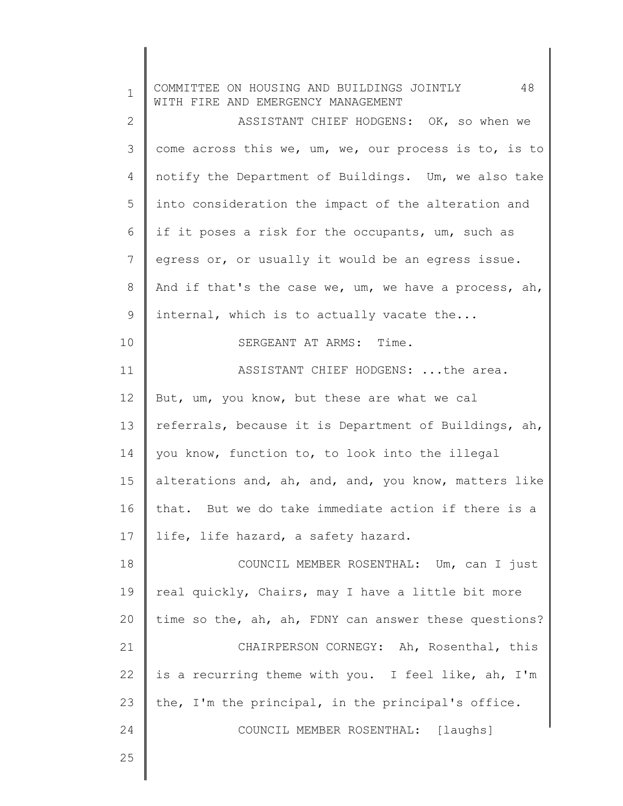| $\mathbf 1$ | 48<br>COMMITTEE ON HOUSING AND BUILDINGS JOINTLY<br>WITH FIRE AND EMERGENCY MANAGEMENT |
|-------------|----------------------------------------------------------------------------------------|
| 2           | ASSISTANT CHIEF HODGENS: OK, so when we                                                |
| 3           | come across this we, um, we, our process is to, is to                                  |
| 4           | notify the Department of Buildings. Um, we also take                                   |
| 5           | into consideration the impact of the alteration and                                    |
| 6           | if it poses a risk for the occupants, um, such as                                      |
| 7           | egress or, or usually it would be an egress issue.                                     |
| 8           | And if that's the case we, um, we have a process, ah,                                  |
| 9           | internal, which is to actually vacate the                                              |
| 10          | SERGEANT AT ARMS: Time.                                                                |
| 11          | ASSISTANT CHIEF HODGENS:  the area.                                                    |
| 12          | But, um, you know, but these are what we cal                                           |
| 13          | referrals, because it is Department of Buildings, ah,                                  |
| 14          | you know, function to, to look into the illegal                                        |
| 15          | alterations and, ah, and, and, you know, matters like                                  |
| 16          | that. But we do take immediate action if there is a                                    |
| 17          | life, life hazard, a safety hazard.                                                    |
| 18          | COUNCIL MEMBER ROSENTHAL: Um, can I just                                               |
| 19          | real quickly, Chairs, may I have a little bit more                                     |
| 20          | time so the, ah, ah, FDNY can answer these questions?                                  |
| 21          | CHAIRPERSON CORNEGY: Ah, Rosenthal, this                                               |
| 22          | is a recurring theme with you. I feel like, ah, I'm                                    |
| 23          | the, I'm the principal, in the principal's office.                                     |
| 24          | COUNCIL MEMBER ROSENTHAL: [laughs]                                                     |
| 25          |                                                                                        |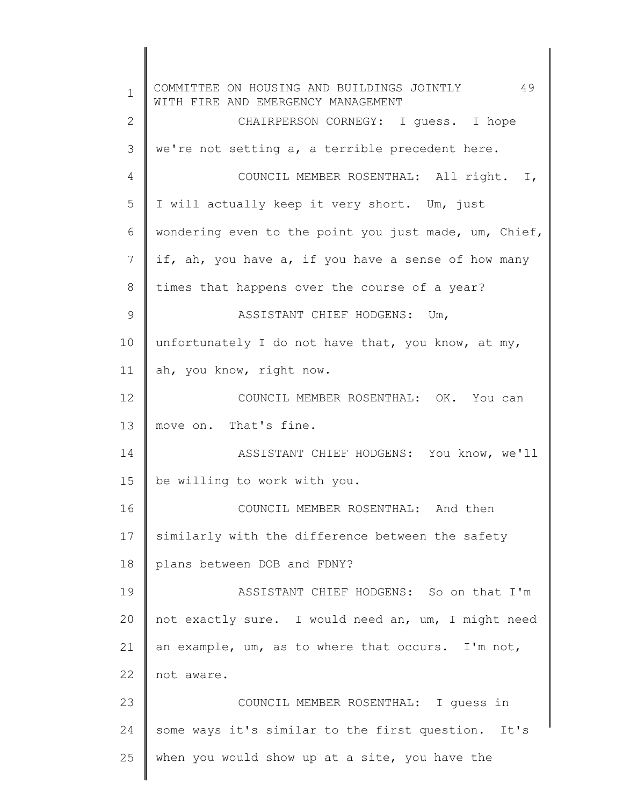1 2 3 4 5 6 7 8 9 10 11 12 13 14 15 16 17 18 19 20 21 22 23 24 25 COMMITTEE ON HOUSING AND BUILDINGS JOINTLY 49 WITH FIRE AND EMERGENCY MANAGEMENT CHAIRPERSON CORNEGY: I guess. I hope we're not setting a, a terrible precedent here. COUNCIL MEMBER ROSENTHAL: All right. I, I will actually keep it very short. Um, just wondering even to the point you just made, um, Chief, if, ah, you have a, if you have a sense of how many times that happens over the course of a year? ASSISTANT CHIEF HODGENS: Um, unfortunately I do not have that, you know, at my, ah, you know, right now. COUNCIL MEMBER ROSENTHAL: OK. You can move on. That's fine. ASSISTANT CHIEF HODGENS: You know, we'll be willing to work with you. COUNCIL MEMBER ROSENTHAL: And then similarly with the difference between the safety plans between DOB and FDNY? ASSISTANT CHIEF HODGENS: So on that I'm not exactly sure. I would need an, um, I might need an example, um, as to where that occurs. I'm not, not aware. COUNCIL MEMBER ROSENTHAL: I guess in some ways it's similar to the first question. It's when you would show up at a site, you have the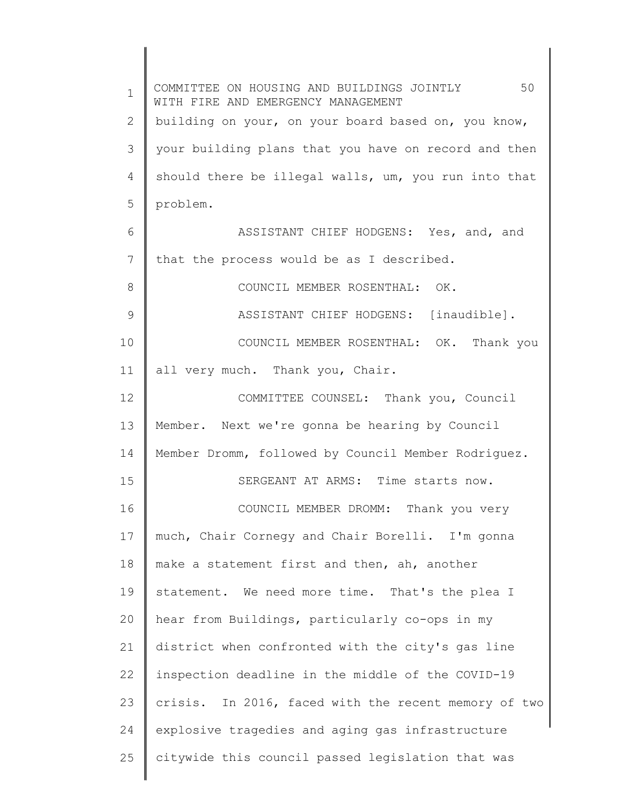| $\mathbf 1$    | 50<br>COMMITTEE ON HOUSING AND BUILDINGS JOINTLY<br>WITH FIRE AND EMERGENCY MANAGEMENT |
|----------------|----------------------------------------------------------------------------------------|
| $\overline{2}$ | building on your, on your board based on, you know,                                    |
| 3              | your building plans that you have on record and then                                   |
| 4              | should there be illegal walls, um, you run into that                                   |
| 5              | problem.                                                                               |
| 6              | ASSISTANT CHIEF HODGENS: Yes, and, and                                                 |
| 7              | that the process would be as I described.                                              |
| 8              | COUNCIL MEMBER ROSENTHAL: OK.                                                          |
| $\mathcal{G}$  | ASSISTANT CHIEF HODGENS: [inaudible].                                                  |
| 10             | COUNCIL MEMBER ROSENTHAL: OK. Thank you                                                |
| 11             | all very much. Thank you, Chair.                                                       |
| 12             | COMMITTEE COUNSEL: Thank you, Council                                                  |
| 13             | Member. Next we're gonna be hearing by Council                                         |
| 14             | Member Dromm, followed by Council Member Rodriguez.                                    |
| 15             | SERGEANT AT ARMS: Time starts now.                                                     |
| 16             | Thank you very<br>COUNCIL MEMBER DROMM:                                                |
| 17             | much, Chair Cornegy and Chair Borelli. I'm gonna                                       |
| 18             | make a statement first and then, ah, another                                           |
| 19             | statement. We need more time. That's the plea I                                        |
| 20             | hear from Buildings, particularly co-ops in my                                         |
| 21             | district when confronted with the city's gas line                                      |
| 22             | inspection deadline in the middle of the COVID-19                                      |
| 23             | crisis. In 2016, faced with the recent memory of two                                   |
| 24             | explosive tragedies and aging gas infrastructure                                       |
| 25             | citywide this council passed legislation that was                                      |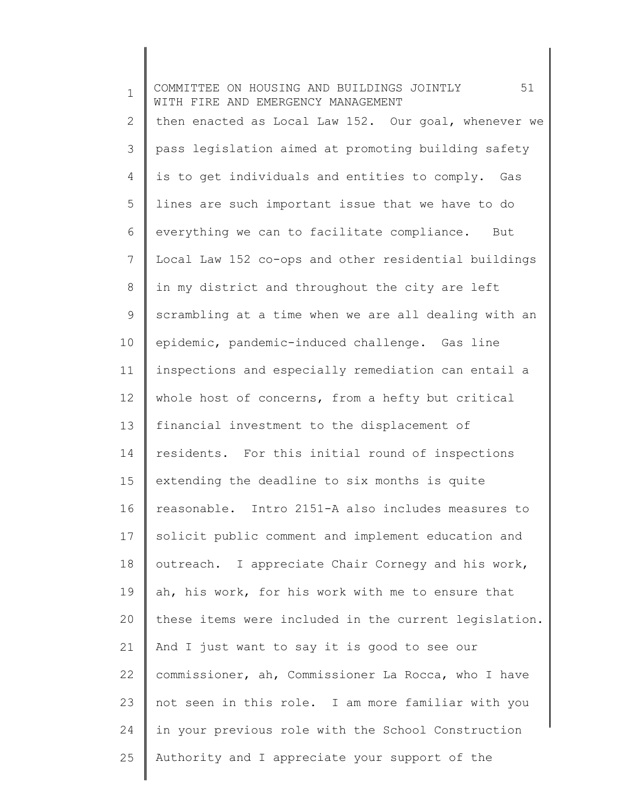| $\mathbf 1$  | 51<br>COMMITTEE ON HOUSING AND BUILDINGS JOINTLY<br>WITH FIRE AND EMERGENCY MANAGEMENT |
|--------------|----------------------------------------------------------------------------------------|
| $\mathbf{2}$ | then enacted as Local Law 152. Our goal, whenever we                                   |
| 3            | pass legislation aimed at promoting building safety                                    |
| 4            | is to get individuals and entities to comply. Gas                                      |
| 5            | lines are such important issue that we have to do                                      |
| 6            | everything we can to facilitate compliance. But                                        |
| 7            | Local Law 152 co-ops and other residential buildings                                   |
| 8            | in my district and throughout the city are left                                        |
| 9            | scrambling at a time when we are all dealing with an                                   |
| 10           | epidemic, pandemic-induced challenge. Gas line                                         |
| 11           | inspections and especially remediation can entail a                                    |
| 12           | whole host of concerns, from a hefty but critical                                      |
| 13           | financial investment to the displacement of                                            |
| 14           | residents. For this initial round of inspections                                       |
| 15           | extending the deadline to six months is quite                                          |
| 16           | reasonable. Intro 2151-A also includes measures to                                     |
| 17           | solicit public comment and implement education and                                     |
| 18           | outreach. I appreciate Chair Cornegy and his work,                                     |
| 19           | ah, his work, for his work with me to ensure that                                      |
| 20           | these items were included in the current legislation.                                  |
| 21           | And I just want to say it is good to see our                                           |
| 22           | commissioner, ah, Commissioner La Rocca, who I have                                    |
| 23           | not seen in this role. I am more familiar with you                                     |
| 24           | in your previous role with the School Construction                                     |
| 25           | Authority and I appreciate your support of the                                         |

 $\begin{array}{c} \hline \end{array}$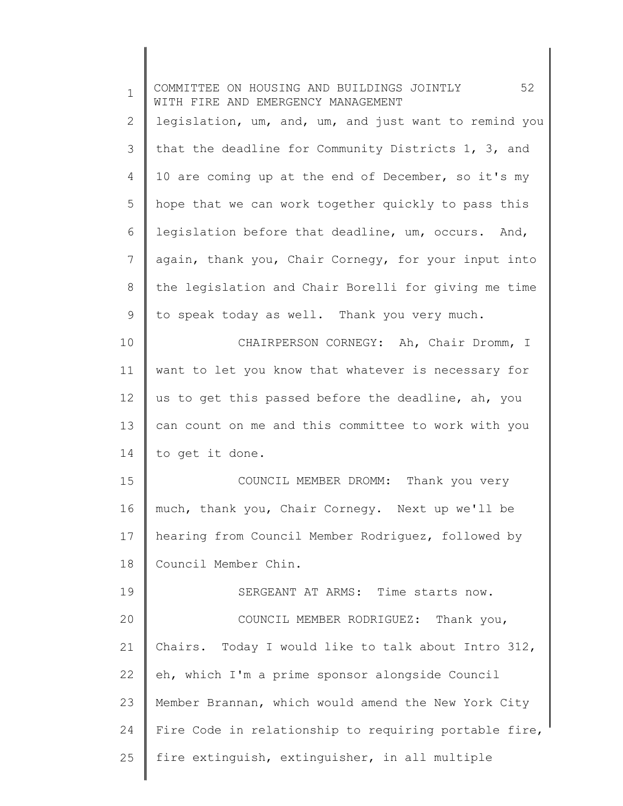| $\mathbf 1$  | 52<br>COMMITTEE ON HOUSING AND BUILDINGS JOINTLY<br>WITH FIRE AND EMERGENCY MANAGEMENT |
|--------------|----------------------------------------------------------------------------------------|
| $\mathbf{2}$ | legislation, um, and, um, and just want to remind you                                  |
| 3            | that the deadline for Community Districts 1, 3, and                                    |
| 4            | 10 are coming up at the end of December, so it's my                                    |
| 5            | hope that we can work together quickly to pass this                                    |
| 6            | legislation before that deadline, um, occurs. And,                                     |
| 7            | again, thank you, Chair Cornegy, for your input into                                   |
| 8            | the legislation and Chair Borelli for giving me time                                   |
| 9            | to speak today as well. Thank you very much.                                           |
| 10           | CHAIRPERSON CORNEGY: Ah, Chair Dromm, I                                                |
| 11           | want to let you know that whatever is necessary for                                    |
| 12           | us to get this passed before the deadline, ah, you                                     |
| 13           | can count on me and this committee to work with you                                    |
| 14           | to get it done.                                                                        |
| 15           | COUNCIL MEMBER DROMM:<br>Thank you very                                                |
| 16           | much, thank you, Chair Cornegy. Next up we'll be                                       |
| 17           | hearing from Council Member Rodriguez, followed by                                     |
| 18           | Council Member Chin.                                                                   |
| 19           | SERGEANT AT ARMS: Time starts now.                                                     |
| 20           | COUNCIL MEMBER RODRIGUEZ: Thank you,                                                   |
| 21           | Chairs. Today I would like to talk about Intro 312,                                    |
| 22           | eh, which I'm a prime sponsor alongside Council                                        |
| 23           | Member Brannan, which would amend the New York City                                    |
| 24           | Fire Code in relationship to requiring portable fire,                                  |
| 25           | fire extinguish, extinguisher, in all multiple                                         |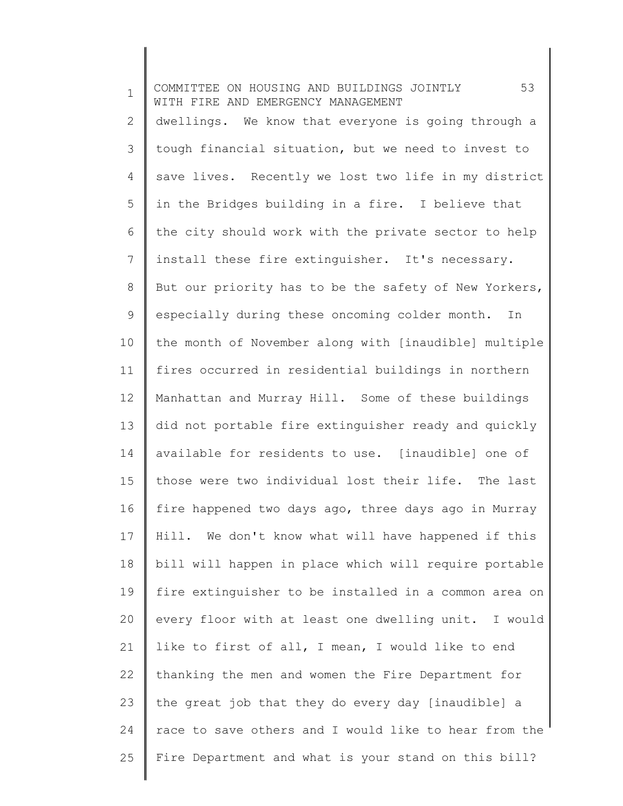1 2 3 4 5 6 7 8 9 10 11 12 13 14 15 16 17 18 19 20 21 22 23 24 25 COMMITTEE ON HOUSING AND BUILDINGS JOINTLY 53 WITH FIRE AND EMERGENCY MANAGEMENT dwellings. We know that everyone is going through a tough financial situation, but we need to invest to save lives. Recently we lost two life in my district in the Bridges building in a fire. I believe that the city should work with the private sector to help install these fire extinguisher. It's necessary. But our priority has to be the safety of New Yorkers, especially during these oncoming colder month. In the month of November along with [inaudible] multiple fires occurred in residential buildings in northern Manhattan and Murray Hill. Some of these buildings did not portable fire extinguisher ready and quickly available for residents to use. [inaudible] one of those were two individual lost their life. The last fire happened two days ago, three days ago in Murray Hill. We don't know what will have happened if this bill will happen in place which will require portable fire extinguisher to be installed in a common area on every floor with at least one dwelling unit. I would like to first of all, I mean, I would like to end thanking the men and women the Fire Department for the great job that they do every day [inaudible] a race to save others and I would like to hear from the Fire Department and what is your stand on this bill?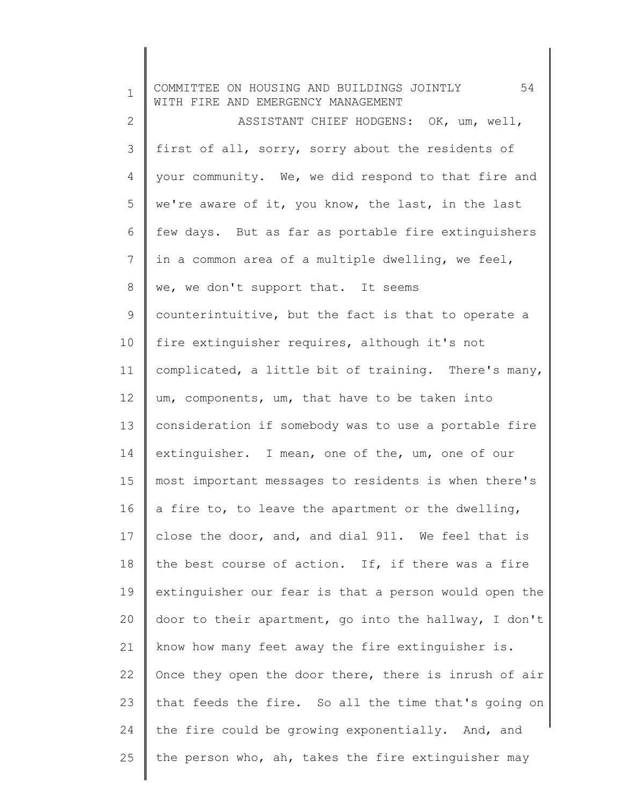1 2 3 4 5 6 7 8 9 10 11 12 13 14 15 16 17 18 19 20 21 22 23 24 25 COMMITTEE ON HOUSING AND BUILDINGS JOINTLY 54 WITH FIRE AND EMERGENCY MANAGEMENT ASSISTANT CHIEF HODGENS: OK, um, well, first of all, sorry, sorry about the residents of your community. We, we did respond to that fire and we're aware of it, you know, the last, in the last few days. But as far as portable fire extinguishers in a common area of a multiple dwelling, we feel, we, we don't support that. It seems counterintuitive, but the fact is that to operate a fire extinguisher requires, although it's not complicated, a little bit of training. There's many, um, components, um, that have to be taken into consideration if somebody was to use a portable fire extinguisher. I mean, one of the, um, one of our most important messages to residents is when there's a fire to, to leave the apartment or the dwelling, close the door, and, and dial 911. We feel that is the best course of action. If, if there was a fire extinguisher our fear is that a person would open the door to their apartment, go into the hallway, I don't know how many feet away the fire extinguisher is. Once they open the door there, there is inrush of air that feeds the fire. So all the time that's going on the fire could be growing exponentially. And, and the person who, ah, takes the fire extinguisher may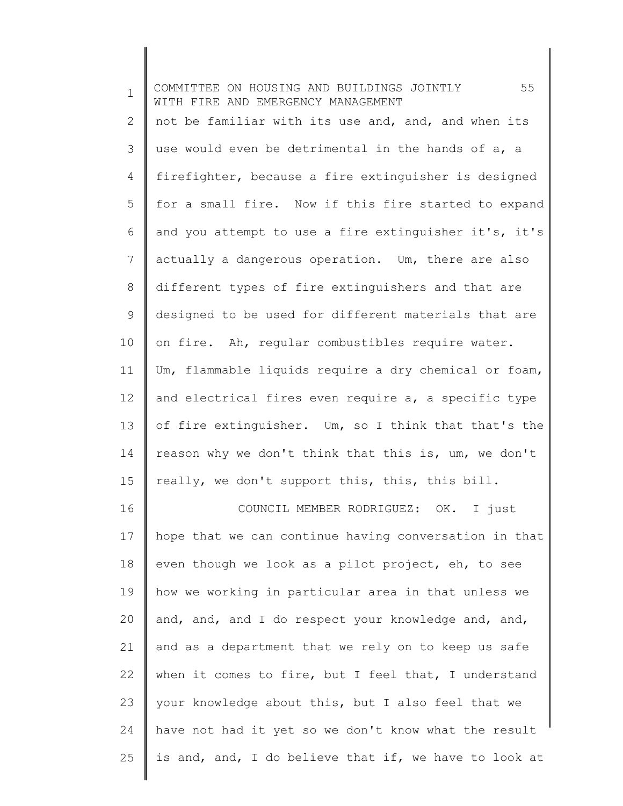| $\mathbf 1$ | 55<br>COMMITTEE ON HOUSING AND BUILDINGS JOINTLY<br>WITH FIRE AND EMERGENCY MANAGEMENT |
|-------------|----------------------------------------------------------------------------------------|
| 2           | not be familiar with its use and, and, and when its                                    |
| 3           | use would even be detrimental in the hands of a, a                                     |
| 4           | firefighter, because a fire extinguisher is designed                                   |
| 5           | for a small fire. Now if this fire started to expand                                   |
| 6           | and you attempt to use a fire extinguisher it's, it's                                  |
| 7           | actually a dangerous operation. Um, there are also                                     |
| 8           | different types of fire extinguishers and that are                                     |
| 9           | designed to be used for different materials that are                                   |
| 10          | on fire. Ah, regular combustibles require water.                                       |
| 11          | Um, flammable liquids require a dry chemical or foam,                                  |
| 12          | and electrical fires even require a, a specific type                                   |
| 13          | of fire extinguisher. Um, so I think that that's the                                   |
| 14          | reason why we don't think that this is, um, we don't                                   |
| 15          | really, we don't support this, this, this bill.                                        |
| 16          | COUNCIL MEMBER RODRIGUEZ: OK. I just                                                   |
| 17          | hope that we can continue having conversation in that                                  |
| 18          | even though we look as a pilot project, eh, to see                                     |
| 19          | how we working in particular area in that unless we                                    |
| 20          | and, and, and I do respect your knowledge and, and,                                    |
| 21          | and as a department that we rely on to keep us safe                                    |
| 22          | when it comes to fire, but I feel that, I understand                                   |
| 23          | your knowledge about this, but I also feel that we                                     |
| 24          | have not had it yet so we don't know what the result                                   |
| 25          | is and, and, I do believe that if, we have to look at                                  |
|             |                                                                                        |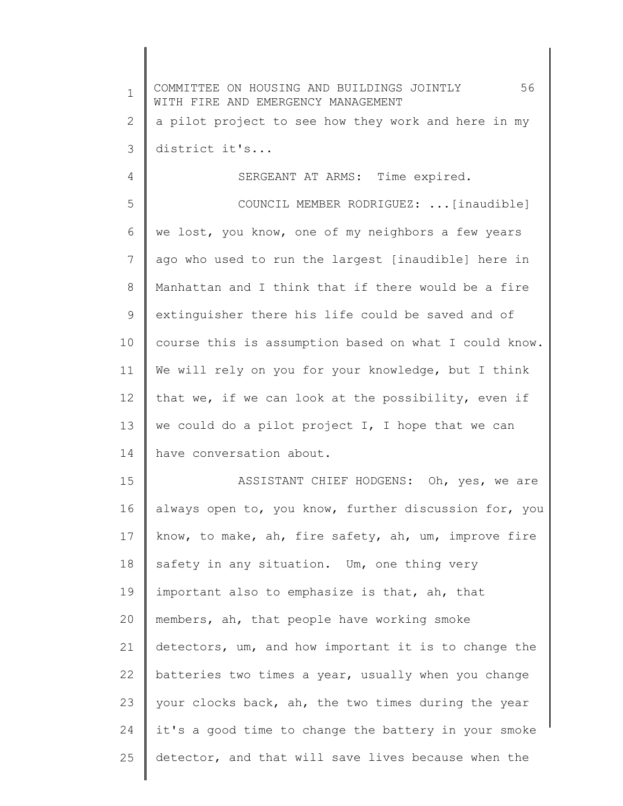1 2 3 4 5 6 7 8 9 10 11 12 13 14 15 16 17 18 19 20 21 22 23 24 25 COMMITTEE ON HOUSING AND BUILDINGS JOINTLY 56 WITH FIRE AND EMERGENCY MANAGEMENT a pilot project to see how they work and here in my district it's... SERGEANT AT ARMS: Time expired. COUNCIL MEMBER RODRIGUEZ: ...[inaudible] we lost, you know, one of my neighbors a few years ago who used to run the largest [inaudible] here in Manhattan and I think that if there would be a fire extinguisher there his life could be saved and of course this is assumption based on what I could know. We will rely on you for your knowledge, but I think that we, if we can look at the possibility, even if we could do a pilot project I, I hope that we can have conversation about. ASSISTANT CHIEF HODGENS: Oh, yes, we are always open to, you know, further discussion for, you know, to make, ah, fire safety, ah, um, improve fire safety in any situation. Um, one thing very important also to emphasize is that, ah, that members, ah, that people have working smoke detectors, um, and how important it is to change the batteries two times a year, usually when you change your clocks back, ah, the two times during the year it's a good time to change the battery in your smoke detector, and that will save lives because when the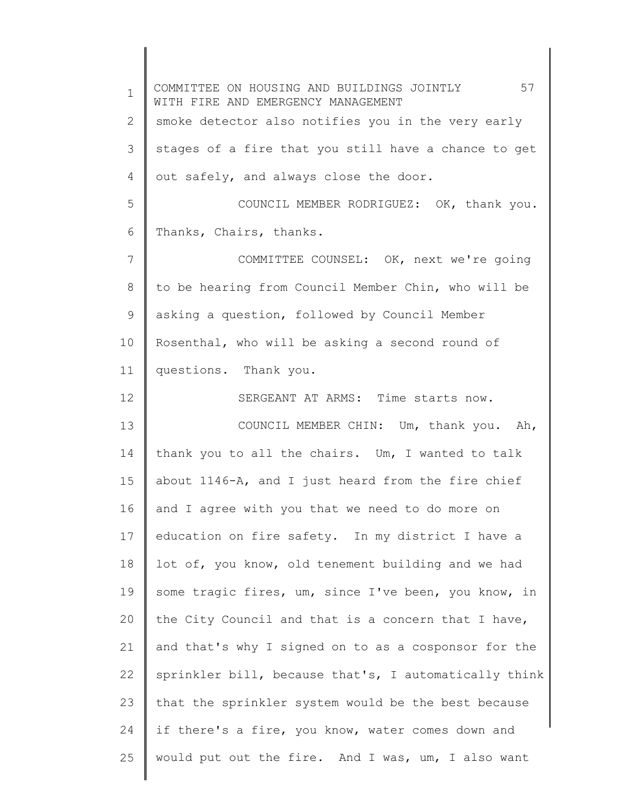1 2 3 4 5 6 7 8 9 10 11 12 13 14 15 16 17 18 19 20 21 22 23 24 25 COMMITTEE ON HOUSING AND BUILDINGS JOINTLY 57 WITH FIRE AND EMERGENCY MANAGEMENT smoke detector also notifies you in the very early stages of a fire that you still have a chance to get out safely, and always close the door. COUNCIL MEMBER RODRIGUEZ: OK, thank you. Thanks, Chairs, thanks. COMMITTEE COUNSEL: OK, next we're going to be hearing from Council Member Chin, who will be asking a question, followed by Council Member Rosenthal, who will be asking a second round of questions. Thank you. SERGEANT AT ARMS: Time starts now. COUNCIL MEMBER CHIN: Um, thank you. Ah, thank you to all the chairs. Um, I wanted to talk about 1146-A, and I just heard from the fire chief and I agree with you that we need to do more on education on fire safety. In my district I have a lot of, you know, old tenement building and we had some tragic fires, um, since I've been, you know, in the City Council and that is a concern that I have, and that's why I signed on to as a cosponsor for the sprinkler bill, because that's, I automatically think that the sprinkler system would be the best because if there's a fire, you know, water comes down and would put out the fire. And I was, um, I also want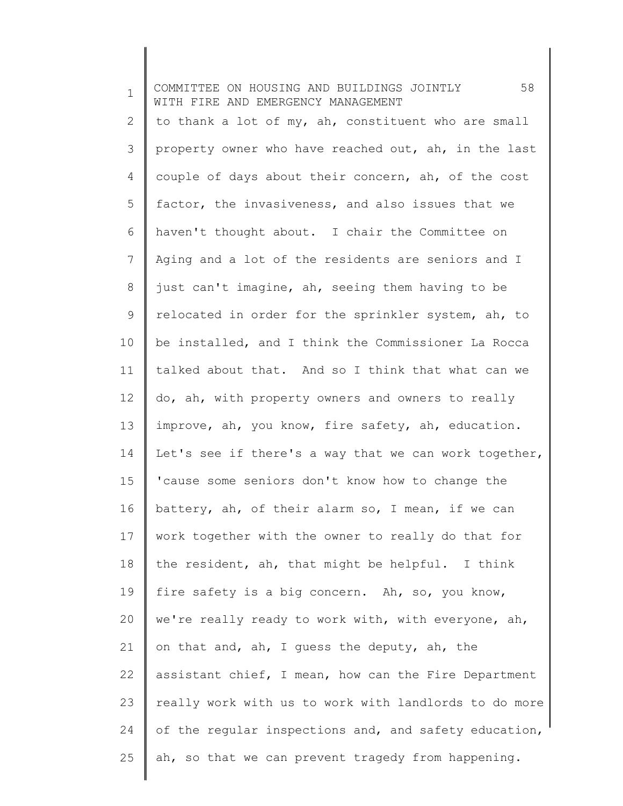| $\mathbf 1$ | 58<br>COMMITTEE ON HOUSING AND BUILDINGS JOINTLY<br>WITH FIRE AND EMERGENCY MANAGEMENT |
|-------------|----------------------------------------------------------------------------------------|
| 2           | to thank a lot of my, ah, constituent who are small                                    |
| 3           | property owner who have reached out, ah, in the last                                   |
| 4           | couple of days about their concern, ah, of the cost                                    |
| 5           | factor, the invasiveness, and also issues that we                                      |
| 6           | haven't thought about. I chair the Committee on                                        |
| 7           | Aging and a lot of the residents are seniors and I                                     |
| $8\,$       | just can't imagine, ah, seeing them having to be                                       |
| 9           | relocated in order for the sprinkler system, ah, to                                    |
| 10          | be installed, and I think the Commissioner La Rocca                                    |
| 11          | talked about that. And so I think that what can we                                     |
| 12          | do, ah, with property owners and owners to really                                      |
| 13          | improve, ah, you know, fire safety, ah, education.                                     |
| 14          | Let's see if there's a way that we can work together,                                  |
| 15          | 'cause some seniors don't know how to change the                                       |
| 16          | battery, ah, of their alarm so, I mean, if we can                                      |
| 17          | work together with the owner to really do that for                                     |
| 18          | the resident, ah, that might be helpful. I think                                       |
| 19          | fire safety is a big concern. Ah, so, you know,                                        |
| 20          | we're really ready to work with, with everyone, ah,                                    |
| 21          | on that and, ah, I guess the deputy, ah, the                                           |
| 22          | assistant chief, I mean, how can the Fire Department                                   |
| 23          | really work with us to work with landlords to do more                                  |
| 24          | of the regular inspections and, and safety education,                                  |
| 25          | ah, so that we can prevent tragedy from happening.                                     |
|             |                                                                                        |

 $\begin{array}{c} \hline \end{array}$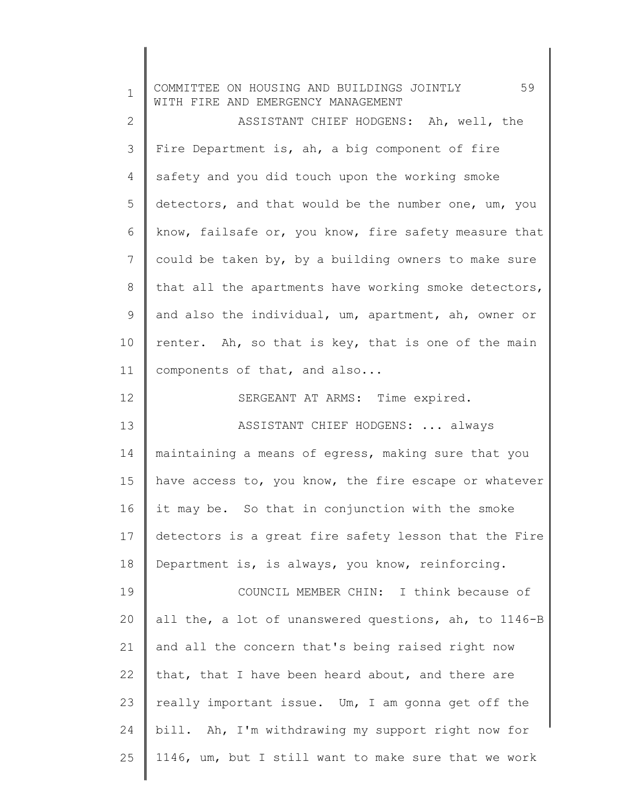| $\mathbf 1$  | 59<br>COMMITTEE ON HOUSING AND BUILDINGS JOINTLY<br>WITH FIRE AND EMERGENCY MANAGEMENT |
|--------------|----------------------------------------------------------------------------------------|
| $\mathbf{2}$ | ASSISTANT CHIEF HODGENS: Ah, well, the                                                 |
| 3            | Fire Department is, ah, a big component of fire                                        |
| 4            | safety and you did touch upon the working smoke                                        |
| 5            | detectors, and that would be the number one, um, you                                   |
| 6            | know, failsafe or, you know, fire safety measure that                                  |
| 7            | could be taken by, by a building owners to make sure                                   |
| $8\,$        | that all the apartments have working smoke detectors,                                  |
| 9            | and also the individual, um, apartment, ah, owner or                                   |
| 10           | renter. Ah, so that is key, that is one of the main                                    |
| 11           | components of that, and also                                                           |
| 12           | SERGEANT AT ARMS: Time expired.                                                        |
| 13           | ASSISTANT CHIEF HODGENS:  always                                                       |
| 14           | maintaining a means of egress, making sure that you                                    |
| 15           | have access to, you know, the fire escape or whatever                                  |
| 16           | it may be. So that in conjunction with the smoke                                       |
| 17           | detectors is a great fire safety lesson that the Fire                                  |
| 18           | Department is, is always, you know, reinforcing.                                       |
| 19           | COUNCIL MEMBER CHIN: I think because of                                                |
| 20           | all the, a lot of unanswered questions, ah, to 1146-B                                  |
| 21           | and all the concern that's being raised right now                                      |
| 22           | that, that I have been heard about, and there are                                      |
| 23           | really important issue. Um, I am gonna get off the                                     |
| 24           | bill. Ah, I'm withdrawing my support right now for                                     |
| 25           | 1146, um, but I still want to make sure that we work                                   |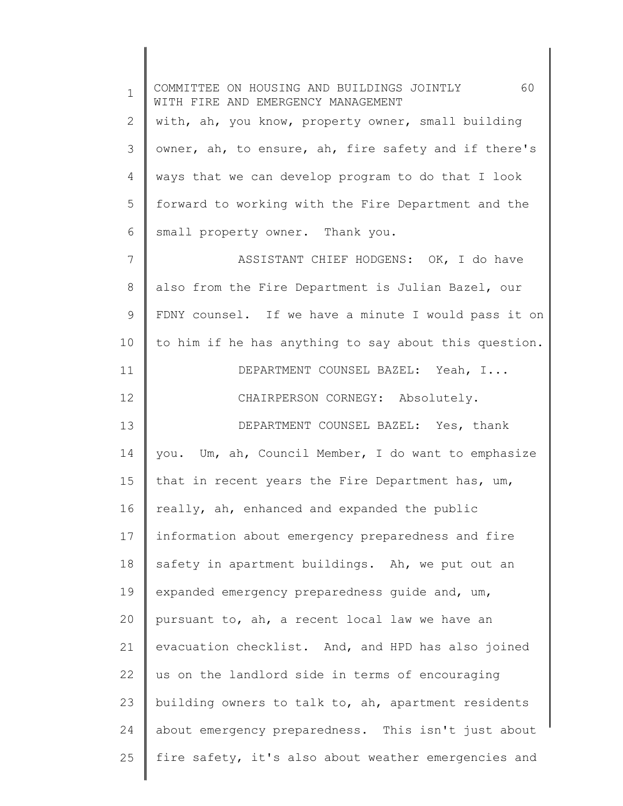1 2 3 4 5 6 7 8 9 10 11 12 13 14 15 16 17 18 19 20 21 22 23 24 25 COMMITTEE ON HOUSING AND BUILDINGS JOINTLY 60 WITH FIRE AND EMERGENCY MANAGEMENT with, ah, you know, property owner, small building owner, ah, to ensure, ah, fire safety and if there's ways that we can develop program to do that I look forward to working with the Fire Department and the small property owner. Thank you. ASSISTANT CHIEF HODGENS: OK, I do have also from the Fire Department is Julian Bazel, our FDNY counsel. If we have a minute I would pass it on to him if he has anything to say about this question. DEPARTMENT COUNSEL BAZEL: Yeah, I... CHAIRPERSON CORNEGY: Absolutely. DEPARTMENT COUNSEL BAZEL: Yes, thank you. Um, ah, Council Member, I do want to emphasize that in recent years the Fire Department has, um, really, ah, enhanced and expanded the public information about emergency preparedness and fire safety in apartment buildings. Ah, we put out an expanded emergency preparedness guide and, um, pursuant to, ah, a recent local law we have an evacuation checklist. And, and HPD has also joined us on the landlord side in terms of encouraging building owners to talk to, ah, apartment residents about emergency preparedness. This isn't just about fire safety, it's also about weather emergencies and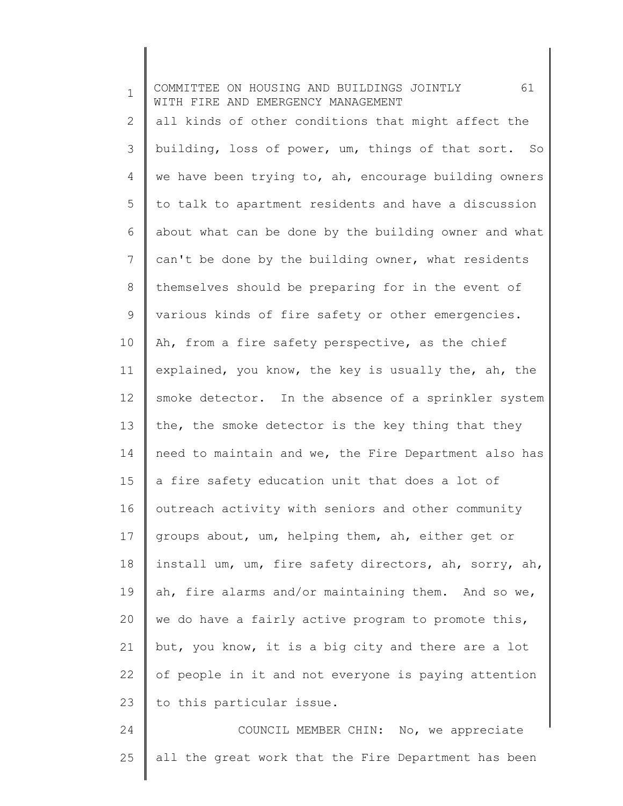| $\mathbf 1$ | 61<br>COMMITTEE ON HOUSING AND BUILDINGS JOINTLY<br>WITH FIRE AND EMERGENCY MANAGEMENT |
|-------------|----------------------------------------------------------------------------------------|
| 2           | all kinds of other conditions that might affect the                                    |
| 3           | building, loss of power, um, things of that sort. So                                   |
| 4           | we have been trying to, ah, encourage building owners                                  |
| 5           | to talk to apartment residents and have a discussion                                   |
| 6           | about what can be done by the building owner and what                                  |
| 7           | can't be done by the building owner, what residents                                    |
| 8           | themselves should be preparing for in the event of                                     |
| 9           | various kinds of fire safety or other emergencies.                                     |
| 10          | Ah, from a fire safety perspective, as the chief                                       |
| 11          | explained, you know, the key is usually the, ah, the                                   |
| 12          | smoke detector. In the absence of a sprinkler system                                   |
| 13          | the, the smoke detector is the key thing that they                                     |
| 14          | need to maintain and we, the Fire Department also has                                  |
| 15          | a fire safety education unit that does a lot of                                        |
| 16          | outreach activity with seniors and other community                                     |
| 17          | groups about, um, helping them, ah, either get or                                      |
| 18          | install um, um, fire safety directors, ah, sorry, ah,                                  |
| 19          | ah, fire alarms and/or maintaining them. And so we,                                    |
| 20          | we do have a fairly active program to promote this,                                    |
| 21          | but, you know, it is a big city and there are a lot                                    |
| 22          | of people in it and not everyone is paying attention                                   |
| 23          | to this particular issue.                                                              |
| 24          | COUNCIL MEMBER CHIN: No, we appreciate                                                 |
| 25          | all the great work that the Fire Department has been                                   |
|             |                                                                                        |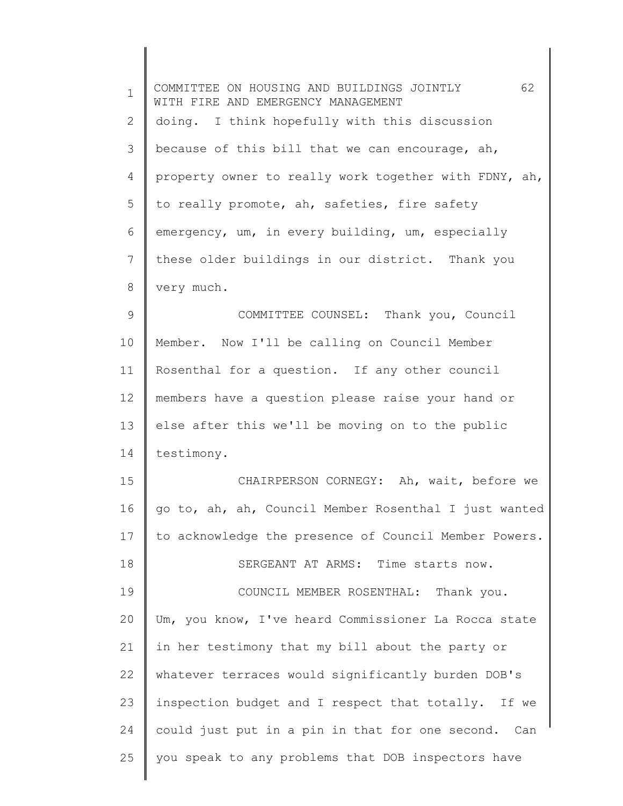| $\mathbf{1}$   | 62<br>COMMITTEE ON HOUSING AND BUILDINGS JOINTLY<br>WITH FIRE AND EMERGENCY MANAGEMENT |
|----------------|----------------------------------------------------------------------------------------|
| $\overline{2}$ | doing. I think hopefully with this discussion                                          |
| 3              | because of this bill that we can encourage, ah,                                        |
| 4              | property owner to really work together with FDNY, ah,                                  |
| 5              | to really promote, ah, safeties, fire safety                                           |
| 6              | emergency, um, in every building, um, especially                                       |
| 7              | these older buildings in our district. Thank you                                       |
| 8              | very much.                                                                             |
| $\mathcal{G}$  | COMMITTEE COUNSEL: Thank you, Council                                                  |
| 10             | Member. Now I'll be calling on Council Member                                          |
| 11             | Rosenthal for a question. If any other council                                         |
| 12             | members have a question please raise your hand or                                      |
| 13             | else after this we'll be moving on to the public                                       |
| 14             | testimony.                                                                             |
| 15             | CHAIRPERSON CORNEGY: Ah, wait, before we                                               |
| 16             | go to, ah, ah, Council Member Rosenthal I just wanted                                  |
| 17             | to acknowledge the presence of Council Member Powers.                                  |
| 18             | SERGEANT AT ARMS: Time starts now.                                                     |
| 19             | COUNCIL MEMBER ROSENTHAL: Thank you.                                                   |
| 20             | Um, you know, I've heard Commissioner La Rocca state                                   |
| 21             | in her testimony that my bill about the party or                                       |
| 22             | whatever terraces would significantly burden DOB's                                     |
| 23             | inspection budget and I respect that totally. If we                                    |
| 24             | could just put in a pin in that for one second. Can                                    |
| 25             | you speak to any problems that DOB inspectors have                                     |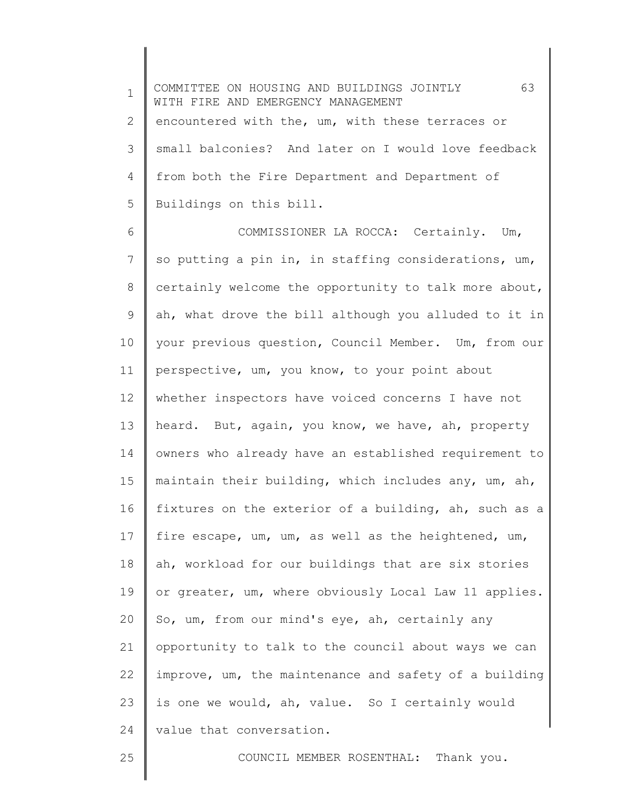1 2 3 4 5 COMMITTEE ON HOUSING AND BUILDINGS JOINTLY 63 WITH FIRE AND EMERGENCY MANAGEMENT encountered with the, um, with these terraces or small balconies? And later on I would love feedback from both the Fire Department and Department of Buildings on this bill.

6 7 8 9 10 11 12 13 14 15 16 17 18 19 20 21 22 23 24 COMMISSIONER LA ROCCA: Certainly. Um, so putting a pin in, in staffing considerations, um, certainly welcome the opportunity to talk more about, ah, what drove the bill although you alluded to it in your previous question, Council Member. Um, from our perspective, um, you know, to your point about whether inspectors have voiced concerns I have not heard. But, again, you know, we have, ah, property owners who already have an established requirement to maintain their building, which includes any, um, ah, fixtures on the exterior of a building, ah, such as a fire escape, um, um, as well as the heightened, um, ah, workload for our buildings that are six stories or greater, um, where obviously Local Law 11 applies. So, um, from our mind's eye, ah, certainly any opportunity to talk to the council about ways we can improve, um, the maintenance and safety of a building is one we would, ah, value. So I certainly would value that conversation.

25

COUNCIL MEMBER ROSENTHAL: Thank you.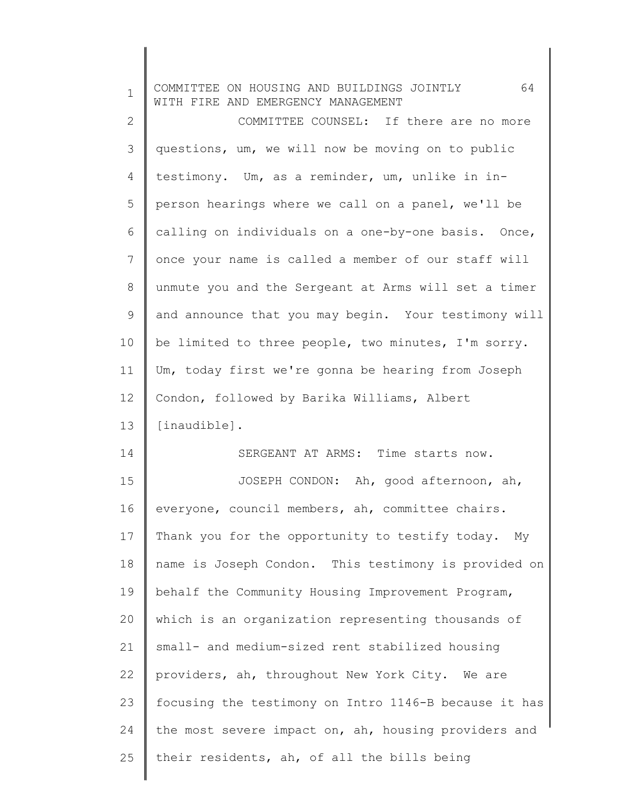| $\mathbf 1$ | 64<br>COMMITTEE ON HOUSING AND BUILDINGS JOINTLY<br>WITH FIRE AND EMERGENCY MANAGEMENT |
|-------------|----------------------------------------------------------------------------------------|
| 2           | COMMITTEE COUNSEL: If there are no more                                                |
| 3           | questions, um, we will now be moving on to public                                      |
| 4           | testimony. Um, as a reminder, um, unlike in in-                                        |
| 5           | person hearings where we call on a panel, we'll be                                     |
| 6           | calling on individuals on a one-by-one basis. Once,                                    |
| 7           | once your name is called a member of our staff will                                    |
| 8           | unmute you and the Sergeant at Arms will set a timer                                   |
| 9           | and announce that you may begin. Your testimony will                                   |
| 10          | be limited to three people, two minutes, I'm sorry.                                    |
| 11          | Um, today first we're gonna be hearing from Joseph                                     |
| 12          | Condon, followed by Barika Williams, Albert                                            |
| 13          | [inaudible].                                                                           |
| 14          | SERGEANT AT ARMS: Time starts now.                                                     |
| 15          | JOSEPH CONDON: Ah, good afternoon, ah,                                                 |
| 16          | everyone, council members, ah, committee chairs.                                       |
| 17          | Thank you for the opportunity to testify today.<br>Мy                                  |
| 18          | name is Joseph Condon. This testimony is provided on                                   |
| 19          | behalf the Community Housing Improvement Program,                                      |
| 20          | which is an organization representing thousands of                                     |
| 21          | small- and medium-sized rent stabilized housing                                        |
| 22          | providers, ah, throughout New York City. We are                                        |
| 23          | focusing the testimony on Intro 1146-B because it has                                  |
| 24          | the most severe impact on, ah, housing providers and                                   |
| 25          | their residents, ah, of all the bills being                                            |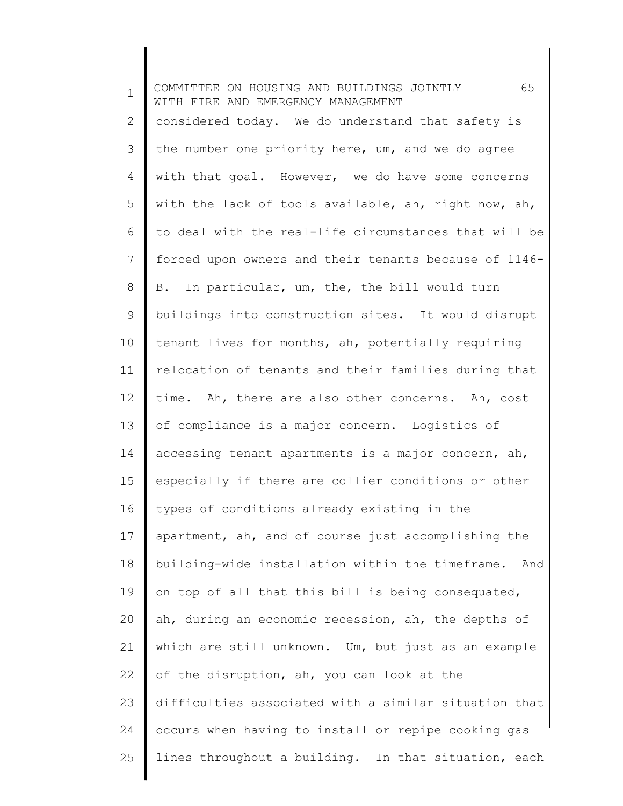1 2 3 4 5 6 7 8 9 10 11 12 13 14 15 16 17 18 19 20 21 22 23 24 25 COMMITTEE ON HOUSING AND BUILDINGS JOINTLY 65 WITH FIRE AND EMERGENCY MANAGEMENT considered today. We do understand that safety is the number one priority here, um, and we do agree with that goal. However, we do have some concerns with the lack of tools available, ah, right now, ah, to deal with the real-life circumstances that will be forced upon owners and their tenants because of 1146- B. In particular, um, the, the bill would turn buildings into construction sites. It would disrupt tenant lives for months, ah, potentially requiring relocation of tenants and their families during that time. Ah, there are also other concerns. Ah, cost of compliance is a major concern. Logistics of accessing tenant apartments is a major concern, ah, especially if there are collier conditions or other types of conditions already existing in the apartment, ah, and of course just accomplishing the building-wide installation within the timeframe. And on top of all that this bill is being consequated, ah, during an economic recession, ah, the depths of which are still unknown. Um, but just as an example of the disruption, ah, you can look at the difficulties associated with a similar situation that occurs when having to install or repipe cooking gas lines throughout a building. In that situation, each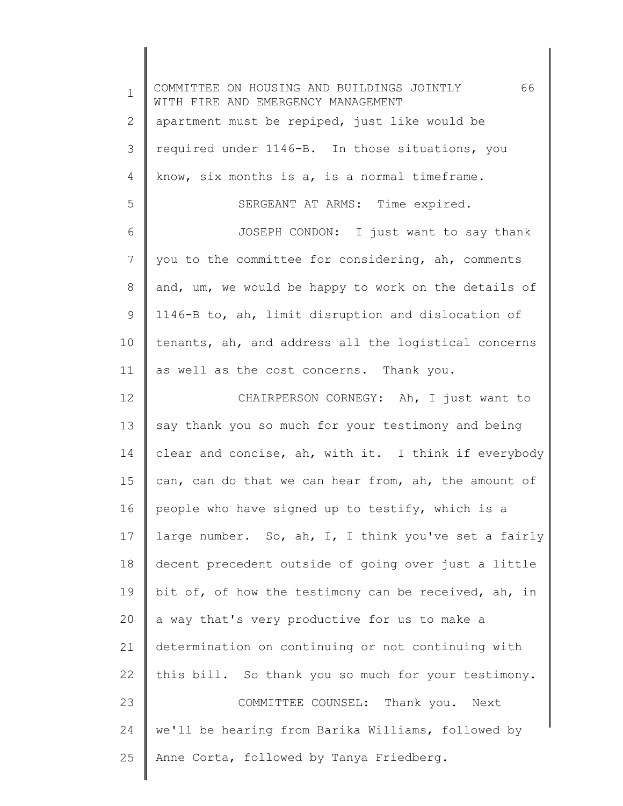| $\mathbf 1$ | 66<br>COMMITTEE ON HOUSING AND BUILDINGS JOINTLY<br>WITH FIRE AND EMERGENCY MANAGEMENT |
|-------------|----------------------------------------------------------------------------------------|
| 2           | apartment must be repiped, just like would be                                          |
| 3           | required under 1146-B. In those situations, you                                        |
| 4           | know, six months is a, is a normal timeframe.                                          |
| 5           | SERGEANT AT ARMS: Time expired.                                                        |
| 6           | JOSEPH CONDON: I just want to say thank                                                |
| 7           | you to the committee for considering, ah, comments                                     |
| 8           | and, um, we would be happy to work on the details of                                   |
| 9           | 1146-B to, ah, limit disruption and dislocation of                                     |
| 10          | tenants, ah, and address all the logistical concerns                                   |
| 11          | as well as the cost concerns. Thank you.                                               |
| 12          | CHAIRPERSON CORNEGY: Ah, I just want to                                                |
| 13          | say thank you so much for your testimony and being                                     |
| 14          | clear and concise, ah, with it. I think if everybody                                   |
| 15          | can, can do that we can hear from, ah, the amount of                                   |
| 16          | people who have signed up to testify, which is a                                       |
| 17          | large number. So, ah, I, I think you've set a fairly                                   |
| 18          | decent precedent outside of going over just a little                                   |
| 19          | bit of, of how the testimony can be received, ah, in                                   |
| 20          | a way that's very productive for us to make a                                          |
| 21          | determination on continuing or not continuing with                                     |
| 22          | this bill. So thank you so much for your testimony.                                    |
| 23          | COMMITTEE COUNSEL: Thank you. Next                                                     |
| 24          | we'll be hearing from Barika Williams, followed by                                     |
| 25          | Anne Corta, followed by Tanya Friedberg.                                               |
|             |                                                                                        |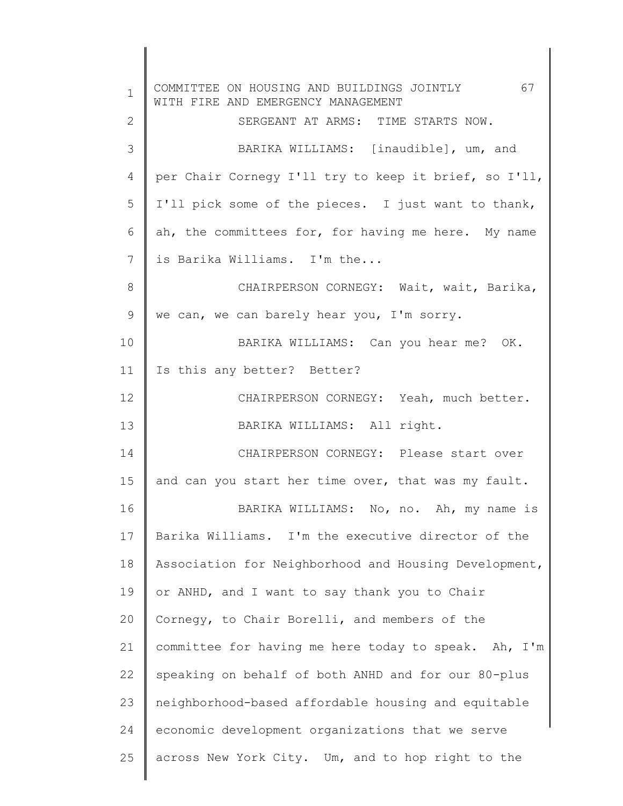1 2 3 4 5 6 7 8 9 10 11 12 13 14 15 16 17 18 19 20 21 22 23 24 25 COMMITTEE ON HOUSING AND BUILDINGS JOINTLY 67 WITH FIRE AND EMERGENCY MANAGEMENT SERGEANT AT ARMS: TIME STARTS NOW. BARIKA WILLIAMS: [inaudible], um, and per Chair Cornegy I'll try to keep it brief, so I'll, I'll pick some of the pieces. I just want to thank, ah, the committees for, for having me here. My name is Barika Williams. I'm the... CHAIRPERSON CORNEGY: Wait, wait, Barika, we can, we can barely hear you, I'm sorry. BARIKA WILLIAMS: Can you hear me? OK. Is this any better? Better? CHAIRPERSON CORNEGY: Yeah, much better. BARIKA WILLIAMS: All right. CHAIRPERSON CORNEGY: Please start over and can you start her time over, that was my fault. BARIKA WILLIAMS: No, no. Ah, my name is Barika Williams. I'm the executive director of the Association for Neighborhood and Housing Development, or ANHD, and I want to say thank you to Chair Cornegy, to Chair Borelli, and members of the committee for having me here today to speak. Ah, I'm speaking on behalf of both ANHD and for our 80-plus neighborhood-based affordable housing and equitable economic development organizations that we serve across New York City. Um, and to hop right to the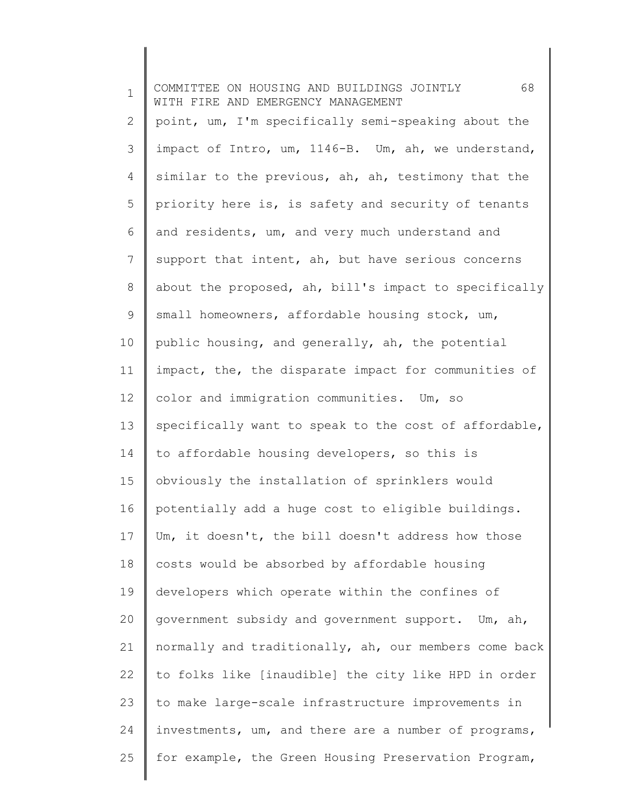| $\mathbf 1$ | 68<br>COMMITTEE ON HOUSING AND BUILDINGS JOINTLY<br>WITH FIRE AND EMERGENCY MANAGEMENT |
|-------------|----------------------------------------------------------------------------------------|
| 2           | point, um, I'm specifically semi-speaking about the                                    |
| 3           | impact of Intro, um, 1146-B. Um, ah, we understand,                                    |
| 4           | similar to the previous, ah, ah, testimony that the                                    |
| 5           | priority here is, is safety and security of tenants                                    |
| 6           | and residents, um, and very much understand and                                        |
| 7           | support that intent, ah, but have serious concerns                                     |
| 8           | about the proposed, ah, bill's impact to specifically                                  |
| 9           | small homeowners, affordable housing stock, um,                                        |
| 10          | public housing, and generally, ah, the potential                                       |
| 11          | impact, the, the disparate impact for communities of                                   |
| 12          | color and immigration communities. Um, so                                              |
| 13          | specifically want to speak to the cost of affordable,                                  |
| 14          | to affordable housing developers, so this is                                           |
| 15          | obviously the installation of sprinklers would                                         |
| 16          | potentially add a huge cost to eligible buildings.                                     |
| 17          | Um, it doesn't, the bill doesn't address how those                                     |
| 18          | costs would be absorbed by affordable housing                                          |
| 19          | developers which operate within the confines of                                        |
| 20          | government subsidy and government support. Um, ah,                                     |
| 21          | normally and traditionally, ah, our members come back                                  |
| 22          | to folks like [inaudible] the city like HPD in order                                   |
| 23          | to make large-scale infrastructure improvements in                                     |
| 24          | investments, um, and there are a number of programs,                                   |
| 25          | for example, the Green Housing Preservation Program,                                   |
|             |                                                                                        |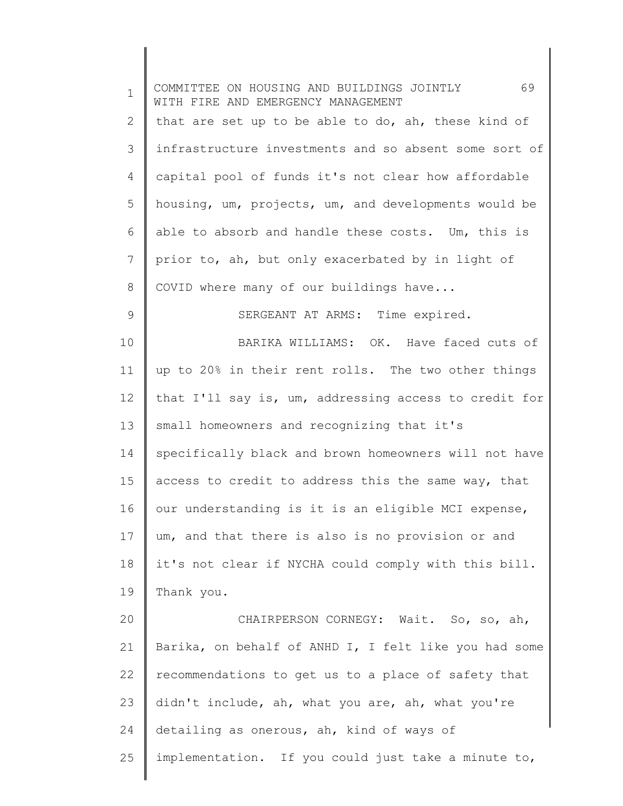| $\mathbf 1$ | 69<br>COMMITTEE ON HOUSING AND BUILDINGS JOINTLY<br>WITH FIRE AND EMERGENCY MANAGEMENT |
|-------------|----------------------------------------------------------------------------------------|
| 2           | that are set up to be able to do, ah, these kind of                                    |
| 3           | infrastructure investments and so absent some sort of                                  |
| 4           | capital pool of funds it's not clear how affordable                                    |
| 5           | housing, um, projects, um, and developments would be                                   |
| 6           | able to absorb and handle these costs. Um, this is                                     |
| 7           | prior to, ah, but only exacerbated by in light of                                      |
| 8           | COVID where many of our buildings have                                                 |
| 9           | SERGEANT AT ARMS: Time expired.                                                        |
| 10          | BARIKA WILLIAMS: OK. Have faced cuts of                                                |
| 11          | up to 20% in their rent rolls. The two other things                                    |
| 12          | that I'll say is, um, addressing access to credit for                                  |
| 13          | small homeowners and recognizing that it's                                             |
| 14          | specifically black and brown homeowners will not have                                  |
| 15          | access to credit to address this the same way, that                                    |
| 16          | our understanding is it is an eligible MCI expense,                                    |
| 17          | um, and that there is also is no provision or and                                      |
| 18          | it's not clear if NYCHA could comply with this bill.                                   |
| 19          | Thank you.                                                                             |
| 20          | CHAIRPERSON CORNEGY: Wait. So, so, ah,                                                 |
| 21          | Barika, on behalf of ANHD I, I felt like you had some                                  |
| 22          | recommendations to get us to a place of safety that                                    |
| 23          | didn't include, ah, what you are, ah, what you're                                      |
| 24          | detailing as onerous, ah, kind of ways of                                              |
| 25          | implementation. If you could just take a minute to,                                    |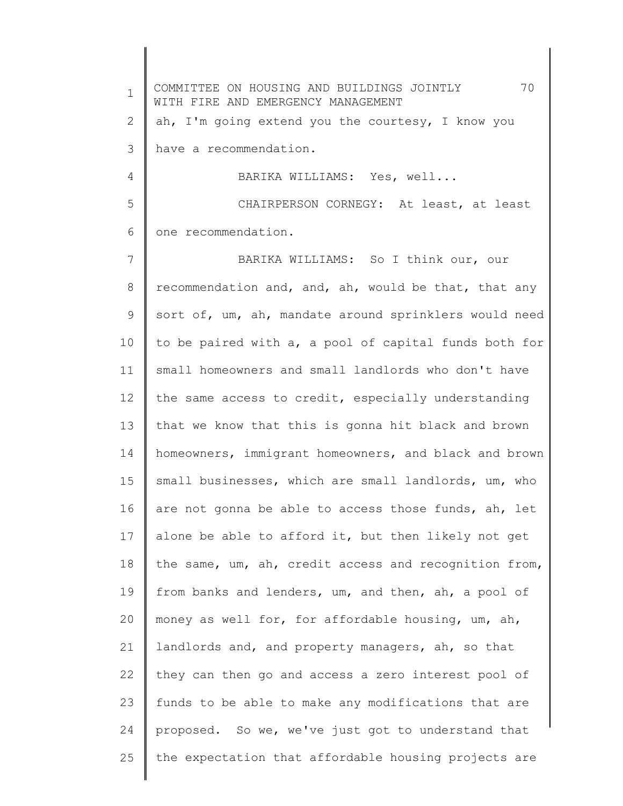1 2 3 4 5 6 7 8 9 10 11 12 13 14 15 16 17 18 19 20 21 22 23 24 25 COMMITTEE ON HOUSING AND BUILDINGS JOINTLY 70 WITH FIRE AND EMERGENCY MANAGEMENT ah, I'm going extend you the courtesy, I know you have a recommendation. BARIKA WILLIAMS: Yes, well... CHAIRPERSON CORNEGY: At least, at least one recommendation. BARIKA WILLIAMS: So I think our, our recommendation and, and, ah, would be that, that any sort of, um, ah, mandate around sprinklers would need to be paired with a, a pool of capital funds both for small homeowners and small landlords who don't have the same access to credit, especially understanding that we know that this is gonna hit black and brown homeowners, immigrant homeowners, and black and brown small businesses, which are small landlords, um, who are not gonna be able to access those funds, ah, let alone be able to afford it, but then likely not get the same, um, ah, credit access and recognition from, from banks and lenders, um, and then, ah, a pool of money as well for, for affordable housing, um, ah, landlords and, and property managers, ah, so that they can then go and access a zero interest pool of funds to be able to make any modifications that are proposed. So we, we've just got to understand that the expectation that affordable housing projects are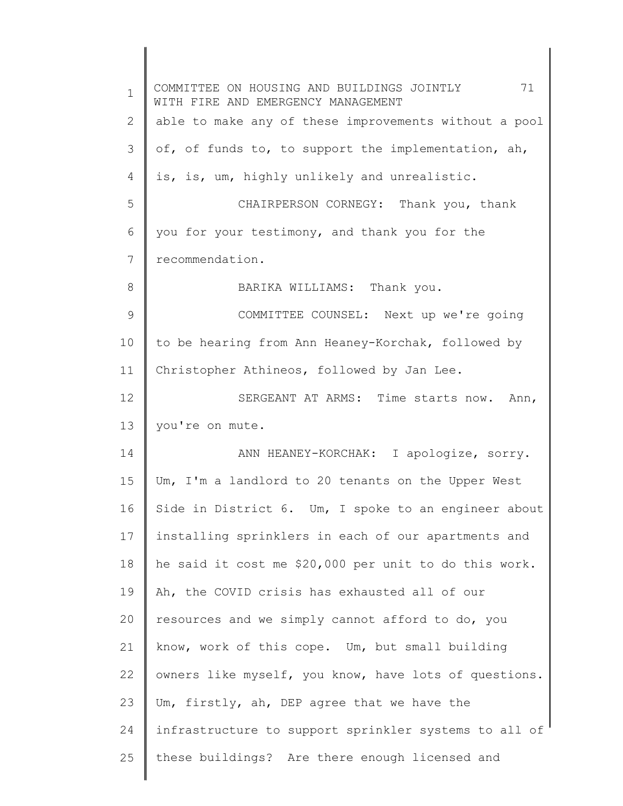| $\mathbf 1$ | COMMITTEE ON HOUSING AND BUILDINGS JOINTLY 71<br>WITH FIRE AND EMERGENCY MANAGEMENT |
|-------------|-------------------------------------------------------------------------------------|
| 2           | able to make any of these improvements without a pool                               |
| 3           | of, of funds to, to support the implementation, ah,                                 |
| 4           | is, is, um, highly unlikely and unrealistic.                                        |
| 5           | CHAIRPERSON CORNEGY: Thank you, thank                                               |
| 6           | you for your testimony, and thank you for the                                       |
| 7           | recommendation.                                                                     |
| 8           | BARIKA WILLIAMS: Thank you.                                                         |
| 9           | COMMITTEE COUNSEL: Next up we're going                                              |
| 10          | to be hearing from Ann Heaney-Korchak, followed by                                  |
| 11          | Christopher Athineos, followed by Jan Lee.                                          |
| 12          | SERGEANT AT ARMS: Time starts now. Ann,                                             |
| 13          | you're on mute.                                                                     |
| 14          | ANN HEANEY-KORCHAK: I apologize, sorry.                                             |
| 15          | Um, I'm a landlord to 20 tenants on the Upper West                                  |
| 16          | Side in District 6. Um, I spoke to an engineer about                                |
| 17          | installing sprinklers in each of our apartments and                                 |
| 18          | he said it cost me \$20,000 per unit to do this work.                               |
| 19          | Ah, the COVID crisis has exhausted all of our                                       |
| 20          | resources and we simply cannot afford to do, you                                    |
| 21          | know, work of this cope. Um, but small building                                     |
| 22          | owners like myself, you know, have lots of questions.                               |
| 23          | Um, firstly, ah, DEP agree that we have the                                         |
| 24          | infrastructure to support sprinkler systems to all of                               |
| 25          | these buildings? Are there enough licensed and                                      |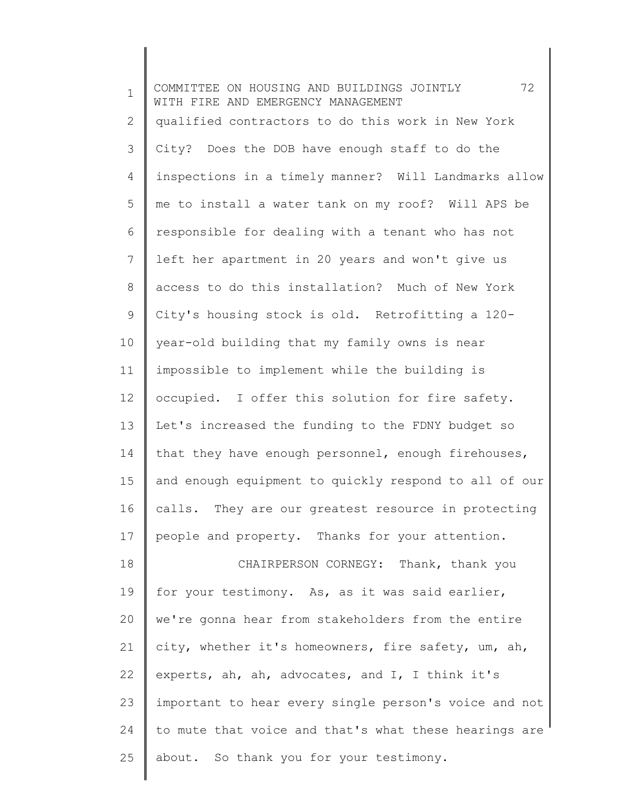1 2 3 4 5 6 7 8 9 10 11 12 13 14 15 16 17 18 19 20 21 22 23 24 25 COMMITTEE ON HOUSING AND BUILDINGS JOINTLY 72 WITH FIRE AND EMERGENCY MANAGEMENT qualified contractors to do this work in New York City? Does the DOB have enough staff to do the inspections in a timely manner? Will Landmarks allow me to install a water tank on my roof? Will APS be responsible for dealing with a tenant who has not left her apartment in 20 years and won't give us access to do this installation? Much of New York City's housing stock is old. Retrofitting a 120 year-old building that my family owns is near impossible to implement while the building is occupied. I offer this solution for fire safety. Let's increased the funding to the FDNY budget so that they have enough personnel, enough firehouses, and enough equipment to quickly respond to all of our calls. They are our greatest resource in protecting people and property. Thanks for your attention. CHAIRPERSON CORNEGY: Thank, thank you for your testimony. As, as it was said earlier, we're gonna hear from stakeholders from the entire city, whether it's homeowners, fire safety, um, ah, experts, ah, ah, advocates, and I, I think it's important to hear every single person's voice and not to mute that voice and that's what these hearings are about. So thank you for your testimony.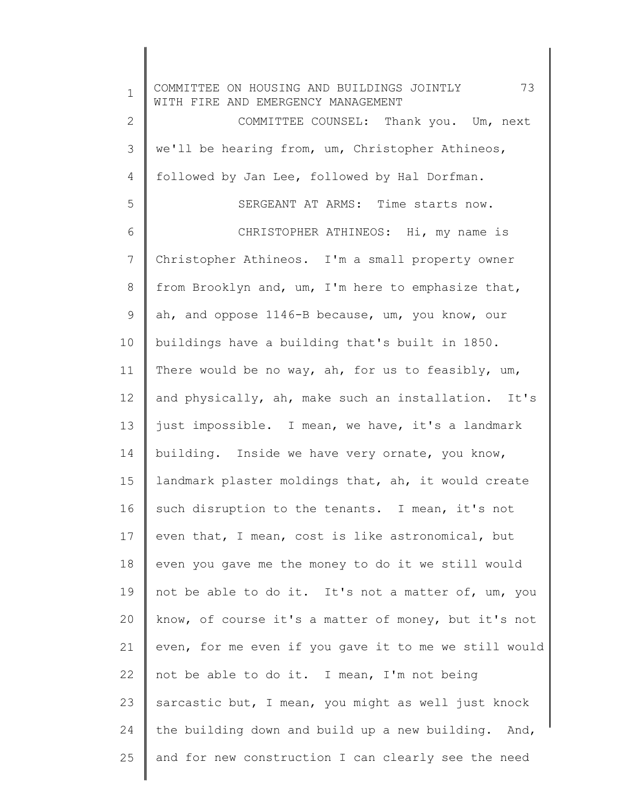1 2 3 4 5 6 7 8 9 10 11 12 13 14 15 16 17 18 19 20 21 22 23 24 25 COMMITTEE ON HOUSING AND BUILDINGS JOINTLY 73 WITH FIRE AND EMERGENCY MANAGEMENT COMMITTEE COUNSEL: Thank you. Um, next we'll be hearing from, um, Christopher Athineos, followed by Jan Lee, followed by Hal Dorfman. SERGEANT AT ARMS: Time starts now. CHRISTOPHER ATHINEOS: Hi, my name is Christopher Athineos. I'm a small property owner from Brooklyn and, um, I'm here to emphasize that, ah, and oppose 1146-B because, um, you know, our buildings have a building that's built in 1850. There would be no way, ah, for us to feasibly, um, and physically, ah, make such an installation. It's just impossible. I mean, we have, it's a landmark building. Inside we have very ornate, you know, landmark plaster moldings that, ah, it would create such disruption to the tenants. I mean, it's not even that, I mean, cost is like astronomical, but even you gave me the money to do it we still would not be able to do it. It's not a matter of, um, you know, of course it's a matter of money, but it's not even, for me even if you gave it to me we still would not be able to do it. I mean, I'm not being sarcastic but, I mean, you might as well just knock the building down and build up a new building. And, and for new construction I can clearly see the need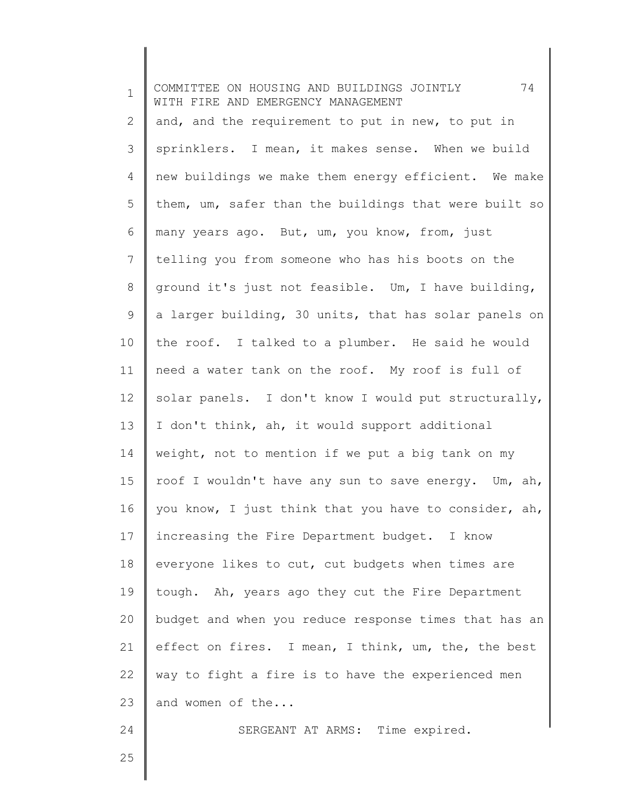| $\mathbf{1}$ | 74<br>COMMITTEE ON HOUSING AND BUILDINGS JOINTLY<br>WITH FIRE AND EMERGENCY MANAGEMENT |
|--------------|----------------------------------------------------------------------------------------|
| 2            | and, and the requirement to put in new, to put in                                      |
| 3            | sprinklers. I mean, it makes sense. When we build                                      |
| 4            | new buildings we make them energy efficient. We make                                   |
| 5            | them, um, safer than the buildings that were built so                                  |
| 6            | many years ago. But, um, you know, from, just                                          |
| 7            | telling you from someone who has his boots on the                                      |
| 8            | ground it's just not feasible. Um, I have building,                                    |
| 9            | a larger building, 30 units, that has solar panels on                                  |
| 10           | the roof. I talked to a plumber. He said he would                                      |
| 11           | need a water tank on the roof. My roof is full of                                      |
| 12           | solar panels. I don't know I would put structurally,                                   |
| 13           | I don't think, ah, it would support additional                                         |
| 14           | weight, not to mention if we put a big tank on my                                      |
| 15           | roof I wouldn't have any sun to save energy. Um, ah,                                   |
| 16           | you know, I just think that you have to consider, ah,                                  |
| 17           | increasing the Fire Department budget. I know                                          |
| 18           | everyone likes to cut, cut budgets when times are                                      |
| 19           | tough. Ah, years ago they cut the Fire Department                                      |
| 20           | budget and when you reduce response times that has an                                  |
| 21           | effect on fires. I mean, I think, um, the, the best                                    |
| 22           | way to fight a fire is to have the experienced men                                     |
| 23           | and women of the                                                                       |
| 24           | SERGEANT AT ARMS: Time expired.                                                        |
| 25           |                                                                                        |
|              |                                                                                        |

 $\begin{array}{c} \hline \end{array}$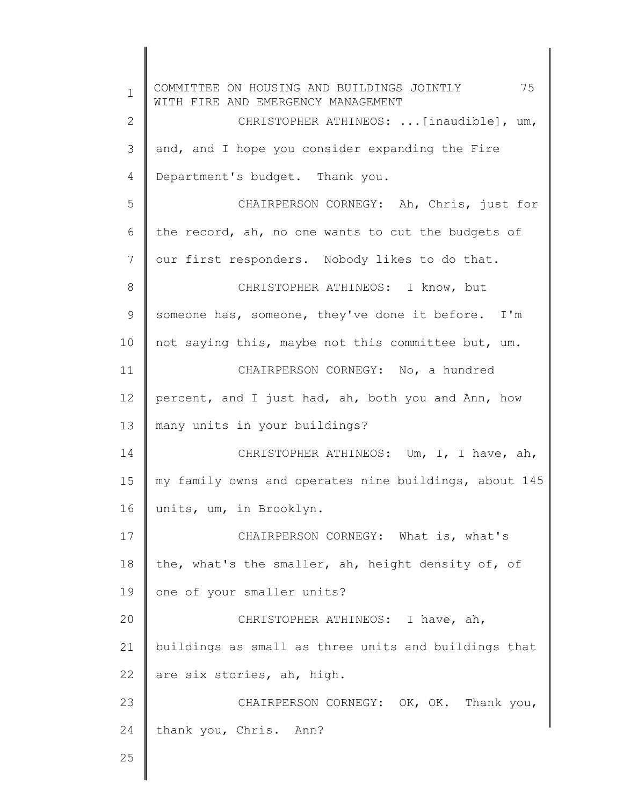1 2 3 4 5 6 7 8 9 10 11 12 13 14 15 16 17 18 19 20 21 22 23 24 25 COMMITTEE ON HOUSING AND BUILDINGS JOINTLY 75 WITH FIRE AND EMERGENCY MANAGEMENT CHRISTOPHER ATHINEOS: ...[inaudible], um, and, and I hope you consider expanding the Fire Department's budget. Thank you. CHAIRPERSON CORNEGY: Ah, Chris, just for the record, ah, no one wants to cut the budgets of our first responders. Nobody likes to do that. CHRISTOPHER ATHINEOS: I know, but someone has, someone, they've done it before. I'm not saying this, maybe not this committee but, um. CHAIRPERSON CORNEGY: No, a hundred percent, and I just had, ah, both you and Ann, how many units in your buildings? CHRISTOPHER ATHINEOS: Um, I, I have, ah, my family owns and operates nine buildings, about 145 units, um, in Brooklyn. CHAIRPERSON CORNEGY: What is, what's the, what's the smaller, ah, height density of, of one of your smaller units? CHRISTOPHER ATHINEOS: I have, ah, buildings as small as three units and buildings that are six stories, ah, high. CHAIRPERSON CORNEGY: OK, OK. Thank you, thank you, Chris. Ann?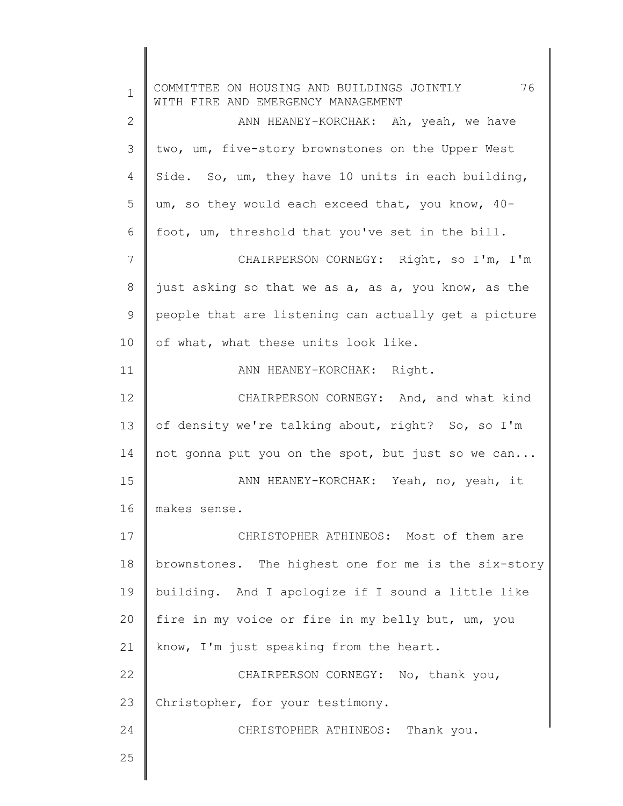1 2 3 4 5 6 7 8 9 10 11 12 13 14 15 16 17 18 19 20 21 22 23 24 25 COMMITTEE ON HOUSING AND BUILDINGS JOINTLY 76 WITH FIRE AND EMERGENCY MANAGEMENT ANN HEANEY-KORCHAK: Ah, yeah, we have two, um, five-story brownstones on the Upper West Side. So, um, they have 10 units in each building, um, so they would each exceed that, you know, 40 foot, um, threshold that you've set in the bill. CHAIRPERSON CORNEGY: Right, so I'm, I'm just asking so that we as a, as a, you know, as the people that are listening can actually get a picture of what, what these units look like. ANN HEANEY-KORCHAK: Right. CHAIRPERSON CORNEGY: And, and what kind of density we're talking about, right? So, so I'm not gonna put you on the spot, but just so we can... ANN HEANEY-KORCHAK: Yeah, no, yeah, it makes sense. CHRISTOPHER ATHINEOS: Most of them are brownstones. The highest one for me is the six-story building. And I apologize if I sound a little like fire in my voice or fire in my belly but, um, you know, I'm just speaking from the heart. CHAIRPERSON CORNEGY: No, thank you, Christopher, for your testimony. CHRISTOPHER ATHINEOS: Thank you.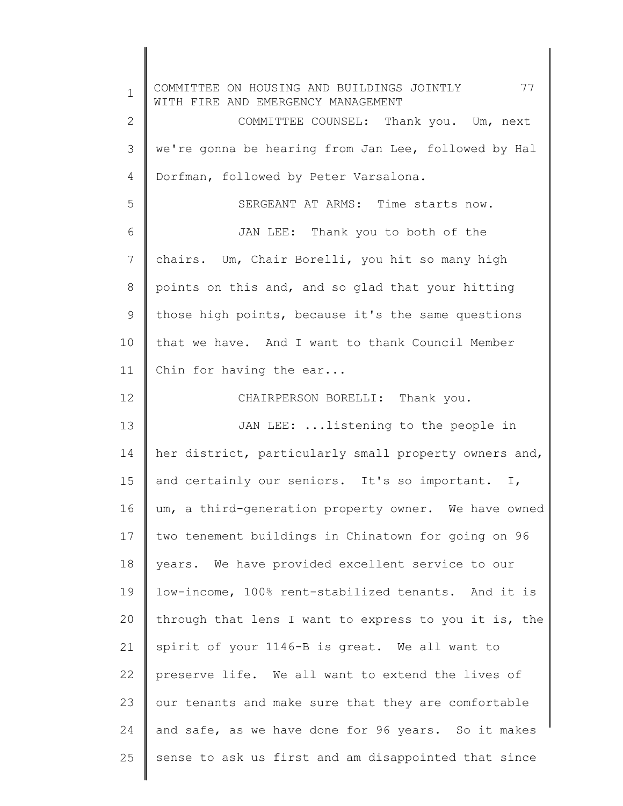1 2 3 4 5 6 7 8 9 10 11 12 13 14 15 16 17 18 19 20 21 22 23 24 25 COMMITTEE ON HOUSING AND BUILDINGS JOINTLY 77 WITH FIRE AND EMERGENCY MANAGEMENT COMMITTEE COUNSEL: Thank you. Um, next we're gonna be hearing from Jan Lee, followed by Hal Dorfman, followed by Peter Varsalona. SERGEANT AT ARMS: Time starts now. JAN LEE: Thank you to both of the chairs. Um, Chair Borelli, you hit so many high points on this and, and so glad that your hitting those high points, because it's the same questions that we have. And I want to thank Council Member Chin for having the ear... CHAIRPERSON BORELLI: Thank you. JAN LEE: ...listening to the people in her district, particularly small property owners and, and certainly our seniors. It's so important. I, um, a third-generation property owner. We have owned two tenement buildings in Chinatown for going on 96 years. We have provided excellent service to our low-income, 100% rent-stabilized tenants. And it is through that lens I want to express to you it is, the spirit of your 1146-B is great. We all want to preserve life. We all want to extend the lives of our tenants and make sure that they are comfortable and safe, as we have done for 96 years. So it makes sense to ask us first and am disappointed that since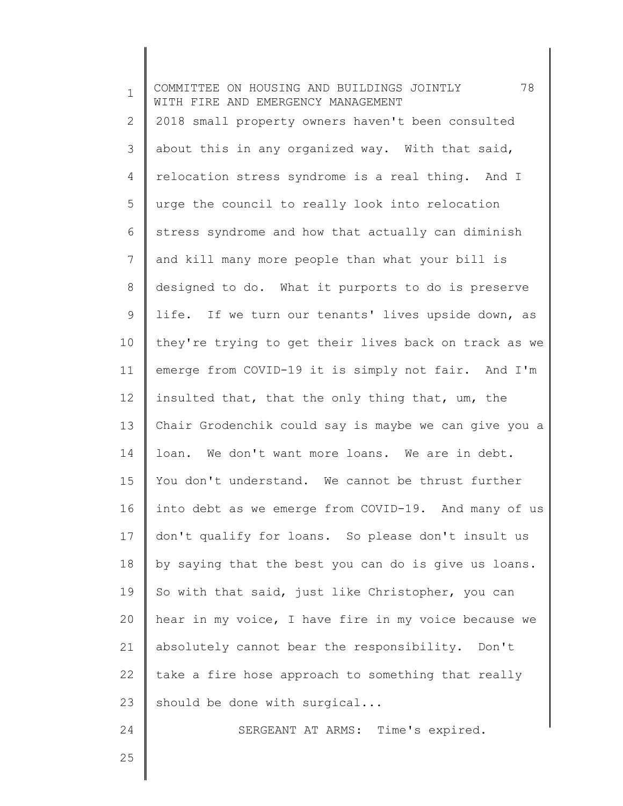| $\mathbf 1$ | 78<br>COMMITTEE ON HOUSING AND BUILDINGS JOINTLY<br>WITH FIRE AND EMERGENCY MANAGEMENT |
|-------------|----------------------------------------------------------------------------------------|
| 2           | 2018 small property owners haven't been consulted                                      |
| 3           | about this in any organized way. With that said,                                       |
| 4           | relocation stress syndrome is a real thing. And I                                      |
| 5           | urge the council to really look into relocation                                        |
| 6           | stress syndrome and how that actually can diminish                                     |
| 7           | and kill many more people than what your bill is                                       |
| 8           | designed to do. What it purports to do is preserve                                     |
| 9           | life. If we turn our tenants' lives upside down, as                                    |
| 10          | they're trying to get their lives back on track as we                                  |
| 11          | emerge from COVID-19 it is simply not fair. And I'm                                    |
| 12          | insulted that, that the only thing that, um, the                                       |
| 13          | Chair Grodenchik could say is maybe we can give you a                                  |
| 14          | loan. We don't want more loans. We are in debt.                                        |
| 15          | You don't understand. We cannot be thrust further                                      |
| 16          | into debt as we emerge from COVID-19. And many of us                                   |
| 17          | don't qualify for loans. So please don't insult us                                     |
| 18          | by saying that the best you can do is give us loans.                                   |
| 19          | So with that said, just like Christopher, you can                                      |
| 20          | hear in my voice, I have fire in my voice because we                                   |
| 21          | absolutely cannot bear the responsibility. Don't                                       |
| 22          | take a fire hose approach to something that really                                     |
| 23          | should be done with surgical                                                           |
| 24          | SERGEANT AT ARMS: Time's expired.                                                      |
| 25          |                                                                                        |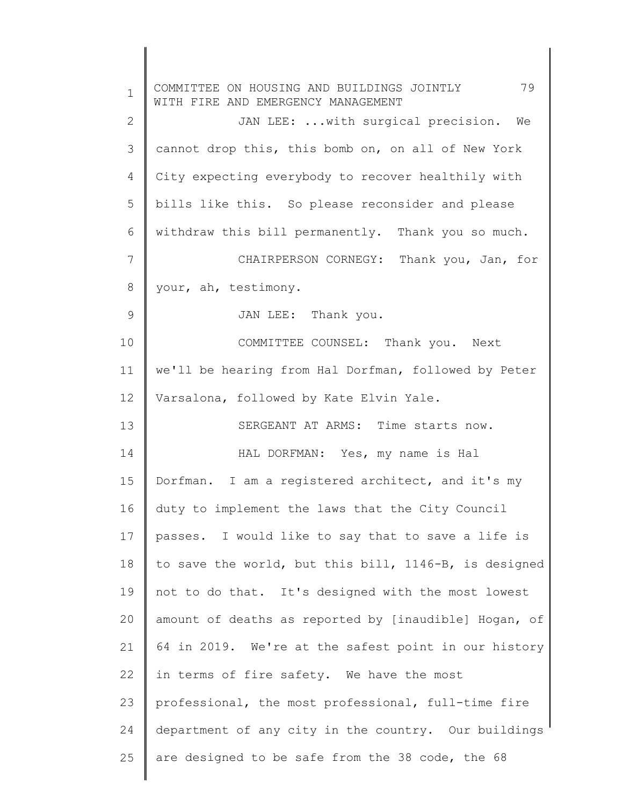| $\mathbf 1$ | 79<br>COMMITTEE ON HOUSING AND BUILDINGS JOINTLY<br>WITH FIRE AND EMERGENCY MANAGEMENT |
|-------------|----------------------------------------------------------------------------------------|
| 2           | JAN LEE:  with surgical precision. We                                                  |
| 3           | cannot drop this, this bomb on, on all of New York                                     |
| 4           | City expecting everybody to recover healthily with                                     |
| 5           | bills like this. So please reconsider and please                                       |
| 6           | withdraw this bill permanently. Thank you so much.                                     |
| 7           | CHAIRPERSON CORNEGY: Thank you, Jan, for                                               |
| 8           | your, ah, testimony.                                                                   |
| 9           | JAN LEE: Thank you.                                                                    |
| 10          | COMMITTEE COUNSEL: Thank you. Next                                                     |
| 11          | we'll be hearing from Hal Dorfman, followed by Peter                                   |
| 12          | Varsalona, followed by Kate Elvin Yale.                                                |
| 13          | SERGEANT AT ARMS: Time starts now.                                                     |
| 14          | HAL DORFMAN: Yes, my name is Hal                                                       |
| 15          | Dorfman. I am a registered architect, and it's my                                      |
| 16          | duty to implement the laws that the City Council                                       |
| 17          | passes. I would like to say that to save a life is                                     |
| 18          | to save the world, but this bill, 1146-B, is designed                                  |
| 19          | not to do that. It's designed with the most lowest                                     |
| 20          | amount of deaths as reported by [inaudible] Hogan, of                                  |
| 21          | 64 in 2019. We're at the safest point in our history                                   |
| 22          | in terms of fire safety. We have the most                                              |
| 23          | professional, the most professional, full-time fire                                    |
| 24          | department of any city in the country. Our buildings                                   |
| 25          | are designed to be safe from the 38 code, the 68                                       |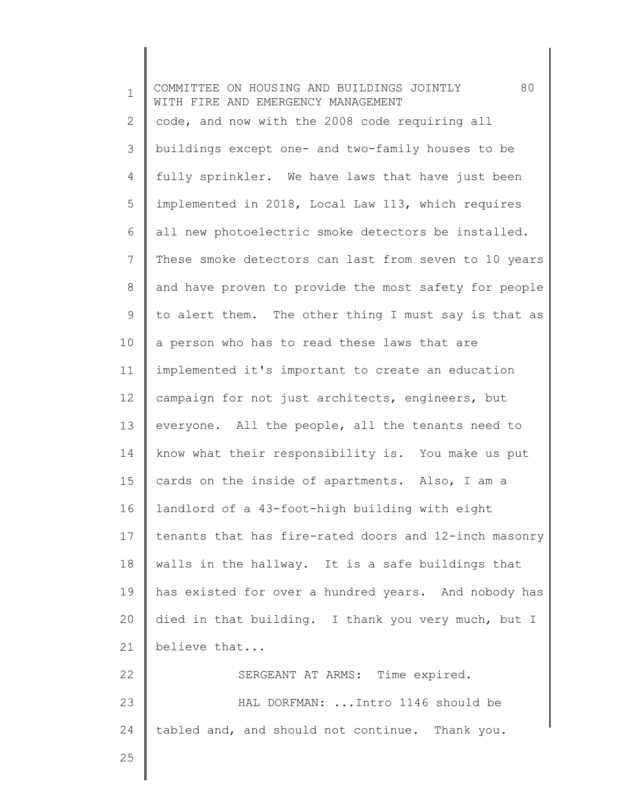1 2 3 4 5 6 7 8 9 10 11 12 13 14 15 16 17 18 19 20 21 22 23 24 25 COMMITTEE ON HOUSING AND BUILDINGS JOINTLY 80 WITH FIRE AND EMERGENCY MANAGEMENT code, and now with the 2008 code requiring all buildings except one- and two-family houses to be fully sprinkler. We have laws that have just been implemented in 2018, Local Law 113, which requires all new photoelectric smoke detectors be installed. These smoke detectors can last from seven to 10 years and have proven to provide the most safety for people to alert them. The other thing I must say is that as a person who has to read these laws that are implemented it's important to create an education campaign for not just architects, engineers, but everyone. All the people, all the tenants need to know what their responsibility is. You make us put cards on the inside of apartments. Also, I am a landlord of a 43-foot-high building with eight tenants that has fire-rated doors and 12-inch masonry walls in the hallway. It is a safe buildings that has existed for over a hundred years. And nobody has died in that building. I thank you very much, but I believe that... SERGEANT AT ARMS: Time expired. HAL DORFMAN: ...Intro 1146 should be tabled and, and should not continue. Thank you.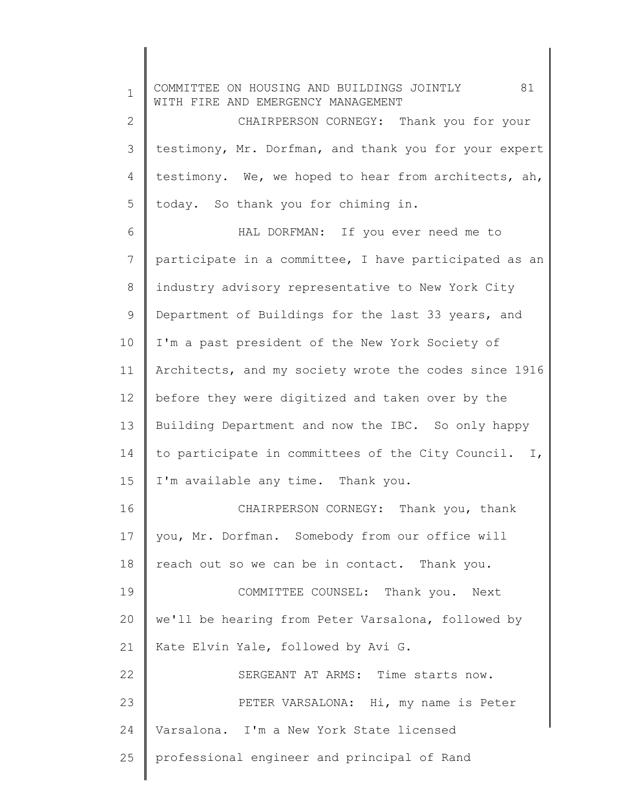1 2 3 4 5 6 7 8 9 10 11 12 13 14 15 16 17 18 19 20 21 22 23 24 25 COMMITTEE ON HOUSING AND BUILDINGS JOINTLY 81 WITH FIRE AND EMERGENCY MANAGEMENT CHAIRPERSON CORNEGY: Thank you for your testimony, Mr. Dorfman, and thank you for your expert testimony. We, we hoped to hear from architects, ah, today. So thank you for chiming in. HAL DORFMAN: If you ever need me to participate in a committee, I have participated as an industry advisory representative to New York City Department of Buildings for the last 33 years, and I'm a past president of the New York Society of Architects, and my society wrote the codes since 1916 before they were digitized and taken over by the Building Department and now the IBC. So only happy to participate in committees of the City Council. I, I'm available any time. Thank you. CHAIRPERSON CORNEGY: Thank you, thank you, Mr. Dorfman. Somebody from our office will reach out so we can be in contact. Thank you. COMMITTEE COUNSEL: Thank you. Next we'll be hearing from Peter Varsalona, followed by Kate Elvin Yale, followed by Avi G. SERGEANT AT ARMS: Time starts now. PETER VARSALONA: Hi, my name is Peter Varsalona. I'm a New York State licensed professional engineer and principal of Rand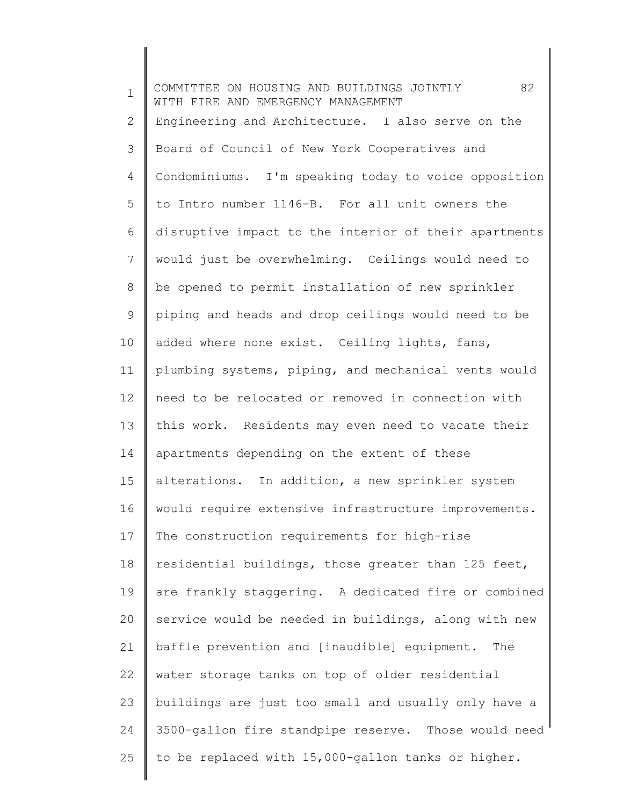1 2 3 4 5 6 7 8 9 10 11 12 13 14 15 16 17 18 19 20 21 22 23 24 25 COMMITTEE ON HOUSING AND BUILDINGS JOINTLY 82 WITH FIRE AND EMERGENCY MANAGEMENT Engineering and Architecture. I also serve on the Board of Council of New York Cooperatives and Condominiums. I'm speaking today to voice opposition to Intro number 1146-B. For all unit owners the disruptive impact to the interior of their apartments would just be overwhelming. Ceilings would need to be opened to permit installation of new sprinkler piping and heads and drop ceilings would need to be added where none exist. Ceiling lights, fans, plumbing systems, piping, and mechanical vents would need to be relocated or removed in connection with this work. Residents may even need to vacate their apartments depending on the extent of these alterations. In addition, a new sprinkler system would require extensive infrastructure improvements. The construction requirements for high-rise residential buildings, those greater than 125 feet, are frankly staggering. A dedicated fire or combined service would be needed in buildings, along with new baffle prevention and [inaudible] equipment. The water storage tanks on top of older residential buildings are just too small and usually only have a 3500-gallon fire standpipe reserve. Those would need to be replaced with 15,000-gallon tanks or higher.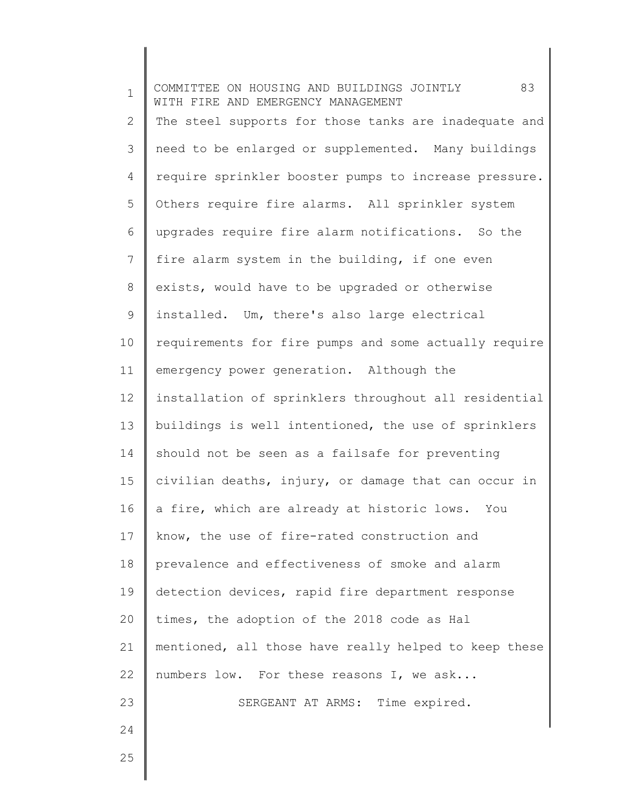1 2 3 4 5 6 7 8 9 10 11 12 13 14 15 16 17 18 19 20 21 22 23 24 25 COMMITTEE ON HOUSING AND BUILDINGS JOINTLY 83 WITH FIRE AND EMERGENCY MANAGEMENT The steel supports for those tanks are inadequate and need to be enlarged or supplemented. Many buildings require sprinkler booster pumps to increase pressure. Others require fire alarms. All sprinkler system upgrades require fire alarm notifications. So the fire alarm system in the building, if one even exists, would have to be upgraded or otherwise installed. Um, there's also large electrical requirements for fire pumps and some actually require emergency power generation. Although the installation of sprinklers throughout all residential buildings is well intentioned, the use of sprinklers should not be seen as a failsafe for preventing civilian deaths, injury, or damage that can occur in a fire, which are already at historic lows. You know, the use of fire-rated construction and prevalence and effectiveness of smoke and alarm detection devices, rapid fire department response times, the adoption of the 2018 code as Hal mentioned, all those have really helped to keep these numbers low. For these reasons I, we ask... SERGEANT AT ARMS: Time expired.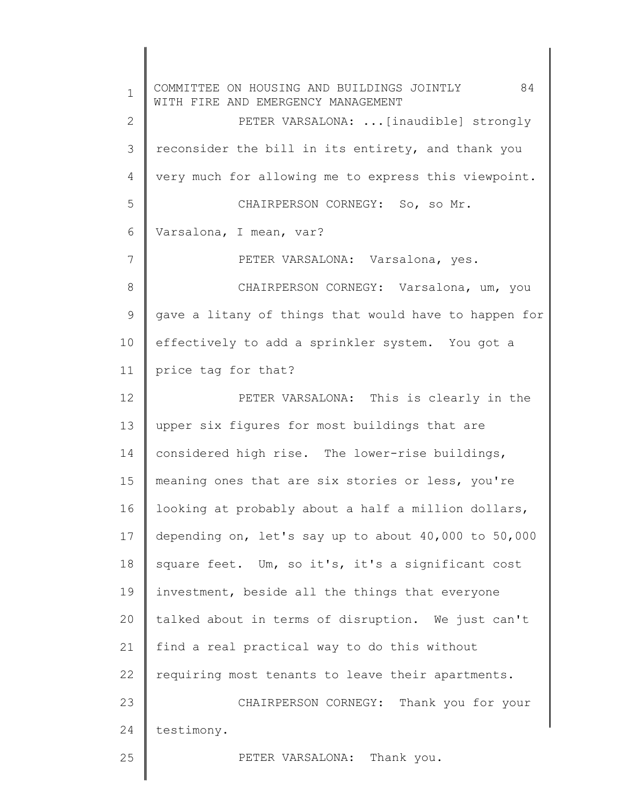1 2 3 4 5 6 7 8 9 10 11 12 13 14 15 16 17 18 19 20 21 22 23 24 25 COMMITTEE ON HOUSING AND BUILDINGS JOINTLY 84 WITH FIRE AND EMERGENCY MANAGEMENT PETER VARSALONA: ...[inaudible] strongly reconsider the bill in its entirety, and thank you very much for allowing me to express this viewpoint. CHAIRPERSON CORNEGY: So, so Mr. Varsalona, I mean, var? PETER VARSALONA: Varsalona, yes. CHAIRPERSON CORNEGY: Varsalona, um, you gave a litany of things that would have to happen for effectively to add a sprinkler system. You got a price tag for that? PETER VARSALONA: This is clearly in the upper six figures for most buildings that are considered high rise. The lower-rise buildings, meaning ones that are six stories or less, you're looking at probably about a half a million dollars, depending on, let's say up to about 40,000 to 50,000 square feet. Um, so it's, it's a significant cost investment, beside all the things that everyone talked about in terms of disruption. We just can't find a real practical way to do this without requiring most tenants to leave their apartments. CHAIRPERSON CORNEGY: Thank you for your testimony. PETER VARSALONA: Thank you.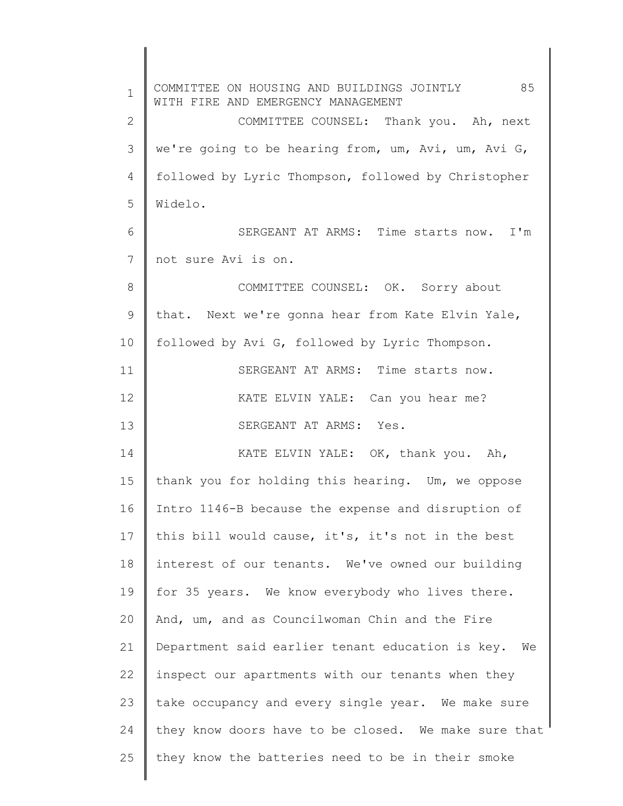1 2 3 4 5 6 7 8 9 10 11 12 13 14 15 16 17 18 19 20 21 22 23 24 25 COMMITTEE ON HOUSING AND BUILDINGS JOINTLY 85 WITH FIRE AND EMERGENCY MANAGEMENT COMMITTEE COUNSEL: Thank you. Ah, next we're going to be hearing from, um, Avi, um, Avi G, followed by Lyric Thompson, followed by Christopher Widelo. SERGEANT AT ARMS: Time starts now. I'm not sure Avi is on. COMMITTEE COUNSEL: OK. Sorry about that. Next we're gonna hear from Kate Elvin Yale, followed by Avi G, followed by Lyric Thompson. SERGEANT AT ARMS: Time starts now. KATE ELVIN YALE: Can you hear me? SERGEANT AT ARMS: Yes. KATE ELVIN YALE: OK, thank you. Ah, thank you for holding this hearing. Um, we oppose Intro 1146-B because the expense and disruption of this bill would cause, it's, it's not in the best interest of our tenants. We've owned our building for 35 years. We know everybody who lives there. And, um, and as Councilwoman Chin and the Fire Department said earlier tenant education is key. We inspect our apartments with our tenants when they take occupancy and every single year. We make sure they know doors have to be closed. We make sure that they know the batteries need to be in their smoke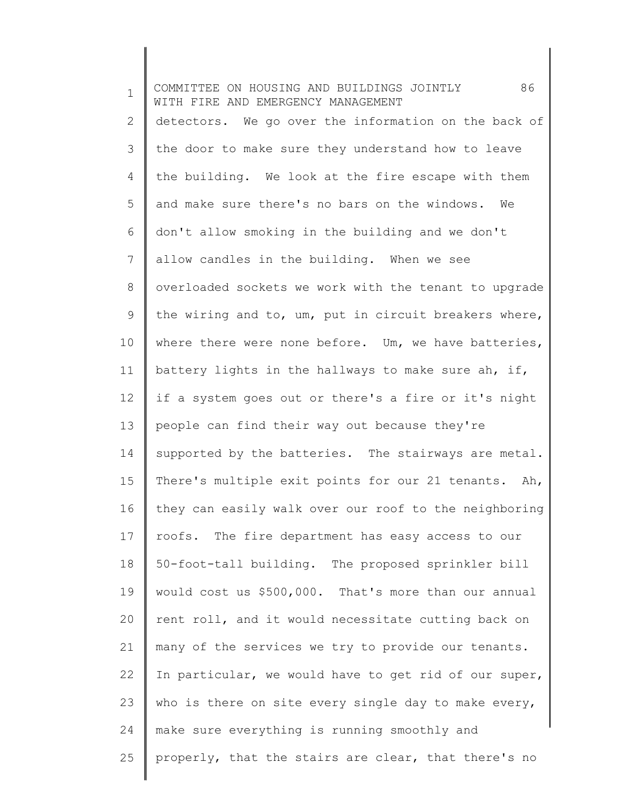1 2 3 4 5 6 7 8 9 10 11 12 13 14 15 16 17 18 19 20 21 22 23 24 25 COMMITTEE ON HOUSING AND BUILDINGS JOINTLY 86 WITH FIRE AND EMERGENCY MANAGEMENT detectors. We go over the information on the back of the door to make sure they understand how to leave the building. We look at the fire escape with them and make sure there's no bars on the windows. We don't allow smoking in the building and we don't allow candles in the building. When we see overloaded sockets we work with the tenant to upgrade the wiring and to, um, put in circuit breakers where, where there were none before. Um, we have batteries, battery lights in the hallways to make sure ah, if, if a system goes out or there's a fire or it's night people can find their way out because they're supported by the batteries. The stairways are metal. There's multiple exit points for our 21 tenants. Ah, they can easily walk over our roof to the neighboring roofs. The fire department has easy access to our 50-foot-tall building. The proposed sprinkler bill would cost us \$500,000. That's more than our annual rent roll, and it would necessitate cutting back on many of the services we try to provide our tenants. In particular, we would have to get rid of our super, who is there on site every single day to make every, make sure everything is running smoothly and properly, that the stairs are clear, that there's no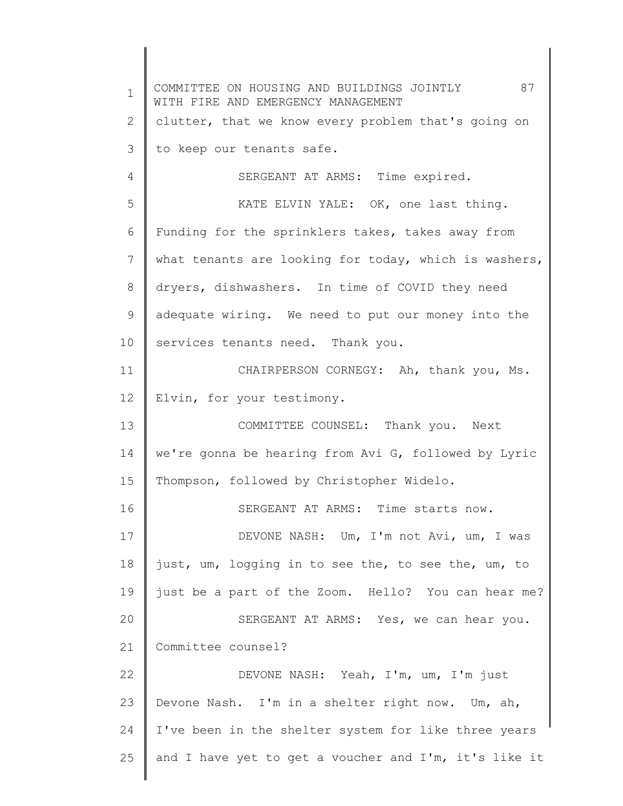1 2 3 4 5 6 7 8 9 10 11 12 13 14 15 16 17 18 19 20 21 22 23 24 25 COMMITTEE ON HOUSING AND BUILDINGS JOINTLY 87 WITH FIRE AND EMERGENCY MANAGEMENT clutter, that we know every problem that's going on to keep our tenants safe. SERGEANT AT ARMS: Time expired. KATE ELVIN YALE: OK, one last thing. Funding for the sprinklers takes, takes away from what tenants are looking for today, which is washers, dryers, dishwashers. In time of COVID they need adequate wiring. We need to put our money into the services tenants need. Thank you. CHAIRPERSON CORNEGY: Ah, thank you, Ms. Elvin, for your testimony. COMMITTEE COUNSEL: Thank you. Next we're gonna be hearing from Avi G, followed by Lyric Thompson, followed by Christopher Widelo. SERGEANT AT ARMS: Time starts now. DEVONE NASH: Um, I'm not Avi, um, I was just, um, logging in to see the, to see the, um, to just be a part of the Zoom. Hello? You can hear me? SERGEANT AT ARMS: Yes, we can hear you. Committee counsel? DEVONE NASH: Yeah, I'm, um, I'm just Devone Nash. I'm in a shelter right now. Um, ah, I've been in the shelter system for like three years and I have yet to get a voucher and I'm, it's like it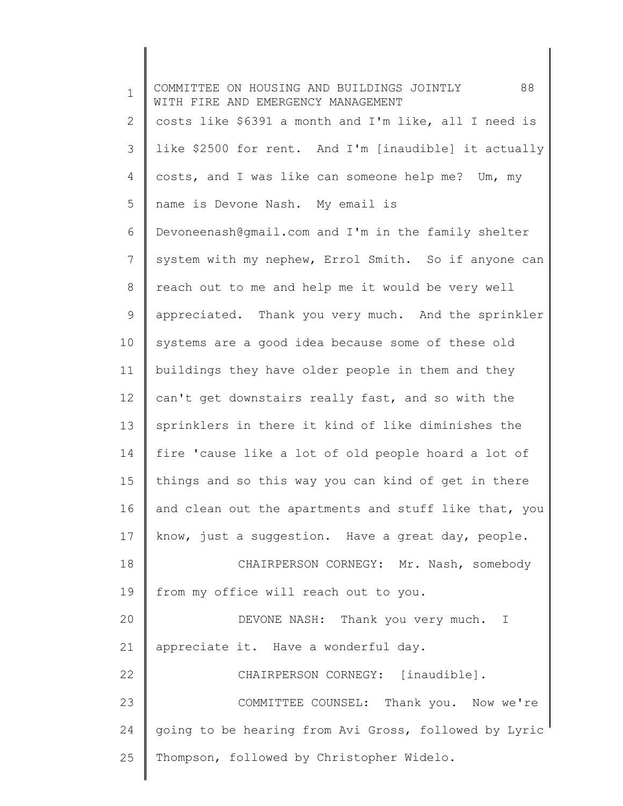1 2 3 4 5 6 7 8 9 10 11 12 13 14 15 16 17 18 19 20 21 22 23 24 25 COMMITTEE ON HOUSING AND BUILDINGS JOINTLY 88 WITH FIRE AND EMERGENCY MANAGEMENT costs like \$6391 a month and I'm like, all I need is like \$2500 for rent. And I'm [inaudible] it actually costs, and I was like can someone help me? Um, my name is Devone Nash. My email is Devoneenash@gmail.com and I'm in the family shelter system with my nephew, Errol Smith. So if anyone can reach out to me and help me it would be very well appreciated. Thank you very much. And the sprinkler systems are a good idea because some of these old buildings they have older people in them and they can't get downstairs really fast, and so with the sprinklers in there it kind of like diminishes the fire 'cause like a lot of old people hoard a lot of things and so this way you can kind of get in there and clean out the apartments and stuff like that, you know, just a suggestion. Have a great day, people. CHAIRPERSON CORNEGY: Mr. Nash, somebody from my office will reach out to you. DEVONE NASH: Thank you very much. I appreciate it. Have a wonderful day. CHAIRPERSON CORNEGY: [inaudible]. COMMITTEE COUNSEL: Thank you. Now we're going to be hearing from Avi Gross, followed by Lyric Thompson, followed by Christopher Widelo.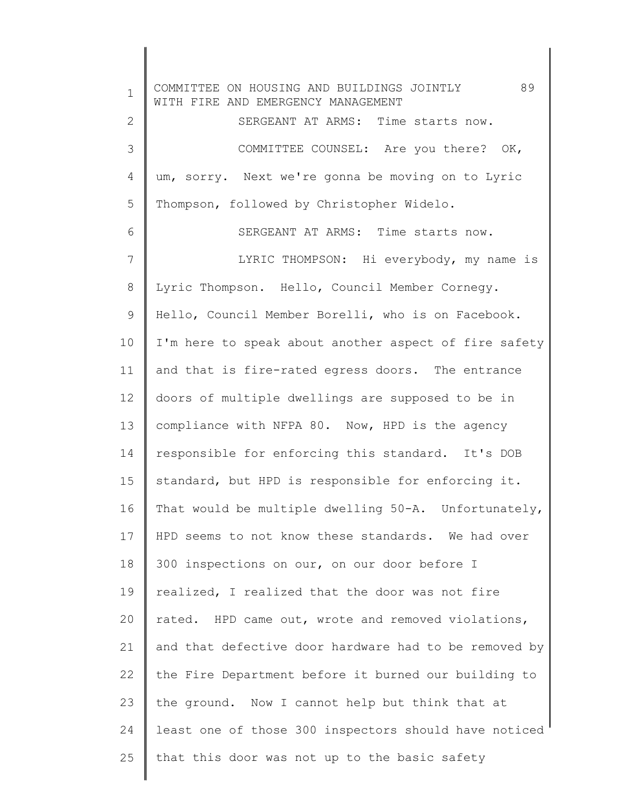1 2 3 4 5 6 7 8 9 10 11 12 13 14 15 16 17 18 19 20 21 22 23 24 25 COMMITTEE ON HOUSING AND BUILDINGS JOINTLY 89 WITH FIRE AND EMERGENCY MANAGEMENT SERGEANT AT ARMS: Time starts now. COMMITTEE COUNSEL: Are you there? OK, um, sorry. Next we're gonna be moving on to Lyric Thompson, followed by Christopher Widelo. SERGEANT AT ARMS: Time starts now. LYRIC THOMPSON: Hi everybody, my name is Lyric Thompson. Hello, Council Member Cornegy. Hello, Council Member Borelli, who is on Facebook. I'm here to speak about another aspect of fire safety and that is fire-rated egress doors. The entrance doors of multiple dwellings are supposed to be in compliance with NFPA 80. Now, HPD is the agency responsible for enforcing this standard. It's DOB standard, but HPD is responsible for enforcing it. That would be multiple dwelling 50-A. Unfortunately, HPD seems to not know these standards. We had over 300 inspections on our, on our door before I realized, I realized that the door was not fire rated. HPD came out, wrote and removed violations, and that defective door hardware had to be removed by the Fire Department before it burned our building to the ground. Now I cannot help but think that at least one of those 300 inspectors should have noticed that this door was not up to the basic safety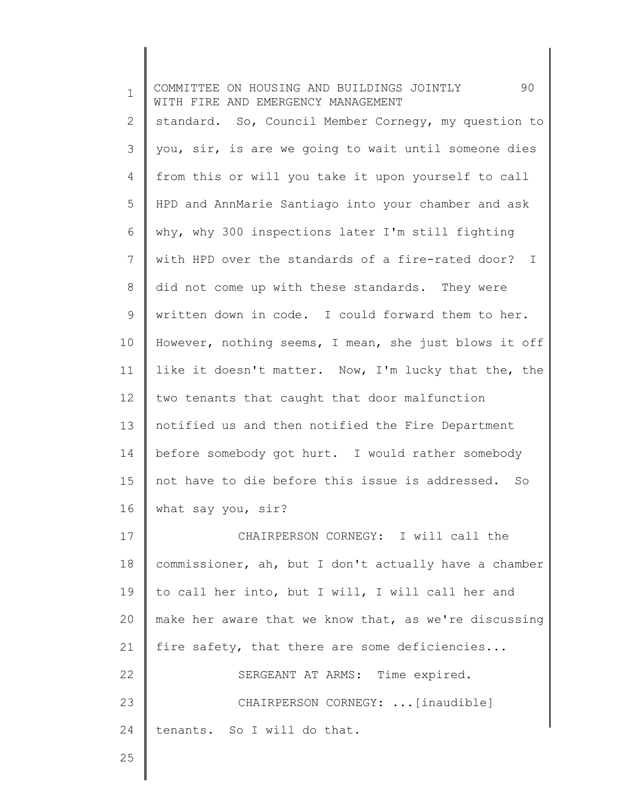| $\mathbf 1$  | 90<br>COMMITTEE ON HOUSING AND BUILDINGS JOINTLY<br>WITH FIRE AND EMERGENCY MANAGEMENT |
|--------------|----------------------------------------------------------------------------------------|
| $\mathbf{2}$ | standard. So, Council Member Cornegy, my question to                                   |
| 3            | you, sir, is are we going to wait until someone dies                                   |
| 4            | from this or will you take it upon yourself to call                                    |
| 5            | HPD and AnnMarie Santiago into your chamber and ask                                    |
| 6            | why, why 300 inspections later I'm still fighting                                      |
| 7            | with HPD over the standards of a fire-rated door? I                                    |
| $8\,$        | did not come up with these standards. They were                                        |
| 9            | written down in code. I could forward them to her.                                     |
| 10           | However, nothing seems, I mean, she just blows it off                                  |
| 11           | like it doesn't matter. Now, I'm lucky that the, the                                   |
| 12           | two tenants that caught that door malfunction                                          |
| 13           | notified us and then notified the Fire Department                                      |
| 14           | before somebody got hurt. I would rather somebody                                      |
| 15           | not have to die before this issue is addressed. So                                     |
| 16           | what say you, sir?                                                                     |
| 17           | CHAIRPERSON CORNEGY: I will call the                                                   |
| 18           | commissioner, ah, but I don't actually have a chamber                                  |
| 19           | to call her into, but I will, I will call her and                                      |
| 20           | make her aware that we know that, as we're discussing                                  |
| 21           | fire safety, that there are some deficiencies                                          |
| 22           | SERGEANT AT ARMS: Time expired.                                                        |
| 23           | CHAIRPERSON CORNEGY:  [inaudible]                                                      |
| 24           | tenants. So I will do that.                                                            |
| 25           |                                                                                        |
|              |                                                                                        |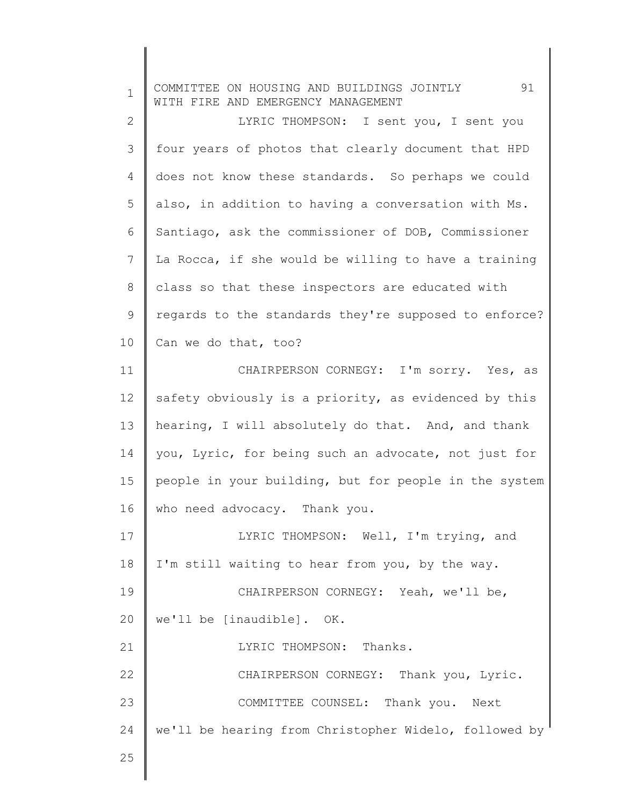| $\mathbf 1$    | 91<br>COMMITTEE ON HOUSING AND BUILDINGS JOINTLY<br>WITH FIRE AND EMERGENCY MANAGEMENT |
|----------------|----------------------------------------------------------------------------------------|
| $\mathbf{2}$   | LYRIC THOMPSON: I sent you, I sent you                                                 |
| 3              | four years of photos that clearly document that HPD                                    |
| 4              | does not know these standards. So perhaps we could                                     |
| 5              | also, in addition to having a conversation with Ms.                                    |
| 6              | Santiago, ask the commissioner of DOB, Commissioner                                    |
| $7\phantom{.}$ | La Rocca, if she would be willing to have a training                                   |
| 8              | class so that these inspectors are educated with                                       |
| $\mathsf 9$    | regards to the standards they're supposed to enforce?                                  |
| 10             | Can we do that, too?                                                                   |
| 11             | CHAIRPERSON CORNEGY: I'm sorry. Yes, as                                                |
| 12             | safety obviously is a priority, as evidenced by this                                   |
| 13             | hearing, I will absolutely do that. And, and thank                                     |
| 14             | you, Lyric, for being such an advocate, not just for                                   |
| 15             | people in your building, but for people in the system                                  |
| 16             | who need advocacy. Thank you.                                                          |
| 17             | LYRIC THOMPSON: Well, I'm trying, and                                                  |
| 18             | I'm still waiting to hear from you, by the way.                                        |
| 19             | CHAIRPERSON CORNEGY: Yeah, we'll be,                                                   |
| 20             | we'll be [inaudible]. OK.                                                              |
| 21             | LYRIC THOMPSON: Thanks.                                                                |
| 22             | CHAIRPERSON CORNEGY: Thank you, Lyric.                                                 |
| 23             | COMMITTEE COUNSEL: Thank you. Next                                                     |
| 24             | we'll be hearing from Christopher Widelo, followed by                                  |
| 25             |                                                                                        |
|                |                                                                                        |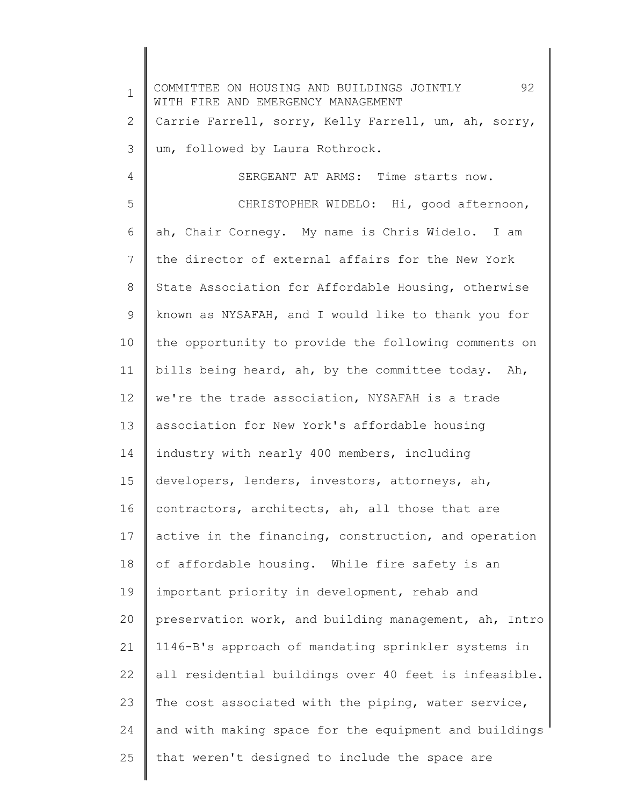1 2 3 4 5 6 7 8 9 10 11 12 13 14 15 16 17 18 19 20 21 22 23 24 25 COMMITTEE ON HOUSING AND BUILDINGS JOINTLY 92 WITH FIRE AND EMERGENCY MANAGEMENT Carrie Farrell, sorry, Kelly Farrell, um, ah, sorry, um, followed by Laura Rothrock. SERGEANT AT ARMS: Time starts now. CHRISTOPHER WIDELO: Hi, good afternoon, ah, Chair Cornegy. My name is Chris Widelo. I am the director of external affairs for the New York State Association for Affordable Housing, otherwise known as NYSAFAH, and I would like to thank you for the opportunity to provide the following comments on bills being heard, ah, by the committee today. Ah, we're the trade association, NYSAFAH is a trade association for New York's affordable housing industry with nearly 400 members, including developers, lenders, investors, attorneys, ah, contractors, architects, ah, all those that are active in the financing, construction, and operation of affordable housing. While fire safety is an important priority in development, rehab and preservation work, and building management, ah, Intro 1146-B's approach of mandating sprinkler systems in all residential buildings over 40 feet is infeasible. The cost associated with the piping, water service, and with making space for the equipment and buildings that weren't designed to include the space are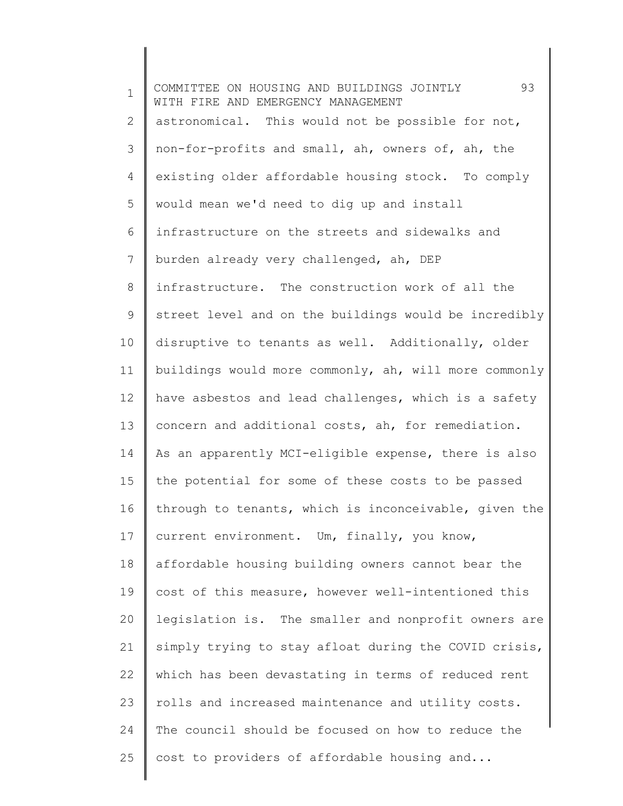1 2 3 4 5 6 7 8 9 10 11 12 13 14 15 16 17 18 19 20 21 22 23 24 25 COMMITTEE ON HOUSING AND BUILDINGS JOINTLY 93 WITH FIRE AND EMERGENCY MANAGEMENT astronomical. This would not be possible for not, non-for-profits and small, ah, owners of, ah, the existing older affordable housing stock. To comply would mean we'd need to dig up and install infrastructure on the streets and sidewalks and burden already very challenged, ah, DEP infrastructure. The construction work of all the street level and on the buildings would be incredibly disruptive to tenants as well. Additionally, older buildings would more commonly, ah, will more commonly have asbestos and lead challenges, which is a safety concern and additional costs, ah, for remediation. As an apparently MCI-eligible expense, there is also the potential for some of these costs to be passed through to tenants, which is inconceivable, given the current environment. Um, finally, you know, affordable housing building owners cannot bear the cost of this measure, however well-intentioned this legislation is. The smaller and nonprofit owners are simply trying to stay afloat during the COVID crisis, which has been devastating in terms of reduced rent rolls and increased maintenance and utility costs. The council should be focused on how to reduce the cost to providers of affordable housing and...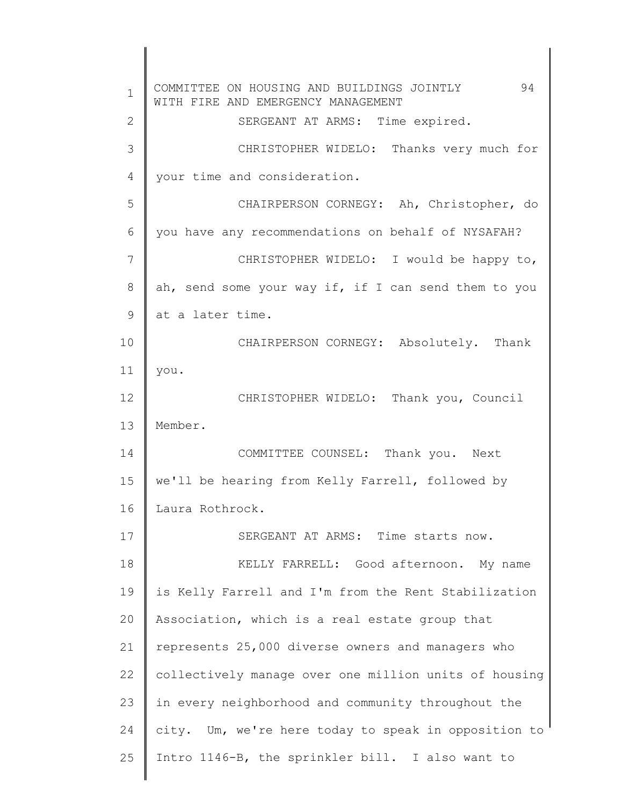1 2 3 4 5 6 7 8 9 10 11 12 13 14 15 16 17 18 19 20 21 22 23 24 25 COMMITTEE ON HOUSING AND BUILDINGS JOINTLY 94 WITH FIRE AND EMERGENCY MANAGEMENT SERGEANT AT ARMS: Time expired. CHRISTOPHER WIDELO: Thanks very much for your time and consideration. CHAIRPERSON CORNEGY: Ah, Christopher, do you have any recommendations on behalf of NYSAFAH? CHRISTOPHER WIDELO: I would be happy to, ah, send some your way if, if I can send them to you at a later time. CHAIRPERSON CORNEGY: Absolutely. Thank you. CHRISTOPHER WIDELO: Thank you, Council Member. COMMITTEE COUNSEL: Thank you. Next we'll be hearing from Kelly Farrell, followed by Laura Rothrock. SERGEANT AT ARMS: Time starts now. KELLY FARRELL: Good afternoon. My name is Kelly Farrell and I'm from the Rent Stabilization Association, which is a real estate group that represents 25,000 diverse owners and managers who collectively manage over one million units of housing in every neighborhood and community throughout the city. Um, we're here today to speak in opposition to Intro 1146-B, the sprinkler bill. I also want to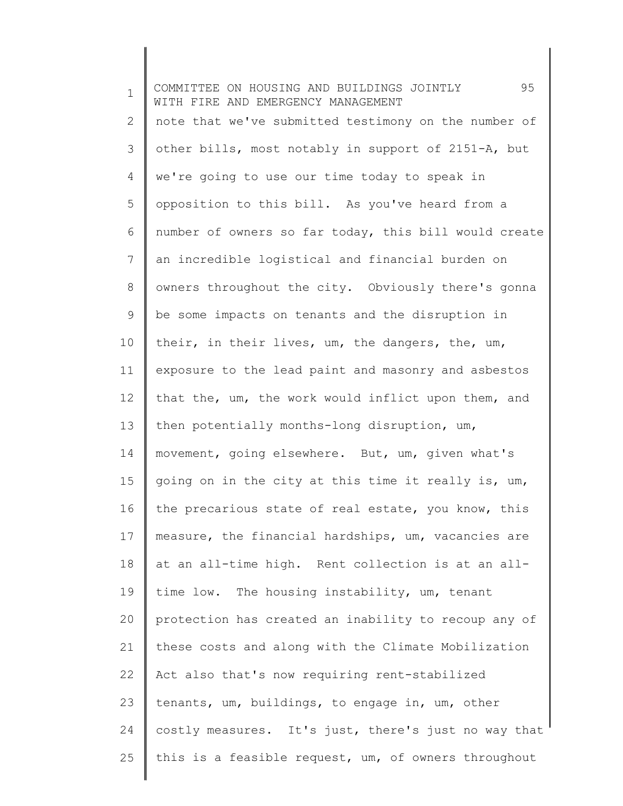1 2 3 4 5 6 7 8 9 10 11 12 13 14 15 16 17 18 19 20 21 22 23 24 25 COMMITTEE ON HOUSING AND BUILDINGS JOINTLY 95 WITH FIRE AND EMERGENCY MANAGEMENT note that we've submitted testimony on the number of other bills, most notably in support of 2151-A, but we're going to use our time today to speak in opposition to this bill. As you've heard from a number of owners so far today, this bill would create an incredible logistical and financial burden on owners throughout the city. Obviously there's gonna be some impacts on tenants and the disruption in their, in their lives, um, the dangers, the, um, exposure to the lead paint and masonry and asbestos that the, um, the work would inflict upon them, and then potentially months-long disruption, um, movement, going elsewhere. But, um, given what's going on in the city at this time it really is, um, the precarious state of real estate, you know, this measure, the financial hardships, um, vacancies are at an all-time high. Rent collection is at an alltime low. The housing instability, um, tenant protection has created an inability to recoup any of these costs and along with the Climate Mobilization Act also that's now requiring rent-stabilized tenants, um, buildings, to engage in, um, other costly measures. It's just, there's just no way that this is a feasible request, um, of owners throughout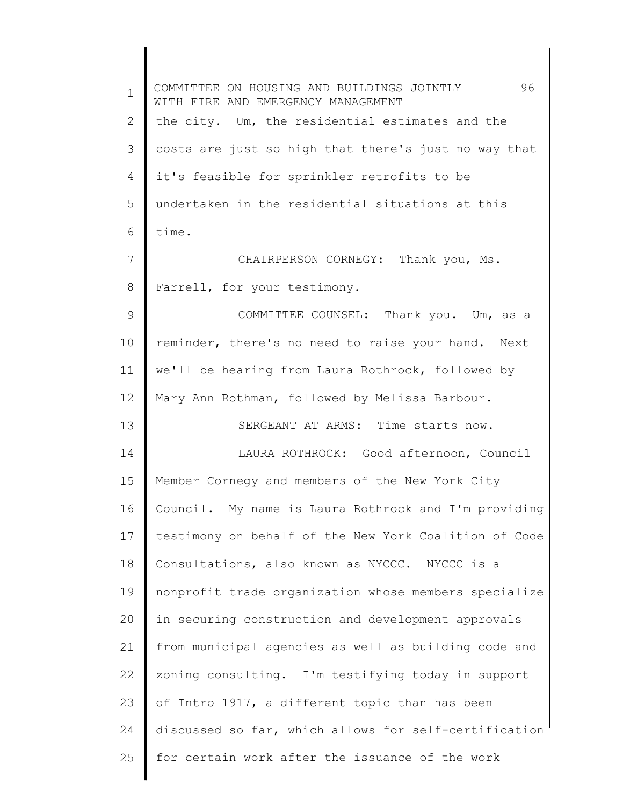| $\mathbf{1}$ | 96<br>COMMITTEE ON HOUSING AND BUILDINGS JOINTLY<br>WITH FIRE AND EMERGENCY MANAGEMENT |
|--------------|----------------------------------------------------------------------------------------|
| 2            | the city. Um, the residential estimates and the                                        |
| 3            | costs are just so high that there's just no way that                                   |
| 4            | it's feasible for sprinkler retrofits to be                                            |
| 5            | undertaken in the residential situations at this                                       |
| 6            | time.                                                                                  |
| 7            | CHAIRPERSON CORNEGY: Thank you, Ms.                                                    |
| 8            | Farrell, for your testimony.                                                           |
| 9            | COMMITTEE COUNSEL: Thank you. Um, as a                                                 |
| 10           | reminder, there's no need to raise your hand. Next                                     |
| 11           | we'll be hearing from Laura Rothrock, followed by                                      |
| 12           | Mary Ann Rothman, followed by Melissa Barbour.                                         |
| 13           | SERGEANT AT ARMS: Time starts now.                                                     |
| 14           | LAURA ROTHROCK: Good afternoon, Council                                                |
| 15           | Member Cornegy and members of the New York City                                        |
| 16           | Council. My name is Laura Rothrock and I'm providing                                   |
| 17           | testimony on behalf of the New York Coalition of Code                                  |
| 18           | Consultations, also known as NYCCC. NYCCC is a                                         |
| 19           | nonprofit trade organization whose members specialize                                  |
| 20           | in securing construction and development approvals                                     |
| 21           | from municipal agencies as well as building code and                                   |
| 22           | zoning consulting. I'm testifying today in support                                     |
| 23           | of Intro 1917, a different topic than has been                                         |
| 24           | discussed so far, which allows for self-certification                                  |
| 25           | for certain work after the issuance of the work                                        |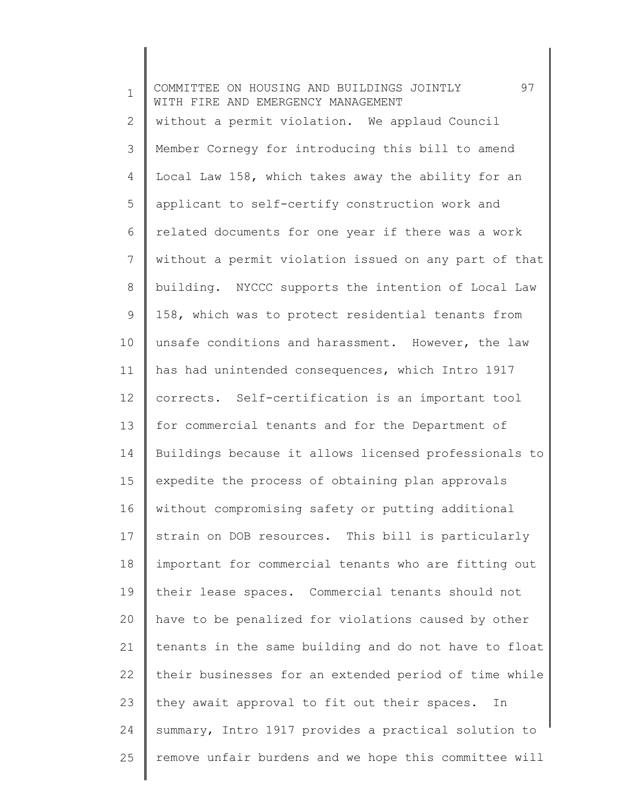1 2 3 4 5 6 7 8 9 10 11 12 13 14 15 16 17 18 19 20 21 22 23 24 25 COMMITTEE ON HOUSING AND BUILDINGS JOINTLY 97 WITH FIRE AND EMERGENCY MANAGEMENT without a permit violation. We applaud Council Member Cornegy for introducing this bill to amend Local Law 158, which takes away the ability for an applicant to self-certify construction work and related documents for one year if there was a work without a permit violation issued on any part of that building. NYCCC supports the intention of Local Law 158, which was to protect residential tenants from unsafe conditions and harassment. However, the law has had unintended consequences, which Intro 1917 corrects. Self-certification is an important tool for commercial tenants and for the Department of Buildings because it allows licensed professionals to expedite the process of obtaining plan approvals without compromising safety or putting additional strain on DOB resources. This bill is particularly important for commercial tenants who are fitting out their lease spaces. Commercial tenants should not have to be penalized for violations caused by other tenants in the same building and do not have to float their businesses for an extended period of time while they await approval to fit out their spaces. In summary, Intro 1917 provides a practical solution to remove unfair burdens and we hope this committee will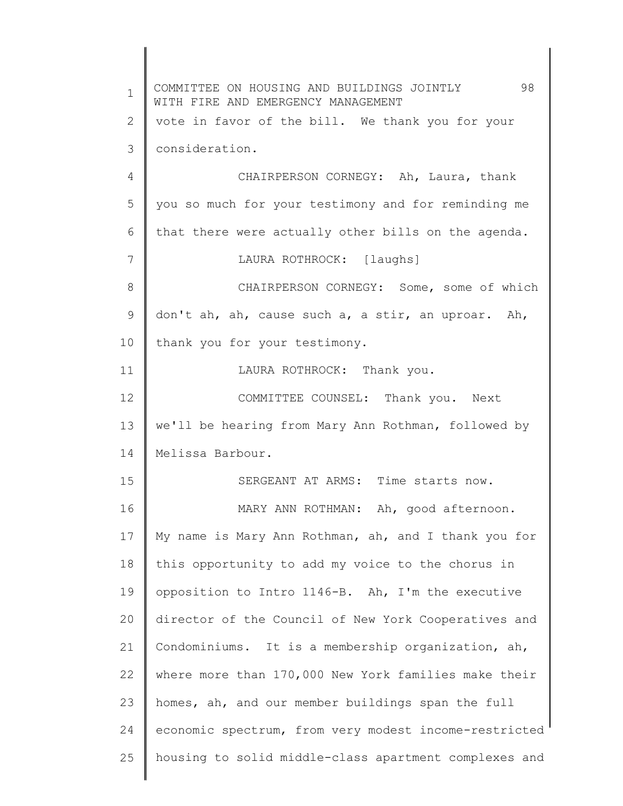1 2 3 4 5 6 7 8 9 10 11 12 13 14 15 16 17 18 19 20 21 22 23 24 25 COMMITTEE ON HOUSING AND BUILDINGS JOINTLY 98 WITH FIRE AND EMERGENCY MANAGEMENT vote in favor of the bill. We thank you for your consideration. CHAIRPERSON CORNEGY: Ah, Laura, thank you so much for your testimony and for reminding me that there were actually other bills on the agenda. LAURA ROTHROCK: [laughs] CHAIRPERSON CORNEGY: Some, some of which don't ah, ah, cause such a, a stir, an uproar. Ah, thank you for your testimony. LAURA ROTHROCK: Thank you. COMMITTEE COUNSEL: Thank you. Next we'll be hearing from Mary Ann Rothman, followed by Melissa Barbour. SERGEANT AT ARMS: Time starts now. MARY ANN ROTHMAN: Ah, good afternoon. My name is Mary Ann Rothman, ah, and I thank you for this opportunity to add my voice to the chorus in opposition to Intro 1146-B. Ah, I'm the executive director of the Council of New York Cooperatives and Condominiums. It is a membership organization, ah, where more than 170,000 New York families make their homes, ah, and our member buildings span the full economic spectrum, from very modest income-restricted housing to solid middle-class apartment complexes and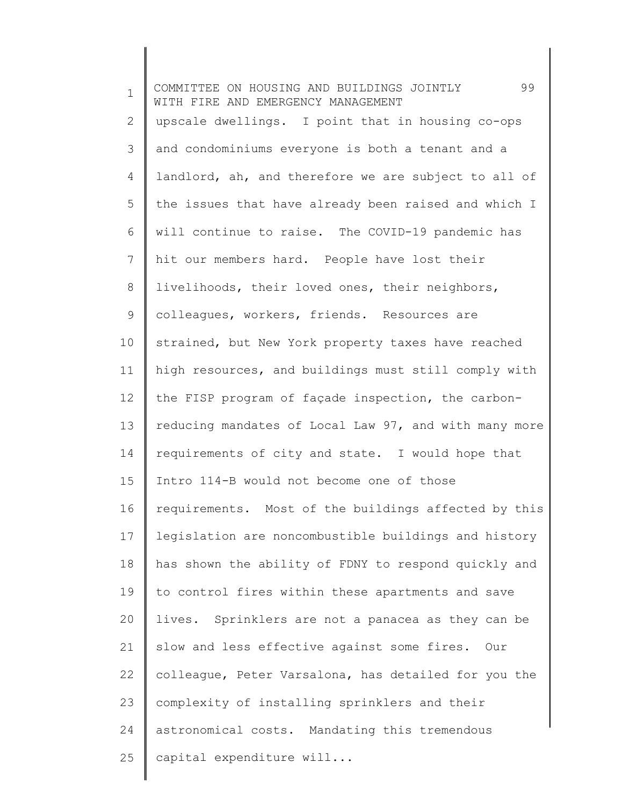| $\mathbf 1$ | 99<br>COMMITTEE ON HOUSING AND BUILDINGS JOINTLY<br>WITH FIRE AND EMERGENCY MANAGEMENT |
|-------------|----------------------------------------------------------------------------------------|
| 2           | upscale dwellings. I point that in housing co-ops                                      |
| 3           | and condominiums everyone is both a tenant and a                                       |
| 4           | landlord, ah, and therefore we are subject to all of                                   |
| 5           | the issues that have already been raised and which I                                   |
| 6           | will continue to raise. The COVID-19 pandemic has                                      |
| 7           | hit our members hard. People have lost their                                           |
| 8           | livelihoods, their loved ones, their neighbors,                                        |
| 9           | colleagues, workers, friends. Resources are                                            |
| 10          | strained, but New York property taxes have reached                                     |
| 11          | high resources, and buildings must still comply with                                   |
| 12          | the FISP program of façade inspection, the carbon-                                     |
| 13          | reducing mandates of Local Law 97, and with many more                                  |
| 14          | requirements of city and state. I would hope that                                      |
| 15          | Intro 114-B would not become one of those                                              |
| 16          | requirements. Most of the buildings affected by this                                   |
| 17          | legislation are noncombustible buildings and history                                   |
| 18          | has shown the ability of FDNY to respond quickly and                                   |
| 19          | to control fires within these apartments and save                                      |
| 20          | lives. Sprinklers are not a panacea as they can be                                     |
| 21          | slow and less effective against some fires. Our                                        |
| 22          | colleague, Peter Varsalona, has detailed for you the                                   |
| 23          | complexity of installing sprinklers and their                                          |
| 24          | astronomical costs. Mandating this tremendous                                          |
| 25          | capital expenditure will                                                               |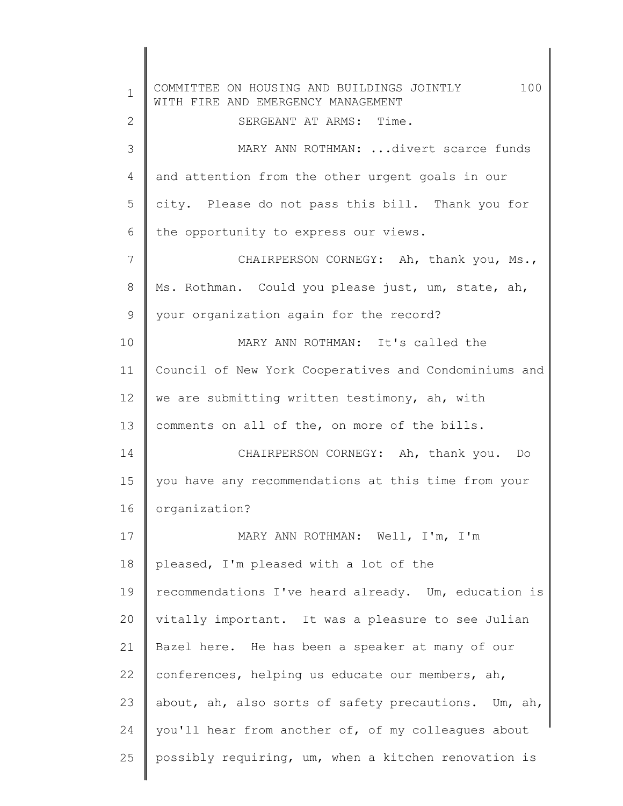1 2 3 4 5 6 7 8 9 10 11 12 13 14 15 16 17 18 19 20 21 22 23 24 25 COMMITTEE ON HOUSING AND BUILDINGS JOINTLY 100 WITH FIRE AND EMERGENCY MANAGEMENT SERGEANT AT ARMS: Time. MARY ANN ROTHMAN: ...divert scarce funds and attention from the other urgent goals in our city. Please do not pass this bill. Thank you for the opportunity to express our views. CHAIRPERSON CORNEGY: Ah, thank you, Ms., Ms. Rothman. Could you please just, um, state, ah, your organization again for the record? MARY ANN ROTHMAN: It's called the Council of New York Cooperatives and Condominiums and we are submitting written testimony, ah, with comments on all of the, on more of the bills. CHAIRPERSON CORNEGY: Ah, thank you. Do you have any recommendations at this time from your organization? MARY ANN ROTHMAN: Well, I'm, I'm pleased, I'm pleased with a lot of the recommendations I've heard already. Um, education is vitally important. It was a pleasure to see Julian Bazel here. He has been a speaker at many of our conferences, helping us educate our members, ah, about, ah, also sorts of safety precautions. Um, ah, you'll hear from another of, of my colleagues about possibly requiring, um, when a kitchen renovation is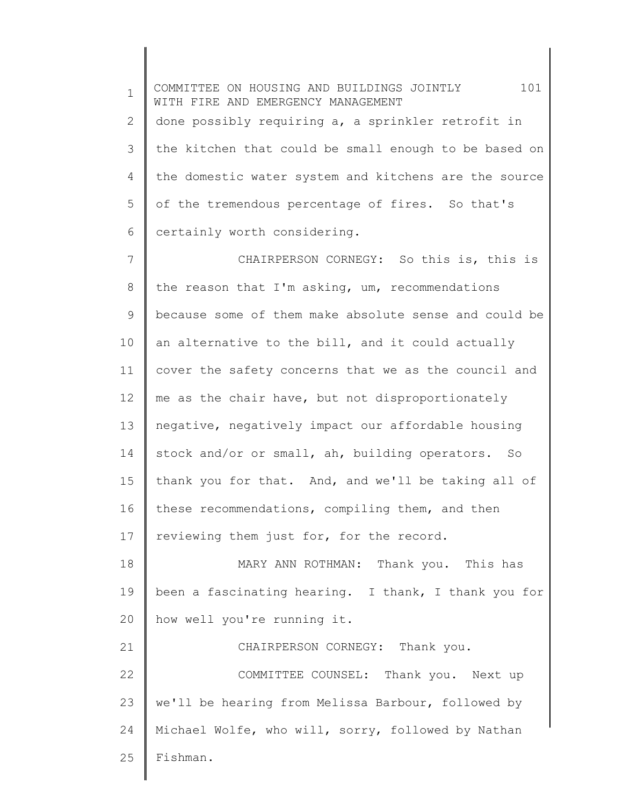1 2 3 4 5 6 COMMITTEE ON HOUSING AND BUILDINGS JOINTLY 101 WITH FIRE AND EMERGENCY MANAGEMENT done possibly requiring a, a sprinkler retrofit in the kitchen that could be small enough to be based on the domestic water system and kitchens are the source of the tremendous percentage of fires. So that's certainly worth considering.

7 8 9 10 11 12 13 14 15 16 17 CHAIRPERSON CORNEGY: So this is, this is the reason that I'm asking, um, recommendations because some of them make absolute sense and could be an alternative to the bill, and it could actually cover the safety concerns that we as the council and me as the chair have, but not disproportionately negative, negatively impact our affordable housing stock and/or or small, ah, building operators. So thank you for that. And, and we'll be taking all of these recommendations, compiling them, and then reviewing them just for, for the record.

18 19 20 MARY ANN ROTHMAN: Thank you. This has been a fascinating hearing. I thank, I thank you for how well you're running it.

21 22 23 24 25 CHAIRPERSON CORNEGY: Thank you. COMMITTEE COUNSEL: Thank you. Next up we'll be hearing from Melissa Barbour, followed by Michael Wolfe, who will, sorry, followed by Nathan Fishman.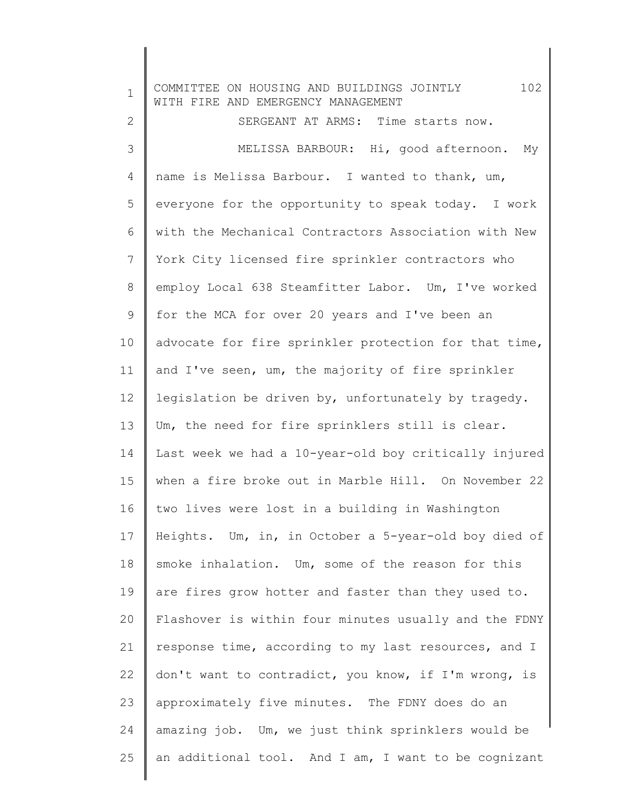1 2 3 4 5 6 7 8 9 10 11 12 13 14 15 16 17 18 19 20 21 22 23 24 25 COMMITTEE ON HOUSING AND BUILDINGS JOINTLY 102 WITH FIRE AND EMERGENCY MANAGEMENT SERGEANT AT ARMS: Time starts now. MELISSA BARBOUR: Hi, good afternoon. My name is Melissa Barbour. I wanted to thank, um, everyone for the opportunity to speak today. I work with the Mechanical Contractors Association with New York City licensed fire sprinkler contractors who employ Local 638 Steamfitter Labor. Um, I've worked for the MCA for over 20 years and I've been an advocate for fire sprinkler protection for that time, and I've seen, um, the majority of fire sprinkler legislation be driven by, unfortunately by tragedy. Um, the need for fire sprinklers still is clear. Last week we had a 10-year-old boy critically injured when a fire broke out in Marble Hill. On November 22 two lives were lost in a building in Washington Heights. Um, in, in October a 5-year-old boy died of smoke inhalation. Um, some of the reason for this are fires grow hotter and faster than they used to. Flashover is within four minutes usually and the FDNY response time, according to my last resources, and I don't want to contradict, you know, if I'm wrong, is approximately five minutes. The FDNY does do an amazing job. Um, we just think sprinklers would be an additional tool. And I am, I want to be cognizant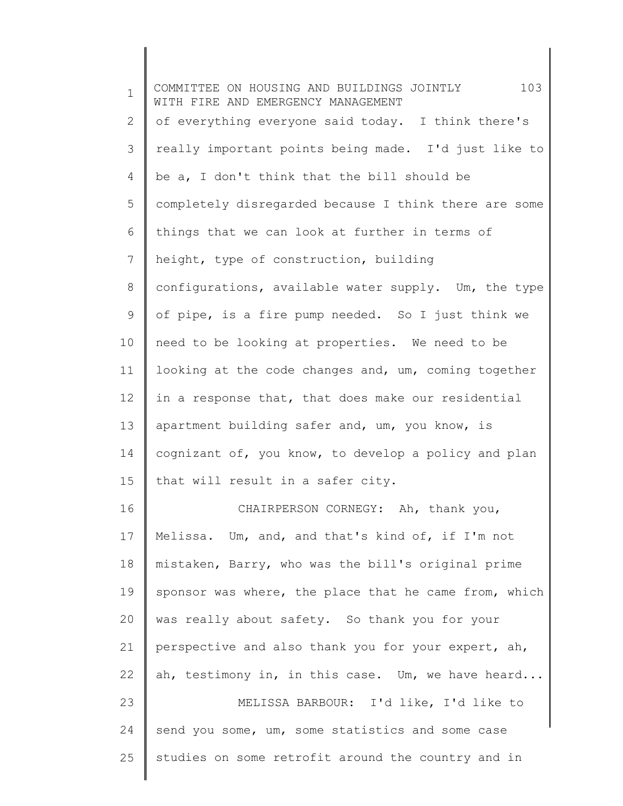| $\mathbf 1$ | 103<br>COMMITTEE ON HOUSING AND BUILDINGS JOINTLY<br>WITH FIRE AND EMERGENCY MANAGEMENT |
|-------------|-----------------------------------------------------------------------------------------|
| 2           | of everything everyone said today. I think there's                                      |
| 3           | really important points being made. I'd just like to                                    |
| 4           | be a, I don't think that the bill should be                                             |
| 5           | completely disregarded because I think there are some                                   |
| 6           | things that we can look at further in terms of                                          |
| 7           | height, type of construction, building                                                  |
| 8           | configurations, available water supply. Um, the type                                    |
| 9           | of pipe, is a fire pump needed. So I just think we                                      |
| 10          | need to be looking at properties. We need to be                                         |
| 11          | looking at the code changes and, um, coming together                                    |
| 12          | in a response that, that does make our residential                                      |
| 13          | apartment building safer and, um, you know, is                                          |
| 14          | cognizant of, you know, to develop a policy and plan                                    |
| 15          | that will result in a safer city.                                                       |
| 16          | CHAIRPERSON CORNEGY: Ah, thank you,                                                     |
| 17          | Melissa. Um, and, and that's kind of, if I'm not                                        |
| 18          | mistaken, Barry, who was the bill's original prime                                      |
| 19          | sponsor was where, the place that he came from, which                                   |
| 20          | was really about safety. So thank you for your                                          |
| 21          | perspective and also thank you for your expert, ah,                                     |
| 22          | ah, testimony in, in this case. Um, we have heard                                       |
| 23          | MELISSA BARBOUR: I'd like, I'd like to                                                  |
| 24          | send you some, um, some statistics and some case                                        |
| 25          | studies on some retrofit around the country and in                                      |
|             |                                                                                         |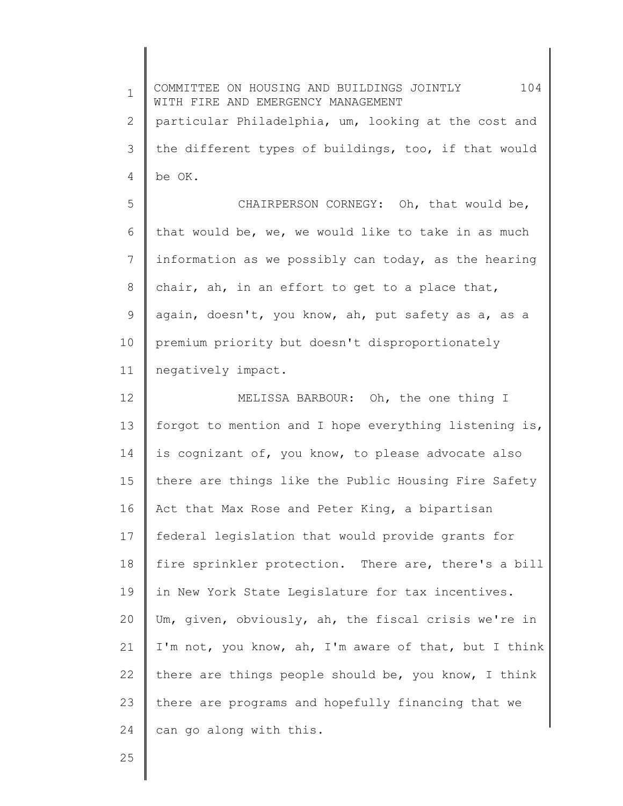1 2 3 4 5 6 7 8 9 10 11 12 13 14 15 16 17 18 19 20 21 22 23 24 COMMITTEE ON HOUSING AND BUILDINGS JOINTLY 104 WITH FIRE AND EMERGENCY MANAGEMENT particular Philadelphia, um, looking at the cost and the different types of buildings, too, if that would be OK. CHAIRPERSON CORNEGY: Oh, that would be, that would be, we, we would like to take in as much information as we possibly can today, as the hearing chair, ah, in an effort to get to a place that, again, doesn't, you know, ah, put safety as a, as a premium priority but doesn't disproportionately negatively impact. MELISSA BARBOUR: Oh, the one thing I forgot to mention and I hope everything listening is, is cognizant of, you know, to please advocate also there are things like the Public Housing Fire Safety Act that Max Rose and Peter King, a bipartisan federal legislation that would provide grants for fire sprinkler protection. There are, there's a bill in New York State Legislature for tax incentives. Um, given, obviously, ah, the fiscal crisis we're in I'm not, you know, ah, I'm aware of that, but I think there are things people should be, you know, I think there are programs and hopefully financing that we can go along with this.

25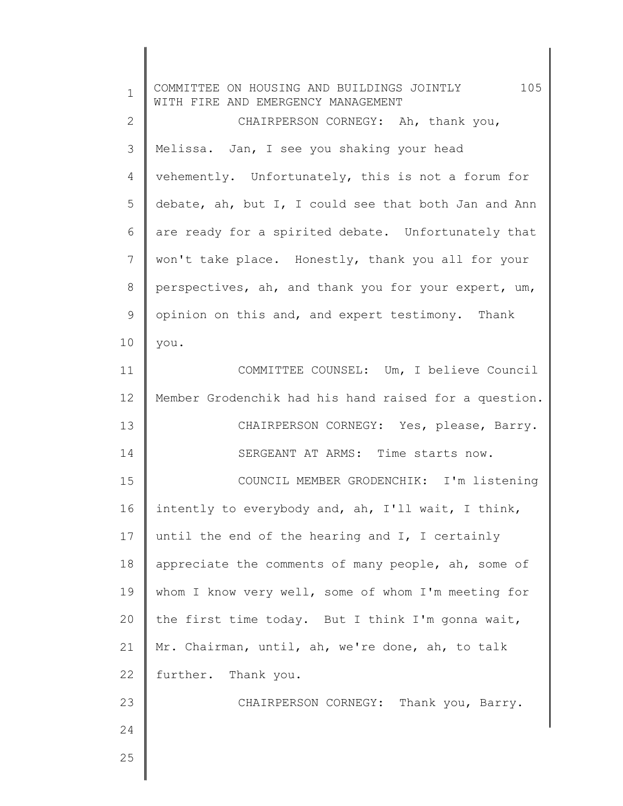| $\mathbf 1$  | 105<br>COMMITTEE ON HOUSING AND BUILDINGS JOINTLY<br>WITH FIRE AND EMERGENCY MANAGEMENT |
|--------------|-----------------------------------------------------------------------------------------|
| $\mathbf{2}$ | CHAIRPERSON CORNEGY: Ah, thank you,                                                     |
| 3            | Melissa. Jan, I see you shaking your head                                               |
| 4            | vehemently. Unfortunately, this is not a forum for                                      |
| 5            | debate, ah, but I, I could see that both Jan and Ann                                    |
| 6            | are ready for a spirited debate. Unfortunately that                                     |
| 7            | won't take place. Honestly, thank you all for your                                      |
| $\,8\,$      | perspectives, ah, and thank you for your expert, um,                                    |
| $\mathsf 9$  | opinion on this and, and expert testimony. Thank                                        |
| 10           | you.                                                                                    |
| 11           | COMMITTEE COUNSEL: Um, I believe Council                                                |
| 12           | Member Grodenchik had his hand raised for a question.                                   |
| 13           | CHAIRPERSON CORNEGY: Yes, please, Barry.                                                |
| 14           | SERGEANT AT ARMS: Time starts now.                                                      |
| 15           | COUNCIL MEMBER GRODENCHIK: I'm listening                                                |
| 16           | intently to everybody and, ah, I'll wait, I think,                                      |
| 17           | until the end of the hearing and I, I certainly                                         |
| 18           | appreciate the comments of many people, ah, some of                                     |
| 19           | whom I know very well, some of whom I'm meeting for                                     |
| 20           | the first time today. But I think I'm gonna wait,                                       |
| 21           | Mr. Chairman, until, ah, we're done, ah, to talk                                        |
| 22           | further. Thank you.                                                                     |
| 23           | CHAIRPERSON CORNEGY: Thank you, Barry.                                                  |
| 24           |                                                                                         |
| 25           |                                                                                         |
|              |                                                                                         |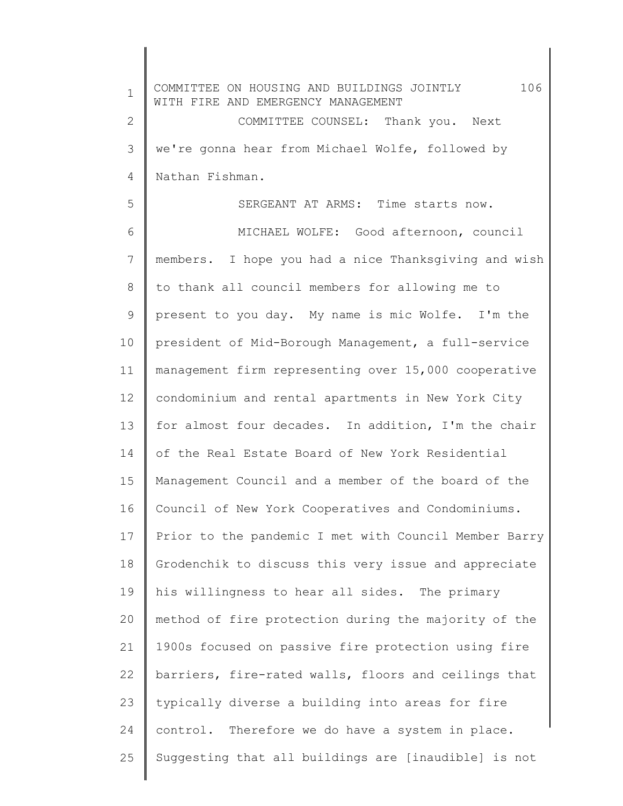1 2 3 4 5 6 7 8 9 10 11 12 13 14 15 16 17 18 19 20 21 22 23 24 25 COMMITTEE ON HOUSING AND BUILDINGS JOINTLY 106 WITH FIRE AND EMERGENCY MANAGEMENT COMMITTEE COUNSEL: Thank you. Next we're gonna hear from Michael Wolfe, followed by Nathan Fishman. SERGEANT AT ARMS: Time starts now. MICHAEL WOLFE: Good afternoon, council members. I hope you had a nice Thanksgiving and wish to thank all council members for allowing me to present to you day. My name is mic Wolfe. I'm the president of Mid-Borough Management, a full-service management firm representing over 15,000 cooperative condominium and rental apartments in New York City for almost four decades. In addition, I'm the chair of the Real Estate Board of New York Residential Management Council and a member of the board of the Council of New York Cooperatives and Condominiums. Prior to the pandemic I met with Council Member Barry Grodenchik to discuss this very issue and appreciate his willingness to hear all sides. The primary method of fire protection during the majority of the 1900s focused on passive fire protection using fire barriers, fire-rated walls, floors and ceilings that typically diverse a building into areas for fire control. Therefore we do have a system in place. Suggesting that all buildings are [inaudible] is not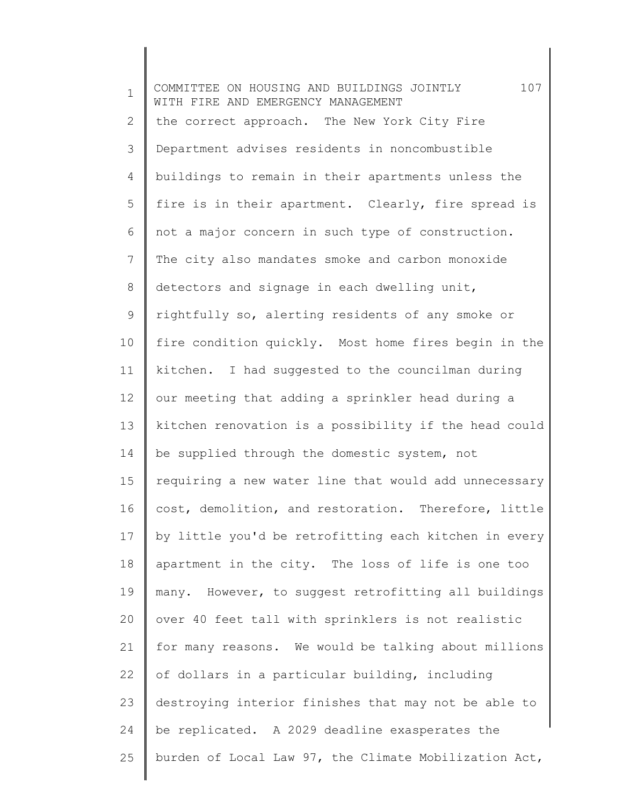| $\mathbf 1$  | 107<br>COMMITTEE ON HOUSING AND BUILDINGS JOINTLY<br>WITH FIRE AND EMERGENCY MANAGEMENT |
|--------------|-----------------------------------------------------------------------------------------|
| $\mathbf{2}$ | the correct approach. The New York City Fire                                            |
| 3            | Department advises residents in noncombustible                                          |
| 4            | buildings to remain in their apartments unless the                                      |
| 5            | fire is in their apartment. Clearly, fire spread is                                     |
| 6            | not a major concern in such type of construction.                                       |
| 7            | The city also mandates smoke and carbon monoxide                                        |
| 8            | detectors and signage in each dwelling unit,                                            |
| 9            | rightfully so, alerting residents of any smoke or                                       |
| 10           | fire condition quickly. Most home fires begin in the                                    |
| 11           | kitchen. I had suggested to the councilman during                                       |
| 12           | our meeting that adding a sprinkler head during a                                       |
| 13           | kitchen renovation is a possibility if the head could                                   |
| 14           | be supplied through the domestic system, not                                            |
| 15           | requiring a new water line that would add unnecessary                                   |
| 16           | cost, demolition, and restoration. Therefore, little                                    |
| 17           | by little you'd be retrofitting each kitchen in every                                   |
| 18           | apartment in the city. The loss of life is one too                                      |
| 19           | many. However, to suggest retrofitting all buildings                                    |
| 20           | over 40 feet tall with sprinklers is not realistic                                      |
| 21           | for many reasons. We would be talking about millions                                    |
| 22           | of dollars in a particular building, including                                          |
| 23           | destroying interior finishes that may not be able to                                    |
| 24           | be replicated. A 2029 deadline exasperates the                                          |
| 25           | burden of Local Law 97, the Climate Mobilization Act,                                   |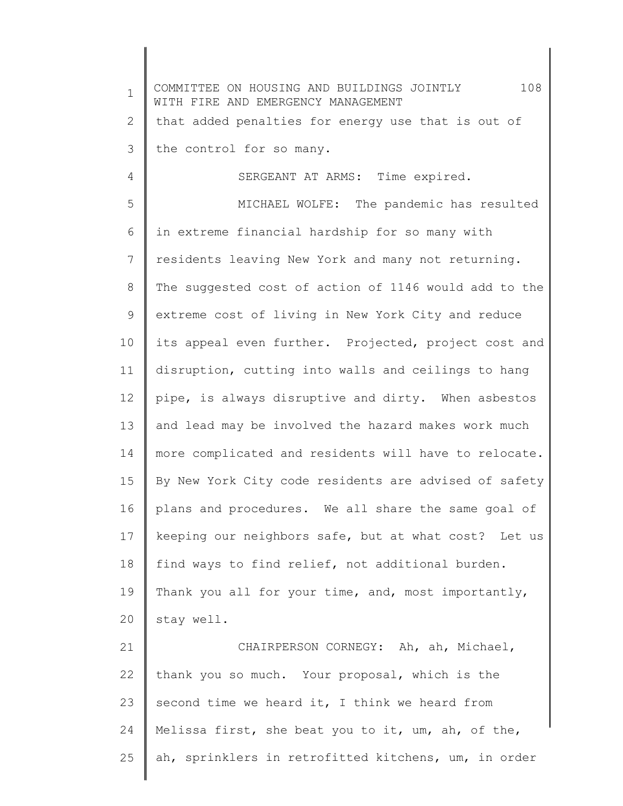1 2 3 4 5 6 7 8 9 10 11 12 13 14 15 16 17 18 19 20 21 22 23 24 COMMITTEE ON HOUSING AND BUILDINGS JOINTLY 108 WITH FIRE AND EMERGENCY MANAGEMENT that added penalties for energy use that is out of the control for so many. SERGEANT AT ARMS: Time expired. MICHAEL WOLFE: The pandemic has resulted in extreme financial hardship for so many with residents leaving New York and many not returning. The suggested cost of action of 1146 would add to the extreme cost of living in New York City and reduce its appeal even further. Projected, project cost and disruption, cutting into walls and ceilings to hang pipe, is always disruptive and dirty. When asbestos and lead may be involved the hazard makes work much more complicated and residents will have to relocate. By New York City code residents are advised of safety plans and procedures. We all share the same goal of keeping our neighbors safe, but at what cost? Let us find ways to find relief, not additional burden. Thank you all for your time, and, most importantly, stay well. CHAIRPERSON CORNEGY: Ah, ah, Michael, thank you so much. Your proposal, which is the second time we heard it, I think we heard from Melissa first, she beat you to it, um, ah, of the,

ah, sprinklers in retrofitted kitchens, um, in order

25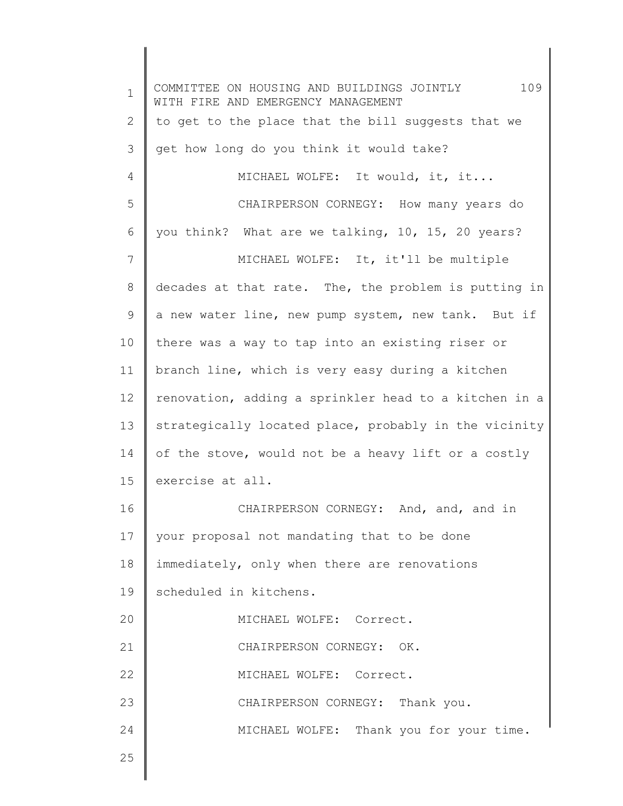1 2 3 4 5 6 7 8 9 10 11 12 13 14 15 16 17 18 19 20 21 22 23 24 25 COMMITTEE ON HOUSING AND BUILDINGS JOINTLY 109 WITH FIRE AND EMERGENCY MANAGEMENT to get to the place that the bill suggests that we get how long do you think it would take? MICHAEL WOLFE: It would, it, it... CHAIRPERSON CORNEGY: How many years do you think? What are we talking, 10, 15, 20 years? MICHAEL WOLFE: It, it'll be multiple decades at that rate. The, the problem is putting in a new water line, new pump system, new tank. But if there was a way to tap into an existing riser or branch line, which is very easy during a kitchen renovation, adding a sprinkler head to a kitchen in a strategically located place, probably in the vicinity of the stove, would not be a heavy lift or a costly exercise at all. CHAIRPERSON CORNEGY: And, and, and in your proposal not mandating that to be done immediately, only when there are renovations scheduled in kitchens. MICHAEL WOLFE: Correct. CHAIRPERSON CORNEGY: OK. MICHAEL WOLFE: Correct. CHAIRPERSON CORNEGY: Thank you. MICHAEL WOLFE: Thank you for your time.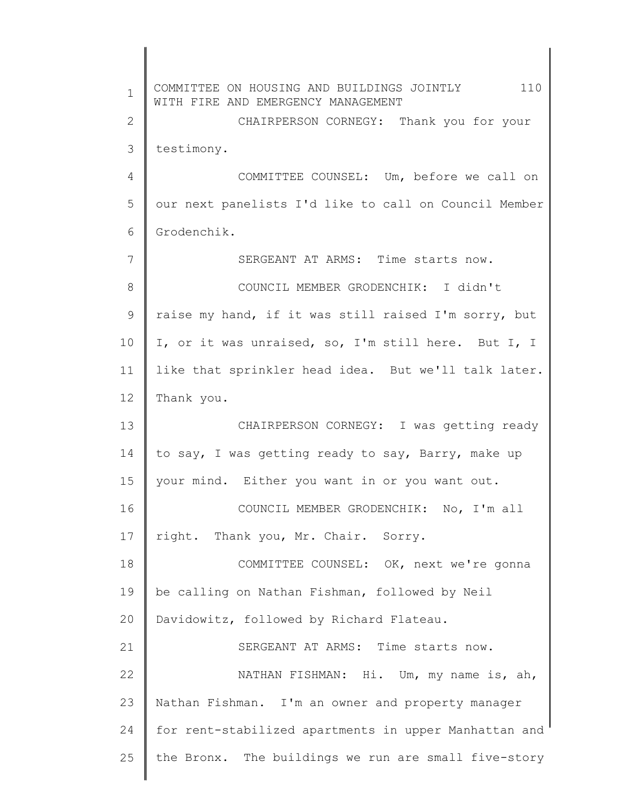1 2 3 4 5 6 7 8 9 10 11 12 13 14 15 16 17 18 19 20 21 22 23 24 25 COMMITTEE ON HOUSING AND BUILDINGS JOINTLY 110 WITH FIRE AND EMERGENCY MANAGEMENT CHAIRPERSON CORNEGY: Thank you for your testimony. COMMITTEE COUNSEL: Um, before we call on our next panelists I'd like to call on Council Member Grodenchik. SERGEANT AT ARMS: Time starts now. COUNCIL MEMBER GRODENCHIK: I didn't raise my hand, if it was still raised I'm sorry, but I, or it was unraised, so, I'm still here. But I, I like that sprinkler head idea. But we'll talk later. Thank you. CHAIRPERSON CORNEGY: I was getting ready to say, I was getting ready to say, Barry, make up your mind. Either you want in or you want out. COUNCIL MEMBER GRODENCHIK: No, I'm all right. Thank you, Mr. Chair. Sorry. COMMITTEE COUNSEL: OK, next we're gonna be calling on Nathan Fishman, followed by Neil Davidowitz, followed by Richard Flateau. SERGEANT AT ARMS: Time starts now. NATHAN FISHMAN: Hi. Um, my name is, ah, Nathan Fishman. I'm an owner and property manager for rent-stabilized apartments in upper Manhattan and the Bronx. The buildings we run are small five-story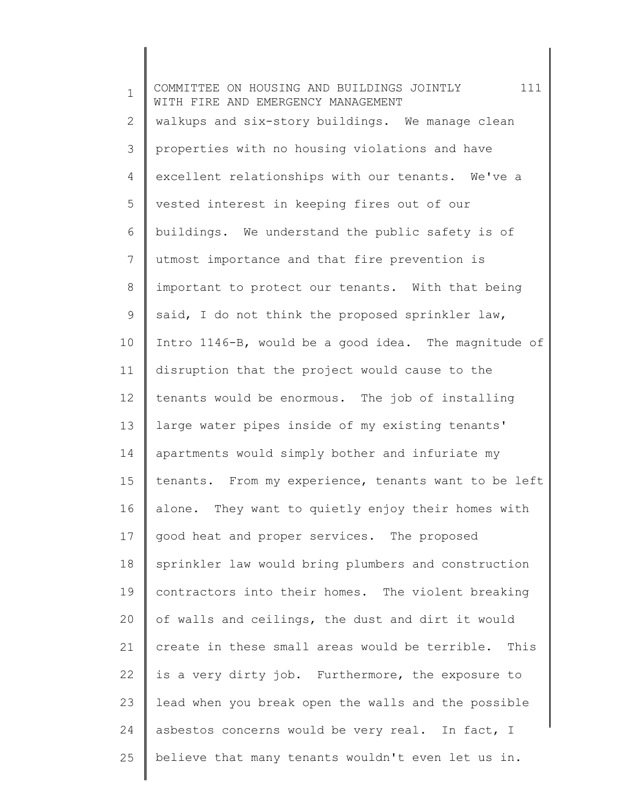| $\mathbf 1$  | 111<br>COMMITTEE ON HOUSING AND BUILDINGS JOINTLY<br>WITH FIRE AND EMERGENCY MANAGEMENT |
|--------------|-----------------------------------------------------------------------------------------|
| $\mathbf{2}$ | walkups and six-story buildings. We manage clean                                        |
| 3            | properties with no housing violations and have                                          |
| 4            | excellent relationships with our tenants. We've a                                       |
| 5            | vested interest in keeping fires out of our                                             |
| 6            | buildings. We understand the public safety is of                                        |
| 7            | utmost importance and that fire prevention is                                           |
| 8            | important to protect our tenants. With that being                                       |
| 9            | said, I do not think the proposed sprinkler law,                                        |
| 10           | Intro 1146-B, would be a good idea. The magnitude of                                    |
| 11           | disruption that the project would cause to the                                          |
| 12           | tenants would be enormous. The job of installing                                        |
| 13           | large water pipes inside of my existing tenants'                                        |
| 14           | apartments would simply bother and infuriate my                                         |
| 15           | tenants. From my experience, tenants want to be left                                    |
| 16           | alone. They want to quietly enjoy their homes with                                      |
| 17           | good heat and proper services. The proposed                                             |
| 18           | sprinkler law would bring plumbers and construction                                     |
| 19           | contractors into their homes. The violent breaking                                      |
| 20           | of walls and ceilings, the dust and dirt it would                                       |
| 21           | create in these small areas would be terrible.<br>This                                  |
| 22           | is a very dirty job. Furthermore, the exposure to                                       |
| 23           | lead when you break open the walls and the possible                                     |
| 24           | asbestos concerns would be very real. In fact, I                                        |
| 25           | believe that many tenants wouldn't even let us in.                                      |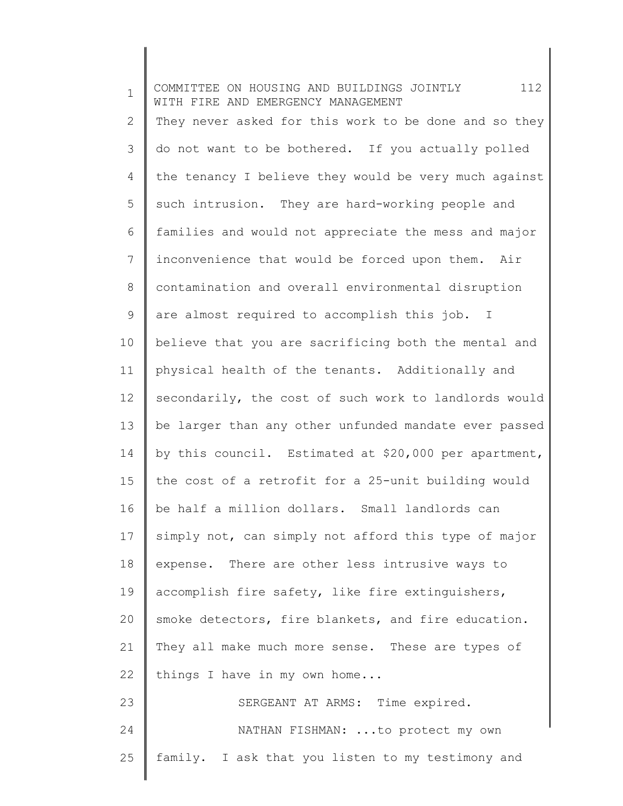1 2 3 4 5 6 7 8 9 10 11 12 13 14 15 16 17 18 19 20 21 22 23 24 25 COMMITTEE ON HOUSING AND BUILDINGS JOINTLY 112 WITH FIRE AND EMERGENCY MANAGEMENT They never asked for this work to be done and so they do not want to be bothered. If you actually polled the tenancy I believe they would be very much against such intrusion. They are hard-working people and families and would not appreciate the mess and major inconvenience that would be forced upon them. Air contamination and overall environmental disruption are almost required to accomplish this job. I believe that you are sacrificing both the mental and physical health of the tenants. Additionally and secondarily, the cost of such work to landlords would be larger than any other unfunded mandate ever passed by this council. Estimated at \$20,000 per apartment, the cost of a retrofit for a 25-unit building would be half a million dollars. Small landlords can simply not, can simply not afford this type of major expense. There are other less intrusive ways to accomplish fire safety, like fire extinguishers, smoke detectors, fire blankets, and fire education. They all make much more sense. These are types of things I have in my own home... SERGEANT AT ARMS: Time expired. NATHAN FISHMAN: ...to protect my own family. I ask that you listen to my testimony and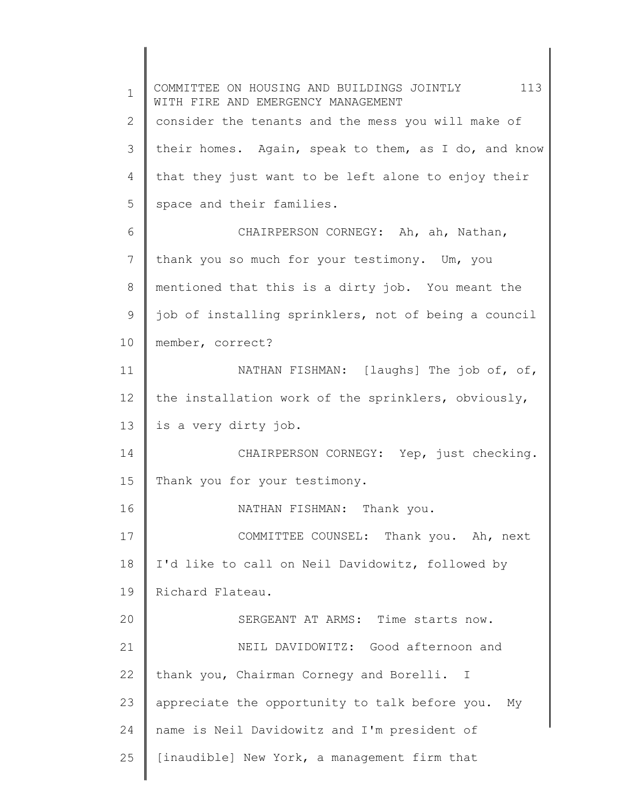1 2 3 4 5 6 7 8 9 10 11 12 13 14 15 16 17 18 19 20 21 22 23 24 25 COMMITTEE ON HOUSING AND BUILDINGS JOINTLY 113 WITH FIRE AND EMERGENCY MANAGEMENT consider the tenants and the mess you will make of their homes. Again, speak to them, as I do, and know that they just want to be left alone to enjoy their space and their families. CHAIRPERSON CORNEGY: Ah, ah, Nathan, thank you so much for your testimony. Um, you mentioned that this is a dirty job. You meant the job of installing sprinklers, not of being a council member, correct? NATHAN FISHMAN: [laughs] The job of, of, the installation work of the sprinklers, obviously, is a very dirty job. CHAIRPERSON CORNEGY: Yep, just checking. Thank you for your testimony. NATHAN FISHMAN: Thank you. COMMITTEE COUNSEL: Thank you. Ah, next I'd like to call on Neil Davidowitz, followed by Richard Flateau. SERGEANT AT ARMS: Time starts now. NEIL DAVIDOWITZ: Good afternoon and thank you, Chairman Cornegy and Borelli. I appreciate the opportunity to talk before you. My name is Neil Davidowitz and I'm president of [inaudible] New York, a management firm that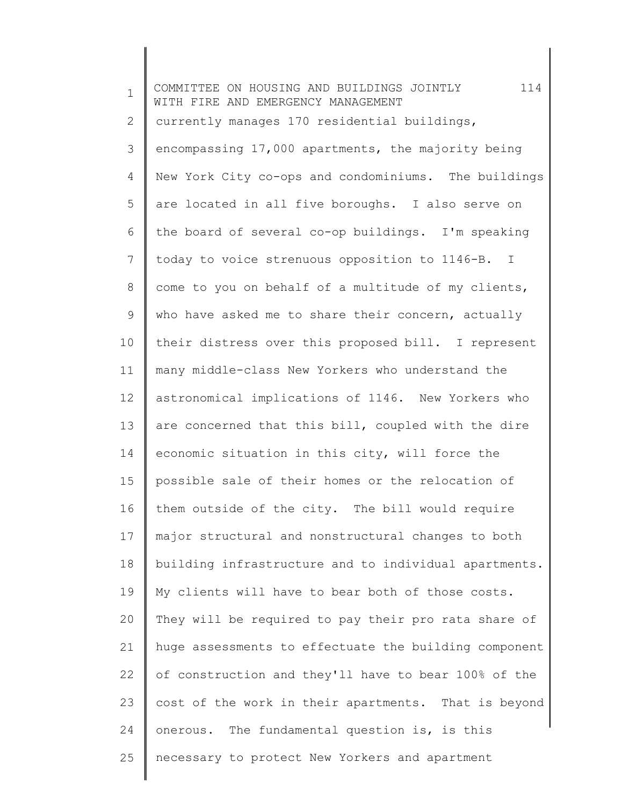1 2 3 4 5 6 7 8 9 10 11 12 13 14 15 16 17 18 19 20 21 22 23 24 25 COMMITTEE ON HOUSING AND BUILDINGS JOINTLY 114 WITH FIRE AND EMERGENCY MANAGEMENT currently manages 170 residential buildings, encompassing 17,000 apartments, the majority being New York City co-ops and condominiums. The buildings are located in all five boroughs. I also serve on the board of several co-op buildings. I'm speaking today to voice strenuous opposition to 1146-B. I come to you on behalf of a multitude of my clients, who have asked me to share their concern, actually their distress over this proposed bill. I represent many middle-class New Yorkers who understand the astronomical implications of 1146. New Yorkers who are concerned that this bill, coupled with the dire economic situation in this city, will force the possible sale of their homes or the relocation of them outside of the city. The bill would require major structural and nonstructural changes to both building infrastructure and to individual apartments. My clients will have to bear both of those costs. They will be required to pay their pro rata share of huge assessments to effectuate the building component of construction and they'll have to bear 100% of the cost of the work in their apartments. That is beyond onerous. The fundamental question is, is this necessary to protect New Yorkers and apartment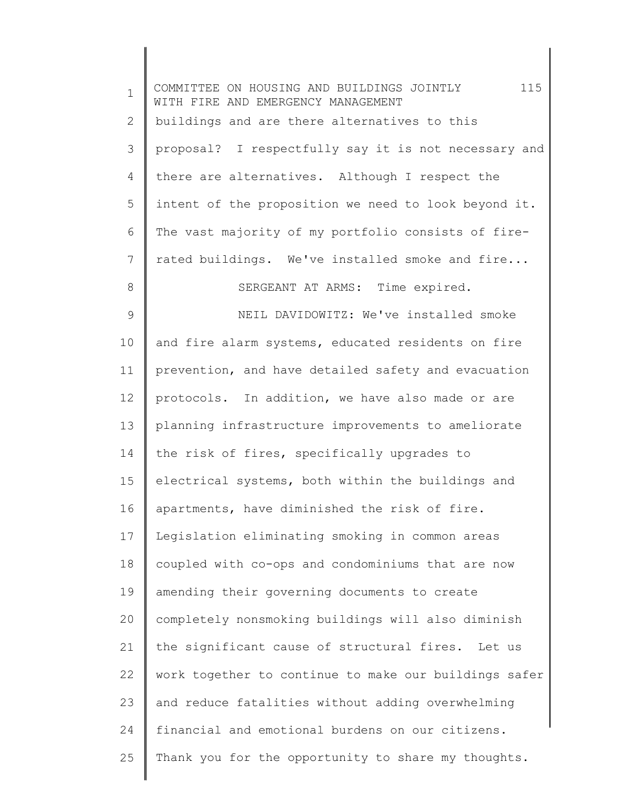| $\mathbf 1$ | COMMITTEE ON HOUSING AND BUILDINGS JOINTLY 115<br>WITH FIRE AND EMERGENCY MANAGEMENT |
|-------------|--------------------------------------------------------------------------------------|
| 2           | buildings and are there alternatives to this                                         |
| 3           | proposal? I respectfully say it is not necessary and                                 |
| 4           | there are alternatives. Although I respect the                                       |
| 5           | intent of the proposition we need to look beyond it.                                 |
| 6           | The vast majority of my portfolio consists of fire-                                  |
| 7           | rated buildings. We've installed smoke and fire                                      |
| 8           | SERGEANT AT ARMS: Time expired.                                                      |
| 9           | NEIL DAVIDOWITZ: We've installed smoke                                               |
| 10          | and fire alarm systems, educated residents on fire                                   |
| 11          | prevention, and have detailed safety and evacuation                                  |
| 12          | protocols. In addition, we have also made or are                                     |
| 13          | planning infrastructure improvements to ameliorate                                   |
| 14          | the risk of fires, specifically upgrades to                                          |
| 15          | electrical systems, both within the buildings and                                    |
| 16          | apartments, have diminished the risk of fire.                                        |
| 17          | Legislation eliminating smoking in common areas                                      |
| 18          | coupled with co-ops and condominiums that are now                                    |
| 19          | amending their governing documents to create                                         |
| 20          | completely nonsmoking buildings will also diminish                                   |
| 21          | the significant cause of structural fires.<br>Let us                                 |
| 22          | work together to continue to make our buildings safer                                |
| 23          | and reduce fatalities without adding overwhelming                                    |
| 24          | financial and emotional burdens on our citizens.                                     |
| 25          | Thank you for the opportunity to share my thoughts.                                  |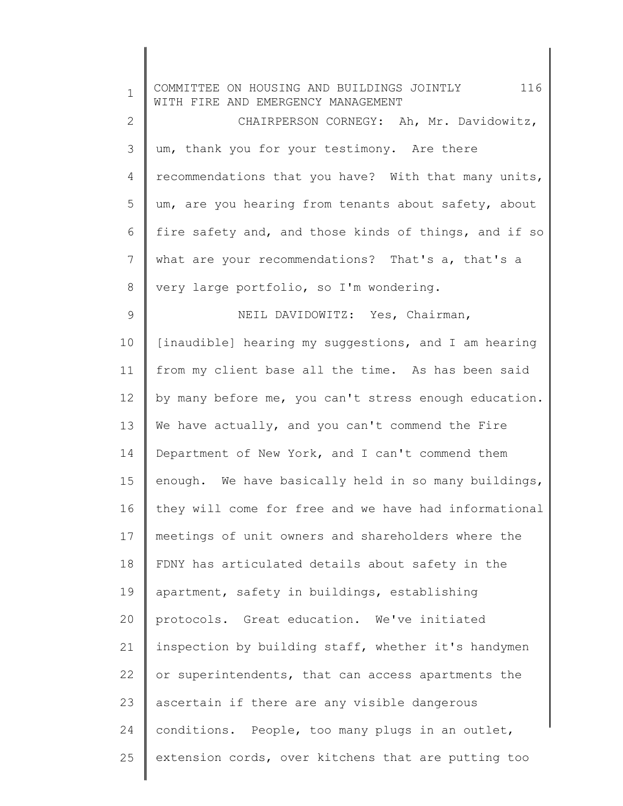| $\mathbf 1$    | 116<br>COMMITTEE ON HOUSING AND BUILDINGS JOINTLY<br>WITH FIRE AND EMERGENCY MANAGEMENT |
|----------------|-----------------------------------------------------------------------------------------|
| $\mathbf{2}$   | CHAIRPERSON CORNEGY: Ah, Mr. Davidowitz,                                                |
| 3              | um, thank you for your testimony. Are there                                             |
| 4              | recommendations that you have? With that many units,                                    |
| 5              | um, are you hearing from tenants about safety, about                                    |
| 6              | fire safety and, and those kinds of things, and if so                                   |
| 7              | what are your recommendations? That's a, that's a                                       |
| $\,8\,$        | very large portfolio, so I'm wondering.                                                 |
| $\overline{9}$ | NEIL DAVIDOWITZ: Yes, Chairman,                                                         |
| 10             | [inaudible] hearing my suggestions, and I am hearing                                    |
| 11             | from my client base all the time. As has been said                                      |
| 12             | by many before me, you can't stress enough education.                                   |
| 13             | We have actually, and you can't commend the Fire                                        |
| 14             | Department of New York, and I can't commend them                                        |
| 15             | enough. We have basically held in so many buildings,                                    |
| 16             | they will come for free and we have had informational                                   |
| 17             | meetings of unit owners and shareholders where the                                      |
| 18             | FDNY has articulated details about safety in the                                        |
| 19             | apartment, safety in buildings, establishing                                            |
| 20             | protocols. Great education. We've initiated                                             |
| 21             | inspection by building staff, whether it's handymen                                     |
| 22             | or superintendents, that can access apartments the                                      |
| 23             | ascertain if there are any visible dangerous                                            |
| 24             | conditions. People, too many plugs in an outlet,                                        |
| 25             | extension cords, over kitchens that are putting too                                     |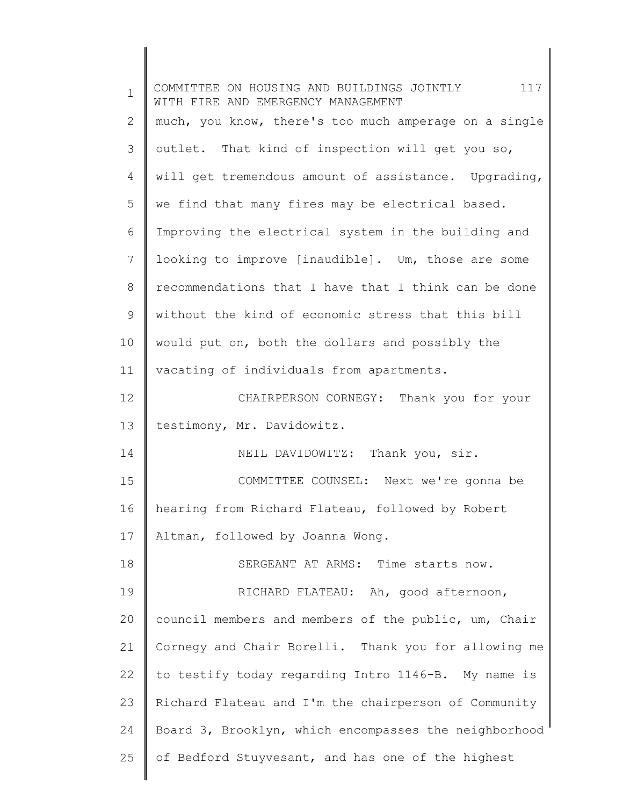| $\mathbf{1}$   | COMMITTEE ON HOUSING AND BUILDINGS JOINTLY 117<br>WITH FIRE AND EMERGENCY MANAGEMENT |
|----------------|--------------------------------------------------------------------------------------|
| 2              | much, you know, there's too much amperage on a single                                |
| 3              | outlet. That kind of inspection will get you so,                                     |
| $\overline{4}$ | will get tremendous amount of assistance. Upgrading,                                 |
| 5              | we find that many fires may be electrical based.                                     |
| 6              | Improving the electrical system in the building and                                  |
| 7              | looking to improve [inaudible]. Um, those are some                                   |
| 8              | recommendations that I have that I think can be done                                 |
| 9              | without the kind of economic stress that this bill                                   |
| 10             | would put on, both the dollars and possibly the                                      |
| 11             | vacating of individuals from apartments.                                             |
| 12             | CHAIRPERSON CORNEGY: Thank you for your                                              |
| 13             | testimony, Mr. Davidowitz.                                                           |
| 14             | NEIL DAVIDOWITZ: Thank you, sir.                                                     |
| 15             | COMMITTEE COUNSEL: Next we're gonna be                                               |
| 16             | hearing from Richard Flateau, followed by Robert                                     |
| 17             | Altman, followed by Joanna Wong.                                                     |
| 18             | SERGEANT AT ARMS: Time starts now.                                                   |
| 19             | RICHARD FLATEAU: Ah, good afternoon,                                                 |
| 20             | council members and members of the public, um, Chair                                 |
| 21             | Cornegy and Chair Borelli. Thank you for allowing me                                 |
| 22             | to testify today regarding Intro 1146-B. My name is                                  |
| 23             | Richard Flateau and I'm the chairperson of Community                                 |
| 24             | Board 3, Brooklyn, which encompasses the neighborhood                                |
| 25             | of Bedford Stuyvesant, and has one of the highest                                    |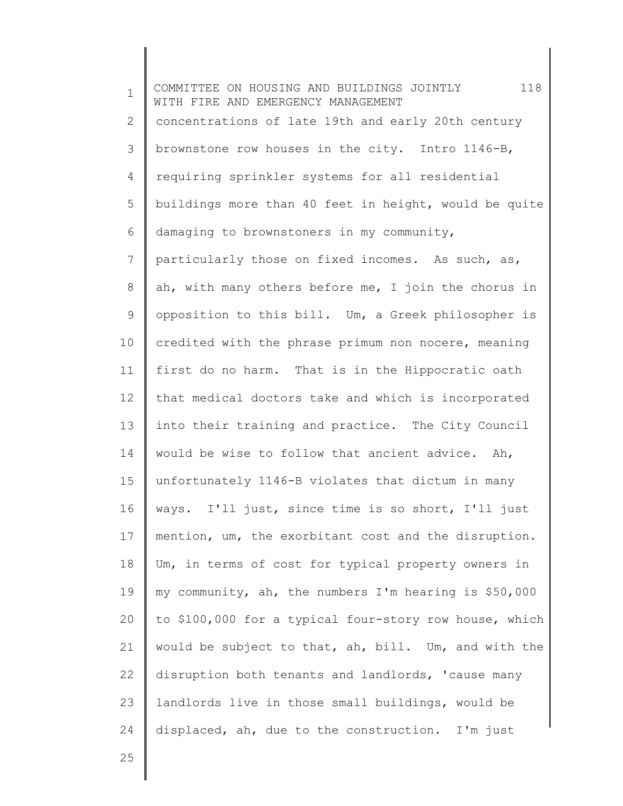1 2 3 4 5 6 7 8 9 10 11 12 13 14 15 16 17 18 19 20 21 22 23 24 COMMITTEE ON HOUSING AND BUILDINGS JOINTLY 118 WITH FIRE AND EMERGENCY MANAGEMENT concentrations of late 19th and early 20th century brownstone row houses in the city. Intro 1146-B, requiring sprinkler systems for all residential buildings more than 40 feet in height, would be quite damaging to brownstoners in my community, particularly those on fixed incomes. As such, as, ah, with many others before me, I join the chorus in opposition to this bill. Um, a Greek philosopher is credited with the phrase primum non nocere, meaning first do no harm. That is in the Hippocratic oath that medical doctors take and which is incorporated into their training and practice. The City Council would be wise to follow that ancient advice. Ah, unfortunately 1146-B violates that dictum in many ways. I'll just, since time is so short, I'll just mention, um, the exorbitant cost and the disruption. Um, in terms of cost for typical property owners in my community, ah, the numbers I'm hearing is \$50,000 to \$100,000 for a typical four-story row house, which would be subject to that, ah, bill. Um, and with the disruption both tenants and landlords, 'cause many landlords live in those small buildings, would be displaced, ah, due to the construction. I'm just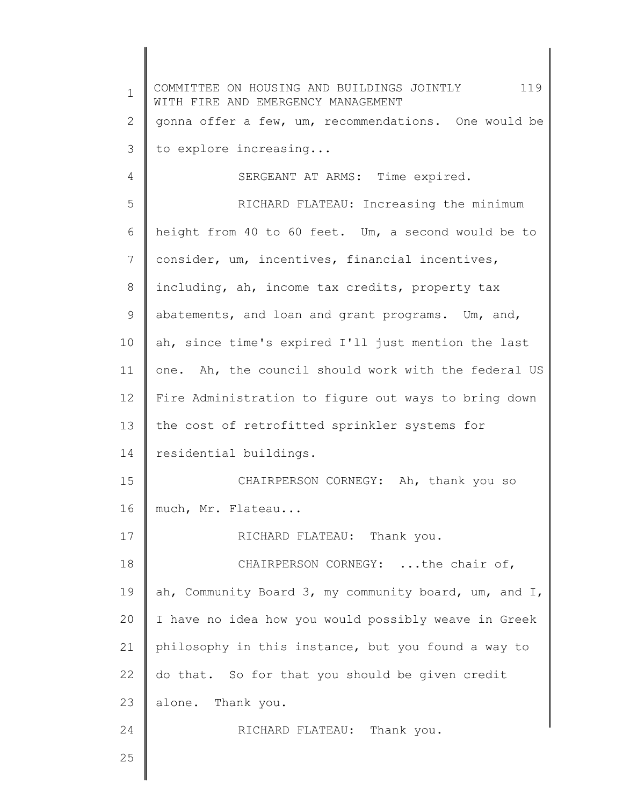1 2 3 4 5 6 7 8 9 10 11 12 13 14 15 16 17 18 19 20 21 22 23 24 25 COMMITTEE ON HOUSING AND BUILDINGS JOINTLY 119 WITH FIRE AND EMERGENCY MANAGEMENT gonna offer a few, um, recommendations. One would be to explore increasing... SERGEANT AT ARMS: Time expired. RICHARD FLATEAU: Increasing the minimum height from 40 to 60 feet. Um, a second would be to consider, um, incentives, financial incentives, including, ah, income tax credits, property tax abatements, and loan and grant programs. Um, and, ah, since time's expired I'll just mention the last one. Ah, the council should work with the federal US Fire Administration to figure out ways to bring down the cost of retrofitted sprinkler systems for residential buildings. CHAIRPERSON CORNEGY: Ah, thank you so much, Mr. Flateau... RICHARD FLATEAU: Thank you. CHAIRPERSON CORNEGY: ...the chair of, ah, Community Board 3, my community board, um, and I, I have no idea how you would possibly weave in Greek philosophy in this instance, but you found a way to do that. So for that you should be given credit alone. Thank you. RICHARD FLATEAU: Thank you.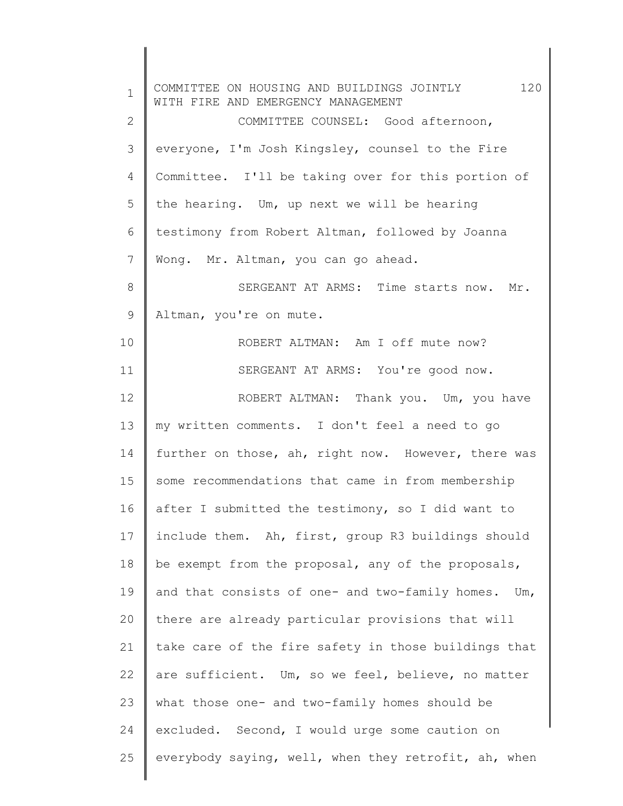| $\mathbf 1$  | 120<br>COMMITTEE ON HOUSING AND BUILDINGS JOINTLY<br>WITH FIRE AND EMERGENCY MANAGEMENT |
|--------------|-----------------------------------------------------------------------------------------|
| $\mathbf{2}$ | COMMITTEE COUNSEL: Good afternoon,                                                      |
| 3            | everyone, I'm Josh Kingsley, counsel to the Fire                                        |
| 4            | Committee. I'll be taking over for this portion of                                      |
| 5            | the hearing. Um, up next we will be hearing                                             |
| 6            | testimony from Robert Altman, followed by Joanna                                        |
| 7            | Wong. Mr. Altman, you can go ahead.                                                     |
| 8            | SERGEANT AT ARMS: Time starts now. Mr.                                                  |
| 9            | Altman, you're on mute.                                                                 |
| 10           | ROBERT ALTMAN: Am I off mute now?                                                       |
| 11           | SERGEANT AT ARMS: You're good now.                                                      |
| 12           | ROBERT ALTMAN: Thank you. Um, you have                                                  |
| 13           | my written comments. I don't feel a need to go                                          |
| 14           | further on those, ah, right now. However, there was                                     |
| 15           | some recommendations that came in from membership                                       |
| 16           | after I submitted the testimony, so I did want to                                       |
| 17           | include them. Ah, first, group R3 buildings should                                      |
| 18           | be exempt from the proposal, any of the proposals,                                      |
| 19           | and that consists of one- and two-family homes. Um,                                     |
| 20           | there are already particular provisions that will                                       |
| 21           | take care of the fire safety in those buildings that                                    |
| 22           | are sufficient. Um, so we feel, believe, no matter                                      |
| 23           | what those one- and two-family homes should be                                          |
| 24           | excluded. Second, I would urge some caution on                                          |
| 25           | everybody saying, well, when they retrofit, ah, when                                    |
|              |                                                                                         |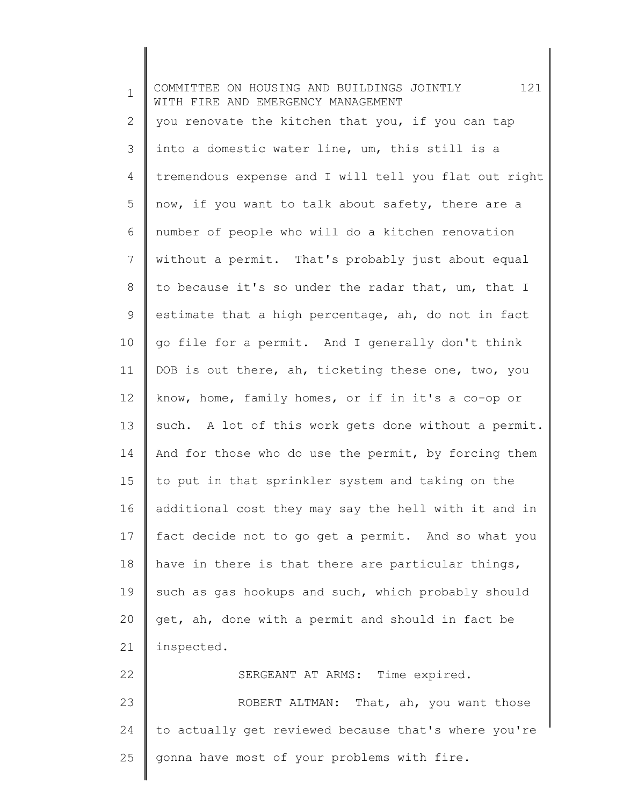1 2 3 4 5 6 7 8 9 10 11 12 13 14 15 16 17 18 19 20 21 22 23 24 25 COMMITTEE ON HOUSING AND BUILDINGS JOINTLY 121 WITH FIRE AND EMERGENCY MANAGEMENT you renovate the kitchen that you, if you can tap into a domestic water line, um, this still is a tremendous expense and I will tell you flat out right now, if you want to talk about safety, there are a number of people who will do a kitchen renovation without a permit. That's probably just about equal to because it's so under the radar that, um, that I estimate that a high percentage, ah, do not in fact go file for a permit. And I generally don't think DOB is out there, ah, ticketing these one, two, you know, home, family homes, or if in it's a co-op or such. A lot of this work gets done without a permit. And for those who do use the permit, by forcing them to put in that sprinkler system and taking on the additional cost they may say the hell with it and in fact decide not to go get a permit. And so what you have in there is that there are particular things, such as gas hookups and such, which probably should get, ah, done with a permit and should in fact be inspected. SERGEANT AT ARMS: Time expired. ROBERT ALTMAN: That, ah, you want those to actually get reviewed because that's where you're gonna have most of your problems with fire.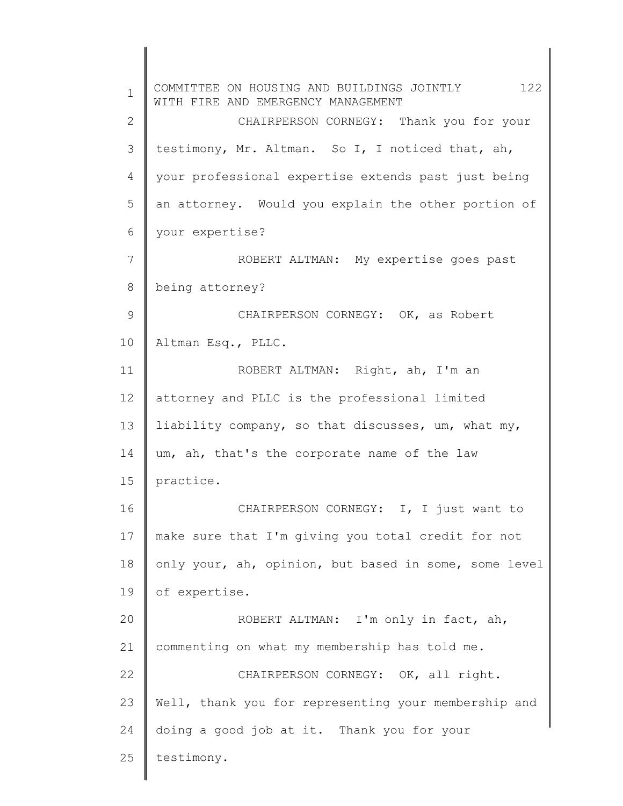1 2 3 4 5 6 7 8 9 10 11 12 13 14 15 16 17 18 19 20 21 22 23 24 25 COMMITTEE ON HOUSING AND BUILDINGS JOINTLY 122 WITH FIRE AND EMERGENCY MANAGEMENT CHAIRPERSON CORNEGY: Thank you for your testimony, Mr. Altman. So I, I noticed that, ah, your professional expertise extends past just being an attorney. Would you explain the other portion of your expertise? ROBERT ALTMAN: My expertise goes past being attorney? CHAIRPERSON CORNEGY: OK, as Robert Altman Esq., PLLC. ROBERT ALTMAN: Right, ah, I'm an attorney and PLLC is the professional limited liability company, so that discusses, um, what my, um, ah, that's the corporate name of the law practice. CHAIRPERSON CORNEGY: I, I just want to make sure that I'm giving you total credit for not only your, ah, opinion, but based in some, some level of expertise. ROBERT ALTMAN: I'm only in fact, ah, commenting on what my membership has told me. CHAIRPERSON CORNEGY: OK, all right. Well, thank you for representing your membership and doing a good job at it. Thank you for your testimony.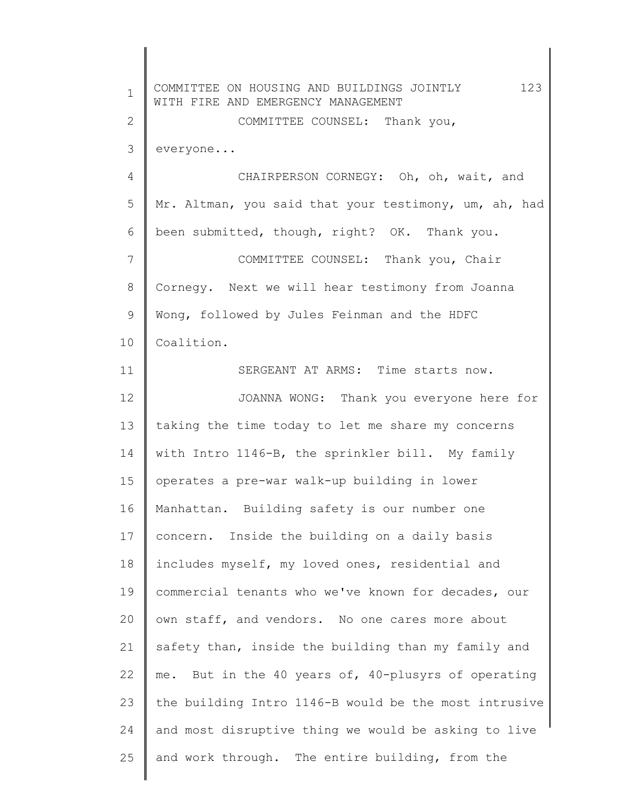1 2 3 4 5 6 7 8 9 10 11 12 13 14 15 16 17 18 19 20 21 22 23 24 25 COMMITTEE ON HOUSING AND BUILDINGS JOINTLY 123 WITH FIRE AND EMERGENCY MANAGEMENT COMMITTEE COUNSEL: Thank you, everyone... CHAIRPERSON CORNEGY: Oh, oh, wait, and Mr. Altman, you said that your testimony, um, ah, had been submitted, though, right? OK. Thank you. COMMITTEE COUNSEL: Thank you, Chair Cornegy. Next we will hear testimony from Joanna Wong, followed by Jules Feinman and the HDFC Coalition. SERGEANT AT ARMS: Time starts now. JOANNA WONG: Thank you everyone here for taking the time today to let me share my concerns with Intro 1146-B, the sprinkler bill. My family operates a pre-war walk-up building in lower Manhattan. Building safety is our number one concern. Inside the building on a daily basis includes myself, my loved ones, residential and commercial tenants who we've known for decades, our own staff, and vendors. No one cares more about safety than, inside the building than my family and me. But in the 40 years of, 40-plusyrs of operating the building Intro 1146-B would be the most intrusive and most disruptive thing we would be asking to live and work through. The entire building, from the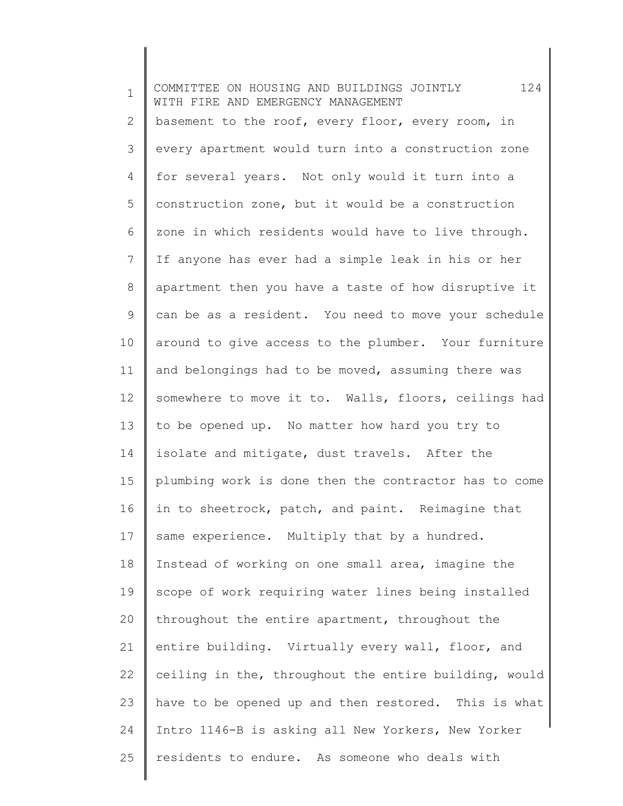1 2 3 4 5 6 7 8 9 10 11 12 13 14 15 16 17 18 19 20 21 22 23 24 25 COMMITTEE ON HOUSING AND BUILDINGS JOINTLY 124 WITH FIRE AND EMERGENCY MANAGEMENT basement to the roof, every floor, every room, in every apartment would turn into a construction zone for several years. Not only would it turn into a construction zone, but it would be a construction zone in which residents would have to live through. If anyone has ever had a simple leak in his or her apartment then you have a taste of how disruptive it can be as a resident. You need to move your schedule around to give access to the plumber. Your furniture and belongings had to be moved, assuming there was somewhere to move it to. Walls, floors, ceilings had to be opened up. No matter how hard you try to isolate and mitigate, dust travels. After the plumbing work is done then the contractor has to come in to sheetrock, patch, and paint. Reimagine that same experience. Multiply that by a hundred. Instead of working on one small area, imagine the scope of work requiring water lines being installed throughout the entire apartment, throughout the entire building. Virtually every wall, floor, and ceiling in the, throughout the entire building, would have to be opened up and then restored. This is what Intro 1146-B is asking all New Yorkers, New Yorker residents to endure. As someone who deals with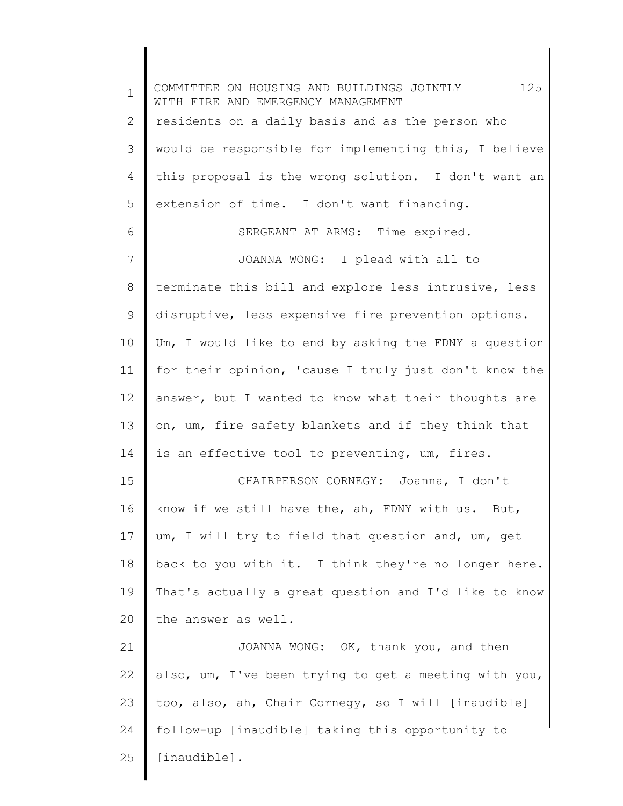1 2 3 4 5 6 7 8 9 10 11 12 13 14 15 16 17 18 19 20 21 22 23 24 25 COMMITTEE ON HOUSING AND BUILDINGS JOINTLY 125 WITH FIRE AND EMERGENCY MANAGEMENT residents on a daily basis and as the person who would be responsible for implementing this, I believe this proposal is the wrong solution. I don't want an extension of time. I don't want financing. SERGEANT AT ARMS: Time expired. JOANNA WONG: I plead with all to terminate this bill and explore less intrusive, less disruptive, less expensive fire prevention options. Um, I would like to end by asking the FDNY a question for their opinion, 'cause I truly just don't know the answer, but I wanted to know what their thoughts are on, um, fire safety blankets and if they think that is an effective tool to preventing, um, fires. CHAIRPERSON CORNEGY: Joanna, I don't know if we still have the, ah, FDNY with us. But, um, I will try to field that question and, um, get back to you with it. I think they're no longer here. That's actually a great question and I'd like to know the answer as well. JOANNA WONG: OK, thank you, and then also, um, I've been trying to get a meeting with you, too, also, ah, Chair Cornegy, so I will [inaudible] follow-up [inaudible] taking this opportunity to [inaudible].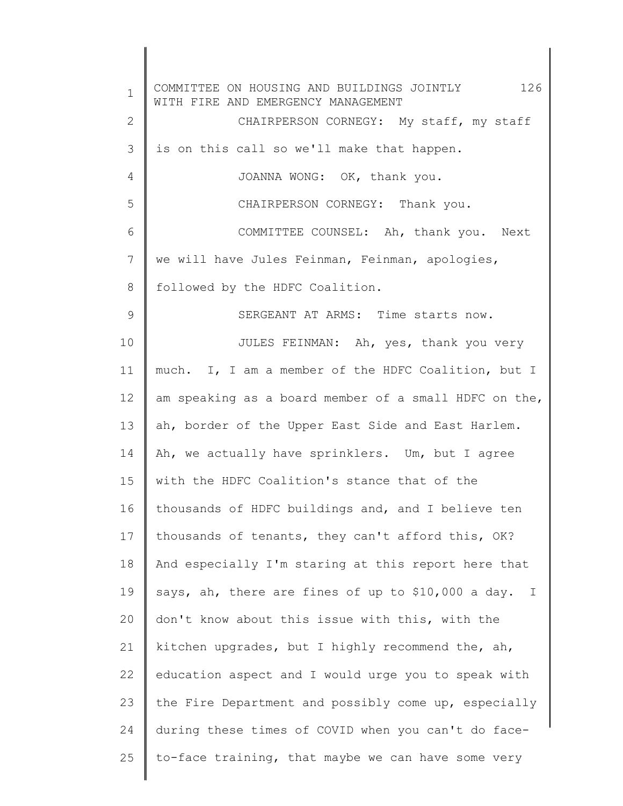1 2 3 4 5 6 7 8 9 10 11 12 13 14 15 16 17 18 19 20 21 22 23 24 25 COMMITTEE ON HOUSING AND BUILDINGS JOINTLY 126 WITH FIRE AND EMERGENCY MANAGEMENT CHAIRPERSON CORNEGY: My staff, my staff is on this call so we'll make that happen. JOANNA WONG: OK, thank you. CHAIRPERSON CORNEGY: Thank you. COMMITTEE COUNSEL: Ah, thank you. Next we will have Jules Feinman, Feinman, apologies, followed by the HDFC Coalition. SERGEANT AT ARMS: Time starts now. JULES FEINMAN: Ah, yes, thank you very much. I, I am a member of the HDFC Coalition, but I am speaking as a board member of a small HDFC on the, ah, border of the Upper East Side and East Harlem. Ah, we actually have sprinklers. Um, but I agree with the HDFC Coalition's stance that of the thousands of HDFC buildings and, and I believe ten thousands of tenants, they can't afford this, OK? And especially I'm staring at this report here that says, ah, there are fines of up to \$10,000 a day. I don't know about this issue with this, with the kitchen upgrades, but I highly recommend the, ah, education aspect and I would urge you to speak with the Fire Department and possibly come up, especially during these times of COVID when you can't do faceto-face training, that maybe we can have some very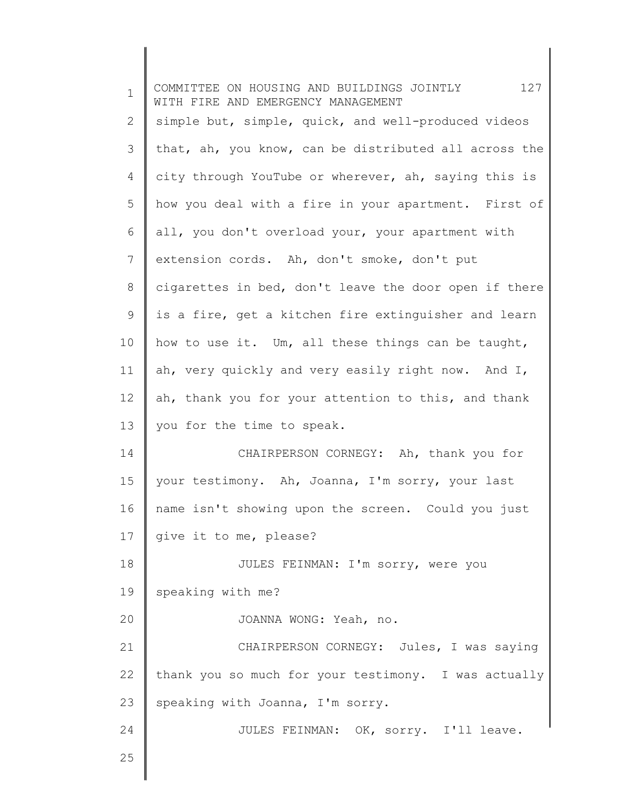| $\mathbf 1$ | 127<br>COMMITTEE ON HOUSING AND BUILDINGS JOINTLY<br>WITH FIRE AND EMERGENCY MANAGEMENT |
|-------------|-----------------------------------------------------------------------------------------|
| 2           | simple but, simple, quick, and well-produced videos                                     |
| 3           | that, ah, you know, can be distributed all across the                                   |
| 4           | city through YouTube or wherever, ah, saying this is                                    |
| 5           | how you deal with a fire in your apartment. First of                                    |
| 6           | all, you don't overload your, your apartment with                                       |
| 7           | extension cords. Ah, don't smoke, don't put                                             |
| $8\,$       | cigarettes in bed, don't leave the door open if there                                   |
| 9           | is a fire, get a kitchen fire extinguisher and learn                                    |
| 10          | how to use it. Um, all these things can be taught,                                      |
| 11          | ah, very quickly and very easily right now. And I,                                      |
| 12          | ah, thank you for your attention to this, and thank                                     |
| 13          | you for the time to speak.                                                              |
| 14          | CHAIRPERSON CORNEGY: Ah, thank you for                                                  |
| 15          | your testimony. Ah, Joanna, I'm sorry, your last                                        |
| 16          | name isn't showing upon the screen. Could you just                                      |
| 17          | give it to me, please?                                                                  |
| 18          | JULES FEINMAN: I'm sorry, were you                                                      |
| 19          | speaking with me?                                                                       |
| 20          | JOANNA WONG: Yeah, no.                                                                  |
| 21          | CHAIRPERSON CORNEGY: Jules, I was saying                                                |
| 22          | thank you so much for your testimony. I was actually                                    |
| 23          | speaking with Joanna, I'm sorry.                                                        |
| 24          | JULES FEINMAN: OK, sorry. I'll leave.                                                   |
| 25          |                                                                                         |
|             |                                                                                         |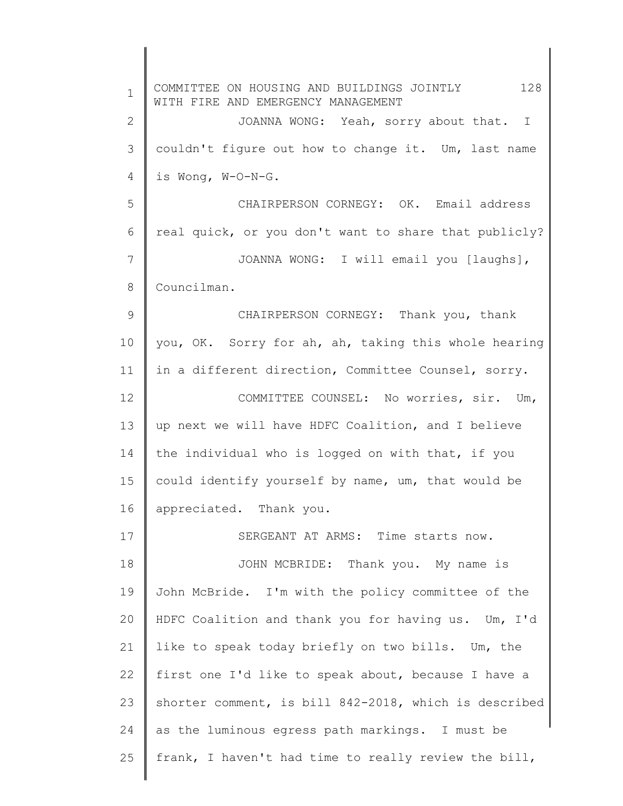1 2 3 4 5 6 7 8 9 10 11 12 13 14 15 16 17 18 19 20 21 22 23 24 25 COMMITTEE ON HOUSING AND BUILDINGS JOINTLY 128 WITH FIRE AND EMERGENCY MANAGEMENT JOANNA WONG: Yeah, sorry about that. I couldn't figure out how to change it. Um, last name is Wong, W-O-N-G. CHAIRPERSON CORNEGY: OK. Email address real quick, or you don't want to share that publicly? JOANNA WONG: I will email you [laughs], Councilman. CHAIRPERSON CORNEGY: Thank you, thank you, OK. Sorry for ah, ah, taking this whole hearing in a different direction, Committee Counsel, sorry. COMMITTEE COUNSEL: No worries, sir. Um, up next we will have HDFC Coalition, and I believe the individual who is logged on with that, if you could identify yourself by name, um, that would be appreciated. Thank you. SERGEANT AT ARMS: Time starts now. JOHN MCBRIDE: Thank you. My name is John McBride. I'm with the policy committee of the HDFC Coalition and thank you for having us. Um, I'd like to speak today briefly on two bills. Um, the first one I'd like to speak about, because I have a shorter comment, is bill 842-2018, which is described as the luminous egress path markings. I must be frank, I haven't had time to really review the bill,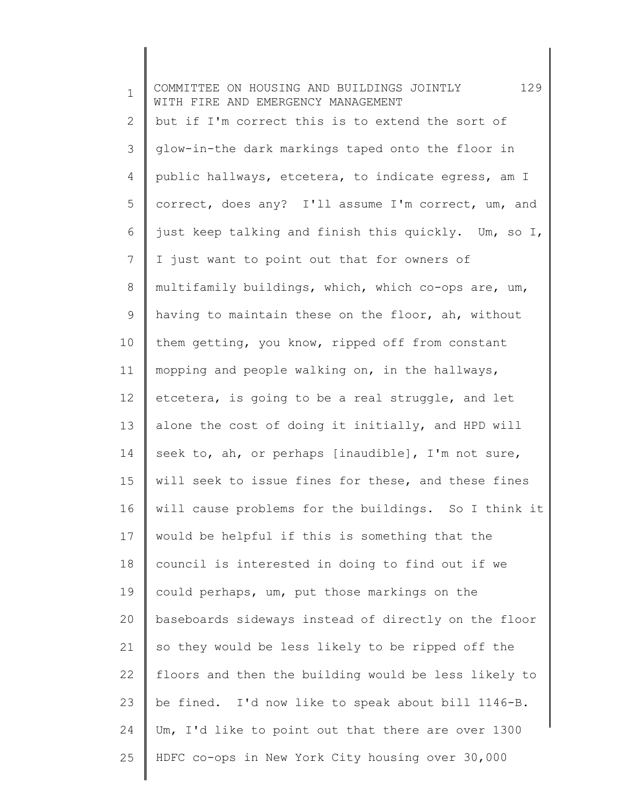1 2 3 4 5 6 7 8 9 10 11 12 13 14 15 16 17 18 19 20 21 22 23 24 25 COMMITTEE ON HOUSING AND BUILDINGS JOINTLY 129 WITH FIRE AND EMERGENCY MANAGEMENT but if I'm correct this is to extend the sort of glow-in-the dark markings taped onto the floor in public hallways, etcetera, to indicate egress, am I correct, does any? I'll assume I'm correct, um, and just keep talking and finish this quickly. Um, so I, I just want to point out that for owners of multifamily buildings, which, which co-ops are, um, having to maintain these on the floor, ah, without them getting, you know, ripped off from constant mopping and people walking on, in the hallways, etcetera, is going to be a real struggle, and let alone the cost of doing it initially, and HPD will seek to, ah, or perhaps [inaudible], I'm not sure, will seek to issue fines for these, and these fines will cause problems for the buildings. So I think it would be helpful if this is something that the council is interested in doing to find out if we could perhaps, um, put those markings on the baseboards sideways instead of directly on the floor so they would be less likely to be ripped off the floors and then the building would be less likely to be fined. I'd now like to speak about bill 1146-B. Um, I'd like to point out that there are over 1300 HDFC co-ops in New York City housing over 30,000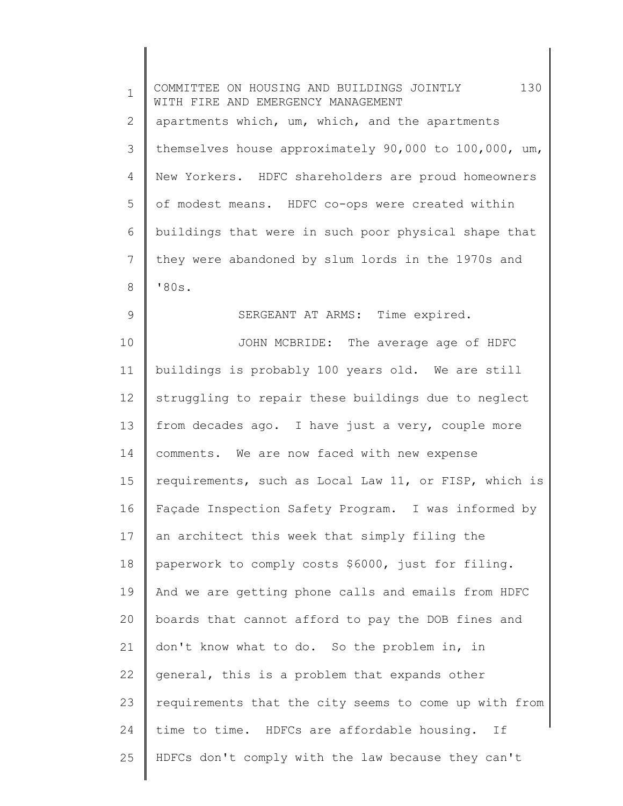| $\mathbf 1$ | 130<br>COMMITTEE ON HOUSING AND BUILDINGS JOINTLY<br>WITH FIRE AND EMERGENCY MANAGEMENT |
|-------------|-----------------------------------------------------------------------------------------|
| 2           | apartments which, um, which, and the apartments                                         |
| 3           | themselves house approximately 90,000 to 100,000, um,                                   |
| 4           | New Yorkers. HDFC shareholders are proud homeowners                                     |
| 5           | of modest means. HDFC co-ops were created within                                        |
| 6           | buildings that were in such poor physical shape that                                    |
| 7           | they were abandoned by slum lords in the 1970s and                                      |
| 8           | '80s.                                                                                   |
| 9           | SERGEANT AT ARMS: Time expired.                                                         |
| 10          | JOHN MCBRIDE: The average age of HDFC                                                   |
| 11          | buildings is probably 100 years old. We are still                                       |
| 12          | struggling to repair these buildings due to neglect                                     |
| 13          | from decades ago. I have just a very, couple more                                       |
| 14          | comments. We are now faced with new expense                                             |
| 15          | requirements, such as Local Law 11, or FISP, which is                                   |
| 16          | Façade Inspection Safety Program. I was informed by                                     |
| 17          | an architect this week that simply filing the                                           |
| 18          | paperwork to comply costs \$6000, just for filing.                                      |
| 19          | And we are getting phone calls and emails from HDFC                                     |
| 20          | boards that cannot afford to pay the DOB fines and                                      |
| 21          | don't know what to do. So the problem in, in                                            |
| 22          | general, this is a problem that expands other                                           |
| 23          | requirements that the city seems to come up with from                                   |
| 24          | time to time. HDFCs are affordable housing.<br>If                                       |
| 25          | HDFCs don't comply with the law because they can't                                      |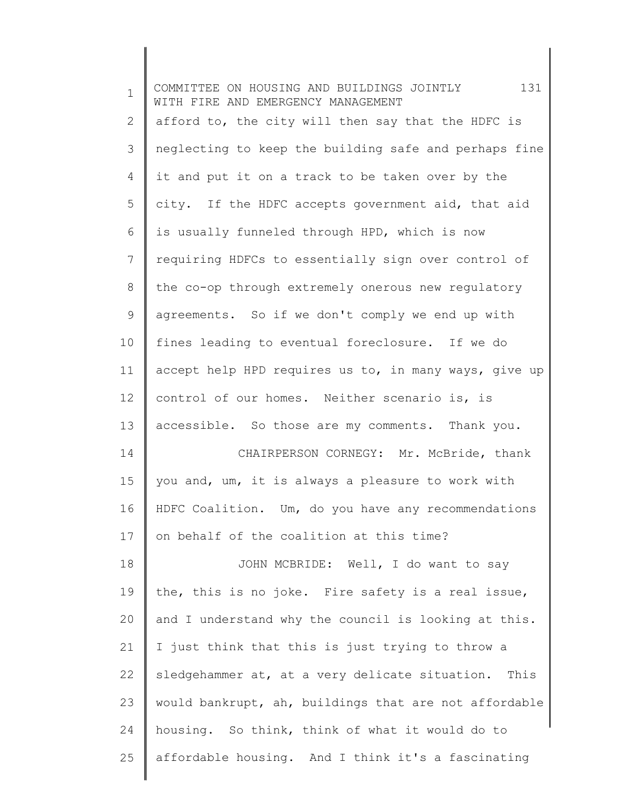| $\mathbf 1$ | 131<br>COMMITTEE ON HOUSING AND BUILDINGS JOINTLY<br>WITH FIRE AND EMERGENCY MANAGEMENT |
|-------------|-----------------------------------------------------------------------------------------|
| 2           | afford to, the city will then say that the HDFC is                                      |
| 3           | neglecting to keep the building safe and perhaps fine                                   |
| 4           | it and put it on a track to be taken over by the                                        |
| 5           | city. If the HDFC accepts government aid, that aid                                      |
| 6           | is usually funneled through HPD, which is now                                           |
| 7           | requiring HDFCs to essentially sign over control of                                     |
| 8           | the co-op through extremely onerous new regulatory                                      |
| 9           | agreements. So if we don't comply we end up with                                        |
| 10          | fines leading to eventual foreclosure. If we do                                         |
| 11          | accept help HPD requires us to, in many ways, give up                                   |
| 12          | control of our homes. Neither scenario is, is                                           |
| 13          | accessible. So those are my comments. Thank you.                                        |
| 14          | CHAIRPERSON CORNEGY: Mr. McBride, thank                                                 |
| 15          | you and, um, it is always a pleasure to work with                                       |
| 16          | HDFC Coalition. Um, do you have any recommendations                                     |
| 17          | on behalf of the coalition at this time?                                                |
| 18          | JOHN MCBRIDE: Well, I do want to say                                                    |
| 19          | the, this is no joke. Fire safety is a real issue,                                      |
| 20          | and I understand why the council is looking at this.                                    |
| 21          | I just think that this is just trying to throw a                                        |
| 22          | sledgehammer at, at a very delicate situation. This                                     |
| 23          | would bankrupt, ah, buildings that are not affordable                                   |
| 24          | housing. So think, think of what it would do to                                         |
| 25          | affordable housing. And I think it's a fascinating                                      |
|             |                                                                                         |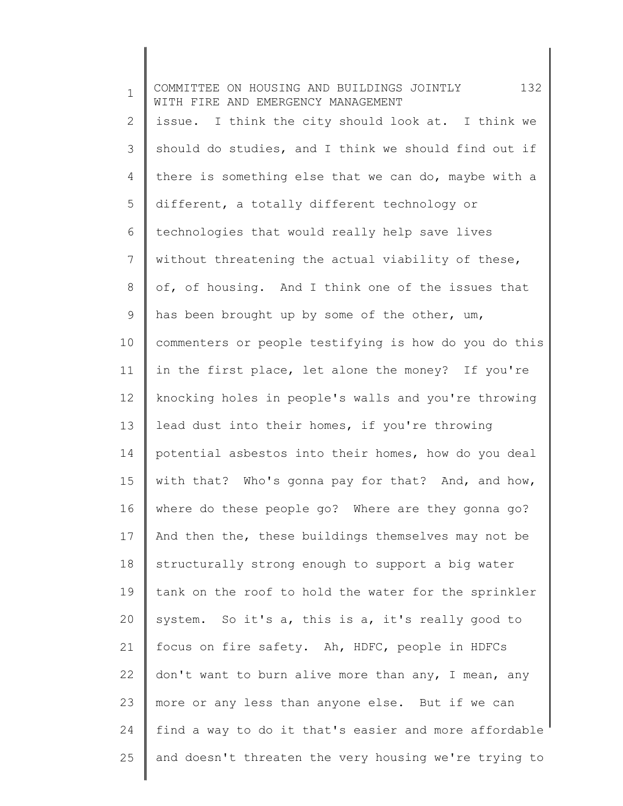| $\mathbf 1$  | 132<br>COMMITTEE ON HOUSING AND BUILDINGS JOINTLY<br>WITH FIRE AND EMERGENCY MANAGEMENT |
|--------------|-----------------------------------------------------------------------------------------|
| $\mathbf{2}$ | issue. I think the city should look at. I think we                                      |
| 3            | should do studies, and I think we should find out if                                    |
| 4            | there is something else that we can do, maybe with a                                    |
| 5            | different, a totally different technology or                                            |
| 6            | technologies that would really help save lives                                          |
| 7            | without threatening the actual viability of these,                                      |
| $8\,$        | of, of housing. And I think one of the issues that                                      |
| 9            | has been brought up by some of the other, um,                                           |
| 10           | commenters or people testifying is how do you do this                                   |
| 11           | in the first place, let alone the money? If you're                                      |
| 12           | knocking holes in people's walls and you're throwing                                    |
| 13           | lead dust into their homes, if you're throwing                                          |
| 14           | potential asbestos into their homes, how do you deal                                    |
| 15           | with that? Who's gonna pay for that? And, and how,                                      |
| 16           | where do these people go? Where are they gonna go?                                      |
| 17           | And then the, these buildings themselves may not be                                     |
| 18           | structurally strong enough to support a big water                                       |
| 19           | tank on the roof to hold the water for the sprinkler                                    |
| 20           | system. So it's a, this is a, it's really good to                                       |
| 21           | focus on fire safety. Ah, HDFC, people in HDFCs                                         |
| 22           | don't want to burn alive more than any, I mean, any                                     |
| 23           | more or any less than anyone else. But if we can                                        |
| 24           | find a way to do it that's easier and more affordable                                   |
| 25           | and doesn't threaten the very housing we're trying to                                   |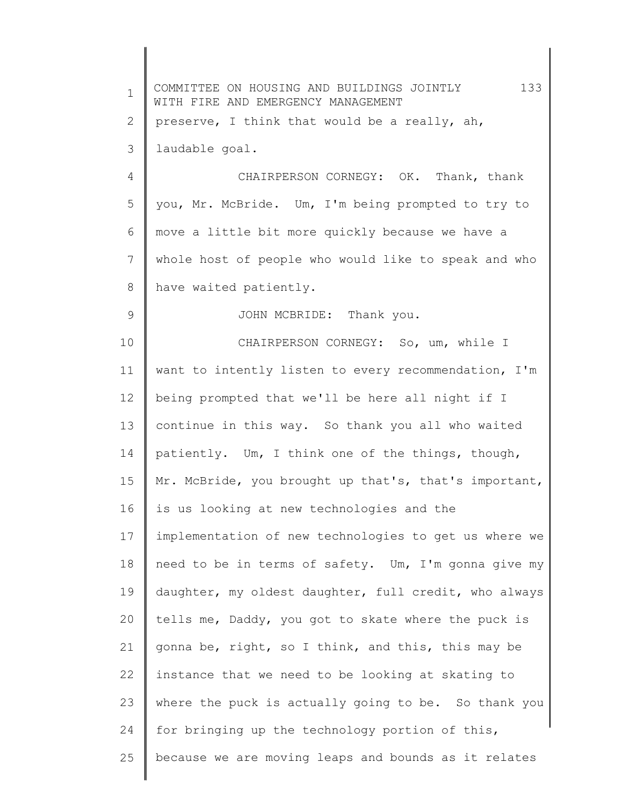| $\mathbf 1$    | 133<br>COMMITTEE ON HOUSING AND BUILDINGS JOINTLY<br>WITH FIRE AND EMERGENCY MANAGEMENT |
|----------------|-----------------------------------------------------------------------------------------|
| 2              | preserve, I think that would be a really, ah,                                           |
| 3              | laudable goal.                                                                          |
| $\overline{4}$ | CHAIRPERSON CORNEGY: OK. Thank, thank                                                   |
| 5              | you, Mr. McBride. Um, I'm being prompted to try to                                      |
| 6              | move a little bit more quickly because we have a                                        |
| 7              | whole host of people who would like to speak and who                                    |
| 8              | have waited patiently.                                                                  |
| 9              | JOHN MCBRIDE: Thank you.                                                                |
| 10             | CHAIRPERSON CORNEGY: So, um, while I                                                    |
| 11             | want to intently listen to every recommendation, I'm                                    |
| 12             | being prompted that we'll be here all night if I                                        |
| 13             | continue in this way. So thank you all who waited                                       |
| 14             | patiently. Um, I think one of the things, though,                                       |
| 15             | Mr. McBride, you brought up that's, that's important,                                   |
| 16             | is us looking at new technologies and the                                               |
| 17             | implementation of new technologies to get us where we                                   |
| 18             | need to be in terms of safety. Um, I'm gonna give my                                    |
| 19             | daughter, my oldest daughter, full credit, who always                                   |
| 20             | tells me, Daddy, you got to skate where the puck is                                     |
| 21             | gonna be, right, so I think, and this, this may be                                      |
| 22             | instance that we need to be looking at skating to                                       |
| 23             | where the puck is actually going to be. So thank you                                    |
| 24             | for bringing up the technology portion of this,                                         |
| 25             | because we are moving leaps and bounds as it relates                                    |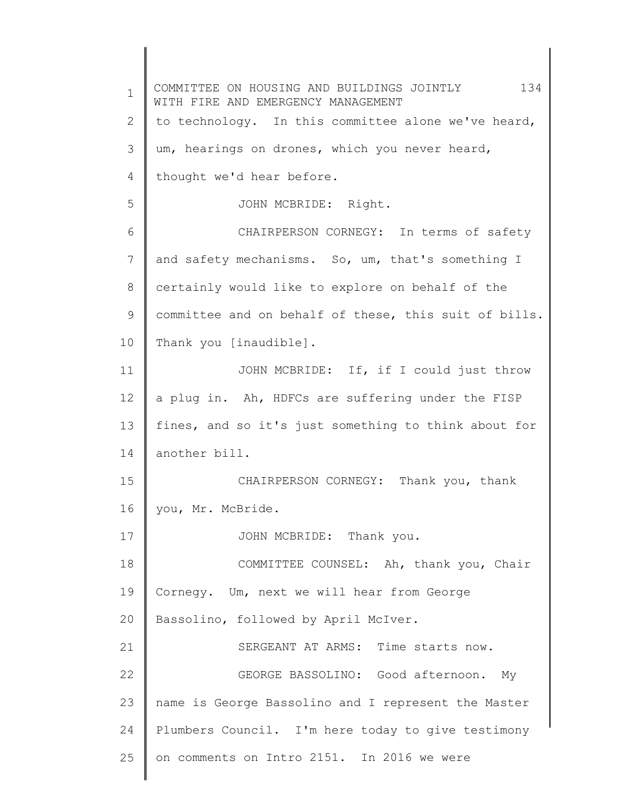1 2 3 4 5 6 7 8 9 10 11 12 13 14 15 16 17 18 19 20 21 22 23 24 25 COMMITTEE ON HOUSING AND BUILDINGS JOINTLY 134 WITH FIRE AND EMERGENCY MANAGEMENT to technology. In this committee alone we've heard, um, hearings on drones, which you never heard, thought we'd hear before. JOHN MCBRIDE: Right. CHAIRPERSON CORNEGY: In terms of safety and safety mechanisms. So, um, that's something I certainly would like to explore on behalf of the committee and on behalf of these, this suit of bills. Thank you [inaudible]. JOHN MCBRIDE: If, if I could just throw a plug in. Ah, HDFCs are suffering under the FISP fines, and so it's just something to think about for another bill. CHAIRPERSON CORNEGY: Thank you, thank you, Mr. McBride. JOHN MCBRIDE: Thank you. COMMITTEE COUNSEL: Ah, thank you, Chair Cornegy. Um, next we will hear from George Bassolino, followed by April McIver. SERGEANT AT ARMS: Time starts now. GEORGE BASSOLINO: Good afternoon. My name is George Bassolino and I represent the Master Plumbers Council. I'm here today to give testimony on comments on Intro 2151. In 2016 we were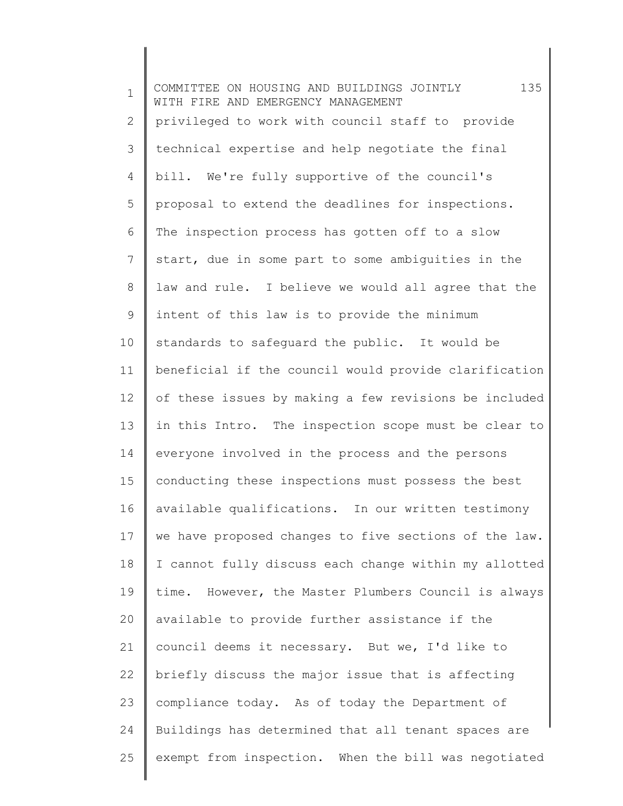1 2 3 4 5 6 7 8 9 10 11 12 13 14 15 16 17 18 19 20 21 22 23 24 25 COMMITTEE ON HOUSING AND BUILDINGS JOINTLY 135 WITH FIRE AND EMERGENCY MANAGEMENT privileged to work with council staff to provide technical expertise and help negotiate the final bill. We're fully supportive of the council's proposal to extend the deadlines for inspections. The inspection process has gotten off to a slow start, due in some part to some ambiguities in the law and rule. I believe we would all agree that the intent of this law is to provide the minimum standards to safeguard the public. It would be beneficial if the council would provide clarification of these issues by making a few revisions be included in this Intro. The inspection scope must be clear to everyone involved in the process and the persons conducting these inspections must possess the best available qualifications. In our written testimony we have proposed changes to five sections of the law. I cannot fully discuss each change within my allotted time. However, the Master Plumbers Council is always available to provide further assistance if the council deems it necessary. But we, I'd like to briefly discuss the major issue that is affecting compliance today. As of today the Department of Buildings has determined that all tenant spaces are exempt from inspection. When the bill was negotiated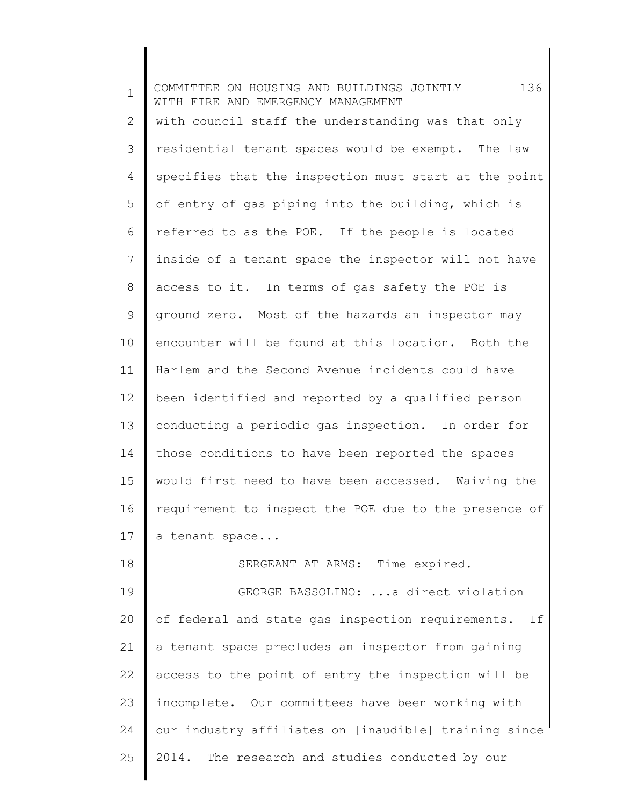1 2 3 4 5 6 7 8 9 10 11 12 13 14 15 16 17 18 COMMITTEE ON HOUSING AND BUILDINGS JOINTLY 136 WITH FIRE AND EMERGENCY MANAGEMENT with council staff the understanding was that only residential tenant spaces would be exempt. The law specifies that the inspection must start at the point of entry of gas piping into the building, which is referred to as the POE. If the people is located inside of a tenant space the inspector will not have access to it. In terms of gas safety the POE is ground zero. Most of the hazards an inspector may encounter will be found at this location. Both the Harlem and the Second Avenue incidents could have been identified and reported by a qualified person conducting a periodic gas inspection. In order for those conditions to have been reported the spaces would first need to have been accessed. Waiving the requirement to inspect the POE due to the presence of a tenant space... SERGEANT AT ARMS: Time expired.

19 20 21 22 23 24 25 GEORGE BASSOLINO: ...a direct violation of federal and state gas inspection requirements. If a tenant space precludes an inspector from gaining access to the point of entry the inspection will be incomplete. Our committees have been working with our industry affiliates on [inaudible] training since 2014. The research and studies conducted by our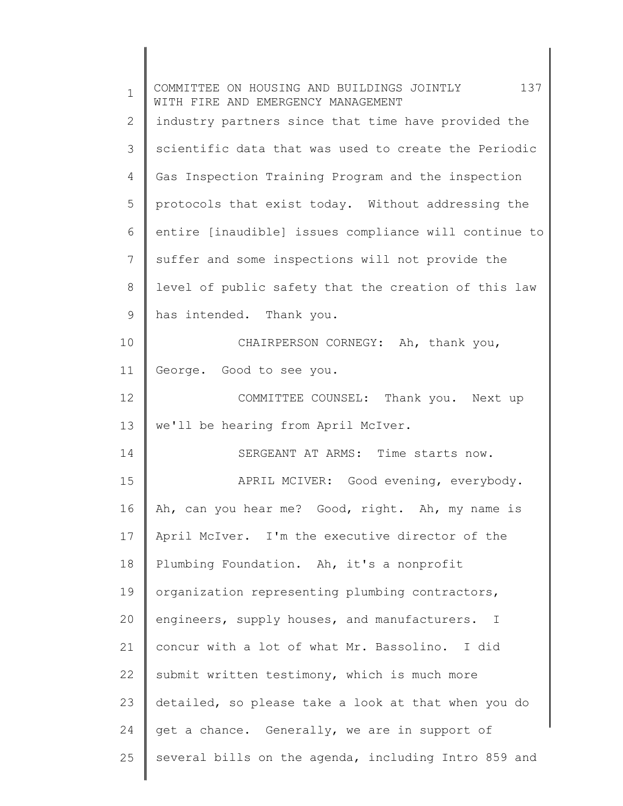| $\mathbf 1$ | 137<br>COMMITTEE ON HOUSING AND BUILDINGS JOINTLY<br>WITH FIRE AND EMERGENCY MANAGEMENT |
|-------------|-----------------------------------------------------------------------------------------|
| 2           | industry partners since that time have provided the                                     |
| 3           | scientific data that was used to create the Periodic                                    |
| 4           | Gas Inspection Training Program and the inspection                                      |
| 5           | protocols that exist today. Without addressing the                                      |
| 6           | entire [inaudible] issues compliance will continue to                                   |
| 7           | suffer and some inspections will not provide the                                        |
| 8           | level of public safety that the creation of this law                                    |
| 9           | has intended. Thank you.                                                                |
| 10          | CHAIRPERSON CORNEGY: Ah, thank you,                                                     |
| 11          | George. Good to see you.                                                                |
| 12          | COMMITTEE COUNSEL: Thank you. Next up                                                   |
| 13          | we'll be hearing from April McIver.                                                     |
| 14          | SERGEANT AT ARMS: Time starts now.                                                      |
| 15          | APRIL MCIVER: Good evening, everybody.                                                  |
| 16          | Ah, can you hear me? Good, right. Ah, my name is                                        |
| 17          | April McIver. I'm the executive director of the                                         |
| 18          | Plumbing Foundation. Ah, it's a nonprofit                                               |
| 19          | organization representing plumbing contractors,                                         |
| 20          | engineers, supply houses, and manufacturers. I                                          |
| 21          | concur with a lot of what Mr. Bassolino. I did                                          |
| 22          | submit written testimony, which is much more                                            |
| 23          | detailed, so please take a look at that when you do                                     |
| 24          | get a chance. Generally, we are in support of                                           |
| 25          | several bills on the agenda, including Intro 859 and                                    |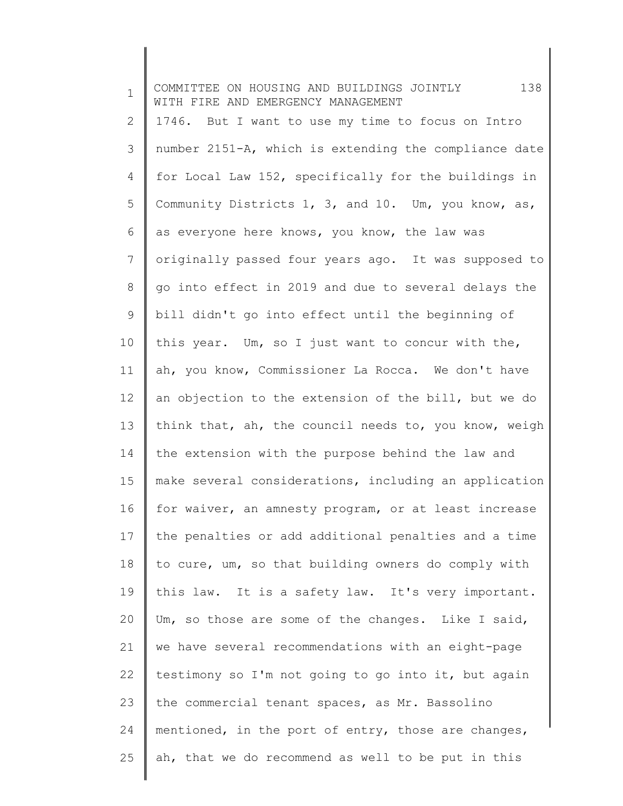1 2 3 4 5 6 7 8 9 10 11 12 13 14 15 16 17 18 19 20 21 22 23 24 25 COMMITTEE ON HOUSING AND BUILDINGS JOINTLY 138 WITH FIRE AND EMERGENCY MANAGEMENT 1746. But I want to use my time to focus on Intro number 2151-A, which is extending the compliance date for Local Law 152, specifically for the buildings in Community Districts 1, 3, and 10. Um, you know, as, as everyone here knows, you know, the law was originally passed four years ago. It was supposed to go into effect in 2019 and due to several delays the bill didn't go into effect until the beginning of this year. Um, so I just want to concur with the, ah, you know, Commissioner La Rocca. We don't have an objection to the extension of the bill, but we do think that, ah, the council needs to, you know, weigh the extension with the purpose behind the law and make several considerations, including an application for waiver, an amnesty program, or at least increase the penalties or add additional penalties and a time to cure, um, so that building owners do comply with this law. It is a safety law. It's very important. Um, so those are some of the changes. Like I said, we have several recommendations with an eight-page testimony so I'm not going to go into it, but again the commercial tenant spaces, as Mr. Bassolino mentioned, in the port of entry, those are changes, ah, that we do recommend as well to be put in this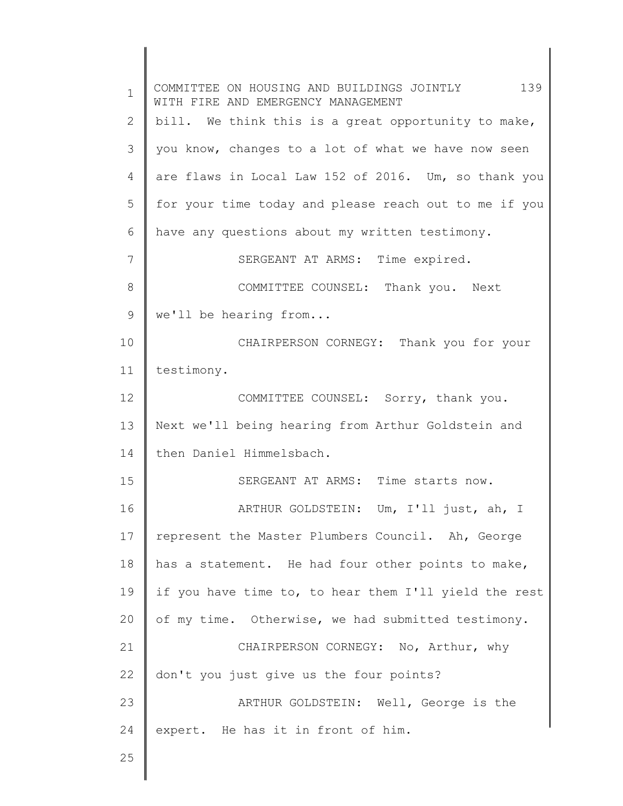| $\mathbf 1$ | COMMITTEE ON HOUSING AND BUILDINGS JOINTLY 139<br>WITH FIRE AND EMERGENCY MANAGEMENT |
|-------------|--------------------------------------------------------------------------------------|
| 2           | bill. We think this is a great opportunity to make,                                  |
| 3           | you know, changes to a lot of what we have now seen                                  |
| 4           | are flaws in Local Law 152 of 2016. Um, so thank you                                 |
| 5           | for your time today and please reach out to me if you                                |
| 6           | have any questions about my written testimony.                                       |
| 7           | SERGEANT AT ARMS: Time expired.                                                      |
| 8           | COMMITTEE COUNSEL: Thank you. Next                                                   |
| 9           | we'll be hearing from                                                                |
| 10          | CHAIRPERSON CORNEGY: Thank you for your                                              |
| 11          | testimony.                                                                           |
| 12          | COMMITTEE COUNSEL: Sorry, thank you.                                                 |
| 13          | Next we'll being hearing from Arthur Goldstein and                                   |
| 14          | then Daniel Himmelsbach.                                                             |
| 15          | SERGEANT AT ARMS: Time starts now.                                                   |
| 16          | ARTHUR GOLDSTEIN: Um, I'll just, ah, I                                               |
| 17          | represent the Master Plumbers Council. Ah, George                                    |
| 18          | has a statement. He had four other points to make,                                   |
| 19          | if you have time to, to hear them I'll yield the rest                                |
| 20          | of my time. Otherwise, we had submitted testimony.                                   |
| 21          | CHAIRPERSON CORNEGY: No, Arthur, why                                                 |
| 22          | don't you just give us the four points?                                              |
| 23          | ARTHUR GOLDSTEIN: Well, George is the                                                |
| 24          | expert. He has it in front of him.                                                   |
| 25          |                                                                                      |

║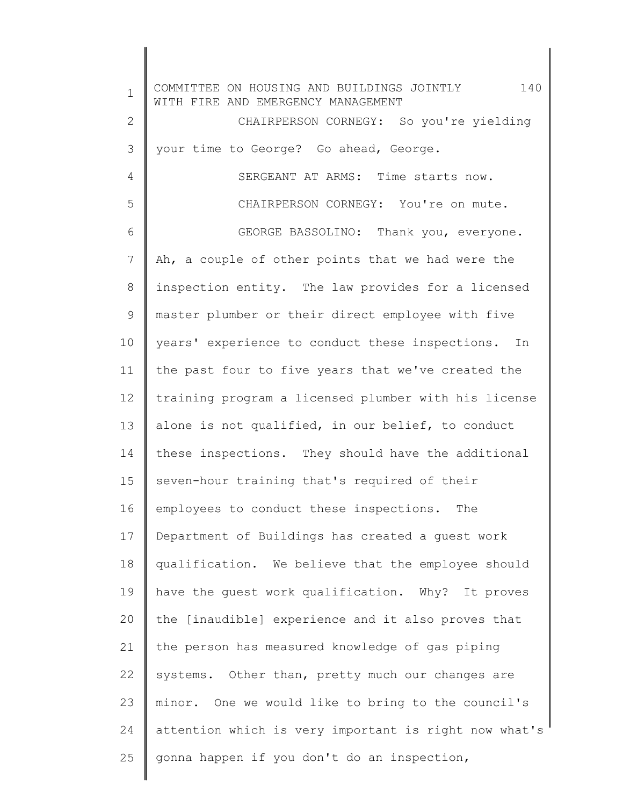1 2 3 4 5 6 7 8 9 10 11 12 13 14 15 16 17 18 19 20 21 22 23 24 25 COMMITTEE ON HOUSING AND BUILDINGS JOINTLY 140 WITH FIRE AND EMERGENCY MANAGEMENT CHAIRPERSON CORNEGY: So you're yielding your time to George? Go ahead, George. SERGEANT AT ARMS: Time starts now. CHAIRPERSON CORNEGY: You're on mute. GEORGE BASSOLINO: Thank you, everyone. Ah, a couple of other points that we had were the inspection entity. The law provides for a licensed master plumber or their direct employee with five years' experience to conduct these inspections. In the past four to five years that we've created the training program a licensed plumber with his license alone is not qualified, in our belief, to conduct these inspections. They should have the additional seven-hour training that's required of their employees to conduct these inspections. The Department of Buildings has created a guest work qualification. We believe that the employee should have the guest work qualification. Why? It proves the [inaudible] experience and it also proves that the person has measured knowledge of gas piping systems. Other than, pretty much our changes are minor. One we would like to bring to the council's attention which is very important is right now what's gonna happen if you don't do an inspection,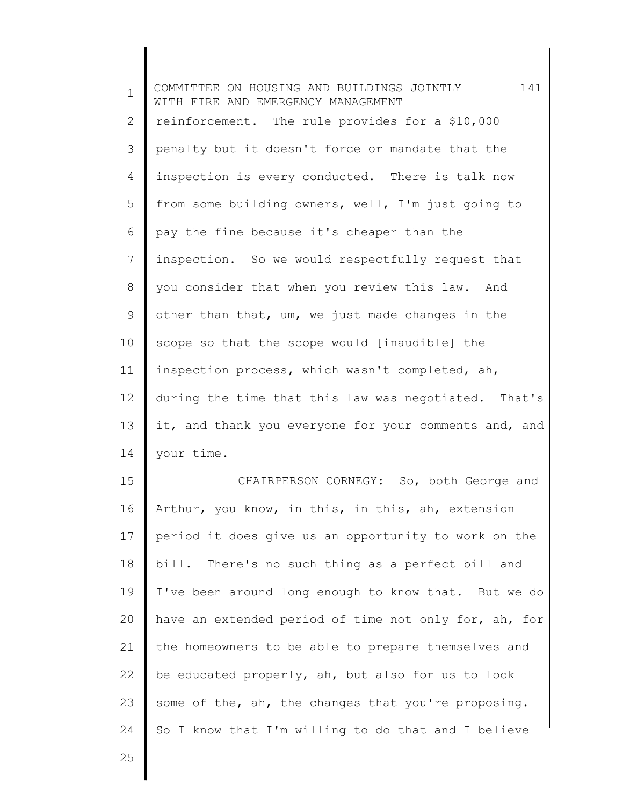1 2 3 4 5 6 7 8 9 10 11 12 13 14 15 16 17 18 19 20 21 22 23 24 COMMITTEE ON HOUSING AND BUILDINGS JOINTLY 141 WITH FIRE AND EMERGENCY MANAGEMENT reinforcement. The rule provides for a \$10,000 penalty but it doesn't force or mandate that the inspection is every conducted. There is talk now from some building owners, well, I'm just going to pay the fine because it's cheaper than the inspection. So we would respectfully request that you consider that when you review this law. And other than that, um, we just made changes in the scope so that the scope would [inaudible] the inspection process, which wasn't completed, ah, during the time that this law was negotiated. That's it, and thank you everyone for your comments and, and your time. CHAIRPERSON CORNEGY: So, both George and Arthur, you know, in this, in this, ah, extension period it does give us an opportunity to work on the bill. There's no such thing as a perfect bill and I've been around long enough to know that. But we do have an extended period of time not only for, ah, for the homeowners to be able to prepare themselves and be educated properly, ah, but also for us to look some of the, ah, the changes that you're proposing. So I know that I'm willing to do that and I believe

25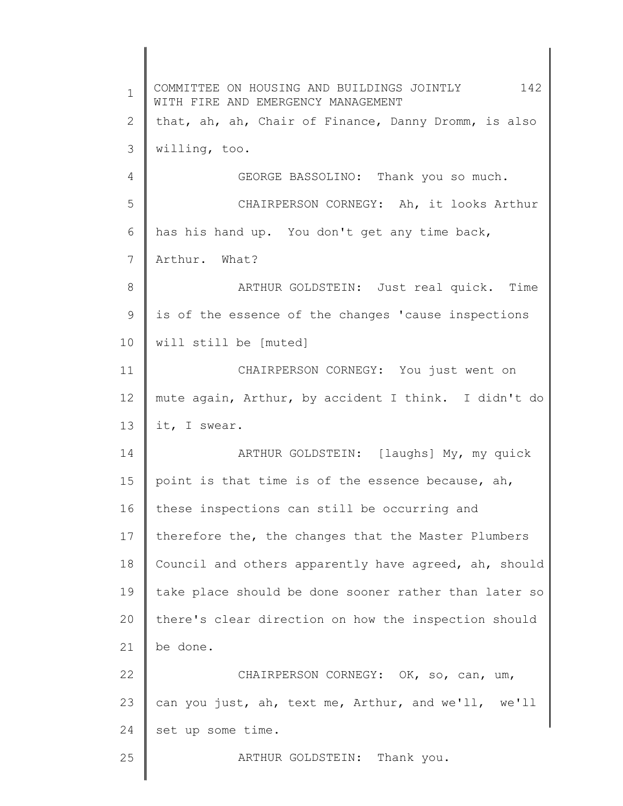1 2 3 4 5 6 7 8 9 10 11 12 13 14 15 16 17 18 19 20 21 22 23 24 25 COMMITTEE ON HOUSING AND BUILDINGS JOINTLY 142 WITH FIRE AND EMERGENCY MANAGEMENT that, ah, ah, Chair of Finance, Danny Dromm, is also willing, too. GEORGE BASSOLINO: Thank you so much. CHAIRPERSON CORNEGY: Ah, it looks Arthur has his hand up. You don't get any time back, Arthur. What? ARTHUR GOLDSTEIN: Just real quick. Time is of the essence of the changes 'cause inspections will still be [muted] CHAIRPERSON CORNEGY: You just went on mute again, Arthur, by accident I think. I didn't do it, I swear. ARTHUR GOLDSTEIN: [laughs] My, my quick point is that time is of the essence because, ah, these inspections can still be occurring and therefore the, the changes that the Master Plumbers Council and others apparently have agreed, ah, should take place should be done sooner rather than later so there's clear direction on how the inspection should be done. CHAIRPERSON CORNEGY: OK, so, can, um, can you just, ah, text me, Arthur, and we'll, we'll set up some time. ARTHUR GOLDSTEIN: Thank you.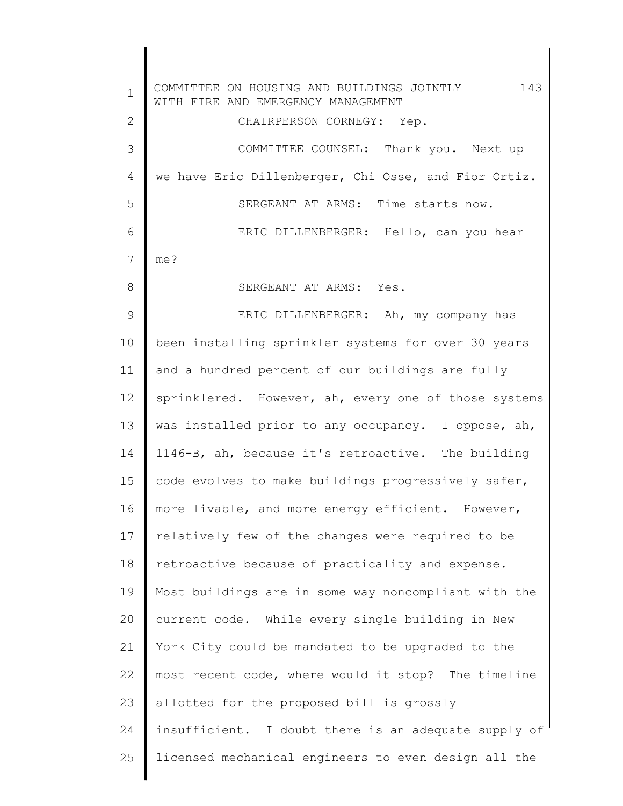1 2 3 4 5 6 7 8 9 10 11 12 13 14 15 16 17 18 19 20 21 22 23 24 25 COMMITTEE ON HOUSING AND BUILDINGS JOINTLY 143 WITH FIRE AND EMERGENCY MANAGEMENT CHAIRPERSON CORNEGY: Yep. COMMITTEE COUNSEL: Thank you. Next up we have Eric Dillenberger, Chi Osse, and Fior Ortiz. SERGEANT AT ARMS: Time starts now. ERIC DILLENBERGER: Hello, can you hear me? SERGEANT AT ARMS: Yes. ERIC DILLENBERGER: Ah, my company has been installing sprinkler systems for over 30 years and a hundred percent of our buildings are fully sprinklered. However, ah, every one of those systems was installed prior to any occupancy. I oppose, ah, 1146-B, ah, because it's retroactive. The building code evolves to make buildings progressively safer, more livable, and more energy efficient. However, relatively few of the changes were required to be retroactive because of practicality and expense. Most buildings are in some way noncompliant with the current code. While every single building in New York City could be mandated to be upgraded to the most recent code, where would it stop? The timeline allotted for the proposed bill is grossly insufficient. I doubt there is an adequate supply of licensed mechanical engineers to even design all the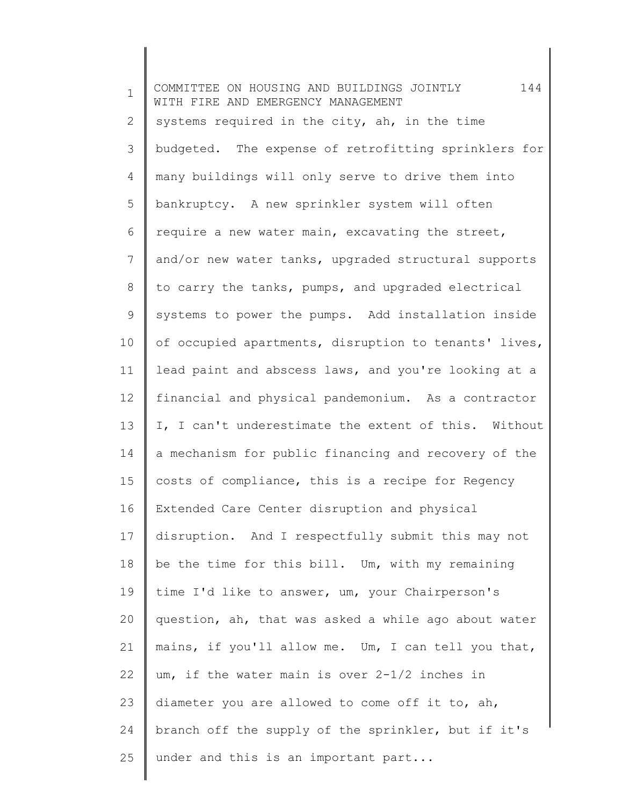1 2 3 4 5 6 7 8 9 10 11 12 13 14 15 16 17 18 19 20 21 22 23 24 25 COMMITTEE ON HOUSING AND BUILDINGS JOINTLY 144 WITH FIRE AND EMERGENCY MANAGEMENT systems required in the city, ah, in the time budgeted. The expense of retrofitting sprinklers for many buildings will only serve to drive them into bankruptcy. A new sprinkler system will often require a new water main, excavating the street, and/or new water tanks, upgraded structural supports to carry the tanks, pumps, and upgraded electrical systems to power the pumps. Add installation inside of occupied apartments, disruption to tenants' lives, lead paint and abscess laws, and you're looking at a financial and physical pandemonium. As a contractor I, I can't underestimate the extent of this. Without a mechanism for public financing and recovery of the costs of compliance, this is a recipe for Regency Extended Care Center disruption and physical disruption. And I respectfully submit this may not be the time for this bill. Um, with my remaining time I'd like to answer, um, your Chairperson's question, ah, that was asked a while ago about water mains, if you'll allow me. Um, I can tell you that, um, if the water main is over 2-1/2 inches in diameter you are allowed to come off it to, ah, branch off the supply of the sprinkler, but if it's under and this is an important part...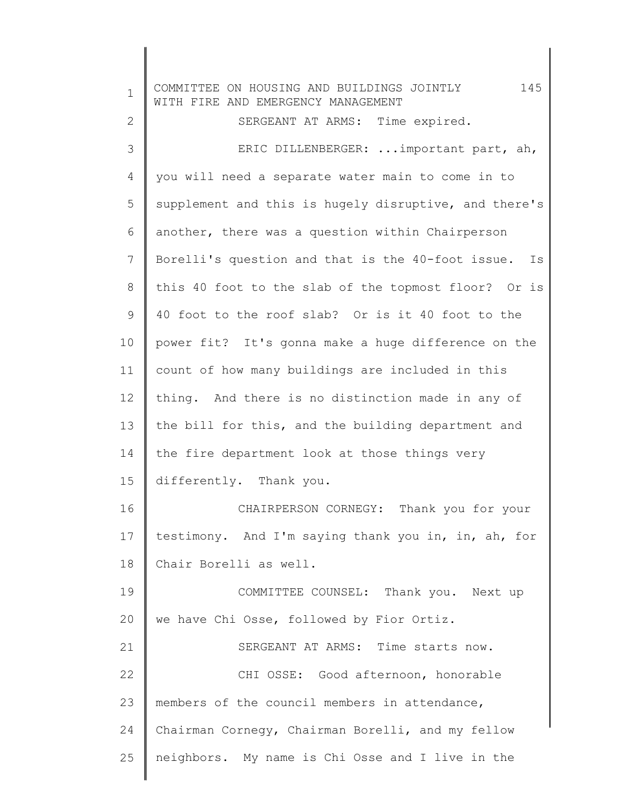| $\mathbf 1$    | 145<br>COMMITTEE ON HOUSING AND BUILDINGS JOINTLY<br>WITH FIRE AND EMERGENCY MANAGEMENT |  |
|----------------|-----------------------------------------------------------------------------------------|--|
| $\mathbf{2}$   | SERGEANT AT ARMS: Time expired.                                                         |  |
| 3              | ERIC DILLENBERGER:  important part, ah,                                                 |  |
| $\overline{4}$ | you will need a separate water main to come in to                                       |  |
| 5              | supplement and this is hugely disruptive, and there's                                   |  |
| 6              | another, there was a question within Chairperson                                        |  |
| 7              | Borelli's question and that is the 40-foot issue. Is                                    |  |
| $8\,$          | this 40 foot to the slab of the topmost floor? Or is                                    |  |
| $\mathsf 9$    | 40 foot to the roof slab? Or is it 40 foot to the                                       |  |
| 10             | power fit? It's gonna make a huge difference on the                                     |  |
| 11             | count of how many buildings are included in this                                        |  |
| 12             | thing. And there is no distinction made in any of                                       |  |
| 13             | the bill for this, and the building department and                                      |  |
| 14             | the fire department look at those things very                                           |  |
| 15             | differently. Thank you.                                                                 |  |
| 16             | CHAIRPERSON CORNEGY: Thank you for your                                                 |  |
| 17             | testimony. And I'm saying thank you in, in, ah, for                                     |  |
| 18             | Chair Borelli as well.                                                                  |  |
| 19             | COMMITTEE COUNSEL: Thank you. Next up                                                   |  |
| 20             | we have Chi Osse, followed by Fior Ortiz.                                               |  |
| 21             | SERGEANT AT ARMS: Time starts now.                                                      |  |
| 22             | CHI OSSE: Good afternoon, honorable                                                     |  |
| 23             | members of the council members in attendance,                                           |  |
| 24             | Chairman Cornegy, Chairman Borelli, and my fellow                                       |  |
| 25             | neighbors. My name is Chi Osse and I live in the                                        |  |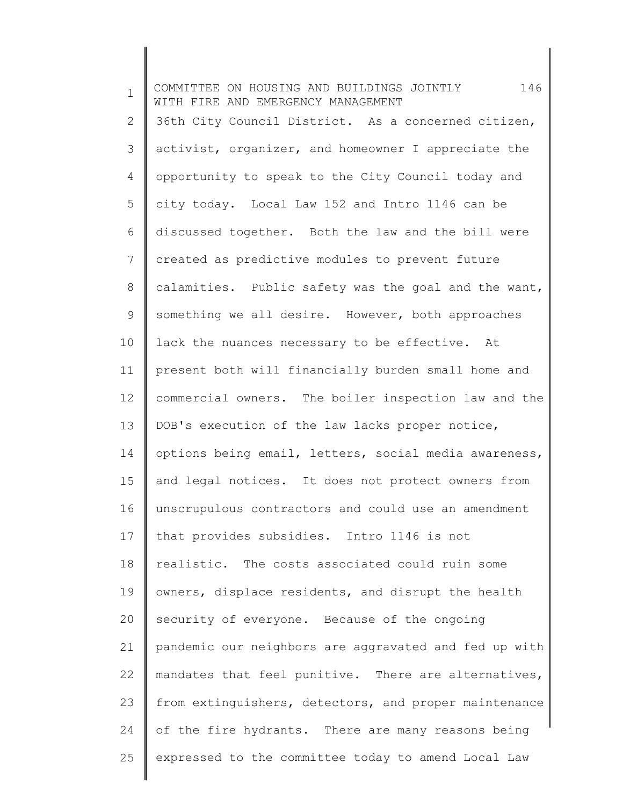1 2 3 4 5 6 7 8 9 10 11 12 13 14 15 16 17 18 19 20 21 22 23 24 25 COMMITTEE ON HOUSING AND BUILDINGS JOINTLY 146 WITH FIRE AND EMERGENCY MANAGEMENT 36th City Council District. As a concerned citizen, activist, organizer, and homeowner I appreciate the opportunity to speak to the City Council today and city today. Local Law 152 and Intro 1146 can be discussed together. Both the law and the bill were created as predictive modules to prevent future calamities. Public safety was the goal and the want, something we all desire. However, both approaches lack the nuances necessary to be effective. At present both will financially burden small home and commercial owners. The boiler inspection law and the DOB's execution of the law lacks proper notice, options being email, letters, social media awareness, and legal notices. It does not protect owners from unscrupulous contractors and could use an amendment that provides subsidies. Intro 1146 is not realistic. The costs associated could ruin some owners, displace residents, and disrupt the health security of everyone. Because of the ongoing pandemic our neighbors are aggravated and fed up with mandates that feel punitive. There are alternatives, from extinguishers, detectors, and proper maintenance of the fire hydrants. There are many reasons being expressed to the committee today to amend Local Law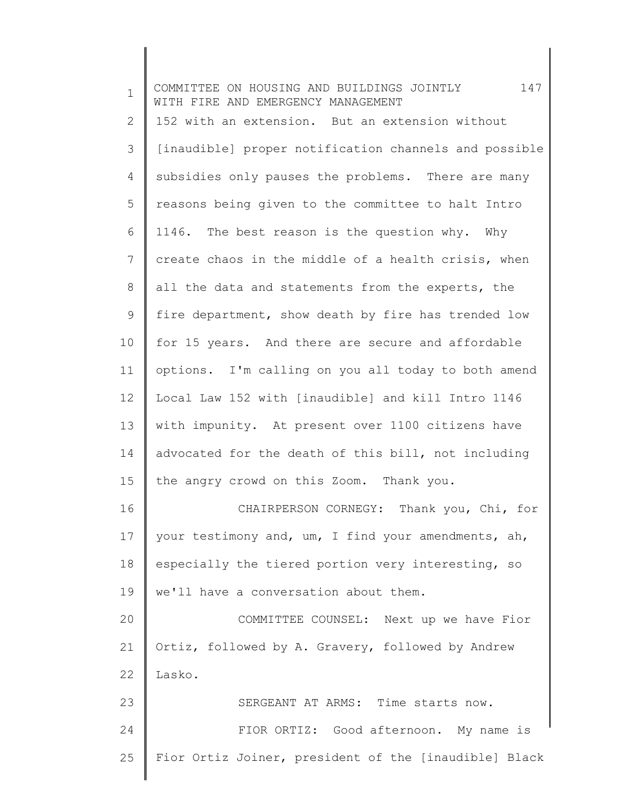| $\mathbf{1}$ | COMMITTEE ON HOUSING AND BUILDINGS JOINTLY 147<br>WITH FIRE AND EMERGENCY MANAGEMENT |  |
|--------------|--------------------------------------------------------------------------------------|--|
| 2            | 152 with an extension. But an extension without                                      |  |
| 3            | [inaudible] proper notification channels and possible                                |  |
| 4            | subsidies only pauses the problems. There are many                                   |  |
| 5            | reasons being given to the committee to halt Intro                                   |  |
| 6            | 1146. The best reason is the question why. Why                                       |  |
| 7            | create chaos in the middle of a health crisis, when                                  |  |
| 8            | all the data and statements from the experts, the                                    |  |
| $\mathsf 9$  | fire department, show death by fire has trended low                                  |  |
| 10           | for 15 years. And there are secure and affordable                                    |  |
| 11           | options. I'm calling on you all today to both amend                                  |  |
| 12           | Local Law 152 with [inaudible] and kill Intro 1146                                   |  |
| 13           | with impunity. At present over 1100 citizens have                                    |  |
| 14           | advocated for the death of this bill, not including                                  |  |
| 15           | the angry crowd on this Zoom. Thank you.                                             |  |
| 16           | CHAIRPERSON CORNEGY: Thank you, Chi, for                                             |  |
| 17           | your testimony and, um, I find your amendments, ah,                                  |  |
| 18           | especially the tiered portion very interesting, so                                   |  |
| 19           | we'll have a conversation about them.                                                |  |
| 20           | COMMITTEE COUNSEL: Next up we have Fior                                              |  |
| 21           | Ortiz, followed by A. Gravery, followed by Andrew                                    |  |
| 22           | Lasko.                                                                               |  |
| 23           | SERGEANT AT ARMS: Time starts now.                                                   |  |
| 24           | FIOR ORTIZ: Good afternoon. My name is                                               |  |
| 25           | Fior Ortiz Joiner, president of the [inaudible] Black                                |  |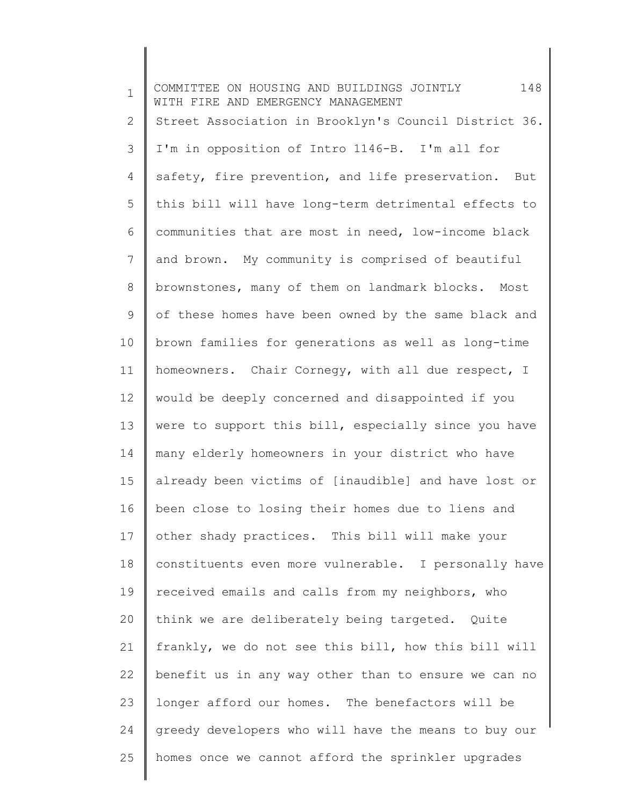1 2 3 4 5 6 7 8 9 10 11 12 13 14 15 16 17 18 19 20 21 22 23 24 25 COMMITTEE ON HOUSING AND BUILDINGS JOINTLY 148 WITH FIRE AND EMERGENCY MANAGEMENT Street Association in Brooklyn's Council District 36. I'm in opposition of Intro 1146-B. I'm all for safety, fire prevention, and life preservation. But this bill will have long-term detrimental effects to communities that are most in need, low-income black and brown. My community is comprised of beautiful brownstones, many of them on landmark blocks. Most of these homes have been owned by the same black and brown families for generations as well as long-time homeowners. Chair Cornegy, with all due respect, I would be deeply concerned and disappointed if you were to support this bill, especially since you have many elderly homeowners in your district who have already been victims of [inaudible] and have lost or been close to losing their homes due to liens and other shady practices. This bill will make your constituents even more vulnerable. I personally have received emails and calls from my neighbors, who think we are deliberately being targeted. Quite frankly, we do not see this bill, how this bill will benefit us in any way other than to ensure we can no longer afford our homes. The benefactors will be greedy developers who will have the means to buy our homes once we cannot afford the sprinkler upgrades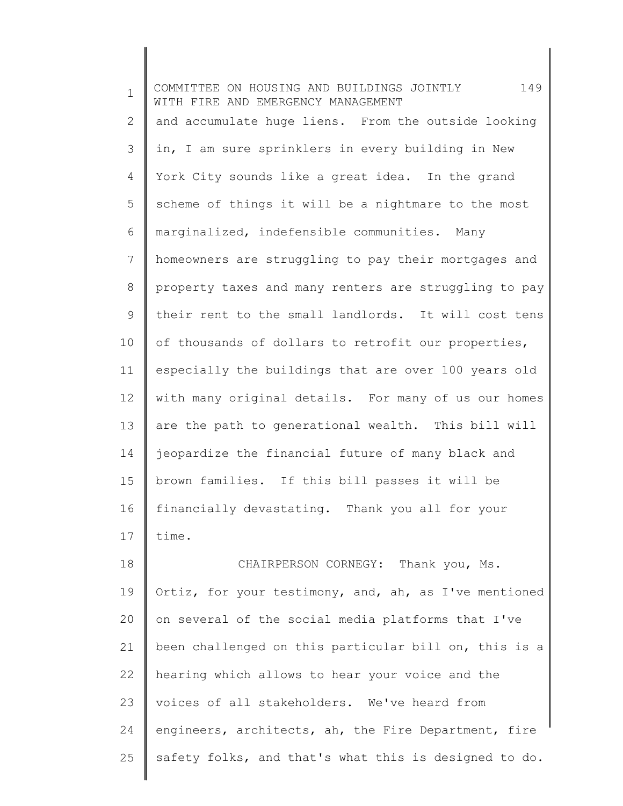1 2 3 4 5 6 7 8 9 10 11 12 13 14 15 16 17 18 19 COMMITTEE ON HOUSING AND BUILDINGS JOINTLY 149 WITH FIRE AND EMERGENCY MANAGEMENT and accumulate huge liens. From the outside looking in, I am sure sprinklers in every building in New York City sounds like a great idea. In the grand scheme of things it will be a nightmare to the most marginalized, indefensible communities. Many homeowners are struggling to pay their mortgages and property taxes and many renters are struggling to pay their rent to the small landlords. It will cost tens of thousands of dollars to retrofit our properties, especially the buildings that are over 100 years old with many original details. For many of us our homes are the path to generational wealth. This bill will jeopardize the financial future of many black and brown families. If this bill passes it will be financially devastating. Thank you all for your time. CHAIRPERSON CORNEGY: Thank you, Ms. Ortiz, for your testimony, and, ah, as I've mentioned

20 21 22 23 24 25 on several of the social media platforms that I've been challenged on this particular bill on, this is a hearing which allows to hear your voice and the voices of all stakeholders. We've heard from engineers, architects, ah, the Fire Department, fire safety folks, and that's what this is designed to do.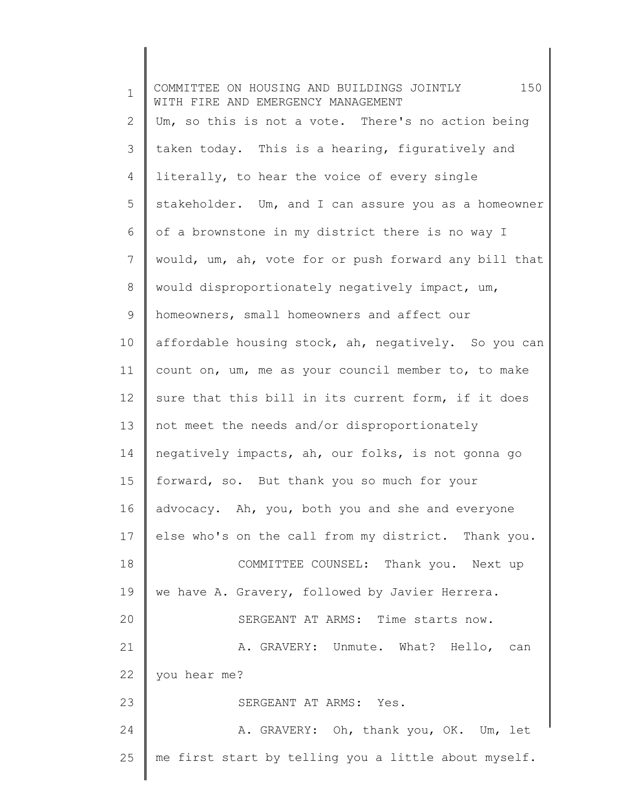| $\mathbf 1$ | 150<br>COMMITTEE ON HOUSING AND BUILDINGS JOINTLY<br>WITH FIRE AND EMERGENCY MANAGEMENT |  |
|-------------|-----------------------------------------------------------------------------------------|--|
| 2           | Um, so this is not a vote. There's no action being                                      |  |
| 3           | taken today. This is a hearing, figuratively and                                        |  |
| 4           | literally, to hear the voice of every single                                            |  |
| 5           | stakeholder. Um, and I can assure you as a homeowner                                    |  |
| 6           | of a brownstone in my district there is no way I                                        |  |
| 7           | would, um, ah, vote for or push forward any bill that                                   |  |
| 8           | would disproportionately negatively impact, um,                                         |  |
| 9           | homeowners, small homeowners and affect our                                             |  |
| 10          | affordable housing stock, ah, negatively. So you can                                    |  |
| 11          | count on, um, me as your council member to, to make                                     |  |
| 12          | sure that this bill in its current form, if it does                                     |  |
| 13          | not meet the needs and/or disproportionately                                            |  |
| 14          | negatively impacts, ah, our folks, is not gonna go                                      |  |
| 15          | forward, so. But thank you so much for your                                             |  |
| 16          | advocacy. Ah, you, both you and she and everyone                                        |  |
| 17          | else who's on the call from my district. Thank you.                                     |  |
| 18          | COMMITTEE COUNSEL: Thank you. Next up                                                   |  |
| 19          | we have A. Gravery, followed by Javier Herrera.                                         |  |
| 20          | SERGEANT AT ARMS: Time starts now.                                                      |  |
| 21          | A. GRAVERY: Unmute. What? Hello, can                                                    |  |
| 22          | you hear me?                                                                            |  |
| 23          | SERGEANT AT ARMS: Yes.                                                                  |  |
| 24          | A. GRAVERY: Oh, thank you, OK. Um, let                                                  |  |
| 25          | me first start by telling you a little about myself.                                    |  |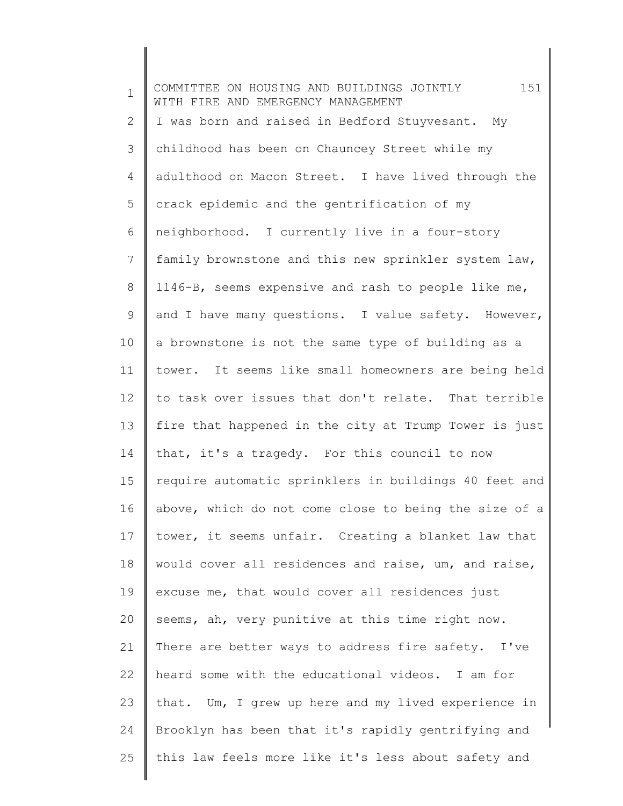1 2 3 4 5 6 7 8 9 10 11 12 13 14 15 16 17 18 19 20 21 22 23 24 25 COMMITTEE ON HOUSING AND BUILDINGS JOINTLY 151 WITH FIRE AND EMERGENCY MANAGEMENT I was born and raised in Bedford Stuyvesant. My childhood has been on Chauncey Street while my adulthood on Macon Street. I have lived through the crack epidemic and the gentrification of my neighborhood. I currently live in a four-story family brownstone and this new sprinkler system law, 1146-B, seems expensive and rash to people like me, and I have many questions. I value safety. However, a brownstone is not the same type of building as a tower. It seems like small homeowners are being held to task over issues that don't relate. That terrible fire that happened in the city at Trump Tower is just that, it's a tragedy. For this council to now require automatic sprinklers in buildings 40 feet and above, which do not come close to being the size of a tower, it seems unfair. Creating a blanket law that would cover all residences and raise, um, and raise, excuse me, that would cover all residences just seems, ah, very punitive at this time right now. There are better ways to address fire safety. I've heard some with the educational videos. I am for that. Um, I grew up here and my lived experience in Brooklyn has been that it's rapidly gentrifying and this law feels more like it's less about safety and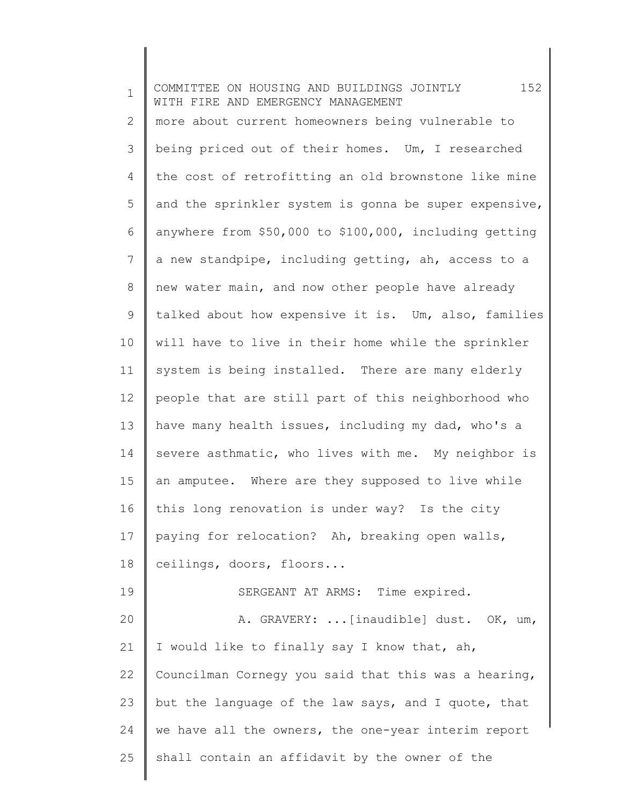1 2 3 4 5 6 7 8 9 10 11 12 13 14 15 16 17 18 19 20 21 22 23 24 25 COMMITTEE ON HOUSING AND BUILDINGS JOINTLY 152 WITH FIRE AND EMERGENCY MANAGEMENT more about current homeowners being vulnerable to being priced out of their homes. Um, I researched the cost of retrofitting an old brownstone like mine and the sprinkler system is gonna be super expensive, anywhere from \$50,000 to \$100,000, including getting a new standpipe, including getting, ah, access to a new water main, and now other people have already talked about how expensive it is. Um, also, families will have to live in their home while the sprinkler system is being installed. There are many elderly people that are still part of this neighborhood who have many health issues, including my dad, who's a severe asthmatic, who lives with me. My neighbor is an amputee. Where are they supposed to live while this long renovation is under way? Is the city paying for relocation? Ah, breaking open walls, ceilings, doors, floors... SERGEANT AT ARMS: Time expired. A. GRAVERY: ...[inaudible] dust. OK, um, I would like to finally say I know that, ah, Councilman Cornegy you said that this was a hearing, but the language of the law says, and I quote, that we have all the owners, the one-year interim report shall contain an affidavit by the owner of the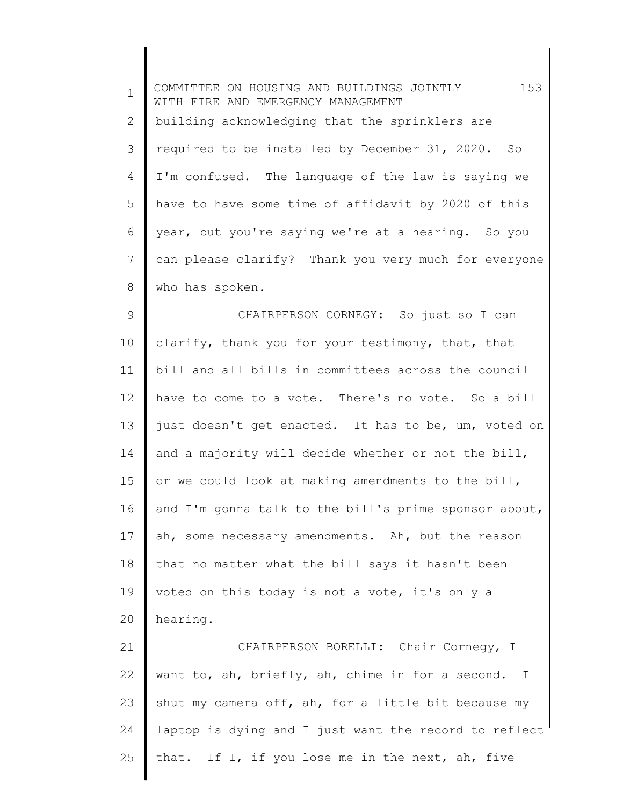1 2 3 4 5 6 7 8 9 10 11 12 13 14 15 16 17 18 19 20 21 22 23 24 25 COMMITTEE ON HOUSING AND BUILDINGS JOINTLY 153 WITH FIRE AND EMERGENCY MANAGEMENT building acknowledging that the sprinklers are required to be installed by December 31, 2020. So I'm confused. The language of the law is saying we have to have some time of affidavit by 2020 of this year, but you're saying we're at a hearing. So you can please clarify? Thank you very much for everyone who has spoken. CHAIRPERSON CORNEGY: So just so I can clarify, thank you for your testimony, that, that bill and all bills in committees across the council have to come to a vote. There's no vote. So a bill just doesn't get enacted. It has to be, um, voted on and a majority will decide whether or not the bill, or we could look at making amendments to the bill, and I'm gonna talk to the bill's prime sponsor about, ah, some necessary amendments. Ah, but the reason that no matter what the bill says it hasn't been voted on this today is not a vote, it's only a hearing. CHAIRPERSON BORELLI: Chair Cornegy, I want to, ah, briefly, ah, chime in for a second. I shut my camera off, ah, for a little bit because my laptop is dying and I just want the record to reflect that. If I, if you lose me in the next, ah, five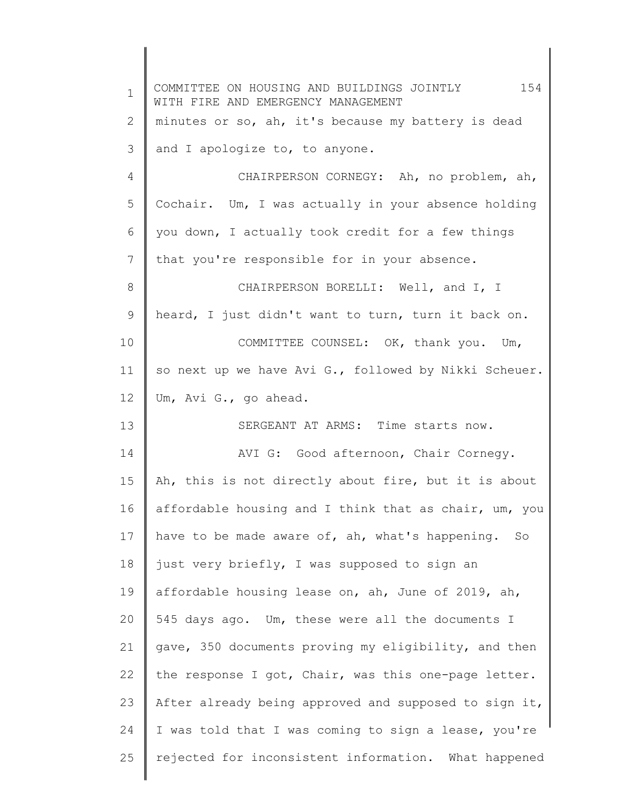| $\mathbf 1$ | 154<br>COMMITTEE ON HOUSING AND BUILDINGS JOINTLY<br>WITH FIRE AND EMERGENCY MANAGEMENT |  |
|-------------|-----------------------------------------------------------------------------------------|--|
| 2           | minutes or so, ah, it's because my battery is dead                                      |  |
| 3           | and I apologize to, to anyone.                                                          |  |
| 4           | CHAIRPERSON CORNEGY: Ah, no problem, ah,                                                |  |
| 5           | Cochair. Um, I was actually in your absence holding                                     |  |
| 6           | you down, I actually took credit for a few things                                       |  |
| 7           | that you're responsible for in your absence.                                            |  |
| 8           | CHAIRPERSON BORELLI: Well, and I, I                                                     |  |
| 9           | heard, I just didn't want to turn, turn it back on.                                     |  |
| 10          | COMMITTEE COUNSEL: OK, thank you. Um,                                                   |  |
| 11          | so next up we have Avi G., followed by Nikki Scheuer.                                   |  |
| 12          | Um, Avi G., go ahead.                                                                   |  |
| 13          | SERGEANT AT ARMS: Time starts now.                                                      |  |
| 14          | AVI G: Good afternoon, Chair Cornegy.                                                   |  |
| 15          | Ah, this is not directly about fire, but it is about                                    |  |
| 16          | affordable housing and I think that as chair, um, you                                   |  |
| 17          | have to be made aware of, ah, what's happening. So                                      |  |
| 18          | just very briefly, I was supposed to sign an                                            |  |
| 19          | affordable housing lease on, ah, June of 2019, ah,                                      |  |
| 20          | 545 days ago. Um, these were all the documents I                                        |  |
| 21          | gave, 350 documents proving my eligibility, and then                                    |  |
| 22          | the response I got, Chair, was this one-page letter.                                    |  |
| 23          | After already being approved and supposed to sign it,                                   |  |
| 24          | I was told that I was coming to sign a lease, you're                                    |  |
| 25          | rejected for inconsistent information. What happened                                    |  |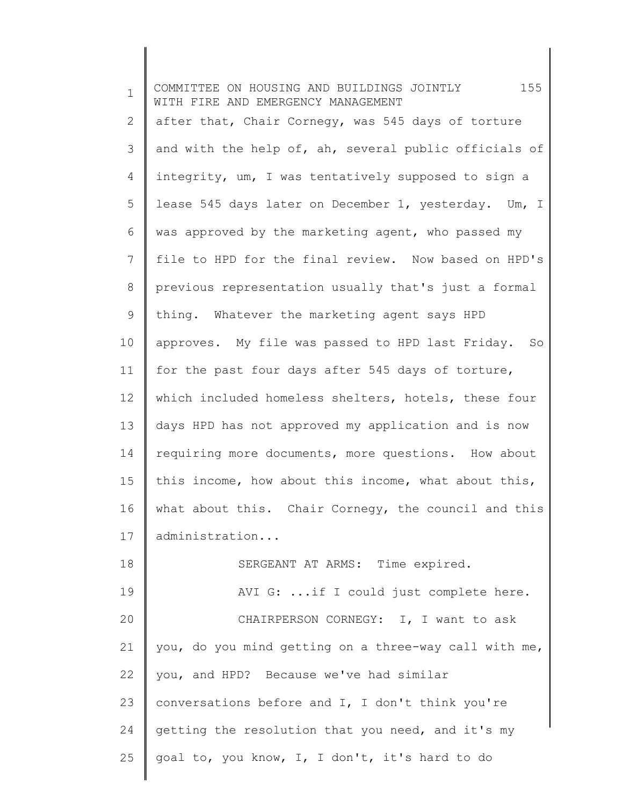| $\mathbf{1}$ | 155<br>COMMITTEE ON HOUSING AND BUILDINGS JOINTLY<br>WITH FIRE AND EMERGENCY MANAGEMENT |
|--------------|-----------------------------------------------------------------------------------------|
| $\mathbf{2}$ | after that, Chair Cornegy, was 545 days of torture                                      |
| 3            | and with the help of, ah, several public officials of                                   |
| 4            | integrity, um, I was tentatively supposed to sign a                                     |
| 5            | lease 545 days later on December 1, yesterday. Um, I                                    |
| 6            | was approved by the marketing agent, who passed my                                      |
| 7            | file to HPD for the final review. Now based on HPD's                                    |
| 8            | previous representation usually that's just a formal                                    |
| 9            | thing. Whatever the marketing agent says HPD                                            |
| 10           | approves. My file was passed to HPD last Friday.<br>So                                  |
| 11           | for the past four days after 545 days of torture,                                       |
| 12           | which included homeless shelters, hotels, these four                                    |
| 13           | days HPD has not approved my application and is now                                     |
| 14           | requiring more documents, more questions. How about                                     |
| 15           | this income, how about this income, what about this,                                    |
| 16           | what about this. Chair Cornegy, the council and this                                    |
| 17           | administration                                                                          |
| 18           | SERGEANT AT ARMS: Time expired.                                                         |
| 19           | AVI G:  if I could just complete here.                                                  |
| 20           | CHAIRPERSON CORNEGY: I, I want to ask                                                   |
| 21           | you, do you mind getting on a three-way call with me,                                   |
| 22           | you, and HPD? Because we've had similar                                                 |
| 23           | conversations before and I, I don't think you're                                        |
| 24           | getting the resolution that you need, and it's my                                       |
| 25           | goal to, you know, I, I don't, it's hard to do                                          |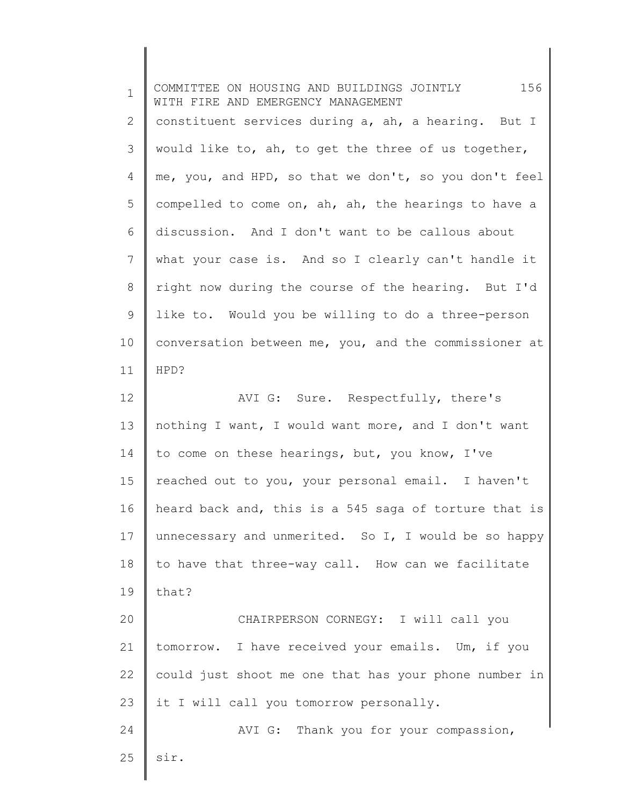| $\mathbf{1}$   | 156<br>COMMITTEE ON HOUSING AND BUILDINGS JOINTLY<br>WITH FIRE AND EMERGENCY MANAGEMENT |  |
|----------------|-----------------------------------------------------------------------------------------|--|
| 2              | constituent services during a, ah, a hearing. But I                                     |  |
| 3              | would like to, ah, to get the three of us together,                                     |  |
| $\overline{4}$ | me, you, and HPD, so that we don't, so you don't feel                                   |  |
| 5              | compelled to come on, ah, ah, the hearings to have a                                    |  |
| 6              | discussion. And I don't want to be callous about                                        |  |
| 7              | what your case is. And so I clearly can't handle it                                     |  |
| 8              | right now during the course of the hearing. But I'd                                     |  |
| $\mathsf 9$    | like to. Would you be willing to do a three-person                                      |  |
| 10             | conversation between me, you, and the commissioner at                                   |  |
| 11             | HPD?                                                                                    |  |
| 12             | AVI G: Sure. Respectfully, there's                                                      |  |
| 13             | nothing I want, I would want more, and I don't want                                     |  |
| 14             | to come on these hearings, but, you know, I've                                          |  |
| 15             | reached out to you, your personal email. I haven't                                      |  |
| 16             | heard back and, this is a 545 saga of torture that is                                   |  |
| 17             | unnecessary and unmerited. So I, I would be so happy                                    |  |
| 18             | to have that three-way call. How can we facilitate                                      |  |
| 19             | that?                                                                                   |  |
| 20             | CHAIRPERSON CORNEGY: I will call you                                                    |  |
| 21             | tomorrow. I have received your emails. Um, if you                                       |  |
| 22             | could just shoot me one that has your phone number in                                   |  |
| 23             | it I will call you tomorrow personally.                                                 |  |
| 24             | AVI G: Thank you for your compassion,                                                   |  |
| 25             | sir.                                                                                    |  |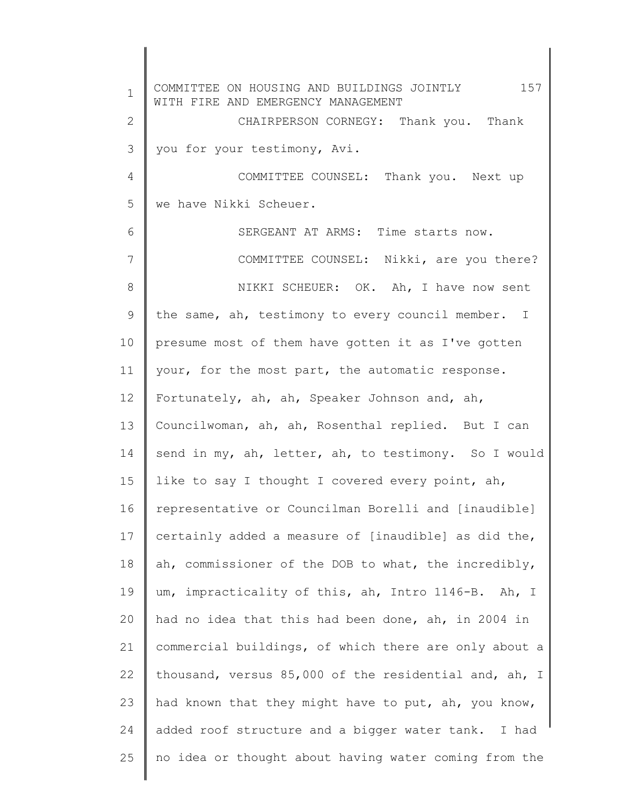1 2 3 4 5 6 7 8 9 10 11 12 13 14 15 16 17 18 19 20 21 22 23 24 25 COMMITTEE ON HOUSING AND BUILDINGS JOINTLY 157 WITH FIRE AND EMERGENCY MANAGEMENT CHAIRPERSON CORNEGY: Thank you. Thank you for your testimony, Avi. COMMITTEE COUNSEL: Thank you. Next up we have Nikki Scheuer. SERGEANT AT ARMS: Time starts now. COMMITTEE COUNSEL: Nikki, are you there? NIKKI SCHEUER: OK. Ah, I have now sent the same, ah, testimony to every council member. I presume most of them have gotten it as I've gotten your, for the most part, the automatic response. Fortunately, ah, ah, Speaker Johnson and, ah, Councilwoman, ah, ah, Rosenthal replied. But I can send in my, ah, letter, ah, to testimony. So I would like to say I thought I covered every point, ah, representative or Councilman Borelli and [inaudible] certainly added a measure of [inaudible] as did the, ah, commissioner of the DOB to what, the incredibly, um, impracticality of this, ah, Intro 1146-B. Ah, I had no idea that this had been done, ah, in 2004 in commercial buildings, of which there are only about a thousand, versus 85,000 of the residential and, ah, I had known that they might have to put, ah, you know, added roof structure and a bigger water tank. I had no idea or thought about having water coming from the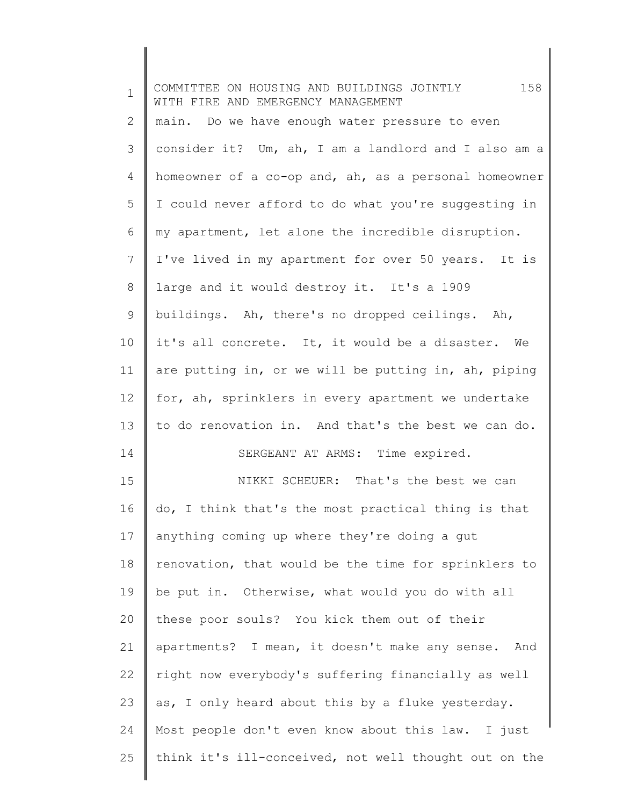| $\mathbf{1}$ | 158<br>COMMITTEE ON HOUSING AND BUILDINGS JOINTLY<br>WITH FIRE AND EMERGENCY MANAGEMENT |  |
|--------------|-----------------------------------------------------------------------------------------|--|
| 2            | main. Do we have enough water pressure to even                                          |  |
| 3            | consider it? Um, ah, I am a landlord and I also am a                                    |  |
| 4            | homeowner of a co-op and, ah, as a personal homeowner                                   |  |
| 5            | I could never afford to do what you're suggesting in                                    |  |
| 6            | my apartment, let alone the incredible disruption.                                      |  |
| 7            | I've lived in my apartment for over 50 years. It is                                     |  |
| $8\,$        | large and it would destroy it. It's a 1909                                              |  |
| 9            | buildings. Ah, there's no dropped ceilings. Ah,                                         |  |
| 10           | it's all concrete. It, it would be a disaster. We                                       |  |
| 11           | are putting in, or we will be putting in, ah, piping                                    |  |
| 12           | for, ah, sprinklers in every apartment we undertake                                     |  |
| 13           | to do renovation in. And that's the best we can do.                                     |  |
| 14           | SERGEANT AT ARMS: Time expired.                                                         |  |
| 15           | NIKKI SCHEUER: That's the best we can                                                   |  |
| 16           | do, I think that's the most practical thing is that                                     |  |
| 17           | anything coming up where they're doing a gut                                            |  |
| 18           | renovation, that would be the time for sprinklers to                                    |  |
| 19           | be put in. Otherwise, what would you do with all                                        |  |
| 20           | these poor souls? You kick them out of their                                            |  |
| 21           | apartments? I mean, it doesn't make any sense. And                                      |  |
| 22           | right now everybody's suffering financially as well                                     |  |
| 23           | as, I only heard about this by a fluke yesterday.                                       |  |
| 24           | Most people don't even know about this law. I just                                      |  |
| 25           | think it's ill-conceived, not well thought out on the                                   |  |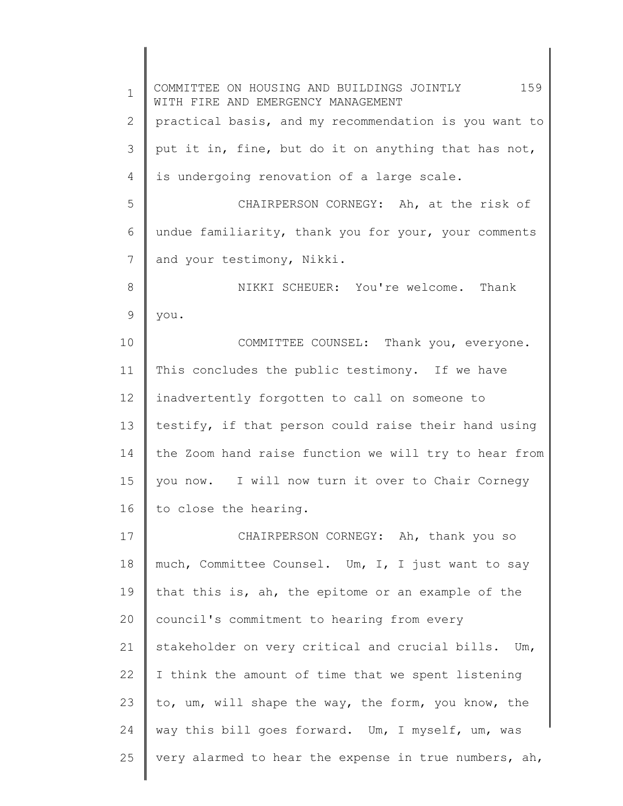| $\mathbf 1$ | 159<br>COMMITTEE ON HOUSING AND BUILDINGS JOINTLY<br>WITH FIRE AND EMERGENCY MANAGEMENT |
|-------------|-----------------------------------------------------------------------------------------|
| 2           | practical basis, and my recommendation is you want to                                   |
| 3           | put it in, fine, but do it on anything that has not,                                    |
| 4           | is undergoing renovation of a large scale.                                              |
| 5           | CHAIRPERSON CORNEGY: Ah, at the risk of                                                 |
| 6           | undue familiarity, thank you for your, your comments                                    |
| 7           | and your testimony, Nikki.                                                              |
| 8           | NIKKI SCHEUER: You're welcome. Thank                                                    |
| 9           | you.                                                                                    |
| 10          | COMMITTEE COUNSEL: Thank you, everyone.                                                 |
| 11          | This concludes the public testimony. If we have                                         |
| 12          | inadvertently forgotten to call on someone to                                           |
| 13          | testify, if that person could raise their hand using                                    |
| 14          | the Zoom hand raise function we will try to hear from                                   |
| 15          | you now. I will now turn it over to Chair Cornegy                                       |
| 16          | to close the hearing.                                                                   |
| 17          | CHAIRPERSON CORNEGY: Ah, thank you so                                                   |
| 18          | much, Committee Counsel. Um, I, I just want to say                                      |
| 19          | that this is, ah, the epitome or an example of the                                      |
| 20          | council's commitment to hearing from every                                              |
| 21          | stakeholder on very critical and crucial bills. Um,                                     |
| 22          | I think the amount of time that we spent listening                                      |
| 23          | to, um, will shape the way, the form, you know, the                                     |
| 24          | way this bill goes forward. Um, I myself, um, was                                       |
| 25          | very alarmed to hear the expense in true numbers, ah,                                   |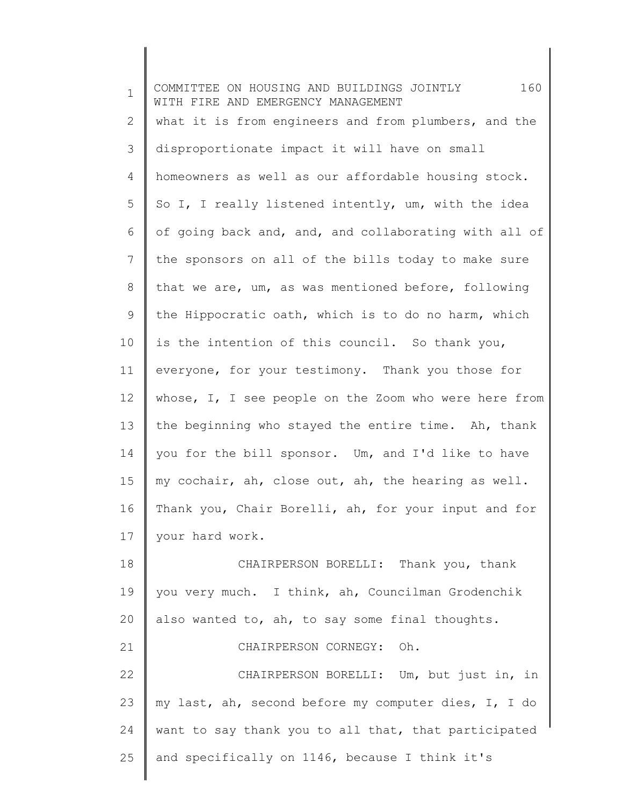| $\mathbf 1$    | 160<br>COMMITTEE ON HOUSING AND BUILDINGS JOINTLY<br>WITH FIRE AND EMERGENCY MANAGEMENT |
|----------------|-----------------------------------------------------------------------------------------|
| $\mathbf{2}$   | what it is from engineers and from plumbers, and the                                    |
| 3              | disproportionate impact it will have on small                                           |
| $\overline{4}$ | homeowners as well as our affordable housing stock.                                     |
| 5              | So I, I really listened intently, um, with the idea                                     |
| 6              | of going back and, and, and collaborating with all of                                   |
| $7\phantom{.}$ | the sponsors on all of the bills today to make sure                                     |
| 8              | that we are, um, as was mentioned before, following                                     |
| 9              | the Hippocratic oath, which is to do no harm, which                                     |
| 10             | is the intention of this council. So thank you,                                         |
| 11             | everyone, for your testimony. Thank you those for                                       |
| 12             | whose, I, I see people on the Zoom who were here from                                   |
| 13             | the beginning who stayed the entire time. Ah, thank                                     |
| 14             | you for the bill sponsor. Um, and I'd like to have                                      |
| 15             | my cochair, ah, close out, ah, the hearing as well.                                     |
| 16             | Thank you, Chair Borelli, ah, for your input and for                                    |
| 17             | your hard work.                                                                         |
| 18             | CHAIRPERSON BORELLI: Thank you, thank                                                   |
| 19             | you very much. I think, ah, Councilman Grodenchik                                       |
| 20             | also wanted to, ah, to say some final thoughts.                                         |
| 21             | CHAIRPERSON CORNEGY:<br>Oh.                                                             |
| 22             | CHAIRPERSON BORELLI: Um, but just in, in                                                |
| 23             | my last, ah, second before my computer dies, I, I do                                    |
| 24             | want to say thank you to all that, that participated                                    |
| 25             | and specifically on 1146, because I think it's                                          |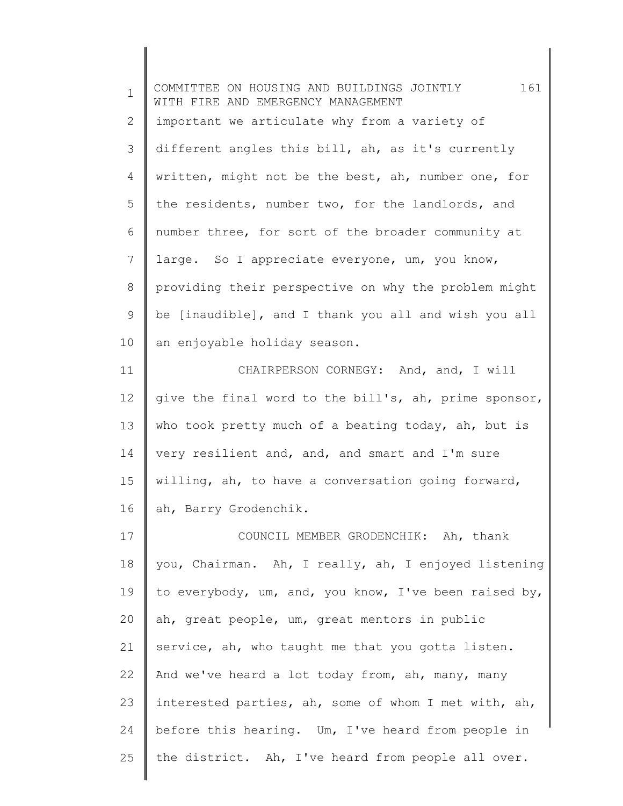1 2 3 4 5 6 7 8 9 10 11 12 13 14 15 16 17 18 19 20 21 22 23 24 25 COMMITTEE ON HOUSING AND BUILDINGS JOINTLY 161 WITH FIRE AND EMERGENCY MANAGEMENT important we articulate why from a variety of different angles this bill, ah, as it's currently written, might not be the best, ah, number one, for the residents, number two, for the landlords, and number three, for sort of the broader community at large. So I appreciate everyone, um, you know, providing their perspective on why the problem might be [inaudible], and I thank you all and wish you all an enjoyable holiday season. CHAIRPERSON CORNEGY: And, and, I will give the final word to the bill's, ah, prime sponsor, who took pretty much of a beating today, ah, but is very resilient and, and, and smart and I'm sure willing, ah, to have a conversation going forward, ah, Barry Grodenchik. COUNCIL MEMBER GRODENCHIK: Ah, thank you, Chairman. Ah, I really, ah, I enjoyed listening to everybody, um, and, you know, I've been raised by, ah, great people, um, great mentors in public service, ah, who taught me that you gotta listen. And we've heard a lot today from, ah, many, many interested parties, ah, some of whom I met with, ah, before this hearing. Um, I've heard from people in the district. Ah, I've heard from people all over.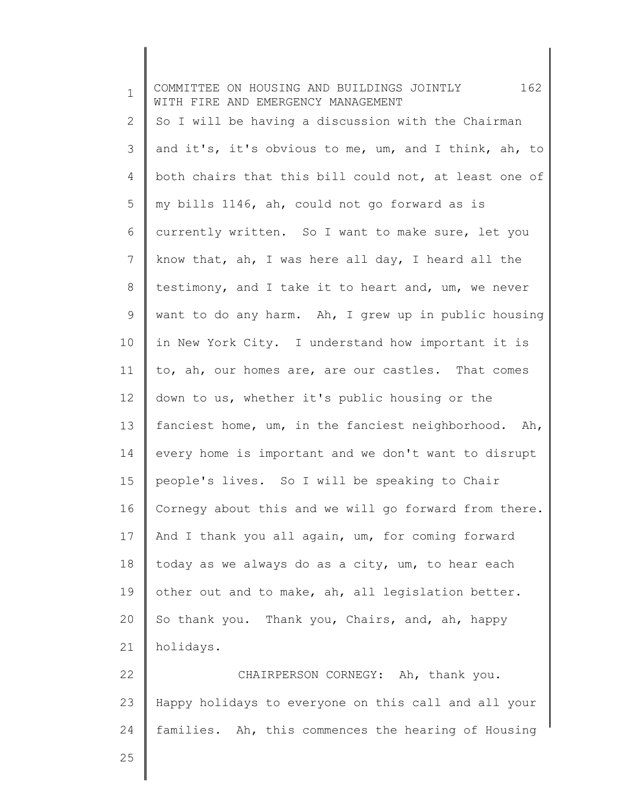1 2 3 4 5 6 7 8 9 10 11 12 13 14 15 16 17 18 19 20 21 22 23 24 25 COMMITTEE ON HOUSING AND BUILDINGS JOINTLY 162 WITH FIRE AND EMERGENCY MANAGEMENT So I will be having a discussion with the Chairman and it's, it's obvious to me, um, and I think, ah, to both chairs that this bill could not, at least one of my bills 1146, ah, could not go forward as is currently written. So I want to make sure, let you know that, ah, I was here all day, I heard all the testimony, and I take it to heart and, um, we never want to do any harm. Ah, I grew up in public housing in New York City. I understand how important it is to, ah, our homes are, are our castles. That comes down to us, whether it's public housing or the fanciest home, um, in the fanciest neighborhood. Ah, every home is important and we don't want to disrupt people's lives. So I will be speaking to Chair Cornegy about this and we will go forward from there. And I thank you all again, um, for coming forward today as we always do as a city, um, to hear each other out and to make, ah, all legislation better. So thank you. Thank you, Chairs, and, ah, happy holidays. CHAIRPERSON CORNEGY: Ah, thank you. Happy holidays to everyone on this call and all your families. Ah, this commences the hearing of Housing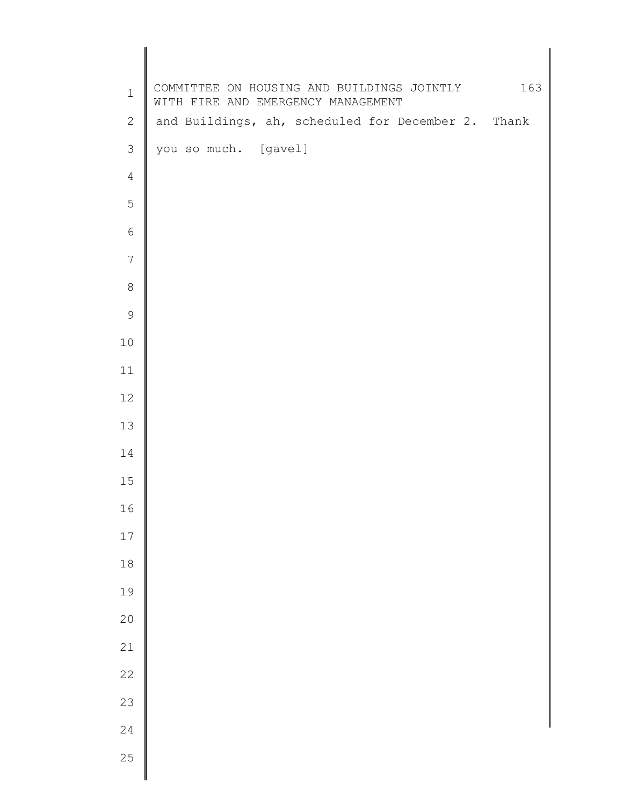| $\mathbf 1$    | COMMITTEE ON HOUSING AND BUILDINGS JOINTLY 163<br>WITH FIRE AND EMERGENCY MANAGEMENT |  |
|----------------|--------------------------------------------------------------------------------------|--|
| $\mathbf{2}$   | and Buildings, ah, scheduled for December 2. Thank                                   |  |
| $\mathfrak{Z}$ | you so much. [gavel]                                                                 |  |
| $\overline{4}$ |                                                                                      |  |
| 5              |                                                                                      |  |
| $\sqrt{6}$     |                                                                                      |  |
| 7              |                                                                                      |  |
| $\,8\,$        |                                                                                      |  |
| $\mathsf 9$    |                                                                                      |  |
| 10             |                                                                                      |  |
| 11             |                                                                                      |  |
| 12             |                                                                                      |  |
| 13             |                                                                                      |  |
| 14             |                                                                                      |  |
| 15             |                                                                                      |  |
| 16             |                                                                                      |  |
| 17             |                                                                                      |  |
| $18\,$         |                                                                                      |  |
| 19             |                                                                                      |  |
| 20             |                                                                                      |  |
| 21             |                                                                                      |  |
| 22             |                                                                                      |  |
| 23             |                                                                                      |  |
| 24             |                                                                                      |  |
| 25             |                                                                                      |  |